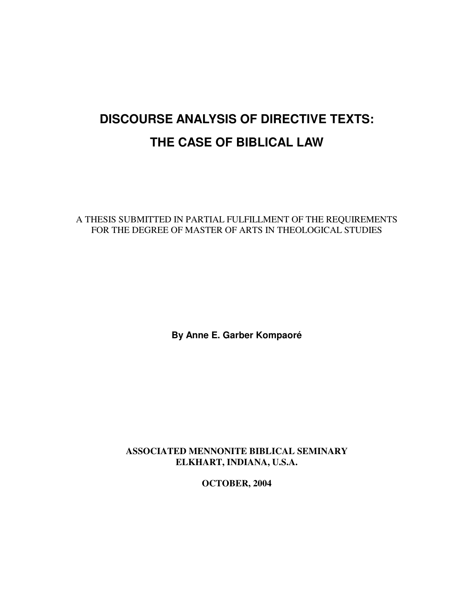# **DISCOURSE ANALYSIS OF DIRECTIVE TEXTS: THE CASE OF BIBLICAL LAW**

A THESIS SUBMITTED IN PARTIAL FULFILLMENT OF THE REQUIREMENTS FOR THE DEGREE OF MASTER OF ARTS IN THEOLOGICAL STUDIES

**By Anne E. Garber Kompaoré**

**ASSOCIATED MENNONITE BIBLICAL SEMINARY ELKHART, INDIANA, U.S.A.**

**OCTOBER, 2004**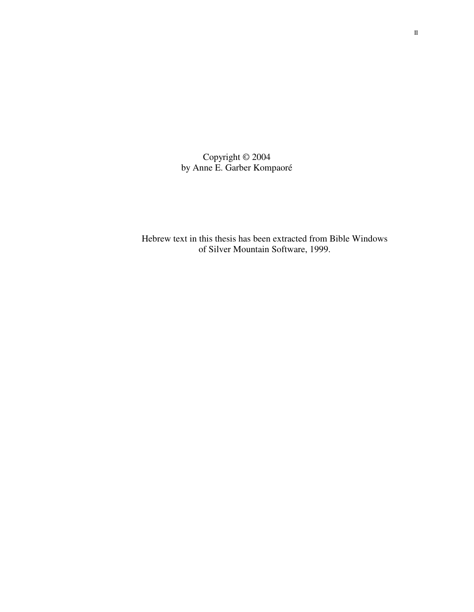Copyright © 2004 by Anne E. Garber Kompaoré

Hebrew text in this thesis has been extracted from Bible Windows of Silver Mountain Software, 1999.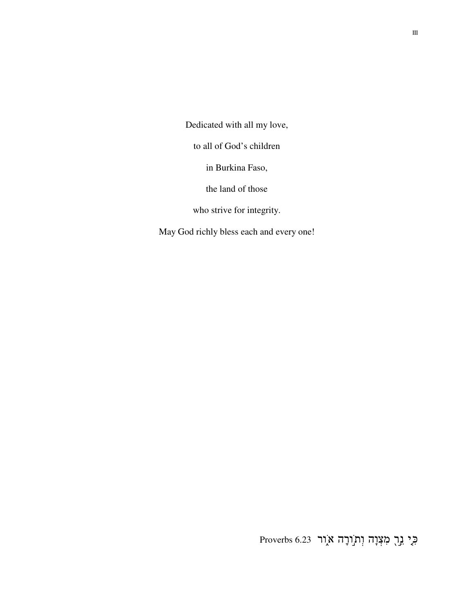Dedicated with all my love,

to all of God's children

in Burkina Faso,

the land of those

who strive for integrity.

May God richly bless each and every one!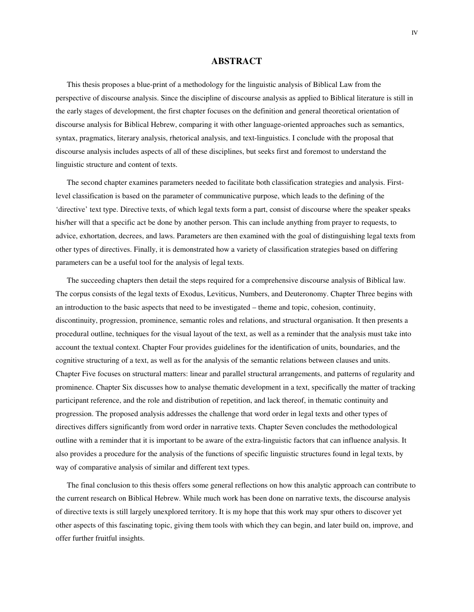## **ABSTRACT**

This thesis proposes a blue-print of a methodology for the linguistic analysis of Biblical Law from the perspective of discourse analysis. Since the discipline of discourse analysis as applied to Biblical literature is still in the early stages of development, the first chapter focuses on the definition and general theoretical orientation of discourse analysis for Biblical Hebrew, comparing it with other language-oriented approaches such as semantics, syntax, pragmatics, literary analysis, rhetorical analysis, and text-linguistics. I conclude with the proposal that discourse analysis includes aspects of all of these disciplines, but seeks first and foremost to understand the linguistic structure and content of texts.

The second chapter examines parameters needed to facilitate both classification strategies and analysis. Firstlevel classification is based on the parameter of communicative purpose, which leads to the defining of the 'directive' text type. Directive texts, of which legal texts form a part, consist of discourse where the speaker speaks his/her will that a specific act be done by another person. This can include anything from prayer to requests, to advice, exhortation, decrees, and laws. Parameters are then examined with the goal of distinguishing legal texts from other types of directives. Finally, it is demonstrated how a variety of classification strategies based on differing parameters can be a useful tool for the analysis of legal texts.

The succeeding chapters then detail the steps required for a comprehensive discourse analysis of Biblical law. The corpus consists of the legal texts of Exodus, Leviticus, Numbers, and Deuteronomy. Chapter Three begins with an introduction to the basic aspects that need to be investigated – theme and topic, cohesion, continuity, discontinuity, progression, prominence, semantic roles and relations, and structural organisation. It then presents a procedural outline, techniques for the visual layout of the text, as well as a reminder that the analysis must take into account the textual context. Chapter Four provides guidelines for the identification of units, boundaries, and the cognitive structuring of a text, as well as for the analysis of the semantic relations between clauses and units. Chapter Five focuses on structural matters: linear and parallel structural arrangements, and patterns of regularity and prominence. Chapter Six discusses how to analyse thematic development in a text, specifically the matter of tracking participant reference, and the role and distribution of repetition, and lack thereof, in thematic continuity and progression. The proposed analysis addresses the challenge that word order in legal texts and other types of directives differs significantly from word order in narrative texts. Chapter Seven concludes the methodological outline with a reminder that it is important to be aware of the extra-linguistic factors that can influence analysis. It also provides a procedure for the analysis of the functions of specific linguistic structures found in legal texts, by way of comparative analysis of similar and different text types.

The final conclusion to this thesis offers some general reflections on how this analytic approach can contribute to the current research on Biblical Hebrew. While much work has been done on narrative texts, the discourse analysis of directive texts is still largely unexplored territory. It is my hope that this work may spur others to discover yet other aspects of this fascinating topic, giving them tools with which they can begin, and later build on, improve, and offer further fruitful insights.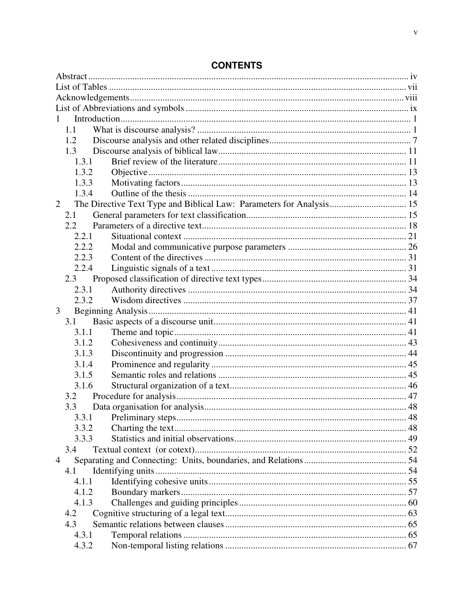| 1             |                                                                      |  |  |  |  |  |
|---------------|----------------------------------------------------------------------|--|--|--|--|--|
| 1.1           |                                                                      |  |  |  |  |  |
| 1.2           |                                                                      |  |  |  |  |  |
| 1.3           |                                                                      |  |  |  |  |  |
| 1.3.1         |                                                                      |  |  |  |  |  |
| 1.3.2         |                                                                      |  |  |  |  |  |
| 1.3.3         |                                                                      |  |  |  |  |  |
| 1.3.4         |                                                                      |  |  |  |  |  |
| 2             | The Directive Text Type and Biblical Law: Parameters for Analysis 15 |  |  |  |  |  |
| 2.1           |                                                                      |  |  |  |  |  |
| $2.2^{\circ}$ |                                                                      |  |  |  |  |  |
| 2.2.1         |                                                                      |  |  |  |  |  |
| 2.2.2         |                                                                      |  |  |  |  |  |
| 2.2.3         |                                                                      |  |  |  |  |  |
| 2.2.4         |                                                                      |  |  |  |  |  |
| 2.3           |                                                                      |  |  |  |  |  |
| 2.3.1         |                                                                      |  |  |  |  |  |
| 2.3.2         |                                                                      |  |  |  |  |  |
| 3             |                                                                      |  |  |  |  |  |
| 3.1           |                                                                      |  |  |  |  |  |
| 3.1.1         |                                                                      |  |  |  |  |  |
| 3.1.2         |                                                                      |  |  |  |  |  |
| 3.1.3         |                                                                      |  |  |  |  |  |
| 3.1.4         |                                                                      |  |  |  |  |  |
| 3.1.5         |                                                                      |  |  |  |  |  |
| 3.1.6         |                                                                      |  |  |  |  |  |
| 3.2           |                                                                      |  |  |  |  |  |
| 3.3           |                                                                      |  |  |  |  |  |
| 3.3.1         |                                                                      |  |  |  |  |  |
| 3.3.2         |                                                                      |  |  |  |  |  |
| 3.3.3         |                                                                      |  |  |  |  |  |
| 3.4           |                                                                      |  |  |  |  |  |
| 4             |                                                                      |  |  |  |  |  |
| 4.1           |                                                                      |  |  |  |  |  |
| 4.1.1         |                                                                      |  |  |  |  |  |
| 4.1.2         |                                                                      |  |  |  |  |  |
| 4.1.3         |                                                                      |  |  |  |  |  |
| 4.2           |                                                                      |  |  |  |  |  |
| 4.3           |                                                                      |  |  |  |  |  |
| 4.3.1         |                                                                      |  |  |  |  |  |
| 4.3.2         |                                                                      |  |  |  |  |  |
|               |                                                                      |  |  |  |  |  |

# **CONTENTS**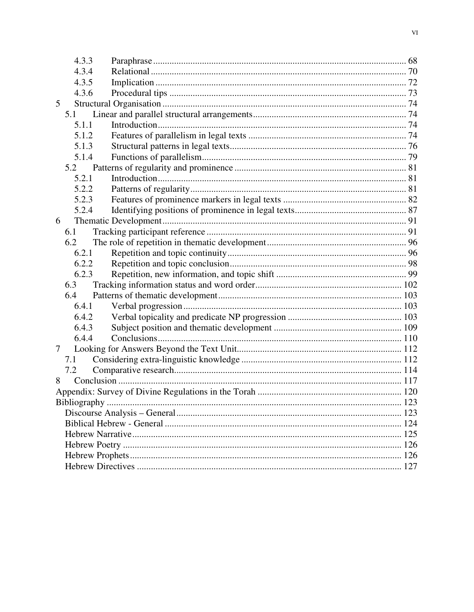|   | 4.3.3 |  |  |
|---|-------|--|--|
|   | 4.3.4 |  |  |
|   | 4.3.5 |  |  |
|   | 4.3.6 |  |  |
| 5 |       |  |  |
|   | 5.1   |  |  |
|   | 5.1.1 |  |  |
|   | 5.1.2 |  |  |
|   | 5.1.3 |  |  |
|   | 5.1.4 |  |  |
|   | 5.2   |  |  |
|   | 5.2.1 |  |  |
|   | 5.2.2 |  |  |
|   | 5.2.3 |  |  |
|   | 5.2.4 |  |  |
| 6 |       |  |  |
|   | 6.1   |  |  |
|   | 6.2   |  |  |
|   | 6.2.1 |  |  |
|   | 6.2.2 |  |  |
|   | 6.2.3 |  |  |
|   | 6.3   |  |  |
|   | 6.4   |  |  |
|   | 6.4.1 |  |  |
|   | 6.4.2 |  |  |
|   | 6.4.3 |  |  |
|   | 6.4.4 |  |  |
| 7 |       |  |  |
|   | 7.1   |  |  |
|   | 7.2   |  |  |
| 8 |       |  |  |
|   |       |  |  |
|   |       |  |  |
|   |       |  |  |
|   |       |  |  |
|   |       |  |  |
|   |       |  |  |
|   |       |  |  |
|   |       |  |  |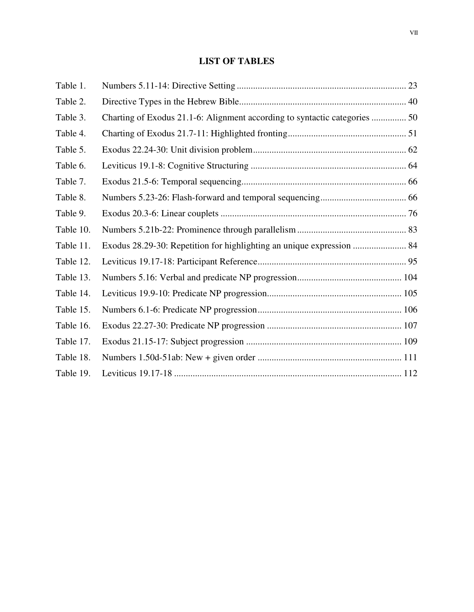# **LIST OF TABLES**

| Table 1.  |                                                                            |  |
|-----------|----------------------------------------------------------------------------|--|
| Table 2.  |                                                                            |  |
| Table 3.  | Charting of Exodus 21.1-6: Alignment according to syntactic categories  50 |  |
| Table 4.  |                                                                            |  |
| Table 5.  |                                                                            |  |
| Table 6.  |                                                                            |  |
| Table 7.  |                                                                            |  |
| Table 8.  |                                                                            |  |
| Table 9.  |                                                                            |  |
| Table 10. |                                                                            |  |
| Table 11. | Exodus 28.29-30: Repetition for highlighting an unique expression  84      |  |
| Table 12. |                                                                            |  |
| Table 13. |                                                                            |  |
| Table 14. |                                                                            |  |
| Table 15. |                                                                            |  |
| Table 16. |                                                                            |  |
| Table 17. |                                                                            |  |
| Table 18. |                                                                            |  |
| Table 19. |                                                                            |  |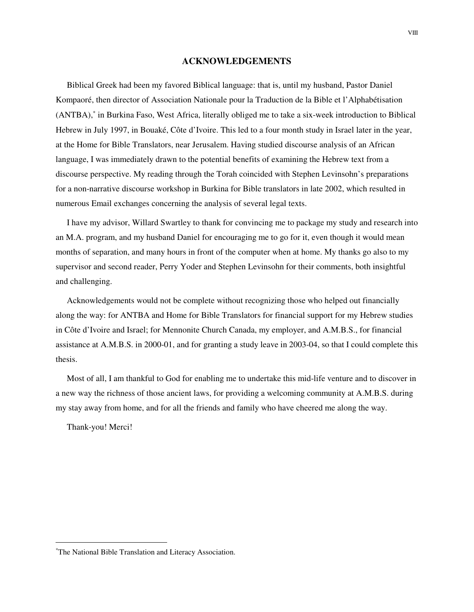#### **ACKNOWLEDGEMENTS**

Biblical Greek had been my favored Biblical language: that is, until my husband, Pastor Daniel Kompaoré, then director of Association Nationale pour la Traduction de la Bible et l'Alphabétisation (ANTBA), ∗ in Burkina Faso, West Africa, literally obliged me to take a six-week introduction to Biblical Hebrew in July 1997, in Bouaké, Côte d'Ivoire. This led to a four month study in Israel later in the year, at the Home for Bible Translators, near Jerusalem. Having studied discourse analysis of an African language, I was immediately drawn to the potential benefits of examining the Hebrew text from a discourse perspective. My reading through the Torah coincided with Stephen Levinsohn's preparations for a non-narrative discourse workshop in Burkina for Bible translators in late 2002, which resulted in numerous Email exchanges concerning the analysis of several legal texts.

I have my advisor, Willard Swartley to thank for convincing me to package my study and research into an M.A. program, and my husband Daniel for encouraging me to go for it, even though it would mean months of separation, and many hours in front of the computer when at home. My thanks go also to my supervisor and second reader, Perry Yoder and Stephen Levinsohn for their comments, both insightful and challenging.

Acknowledgements would not be complete without recognizing those who helped out financially along the way: for ANTBA and Home for Bible Translators for financial support for my Hebrew studies in Côte d'Ivoire and Israel; for Mennonite Church Canada, my employer, and A.M.B.S., for financial assistance at A.M.B.S. in 2000-01, and for granting a study leave in 2003-04, so that I could complete this thesis.

Most of all, I am thankful to God for enabling me to undertake this mid-life venture and to discover in a new way the richness of those ancient laws, for providing a welcoming community at A.M.B.S. during my stay away from home, and for all the friends and family who have cheered me along the way.

Thank-you! Merci!

VIII

<sup>∗</sup>The National Bible Translation and Literacy Association.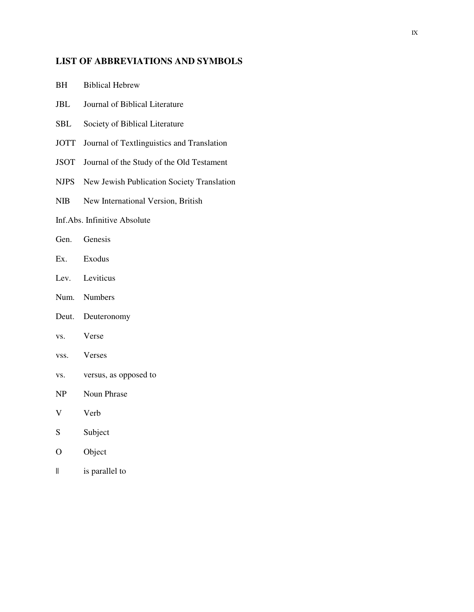# **LIST OF ABBREVIATIONS AND SYMBOLS**

- BH Biblical Hebrew
- JBL Journal of Biblical Literature
- SBL Society of Biblical Literature
- JOTT Journal of Textlinguistics and Translation
- JSOT Journal of the Study of the Old Testament
- NJPS New Jewish Publication Society Translation
- NIB New International Version, British

## Inf.Abs. Infinitive Absolute

- Gen. Genesis
- Ex. Exodus
- Lev. Leviticus
- Num. Numbers
- Deut. Deuteronomy
- vs. Verse
- vss. Verses
- vs. versus, as opposed to
- NP Noun Phrase
- V Verb
- S Subject
- O Object
- || is parallel to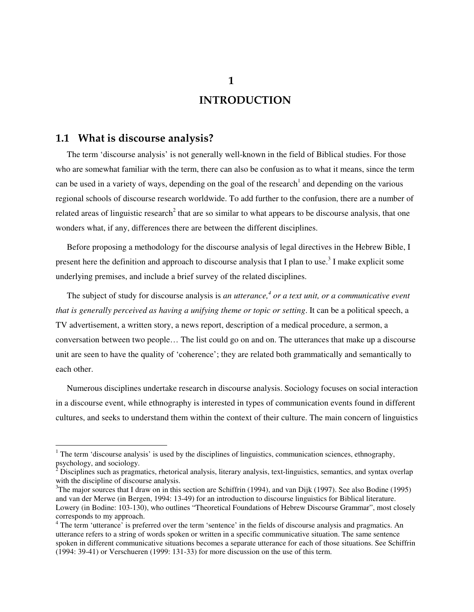# **1.1 What is discourse analysis?**

The term 'discourse analysis' is not generally well-known in the field of Biblical studies. For those who are somewhat familiar with the term, there can also be confusion as to what it means, since the term can be used in a variety of ways, depending on the goal of the research<sup>1</sup> and depending on the various regional schools of discourse research worldwide. To add further to the confusion, there are a number of related areas of linguistic research<sup>2</sup> that are so similar to what appears to be discourse analysis, that one wonders what, if any, differences there are between the different disciplines.

Before proposing a methodology for the discourse analysis of legal directives in the Hebrew Bible, I present here the definition and approach to discourse analysis that I plan to use.<sup>3</sup> I make explicit some underlying premises, and include a brief survey of the related disciplines.

The subject of study for discourse analysis is *an utterance, 4 or a text unit, or a communicative event that is generally perceived as having a unifying theme or topic or setting*. It can be a political speech, a TV advertisement, a written story, a news report, description of a medical procedure, a sermon, a conversation between two people… The list could go on and on. The utterances that make up a discourse unit are seen to have the quality of 'coherence'; they are related both grammatically and semantically to each other.

Numerous disciplines undertake research in discourse analysis. Sociology focuses on social interaction in a discourse event, while ethnography is interested in types of communication events found in different cultures, and seeks to understand them within the context of their culture. The main concern of linguistics

**1**

 $1$  The term 'discourse analysis' is used by the disciplines of linguistics, communication sciences, ethnography, psychology, and sociology.

 $2\overline{D}$  Disciplines such as pragmatics, rhetorical analysis, literary analysis, text-linguistics, semantics, and syntax overlap with the discipline of discourse analysis.

 $3$ The major sources that I draw on in this section are Schiffrin (1994), and van Dijk (1997). See also Bodine (1995) and van der Merwe (in Bergen, 1994: 13-49) for an introduction to discourse linguistics for Biblical literature. Lowery (in Bodine: 103-130), who outlines "Theoretical Foundations of Hebrew Discourse Grammar", most closely corresponds to my approach.

<sup>&</sup>lt;sup>4</sup> The term 'utterance' is preferred over the term 'sentence' in the fields of discourse analysis and pragmatics. An utterance refers to a string of words spoken or written in a specific communicative situation. The same sentence spoken in different communicative situations becomes a separate utterance for each of those situations. See Schiffrin (1994: 39-41) or Verschueren (1999: 131-33) for more discussion on the use of this term.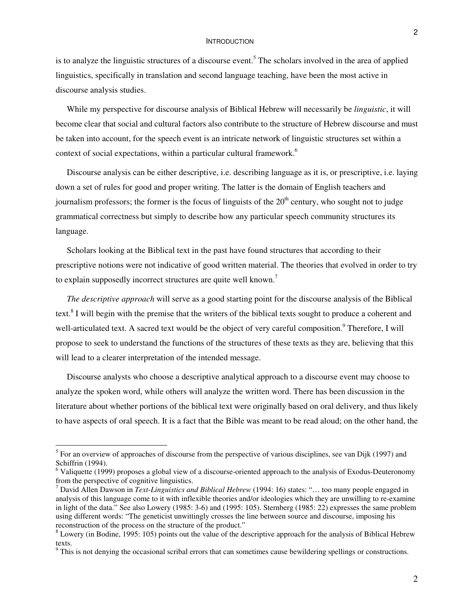is to analyze the linguistic structures of a discourse event.<sup>5</sup> The scholars involved in the area of applied linguistics, specifically in translation and second language teaching, have been the most active in discourse analysis studies.

While my perspective for discourse analysis of Biblical Hebrew will necessarily be *linguistic*, it will become clear that social and cultural factors also contribute to the structure of Hebrew discourse and must be taken into account, for the speech event is an intricate network of linguistic structures set within a context of social expectations, within a particular cultural framework. 6

Discourse analysis can be either descriptive, i.e. describing language as it is, or prescriptive, i.e. laying down a set of rules for good and proper writing. The latter is the domain of English teachers and journalism professors; the former is the focus of linguists of the 20<sup>th</sup> century, who sought not to judge grammatical correctness but simply to describe how any particular speech community structures its language.

Scholars looking at the Biblical text in the past have found structures that according to their prescriptive notions were not indicative of good written material. The theories that evolved in order to try to explain supposedly incorrect structures are quite well known.<sup>7</sup>

*The descriptive approach* will serve as a good starting point for the discourse analysis of the Biblical text.<sup>8</sup> I will begin with the premise that the writers of the biblical texts sought to produce a coherent and well-articulated text. A sacred text would be the object of very careful composition.<sup>9</sup> Therefore, I will propose to seek to understand the functions of the structures of these texts as they are, believing that this will lead to a clearer interpretation of the intended message.

Discourse analysts who choose a descriptive analytical approach to a discourse event may choose to analyze the spoken word, while others will analyze the written word. There has been discussion in the literature about whether portions of the biblical text were originally based on oral delivery, and thus likely to have aspects of oral speech. It is a fact that the Bible was meant to be read aloud; on the other hand, the

<sup>&</sup>lt;sup>5</sup> For an overview of approaches of discourse from the perspective of various disciplines, see van Dijk (1997) and Schiffrin (1994).

<sup>&</sup>lt;sup>6</sup> Valiquette (1999) proposes a global view of a discourse-oriented approach to the analysis of Exodus-Deuteronomy from the perspective of cognitive linguistics.

<sup>7</sup> David Allen Dawson in *Text-Linguistics and Biblical Hebrew* (1994: 16) states: "… too many people engaged in analysis of this language come to it with inflexible theories and/or ideologies which they are unwilling to re-examine in light of the data." See also Lowery (1985: 3-6) and (1995: 105). Sternberg (1985: 22) expresses the same problem using different words: "The geneticist unwittingly crosses the line between source and discourse, imposing his reconstruction of the process on the structure of the product."

<sup>&</sup>lt;sup>8</sup> Lowery (in Bodine, 1995: 105) points out the value of the descriptive approach for the analysis of Biblical Hebrew texts.

<sup>&</sup>lt;sup>9</sup> This is not denying the occasional scribal errors that can sometimes cause bewildering spellings or constructions.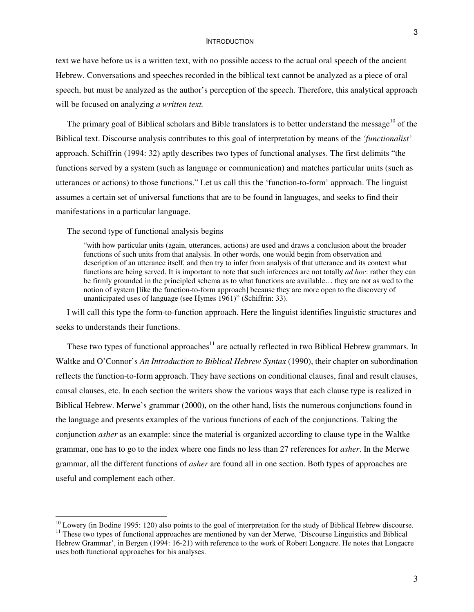text we have before us is a written text, with no possible access to the actual oral speech of the ancient Hebrew. Conversations and speeches recorded in the biblical text cannot be analyzed as a piece of oral speech, but must be analyzed as the author's perception of the speech. Therefore, this analytical approach will be focused on analyzing *a written text.*

The primary goal of Biblical scholars and Bible translators is to better understand the message<sup>10</sup> of the Biblical text. Discourse analysis contributes to this goal of interpretation by means of the *'functionalist'* approach. Schiffrin (1994: 32) aptly describes two types of functional analyses. The first delimits "the functions served by a system (such as language or communication) and matches particular units (such as utterances or actions) to those functions." Let us call this the 'function-to-form' approach. The linguist assumes a certain set of universal functions that are to be found in languages, and seeks to find their manifestations in a particular language.

The second type of functional analysis begins

"with how particular units (again, utterances, actions) are used and draws a conclusion about the broader functions of such units from that analysis. In other words, one would begin from observation and description of an utterance itself, and then try to infer from analysis of that utterance and its context what functions are being served. It is important to note that such inferences are not totally *ad hoc*: rather they can be firmly grounded in the principled schema as to what functions are available… they are not as wed to the notion of system [like the function-to-form approach] because they are more open to the discovery of unanticipated uses of language (see Hymes 1961)" (Schiffrin: 33).

I will call this type the form-to-function approach. Here the linguist identifies linguistic structures and seeks to understands their functions.

These two types of functional approaches<sup>11</sup> are actually reflected in two Biblical Hebrew grammars. In Waltke and O'Connor's *An Introduction to Biblical Hebrew Syntax* (1990), their chapter on subordination reflects the function-to-form approach. They have sections on conditional clauses, final and result clauses, causal clauses, etc. In each section the writers show the various ways that each clause type is realized in Biblical Hebrew. Merwe's grammar (2000), on the other hand, lists the numerous conjunctions found in the language and presents examples of the various functions of each of the conjunctions. Taking the conjunction *asher* as an example: since the material is organized according to clause type in the Waltke grammar, one has to go to the index where one finds no less than 27 references for *asher*. In the Merwe grammar, all the different functions of *asher* are found all in one section. Both types of approaches are useful and complement each other.

 $10$  Lowery (in Bodine 1995: 120) also points to the goal of interpretation for the study of Biblical Hebrew discourse. <sup>11</sup> These two types of functional approaches are mentioned by van der Merwe, 'Discourse Linguistics and Biblical Hebrew Grammar', in Bergen (1994: 16-21) with reference to the work of Robert Longacre. He notes that Longacre uses both functional approaches for his analyses.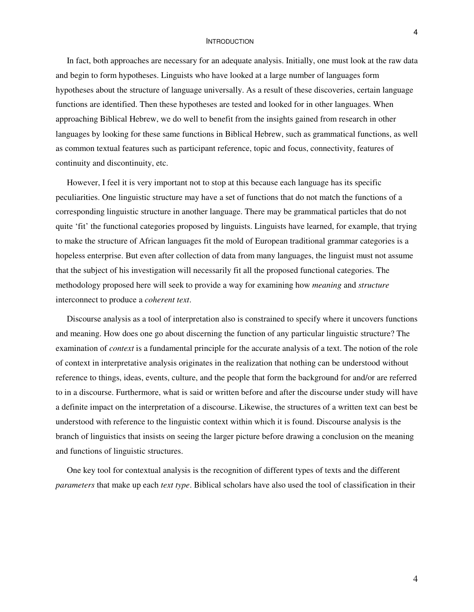In fact, both approaches are necessary for an adequate analysis. Initially, one must look at the raw data and begin to form hypotheses. Linguists who have looked at a large number of languages form hypotheses about the structure of language universally. As a result of these discoveries, certain language functions are identified. Then these hypotheses are tested and looked for in other languages. When approaching Biblical Hebrew, we do well to benefit from the insights gained from research in other languages by looking for these same functions in Biblical Hebrew, such as grammatical functions, as well as common textual features such as participant reference, topic and focus, connectivity, features of continuity and discontinuity, etc.

However, I feel it is very important not to stop at this because each language has its specific peculiarities. One linguistic structure may have a set of functions that do not match the functions of a corresponding linguistic structure in another language. There may be grammatical particles that do not quite 'fit' the functional categories proposed by linguists. Linguists have learned, for example, that trying to make the structure of African languages fit the mold of European traditional grammar categories is a hopeless enterprise. But even after collection of data from many languages, the linguist must not assume that the subject of his investigation will necessarily fit all the proposed functional categories. The methodology proposed here will seek to provide a way for examining how *meaning* and *structure* interconnect to produce a *coherent text*.

Discourse analysis as a tool of interpretation also is constrained to specify where it uncovers functions and meaning. How does one go about discerning the function of any particular linguistic structure? The examination of *context* is a fundamental principle for the accurate analysis of a text. The notion of the role of context in interpretative analysis originates in the realization that nothing can be understood without reference to things, ideas, events, culture, and the people that form the background for and/or are referred to in a discourse. Furthermore, what is said or written before and after the discourse under study will have a definite impact on the interpretation of a discourse. Likewise, the structures of a written text can best be understood with reference to the linguistic context within which it is found. Discourse analysis is the branch of linguistics that insists on seeing the larger picture before drawing a conclusion on the meaning and functions of linguistic structures.

One key tool for contextual analysis is the recognition of different types of texts and the different *parameters* that make up each *text type*. Biblical scholars have also used the tool of classification in their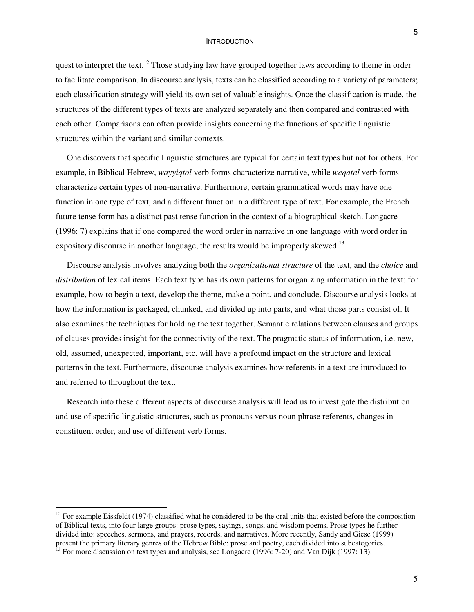5

quest to interpret the text.<sup>12</sup> Those studying law have grouped together laws according to theme in order to facilitate comparison. In discourse analysis, texts can be classified according to a variety of parameters; each classification strategy will yield its own set of valuable insights. Once the classification is made, the structures of the different types of texts are analyzed separately and then compared and contrasted with each other. Comparisons can often provide insights concerning the functions of specific linguistic structures within the variant and similar contexts.

One discovers that specific linguistic structures are typical for certain text types but not for others. For example, in Biblical Hebrew, *wayyiqtol* verb forms characterize narrative, while *weqatal* verb forms characterize certain types of non-narrative. Furthermore, certain grammatical words may have one function in one type of text, and a different function in a different type of text. For example, the French future tense form has a distinct past tense function in the context of a biographical sketch. Longacre (1996: 7) explains that if one compared the word order in narrative in one language with word order in expository discourse in another language, the results would be improperly skewed.<sup>13</sup>

Discourse analysis involves analyzing both the *organizational structure* of the text, and the *choice* and *distribution* of lexical items. Each text type has its own patterns for organizing information in the text: for example, how to begin a text, develop the theme, make a point, and conclude. Discourse analysis looks at how the information is packaged, chunked, and divided up into parts, and what those parts consist of. It also examines the techniques for holding the text together. Semantic relations between clauses and groups of clauses provides insight for the connectivity of the text. The pragmatic status of information, i.e. new, old, assumed, unexpected, important, etc. will have a profound impact on the structure and lexical patterns in the text. Furthermore, discourse analysis examines how referents in a text are introduced to and referred to throughout the text.

Research into these different aspects of discourse analysis will lead us to investigate the distribution and use of specific linguistic structures, such as pronouns versus noun phrase referents, changes in constituent order, and use of different verb forms.

 $12$  For example Eissfeldt (1974) classified what he considered to be the oral units that existed before the composition of Biblical texts, into four large groups: prose types, sayings, songs, and wisdom poems. Prose types he further divided into: speeches, sermons, and prayers, records, and narratives. More recently, Sandy and Giese (1999) present the primary literary genres of the Hebrew Bible: prose and poetry, each divided into subcategories.<br><sup>13</sup> For more discussion on text types and analysis, see Longacre (1996: 7-20) and Van Dijk (1997: 13).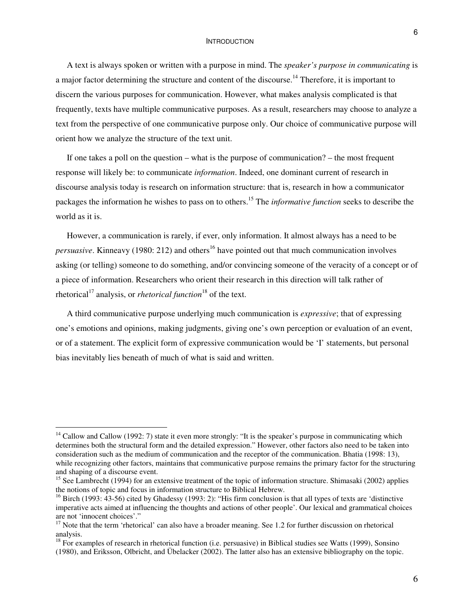A text is always spoken or written with a purpose in mind. The *speaker's purpose in communicating* is a major factor determining the structure and content of the discourse.<sup>14</sup> Therefore, it is important to discern the various purposes for communication. However, what makes analysis complicated is that frequently, texts have multiple communicative purposes. As a result, researchers may choose to analyze a text from the perspective of one communicative purpose only. Our choice of communicative purpose will orient how we analyze the structure of the text unit.

If one takes a poll on the question – what is the purpose of communication? – the most frequent response will likely be: to communicate *information*. Indeed, one dominant current of research in discourse analysis today is research on information structure: that is, research in how a communicator packages the information he wishes to pass on to others. <sup>15</sup> The *informative function* seeks to describe the world as it is.

However, a communication is rarely, if ever, only information. It almost always has a need to be *persuasive*. Kinneavy (1980: 212) and others 16 have pointed out that much communication involves asking (or telling) someone to do something, and/or convincing someone of the veracity of a concept or of a piece of information. Researchers who orient their research in this direction will talk rather of rhetorical<sup>17</sup> analysis, or *rhetorical function*<sup>18</sup> of the text.

A third communicative purpose underlying much communication is *expressive*; that of expressing one's emotions and opinions, making judgments, giving one's own perception or evaluation of an event, or of a statement. The explicit form of expressive communication would be 'I' statements, but personal bias inevitably lies beneath of much of what is said and written.

 $14$  Callow and Callow (1992: 7) state it even more strongly: "It is the speaker's purpose in communicating which determines both the structural form and the detailed expression." However, other factors also need to be taken into consideration such as the medium of communication and the receptor of the communication. Bhatia (1998: 13), while recognizing other factors, maintains that communicative purpose remains the primary factor for the structuring and shaping of a discourse event.

<sup>&</sup>lt;sup>15</sup> See Lambrecht (1994) for an extensive treatment of the topic of information structure. Shimasaki (2002) applies the notions of topic and focus in information structure to Biblical Hebrew.

<sup>&</sup>lt;sup>16</sup> Birch (1993: 43-56) cited by Ghadessy (1993: 2): "His firm conclusion is that all types of texts are 'distinctive imperative acts aimed at influencing the thoughts and actions of other people'. Our lexical and grammatical choices are not 'innocent choices'."

 $17$  Note that the term 'rhetorical' can also have a broader meaning. See 1.2 for further discussion on rhetorical analysis.

 $18$  For examples of research in rhetorical function (i.e. persuasive) in Biblical studies see Watts (1999), Sonsino (1980), and Eriksson, Olbricht, and Übelacker (2002). The latter also has an extensive bibliography on the topic.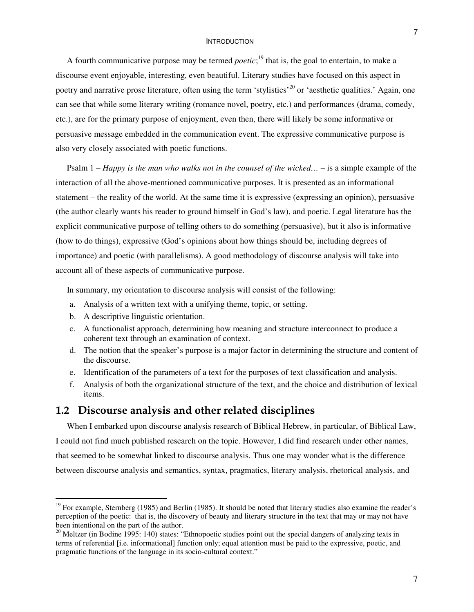A fourth communicative purpose may be termed *poetic*;<sup>19</sup> that is, the goal to entertain, to make a discourse event enjoyable, interesting, even beautiful. Literary studies have focused on this aspect in poetry and narrative prose literature, often using the term 'stylistics'<sup>20</sup> or 'aesthetic qualities.' Again, one can see that while some literary writing (romance novel, poetry, etc.) and performances (drama, comedy, etc.), are for the primary purpose of enjoyment, even then, there will likely be some informative or persuasive message embedded in the communication event. The expressive communicative purpose is also very closely associated with poetic functions.

Psalm 1 – *Happy is the man who walks not in the counsel of the wicked…* – is a simple example of the interaction of all the above-mentioned communicative purposes. It is presented as an informational statement – the reality of the world. At the same time it is expressive (expressing an opinion), persuasive (the author clearly wants his reader to ground himself in God's law), and poetic. Legal literature has the explicit communicative purpose of telling others to do something (persuasive), but it also is informative (how to do things), expressive (God's opinions about how things should be, including degrees of importance) and poetic (with parallelisms). A good methodology of discourse analysis will take into account all of these aspects of communicative purpose.

In summary, my orientation to discourse analysis will consist of the following:

- a. Analysis of a written text with a unifying theme, topic, or setting.
- b. A descriptive linguistic orientation.
- c. A functionalist approach, determining how meaning and structure interconnect to produce a coherent text through an examination of context.
- d. The notion that the speaker's purpose is a major factor in determining the structure and content of the discourse.
- e. Identification of the parameters of a text for the purposes of text classification and analysis.
- f. Analysis of both the organizational structure of the text, and the choice and distribution of lexical items.

# **1.2 Discourse analysis and other related disciplines**

When I embarked upon discourse analysis research of Biblical Hebrew, in particular, of Biblical Law, I could not find much published research on the topic. However, I did find research under other names, that seemed to be somewhat linked to discourse analysis. Thus one may wonder what is the difference between discourse analysis and semantics, syntax, pragmatics, literary analysis, rhetorical analysis, and

<sup>&</sup>lt;sup>19</sup> For example, Sternberg (1985) and Berlin (1985). It should be noted that literary studies also examine the reader's perception of the poetic: that is, the discovery of beauty and literary structure in the text that may or may not have been intentional on the part of the author.

<sup>&</sup>lt;sup>20</sup> Meltzer (in Bodine 1995: 140) states: "Ethnopoetic studies point out the special dangers of analyzing texts in terms of referential [i.e. informational] function only; equal attention must be paid to the expressive, poetic, and pragmatic functions of the language in its socio-cultural context."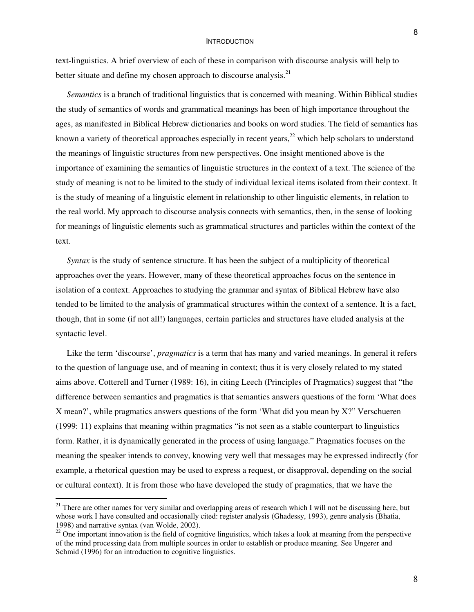text-linguistics. A brief overview of each of these in comparison with discourse analysis will help to better situate and define my chosen approach to discourse analysis.<sup>21</sup>

*Semantics* is a branch of traditional linguistics that is concerned with meaning. Within Biblical studies the study of semantics of words and grammatical meanings has been of high importance throughout the ages, as manifested in Biblical Hebrew dictionaries and books on word studies. The field of semantics has known a variety of theoretical approaches especially in recent years, $^{22}$  which help scholars to understand the meanings of linguistic structures from new perspectives. One insight mentioned above is the importance of examining the semantics of linguistic structures in the context of a text. The science of the study of meaning is not to be limited to the study of individual lexical items isolated from their context. It is the study of meaning of a linguistic element in relationship to other linguistic elements, in relation to the real world. My approach to discourse analysis connects with semantics, then, in the sense of looking for meanings of linguistic elements such as grammatical structures and particles within the context of the text.

*Syntax* is the study of sentence structure. It has been the subject of a multiplicity of theoretical approaches over the years. However, many of these theoretical approaches focus on the sentence in isolation of a context. Approaches to studying the grammar and syntax of Biblical Hebrew have also tended to be limited to the analysis of grammatical structures within the context of a sentence. It is a fact, though, that in some (if not all!) languages, certain particles and structures have eluded analysis at the syntactic level.

Like the term 'discourse', *pragmatics* is a term that has many and varied meanings. In general it refers to the question of language use, and of meaning in context; thus it is very closely related to my stated aims above. Cotterell and Turner (1989: 16), in citing Leech (Principles of Pragmatics) suggest that "the difference between semantics and pragmatics is that semantics answers questions of the form 'What does X mean?', while pragmatics answers questions of the form 'What did you mean by X?" Verschueren (1999: 11) explains that meaning within pragmatics "is not seen as a stable counterpart to linguistics form. Rather, it is dynamically generated in the process of using language." Pragmatics focuses on the meaning the speaker intends to convey, knowing very well that messages may be expressed indirectly (for example, a rhetorical question may be used to express a request, or disapproval, depending on the social or cultural context). It is from those who have developed the study of pragmatics, that we have the

 $21$  There are other names for very similar and overlapping areas of research which I will not be discussing here, but whose work I have consulted and occasionally cited: register analysis (Ghadessy, 1993), genre analysis (Bhatia, 1998) and narrative syntax (van Wolde, 2002).

 $22$  One important innovation is the field of cognitive linguistics, which takes a look at meaning from the perspective of the mind processing data from multiple sources in order to establish or produce meaning. See Ungerer and Schmid (1996) for an introduction to cognitive linguistics.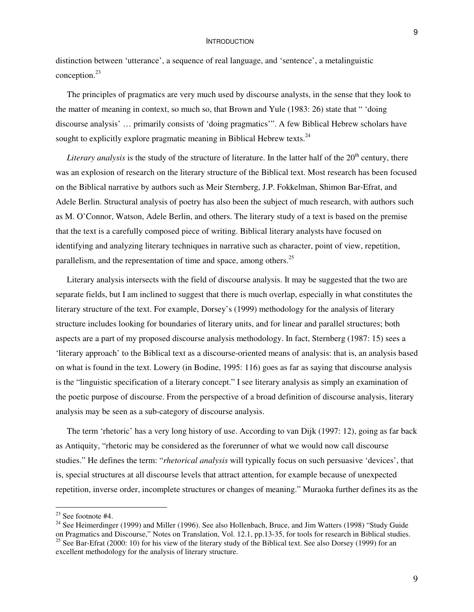distinction between 'utterance', a sequence of real language, and 'sentence', a metalinguistic conception. 23

The principles of pragmatics are very much used by discourse analysts, in the sense that they look to the matter of meaning in context, so much so, that Brown and Yule (1983: 26) state that " 'doing discourse analysis' … primarily consists of 'doing pragmatics'". A few Biblical Hebrew scholars have sought to explicitly explore pragmatic meaning in Biblical Hebrew texts.<sup>24</sup>

Literary analysis is the study of the structure of literature. In the latter half of the 20<sup>th</sup> century, there was an explosion of research on the literary structure of the Biblical text. Most research has been focused on the Biblical narrative by authors such as Meir Sternberg, J.P. Fokkelman, Shimon Bar-Efrat, and Adele Berlin. Structural analysis of poetry has also been the subject of much research, with authors such as M. O'Connor, Watson, Adele Berlin, and others. The literary study of a text is based on the premise that the text is a carefully composed piece of writing. Biblical literary analysts have focused on identifying and analyzing literary techniques in narrative such as character, point of view, repetition, parallelism, and the representation of time and space, among others.<sup>25</sup>

Literary analysis intersects with the field of discourse analysis. It may be suggested that the two are separate fields, but I am inclined to suggest that there is much overlap, especially in what constitutes the literary structure of the text. For example, Dorsey's (1999) methodology for the analysis of literary structure includes looking for boundaries of literary units, and for linear and parallel structures; both aspects are a part of my proposed discourse analysis methodology. In fact, Sternberg (1987: 15) sees a 'literary approach' to the Biblical text as a discourse-oriented means of analysis: that is, an analysis based on what is found in the text. Lowery (in Bodine, 1995: 116) goes as far as saying that discourse analysis is the "linguistic specification of a literary concept." I see literary analysis as simply an examination of the poetic purpose of discourse. From the perspective of a broad definition of discourse analysis, literary analysis may be seen as a sub-category of discourse analysis.

The term 'rhetoric' has a very long history of use. According to van Dijk (1997: 12), going as far back as Antiquity, "rhetoric may be considered as the forerunner of what we would now call discourse studies." He defines the term: "*rhetorical analysis* will typically focus on such persuasive 'devices', that is, special structures at all discourse levels that attract attention, for example because of unexpected repetition, inverse order, incomplete structures or changes of meaning." Muraoka further defines its as the

9

 $23$  See footnote #4.

<sup>&</sup>lt;sup>24</sup> See Heimerdinger (1999) and Miller (1996). See also Hollenbach, Bruce, and Jim Watters (1998) "Study Guide

on Pragmatics and Discourse," Notes on Translation, Vol. 12.1, pp.13-35, for tools for research in Biblical studies.<br><sup>25</sup> See Bar-Efrat (2000: 10) for his view of the literary study of the Biblical text. See also Dorsey (1 excellent methodology for the analysis of literary structure.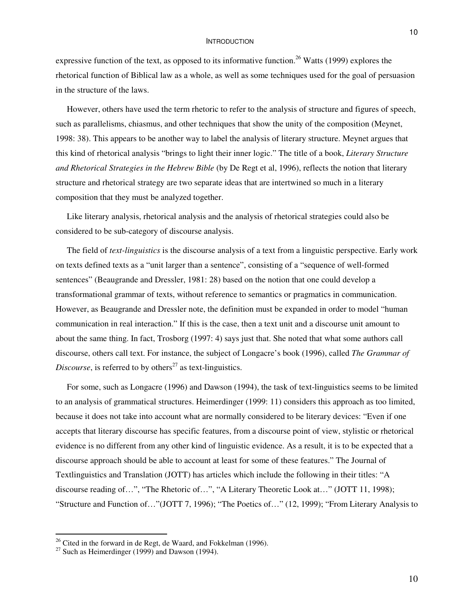expressive function of the text, as opposed to its informative function.<sup>26</sup> Watts (1999) explores the rhetorical function of Biblical law as a whole, as well as some techniques used for the goal of persuasion in the structure of the laws.

However, others have used the term rhetoric to refer to the analysis of structure and figures of speech, such as parallelisms, chiasmus, and other techniques that show the unity of the composition (Meynet, 1998: 38). This appears to be another way to label the analysis of literary structure. Meynet argues that this kind of rhetorical analysis "brings to light their inner logic." The title of a book, *Literary Structure and Rhetorical Strategies in the Hebrew Bible* (by De Regt et al, 1996), reflects the notion that literary structure and rhetorical strategy are two separate ideas that are intertwined so much in a literary composition that they must be analyzed together.

Like literary analysis, rhetorical analysis and the analysis of rhetorical strategies could also be considered to be sub-category of discourse analysis.

The field of *text-linguistics* is the discourse analysis of a text from a linguistic perspective. Early work on texts defined texts as a "unit larger than a sentence", consisting of a "sequence of well-formed sentences" (Beaugrande and Dressler, 1981: 28) based on the notion that one could develop a transformational grammar of texts, without reference to semantics or pragmatics in communication. However, as Beaugrande and Dressler note, the definition must be expanded in order to model "human communication in real interaction." If this is the case, then a text unit and a discourse unit amount to about the same thing. In fact, Trosborg (1997: 4) says just that. She noted that what some authors call discourse, others call text. For instance, the subject of Longacre's book (1996), called *The Grammar of* Discourse, is referred to by others<sup>27</sup> as text-linguistics.

For some, such as Longacre (1996) and Dawson (1994), the task of text-linguistics seems to be limited to an analysis of grammatical structures. Heimerdinger (1999: 11) considers this approach as too limited, because it does not take into account what are normally considered to be literary devices: "Even if one accepts that literary discourse has specific features, from a discourse point of view, stylistic or rhetorical evidence is no different from any other kind of linguistic evidence. As a result, it is to be expected that a discourse approach should be able to account at least for some of these features." The Journal of Textlinguistics and Translation (JOTT) has articles which include the following in their titles: "A discourse reading of…", "The Rhetoric of…", "A Literary Theoretic Look at…" (JOTT 11, 1998); "Structure and Function of…"(JOTT 7, 1996); "The Poetics of…" (12, 1999); "From Literary Analysis to

10

 $26$  Cited in the forward in de Regt, de Waard, and Fokkelman (1996).

 $27$  Such as Heimerdinger (1999) and Dawson (1994).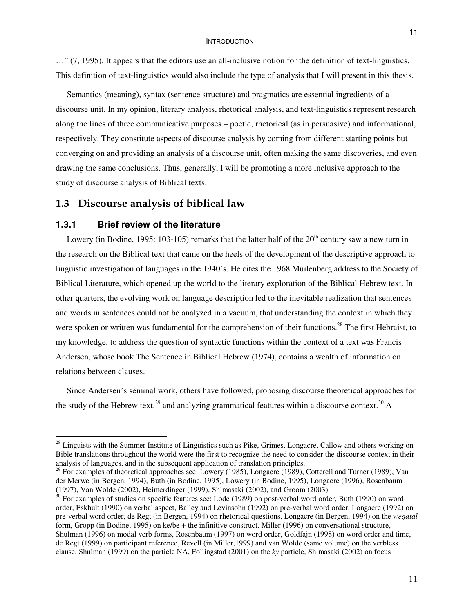…" (7, 1995). It appears that the editors use an all-inclusive notion for the definition of text-linguistics. This definition of text-linguistics would also include the type of analysis that I will present in this thesis.

Semantics (meaning), syntax (sentence structure) and pragmatics are essential ingredients of a discourse unit. In my opinion, literary analysis, rhetorical analysis, and text-linguistics represent research along the lines of three communicative purposes – poetic, rhetorical (as in persuasive) and informational, respectively. They constitute aspects of discourse analysis by coming from different starting points but converging on and providing an analysis of a discourse unit, often making the same discoveries, and even drawing the same conclusions. Thus, generally, I will be promoting a more inclusive approach to the study of discourse analysis of Biblical texts.

# **1.3 Discourse analysis of biblical law**

## **1.3.1 Brief review of the literature**

Lowery (in Bodine, 1995: 103-105) remarks that the latter half of the  $20<sup>th</sup>$  century saw a new turn in the research on the Biblical text that came on the heels of the development of the descriptive approach to linguistic investigation of languages in the 1940's. He cites the 1968 Muilenberg address to the Society of Biblical Literature, which opened up the world to the literary exploration of the Biblical Hebrew text. In other quarters, the evolving work on language description led to the inevitable realization that sentences and words in sentences could not be analyzed in a vacuum, that understanding the context in which they were spoken or written was fundamental for the comprehension of their functions.<sup>28</sup> The first Hebraist, to my knowledge, to address the question of syntactic functions within the context of a text was Francis Andersen, whose book The Sentence in Biblical Hebrew (1974), contains a wealth of information on relations between clauses.

Since Andersen's seminal work, others have followed, proposing discourse theoretical approaches for the study of the Hebrew text,<sup>29</sup> and analyzing grammatical features within a discourse context.<sup>30</sup> A

<sup>&</sup>lt;sup>28</sup> Linguists with the Summer Institute of Linguistics such as Pike, Grimes, Longacre, Callow and others working on Bible translations throughout the world were the first to recognize the need to consider the discourse context in their analysis of languages, and in the subsequent application of translation principles.

<sup>&</sup>lt;sup>29</sup> For examples of theoretical approaches see: Lowery (1985), Longacre (1989), Cotterell and Turner (1989), Van der Merwe (in Bergen, 1994), Buth (in Bodine, 1995), Lowery (in Bodine, 1995), Longacre (1996), Rosenbaum (1997), Van Wolde (2002), Heimerdinger (1999), Shimasaki (2002), and Groom (2003).

 $30$  For examples of studies on specific features see: Lode (1989) on post-verbal word order, Buth (1990) on word order, Eskhult (1990) on verbal aspect, Bailey and Levinsohn (1992) on pre-verbal word order, Longacre (1992) on pre-verbal word order, de Regt (in Bergen, 1994) on rhetorical questions, Longacre (in Bergen, 1994) on the *weqatal* form, Gropp (in Bodine, 1995) on ke/be + the infinitive construct, Miller (1996) on conversational structure, Shulman (1996) on modal verb forms, Rosenbaum (1997) on word order, Goldfajn (1998) on word order and time, de Regt (1999) on participant reference, Revell (in Miller,1999) and van Wolde (same volume) on the verbless clause, Shulman (1999) on the particle NA, Follingstad (2001) on the *ky* particle, Shimasaki (2002) on focus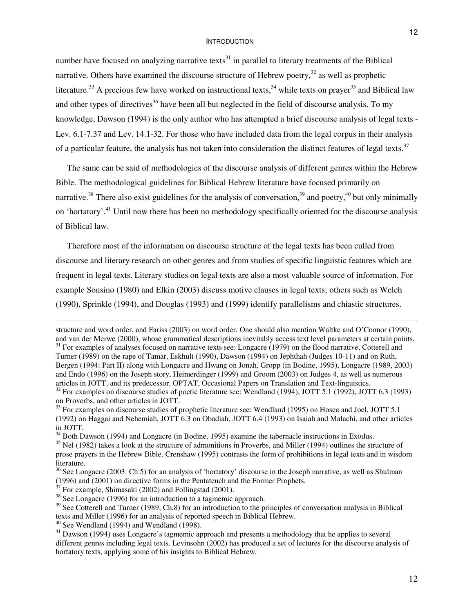number have focused on analyzing narrative texts $^{31}$  in parallel to literary treatments of the Biblical narrative. Others have examined the discourse structure of Hebrew poetry,<sup>32</sup> as well as prophetic literature.<sup>33</sup> A precious few have worked on instructional texts,<sup>34</sup> while texts on prayer<sup>35</sup> and Biblical law and other types of directives<sup>36</sup> have been all but neglected in the field of discourse analysis. To my knowledge, Dawson (1994) is the only author who has attempted a brief discourse analysis of legal texts - Lev. 6.1-7.37 and Lev. 14.1-32. For those who have included data from the legal corpus in their analysis of a particular feature, the analysis has not taken into consideration the distinct features of legal texts.<sup>37</sup>

The same can be said of methodologies of the discourse analysis of different genres within the Hebrew Bible. The methodological guidelines for Biblical Hebrew literature have focused primarily on narrative.<sup>38</sup> There also exist guidelines for the analysis of conversation,<sup>39</sup> and poetry,<sup>40</sup> but only minimally on 'hortatory'.<sup>41</sup> Until now there has been no methodology specifically oriented for the discourse analysis of Biblical law.

Therefore most of the information on discourse structure of the legal texts has been culled from discourse and literary research on other genres and from studies of specific linguistic features which are frequent in legal texts. Literary studies on legal texts are also a most valuable source of information. For example Sonsino (1980) and Elkin (2003) discuss motive clauses in legal texts; others such as Welch (1990), Sprinkle (1994), and Douglas (1993) and (1999) identify parallelisms and chiastic structures.

structure and word order, and Fariss (2003) on word order. One should also mention Waltke and O'Connor (1990), and van der Merwe (2000), whose grammatical descriptions inevitably access text level parameters at certain points.<br><sup>31</sup> For examples of analyses focused on narrative texts see: Longacre (1979) on the flood narrative, Cott Turner (1989) on the rape of Tamar, Eskhult (1990), Dawson (1994) on Jephthah (Judges 10-11) and on Ruth, Bergen (1994: Part II) along with Longacre and Hwang on Jonah, Gropp (in Bodine, 1995), Longacre (1989, 2003) and Endo (1996) on the Joseph story, Heimerdinger (1999) and Groom (2003) on Judges 4, as well as numerous articles in JOTT, and its predecessor, OPTAT, Occasional Papers on Translation and Text-linguistics.

 $32$  For examples on discourse studies of poetic literature see: Wendland (1994), JOTT 5.1 (1992), JOTT 6.3 (1993) on Proverbs, and other articles in JOTT.

<sup>&</sup>lt;sup>33</sup> For examples on discourse studies of prophetic literature see: Wendland (1995) on Hosea and Joel, JOTT 5.1 (1992) on Haggai and Nehemiah, JOTT 6.3 on Obadiah, JOTT 6.4 (1993) on Isaiah and Malachi, and other articles in JOTT.

 $34$  Both Dawson (1994) and Longacre (in Bodine, 1995) examine the tabernacle instructions in Exodus.

 $35$  Nel (1982) takes a look at the structure of admonitions in Proverbs, and Miller (1994) outlines the structure of prose prayers in the Hebrew Bible. Crenshaw (1995) contrasts the form of prohibitions in legal texts and in wisdom literature.

<sup>&</sup>lt;sup>36</sup> See Longacre (2003: Ch 5) for an analysis of 'hortatory' discourse in the Joseph narrative, as well as Shulman (1996) and (2001) on directive forms in the Pentateuch and the Former Prophets.<br><sup>37</sup> For example, Shimasaki (2002) and Follingstad (2001).

<sup>&</sup>lt;sup>38</sup> See Longacre (1996) for an introduction to a tagmemic approach.

<sup>&</sup>lt;sup>39</sup> See Cotterell and Turner (1989, Ch.8) for an introduction to the principles of conversation analysis in Biblical texts and Miller (1996) for an analysis of reported speech in Biblical Hebrew.

 $40$  See Wendland (1994) and Wendland (1998).

<sup>&</sup>lt;sup>41</sup> Dawson (1994) uses Longacre's tagmemic approach and presents a methodology that he applies to several different genres including legal texts. Levinsohn (2002) has produced a set of lectures for the discourse analysis of hortatory texts, applying some of his insights to Biblical Hebrew.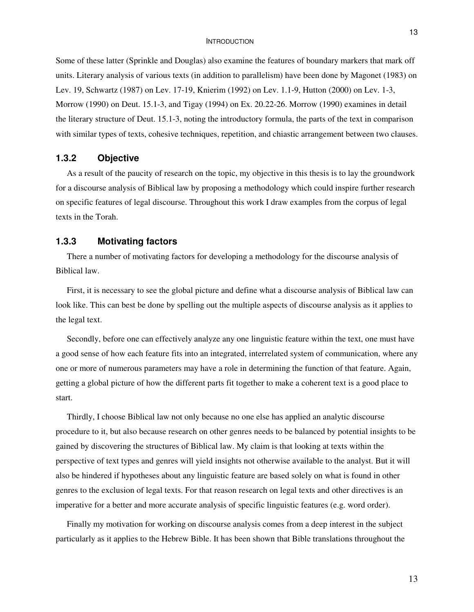Some of these latter (Sprinkle and Douglas) also examine the features of boundary markers that mark off units. Literary analysis of various texts (in addition to parallelism) have been done by Magonet (1983) on Lev. 19, Schwartz (1987) on Lev. 17-19, Knierim (1992) on Lev. 1.1-9, Hutton (2000) on Lev. 1-3, Morrow (1990) on Deut. 15.1-3, and Tigay (1994) on Ex. 20.22-26. Morrow (1990) examines in detail the literary structure of Deut. 15.1-3, noting the introductory formula, the parts of the text in comparison with similar types of texts, cohesive techniques, repetition, and chiastic arrangement between two clauses.

# **1.3.2 Objective**

As a result of the paucity of research on the topic, my objective in this thesis is to lay the groundwork for a discourse analysis of Biblical law by proposing a methodology which could inspire further research on specific features of legal discourse. Throughout this work I draw examples from the corpus of legal texts in the Torah.

## **1.3.3 Motivating factors**

There a number of motivating factors for developing a methodology for the discourse analysis of Biblical law.

First, it is necessary to see the global picture and define what a discourse analysis of Biblical law can look like. This can best be done by spelling out the multiple aspects of discourse analysis as it applies to the legal text.

Secondly, before one can effectively analyze any one linguistic feature within the text, one must have a good sense of how each feature fits into an integrated, interrelated system of communication, where any one or more of numerous parameters may have a role in determining the function of that feature. Again, getting a global picture of how the different parts fit together to make a coherent text is a good place to start.

Thirdly, I choose Biblical law not only because no one else has applied an analytic discourse procedure to it, but also because research on other genres needs to be balanced by potential insights to be gained by discovering the structures of Biblical law. My claim is that looking at texts within the perspective of text types and genres will yield insights not otherwise available to the analyst. But it will also be hindered if hypotheses about any linguistic feature are based solely on what is found in other genres to the exclusion of legal texts. For that reason research on legal texts and other directives is an imperative for a better and more accurate analysis of specific linguistic features (e.g. word order).

Finally my motivation for working on discourse analysis comes from a deep interest in the subject particularly as it applies to the Hebrew Bible. It has been shown that Bible translations throughout the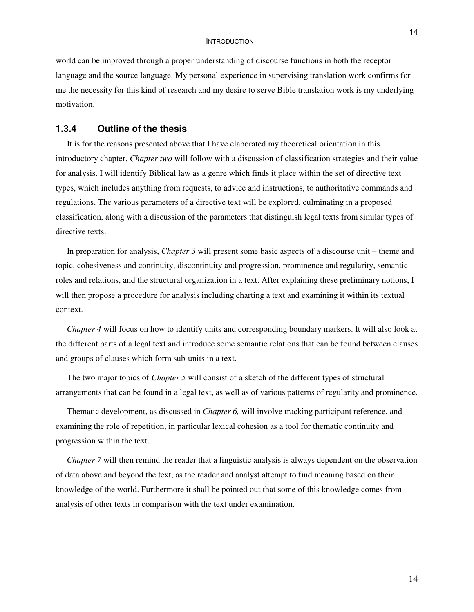world can be improved through a proper understanding of discourse functions in both the receptor language and the source language. My personal experience in supervising translation work confirms for me the necessity for this kind of research and my desire to serve Bible translation work is my underlying motivation.

# **1.3.4 Outline of the thesis**

It is for the reasons presented above that I have elaborated my theoretical orientation in this introductory chapter. *Chapter two* will follow with a discussion of classification strategies and their value for analysis. I will identify Biblical law as a genre which finds it place within the set of directive text types, which includes anything from requests, to advice and instructions, to authoritative commands and regulations. The various parameters of a directive text will be explored, culminating in a proposed classification, along with a discussion of the parameters that distinguish legal texts from similar types of directive texts.

In preparation for analysis, *Chapter 3* will present some basic aspects of a discourse unit – theme and topic, cohesiveness and continuity, discontinuity and progression, prominence and regularity, semantic roles and relations, and the structural organization in a text. After explaining these preliminary notions, I will then propose a procedure for analysis including charting a text and examining it within its textual context.

*Chapter 4* will focus on how to identify units and corresponding boundary markers. It will also look at the different parts of a legal text and introduce some semantic relations that can be found between clauses and groups of clauses which form sub-units in a text.

The two major topics of *Chapter 5* will consist of a sketch of the different types of structural arrangements that can be found in a legal text, as well as of various patterns of regularity and prominence.

Thematic development, as discussed in *Chapter 6,* will involve tracking participant reference, and examining the role of repetition, in particular lexical cohesion as a tool for thematic continuity and progression within the text.

*Chapter* 7 will then remind the reader that a linguistic analysis is always dependent on the observation of data above and beyond the text, as the reader and analyst attempt to find meaning based on their knowledge of the world. Furthermore it shall be pointed out that some of this knowledge comes from analysis of other texts in comparison with the text under examination.

14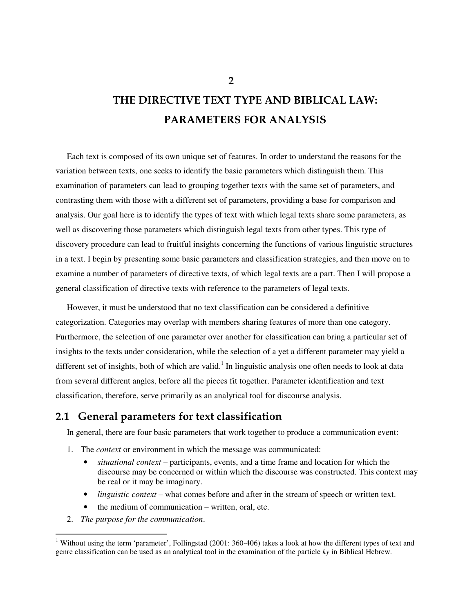Each text is composed of its own unique set of features. In order to understand the reasons for the variation between texts, one seeks to identify the basic parameters which distinguish them. This examination of parameters can lead to grouping together texts with the same set of parameters, and contrasting them with those with a different set of parameters, providing a base for comparison and analysis. Our goal here is to identify the types of text with which legal texts share some parameters, as well as discovering those parameters which distinguish legal texts from other types. This type of discovery procedure can lead to fruitful insights concerning the functions of various linguistic structures in a text. I begin by presenting some basic parameters and classification strategies, and then move on to examine a number of parameters of directive texts, of which legal texts are a part. Then I will propose a general classification of directive texts with reference to the parameters of legal texts.

However, it must be understood that no text classification can be considered a definitive categorization. Categories may overlap with members sharing features of more than one category. Furthermore, the selection of one parameter over another for classification can bring a particular set of insights to the texts under consideration, while the selection of a yet a different parameter may yield a different set of insights, both of which are valid.<sup>1</sup> In linguistic analysis one often needs to look at data from several different angles, before all the pieces fit together. Parameter identification and text classification, therefore, serve primarily as an analytical tool for discourse analysis.

# **2.1 General parameters for text classification**

In general, there are four basic parameters that work together to produce a communication event:

- 1. The *context* or environment in which the message was communicated:
	- *situational context* participants, events, and a time frame and location for which the discourse may be concerned or within which the discourse was constructed. This context may be real or it may be imaginary.
	- *linguistic context* what comes before and after in the stream of speech or written text.
	- the medium of communication written, oral, etc.
- 2. *The purpose for the communication*.

**2**

<sup>&</sup>lt;sup>1</sup> Without using the term 'parameter', Follingstad (2001: 360-406) takes a look at how the different types of text and genre classification can be used as an analytical tool in the examination of the particle *ky* in Biblical Hebrew.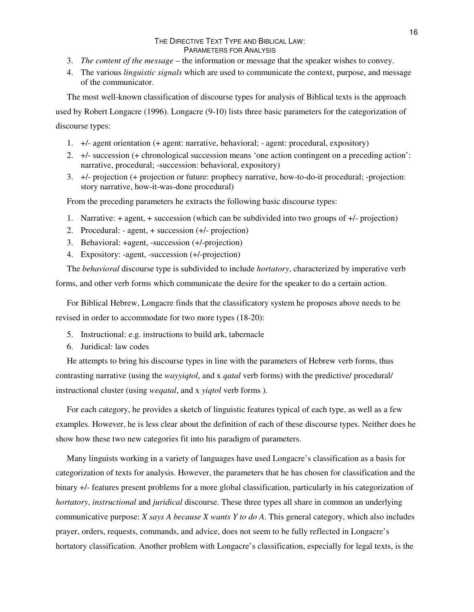- 3. *The content of the message* the information or message that the speaker wishes to convey.
- 4. The various *linguistic signals* which are used to communicate the context, purpose, and message of the communicator.

The most well-known classification of discourse types for analysis of Biblical texts is the approach

used by Robert Longacre (1996). Longacre (9-10) lists three basic parameters for the categorization of discourse types:

- 1. +/- agent orientation (+ agent: narrative, behavioral; agent: procedural, expository)
- 2. +/- succession (+ chronological succession means 'one action contingent on a preceding action': narrative, procedural; -succession: behavioral, expository)
- 3. +/- projection (+ projection or future: prophecy narrative, how-to-do-it procedural; -projection: story narrative, how-it-was-done procedural)

From the preceding parameters he extracts the following basic discourse types:

- 1. Narrative: + agent, + succession (which can be subdivided into two groups of +/- projection)
- 2. Procedural: agent, + succession (+/- projection)
- 3. Behavioral: +agent, -succession (+/-projection)
- 4. Expository: -agent, -succession (+/-projection)

The *behavioral* discourse type is subdivided to include *hortatory*, characterized by imperative verb forms, and other verb forms which communicate the desire for the speaker to do a certain action.

For Biblical Hebrew, Longacre finds that the classificatory system he proposes above needs to be revised in order to accommodate for two more types (18-20):

- 5. Instructional: e.g. instructions to build ark, tabernacle
- 6. Juridical: law codes

He attempts to bring his discourse types in line with the parameters of Hebrew verb forms, thus contrasting narrative (using the *wayyiqtol*, and x *qatal* verb forms) with the predictive/ procedural/ instructional cluster (using *weqatal*, and x *yiqtol* verb forms ).

For each category, he provides a sketch of linguistic features typical of each type, as well as a few examples. However, he is less clear about the definition of each of these discourse types. Neither does he show how these two new categories fit into his paradigm of parameters.

Many linguists working in a variety of languages have used Longacre's classification as a basis for categorization of texts for analysis. However, the parameters that he has chosen for classification and the binary +/- features present problems for a more global classification, particularly in his categorization of *hortatory*, *instructional* and *juridical* discourse. These three types all share in common an underlying communicative purpose: *X says A because X wants Y to do A*. This general category, which also includes prayer, orders, requests, commands, and advice, does not seem to be fully reflected in Longacre's hortatory classification. Another problem with Longacre's classification, especially for legal texts, is the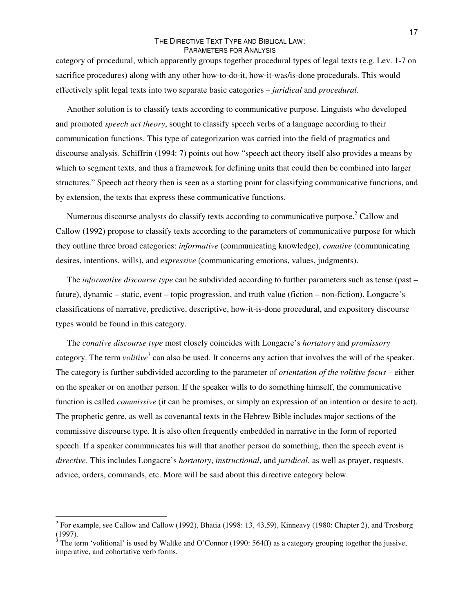category of procedural, which apparently groups together procedural types of legal texts (e.g. Lev. 1-7 on sacrifice procedures) along with any other how-to-do-it, how-it-was/is-done procedurals. This would effectively split legal texts into two separate basic categories – *juridical* and *procedural*.

Another solution is to classify texts according to communicative purpose. Linguists who developed and promoted *speech act theory*, sought to classify speech verbs of a language according to their communication functions. This type of categorization was carried into the field of pragmatics and discourse analysis. Schiffrin (1994: 7) points out how "speech act theory itself also provides a means by which to segment texts, and thus a framework for defining units that could then be combined into larger structures." Speech act theory then is seen as a starting point for classifying communicative functions, and by extension, the texts that express these communicative functions.

Numerous discourse analysts do classify texts according to communicative purpose.<sup>2</sup> Callow and Callow (1992) propose to classify texts according to the parameters of communicative purpose for which they outline three broad categories: *informative* (communicating knowledge), *conative* (communicating desires, intentions, wills), and *expressive* (communicating emotions, values, judgments).

The *informative discourse type* can be subdivided according to further parameters such as tense (past – future), dynamic – static, event – topic progression, and truth value (fiction – non-fiction). Longacre's classifications of narrative, predictive, descriptive, how-it-is-done procedural, and expository discourse types would be found in this category.

The *conative discourse type* most closely coincides with Longacre's *hortatory* and *promissory* category. The term *volitive*<sup>3</sup> can also be used. It concerns any action that involves the will of the speaker. The category is further subdivided according to the parameter of *orientation of the volitive focus* – either on the speaker or on another person. If the speaker wills to do something himself, the communicative function is called *commissive* (it can be promises, or simply an expression of an intention or desire to act). The prophetic genre, as well as covenantal texts in the Hebrew Bible includes major sections of the commissive discourse type. It is also often frequently embedded in narrative in the form of reported speech. If a speaker communicates his will that another person do something, then the speech event is *directive*. This includes Longacre's *hortatory*, *instructional*, and *juridical*, as well as prayer, requests, advice, orders, commands, etc. More will be said about this directive category below.

<sup>&</sup>lt;sup>2</sup> For example, see Callow and Callow (1992), Bhatia (1998: 13, 43,59), Kinneavy (1980: Chapter 2), and Trosborg (1997).

 $\frac{3}{3}$  The term 'volitional' is used by Waltke and O'Connor (1990: 564ff) as a category grouping together the jussive, imperative, and cohortative verb forms.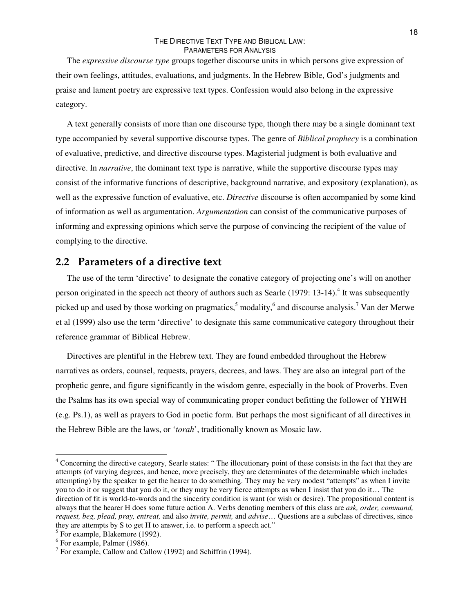The *expressive discourse type* groups together discourse units in which persons give expression of their own feelings, attitudes, evaluations, and judgments. In the Hebrew Bible, God's judgments and praise and lament poetry are expressive text types. Confession would also belong in the expressive category.

A text generally consists of more than one discourse type, though there may be a single dominant text type accompanied by several supportive discourse types. The genre of *Biblical prophecy* is a combination of evaluative, predictive, and directive discourse types. Magisterial judgment is both evaluative and directive. In *narrative*, the dominant text type is narrative, while the supportive discourse types may consist of the informative functions of descriptive, background narrative, and expository (explanation), as well as the expressive function of evaluative, etc. *Directive* discourse is often accompanied by some kind of information as well as argumentation. *Argumentation* can consist of the communicative purposes of informing and expressing opinions which serve the purpose of convincing the recipient of the value of complying to the directive.

# **2.2 Parameters of a directive text**

The use of the term 'directive' to designate the conative category of projecting one's will on another person originated in the speech act theory of authors such as Searle (1979: 13-14).<sup>4</sup> It was subsequently picked up and used by those working on pragmatics,<sup>5</sup> modality,<sup>6</sup> and discourse analysis.<sup>7</sup> Van der Merwe et al (1999) also use the term 'directive' to designate this same communicative category throughout their reference grammar of Biblical Hebrew.

Directives are plentiful in the Hebrew text. They are found embedded throughout the Hebrew narratives as orders, counsel, requests, prayers, decrees, and laws. They are also an integral part of the prophetic genre, and figure significantly in the wisdom genre, especially in the book of Proverbs. Even the Psalms has its own special way of communicating proper conduct befitting the follower of YHWH (e.g. Ps.1), as well as prayers to God in poetic form. But perhaps the most significant of all directives in the Hebrew Bible are the laws, or '*torah*', traditionally known as Mosaic law.

<sup>4</sup> Concerning the directive category, Searle states: " The illocutionary point of these consists in the fact that they are attempts (of varying degrees, and hence, more precisely, they are determinates of the determinable which includes attempting) by the speaker to get the hearer to do something. They may be very modest "attempts" as when I invite you to do it or suggest that you do it, or they may be very fierce attempts as when I insist that you do it… The direction of fit is world-to-words and the sincerity condition is want (or wish or desire). The propositional content is always that the hearer H does some future action A. Verbs denoting members of this class are *ask, order, command, request, beg, plead, pray, entreat,* and also *invite, permit,* and *advise*… Questions are a subclass of directives, since they are attempts by S to get H to answer, i.e. to perform a speech act."

<sup>&</sup>lt;sup>5</sup> For example, Blakemore (1992).

<sup>6</sup> For example, Palmer (1986).

<sup>&</sup>lt;sup>7</sup> For example, Callow and Callow (1992) and Schiffrin (1994).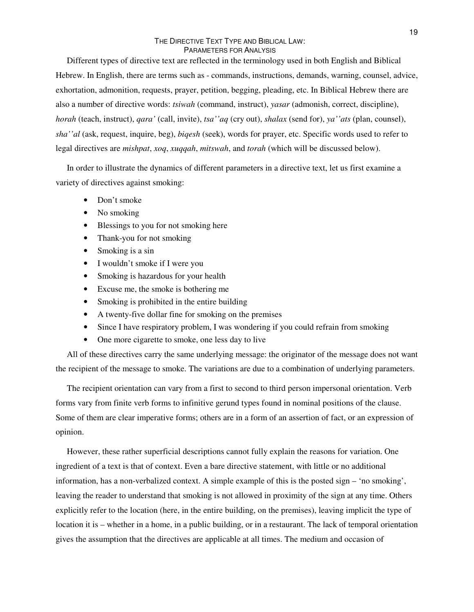Different types of directive text are reflected in the terminology used in both English and Biblical Hebrew. In English, there are terms such as - commands, instructions, demands, warning, counsel, advice, exhortation, admonition, requests, prayer, petition, begging, pleading, etc. In Biblical Hebrew there are also a number of directive words: *tsiwah* (command, instruct), *yasar* (admonish, correct, discipline), *horah* (teach, instruct), *qara'* (call, invite), *tsa''aq* (cry out), *shalax* (send for), *ya''ats* (plan, counsel), *sha''al* (ask, request, inquire, beg), *biqesh* (seek), words for prayer, etc. Specific words used to refer to legal directives are *mishpat*, *xoq*, *xuqqah*, *mitswah*, and *torah* (which will be discussed below).

In order to illustrate the dynamics of different parameters in a directive text, let us first examine a variety of directives against smoking:

- Don't smoke
- No smoking
- Blessings to you for not smoking here
- Thank-you for not smoking
- Smoking is a sin
- I wouldn't smoke if I were you
- Smoking is hazardous for your health
- Excuse me, the smoke is bothering me
- Smoking is prohibited in the entire building
- A twenty-five dollar fine for smoking on the premises
- Since I have respiratory problem, I was wondering if you could refrain from smoking
- One more cigarette to smoke, one less day to live

All of these directives carry the same underlying message: the originator of the message does not want the recipient of the message to smoke. The variations are due to a combination of underlying parameters.

The recipient orientation can vary from a first to second to third person impersonal orientation. Verb forms vary from finite verb forms to infinitive gerund types found in nominal positions of the clause. Some of them are clear imperative forms; others are in a form of an assertion of fact, or an expression of opinion.

However, these rather superficial descriptions cannot fully explain the reasons for variation. One ingredient of a text is that of context. Even a bare directive statement, with little or no additional information, has a non-verbalized context. A simple example of this is the posted sign – 'no smoking', leaving the reader to understand that smoking is not allowed in proximity of the sign at any time. Others explicitly refer to the location (here, in the entire building, on the premises), leaving implicit the type of location it is – whether in a home, in a public building, or in a restaurant. The lack of temporal orientation gives the assumption that the directives are applicable at all times. The medium and occasion of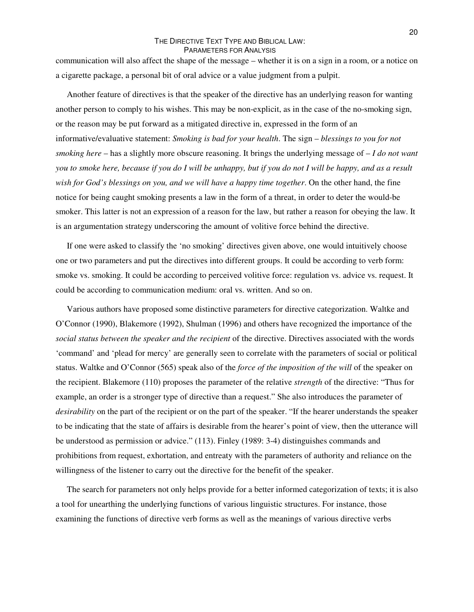communication will also affect the shape of the message – whether it is on a sign in a room, or a notice on a cigarette package, a personal bit of oral advice or a value judgment from a pulpit.

Another feature of directives is that the speaker of the directive has an underlying reason for wanting another person to comply to his wishes. This may be non-explicit, as in the case of the no-smoking sign, or the reason may be put forward as a mitigated directive in, expressed in the form of an informative/evaluative statement: *Smoking is bad for your health*. The sign – *blessings to you for not smoking here* – has a slightly more obscure reasoning. It brings the underlying message of – *I do not want* you to smoke here, because if you do I will be unhappy, but if you do not I will be happy, and as a result *wish for God's blessings on you, and we will have a happy time together*. On the other hand, the fine notice for being caught smoking presents a law in the form of a threat, in order to deter the would-be smoker. This latter is not an expression of a reason for the law, but rather a reason for obeying the law. It is an argumentation strategy underscoring the amount of volitive force behind the directive.

If one were asked to classify the 'no smoking' directives given above, one would intuitively choose one or two parameters and put the directives into different groups. It could be according to verb form: smoke vs. smoking. It could be according to perceived volitive force: regulation vs. advice vs. request. It could be according to communication medium: oral vs. written. And so on.

Various authors have proposed some distinctive parameters for directive categorization. Waltke and O'Connor (1990), Blakemore (1992), Shulman (1996) and others have recognized the importance of the *social status between the speaker and the recipient* of the directive. Directives associated with the words 'command' and 'plead for mercy' are generally seen to correlate with the parameters of social or political status. Waltke and O'Connor (565) speak also of the *force of the imposition of the will* of the speaker on the recipient. Blakemore (110) proposes the parameter of the relative *strength* of the directive: "Thus for example, an order is a stronger type of directive than a request." She also introduces the parameter of *desirability* on the part of the recipient or on the part of the speaker. "If the hearer understands the speaker to be indicating that the state of affairs is desirable from the hearer's point of view, then the utterance will be understood as permission or advice." (113). Finley (1989: 3-4) distinguishes commands and prohibitions from request, exhortation, and entreaty with the parameters of authority and reliance on the willingness of the listener to carry out the directive for the benefit of the speaker.

The search for parameters not only helps provide for a better informed categorization of texts; it is also a tool for unearthing the underlying functions of various linguistic structures. For instance, those examining the functions of directive verb forms as well as the meanings of various directive verbs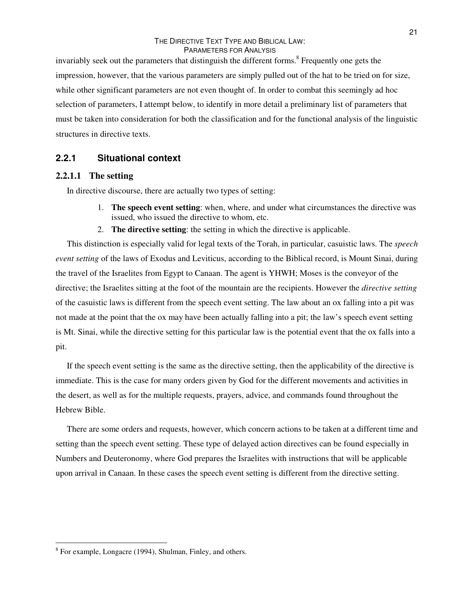invariably seek out the parameters that distinguish the different forms. 8 Frequently one gets the impression, however, that the various parameters are simply pulled out of the hat to be tried on for size, while other significant parameters are not even thought of. In order to combat this seemingly ad hoc selection of parameters, I attempt below, to identify in more detail a preliminary list of parameters that must be taken into consideration for both the classification and for the functional analysis of the linguistic structures in directive texts.

# **2.2.1 Situational context**

# **2.2.1.1 The setting**

In directive discourse, there are actually two types of setting:

- 1. **The speech event setting**: when, where, and under what circumstances the directive was issued, who issued the directive to whom, etc.
- 2. **The directive setting**: the setting in which the directive is applicable.

This distinction is especially valid for legal texts of the Torah, in particular, casuistic laws. The *speech event setting* of the laws of Exodus and Leviticus, according to the Biblical record, is Mount Sinai, during the travel of the Israelites from Egypt to Canaan. The agent is YHWH; Moses is the conveyor of the directive; the Israelites sitting at the foot of the mountain are the recipients. However the *directive setting* of the casuistic laws is different from the speech event setting. The law about an ox falling into a pit was not made at the point that the ox may have been actually falling into a pit; the law's speech event setting is Mt. Sinai, while the directive setting for this particular law is the potential event that the ox falls into a pit.

If the speech event setting is the same as the directive setting, then the applicability of the directive is immediate. This is the case for many orders given by God for the different movements and activities in the desert, as well as for the multiple requests, prayers, advice, and commands found throughout the Hebrew Bible.

There are some orders and requests, however, which concern actions to be taken at a different time and setting than the speech event setting. These type of delayed action directives can be found especially in Numbers and Deuteronomy, where God prepares the Israelites with instructions that will be applicable upon arrival in Canaan. In these cases the speech event setting is different from the directive setting.

<sup>21</sup>

<sup>&</sup>lt;sup>8</sup> For example, Longacre (1994), Shulman, Finley, and others.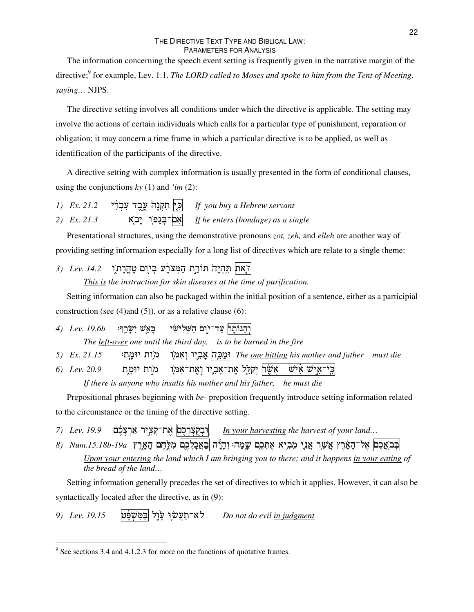The information concerning the speech event setting is frequently given in the narrative margin of the directive; 9 for example, Lev. 1.1. *The LORD called to Moses and spoke to him from the Tent of Meeting, saying…* NJPS.

The directive setting involves all conditions under which the directive is applicable. The setting may involve the actions of certain individuals which calls for a particular type of punishment, reparation or obligation; it may concern a time frame in which a particular directive is to be applied, as well as identification of the participants of the directive.

A directive setting with complex information is usually presented in the form of conditional clauses, using the conjunctions *ky* (1) and *'im* (2):

*1) Ex. 21.2 If you buy a Hebrew servant 2) Ex. 21.3*  -!"#
\$%& *If he enters (bondage) as a single*

Presentational structures, using the demonstrative pronouns *zot, zeh,* and *elleh* are another way of providing setting information especially for a long list of directives which are relate to a single theme:

*3) Lev. 14.2* -ן את הקיה חורת המצרע ביום טהרת.

*This is the instruction for skin diseases at the time of purification.*

Setting information can also be packaged within the initial position of a sentence, either as a participial construction (see  $(4)$ and  $(5)$ ), or as a relative clause  $(6)$ :

4) Lev. 19.6b  $\mathbb{Z}$  בַּאֲשׁ יִשַּׂרֵךְ וְהַנּוֹתָר<sub>ֹ</sub> עַד־יִ *The left-over one until the third day, is to be burned in the fire*

*5) Ex. 21.15* . ,6 - -)- -7 "6 *The one hitting his mother and father must die*

*6) Lev. 20.9* ו מות יוּמ*ֳ* כִּי־אַישׁ אִישׁ אֲשָׂר| יְקַלֵּלְ אֶת־אָבְיו וְאֶת־אִמֹּ *If there is anyone who insults his mother and his father, he must die*

Prepositional phrases beginning with *be-* preposition frequently introduce setting information related to the circumstance or the timing of the directive setting.

7) *Lev. 19.9* את־קציר ארצלם &=

>
?6 *In your harvesting the harvest of your land…*

בְּבֹאֲכֶ**ם** אֶל־הָאָרֶץ אֲשֶׁר אֲנִי מֵבְיא אֶתְכֶם שָׁמָּהּ וְהָיֶה |בַּאֲכָלְכֶם מִלֶּחֶם הָאָרֱץ 19a וּ-75.18b (8

Upon your entering the land which I am bringing you to there; and it happens in your eating of *the bread of the land…*

Setting information generally precedes the set of directives to which it applies. However, it can also be syntactically located after the directive, as in (9):

*9) Lev. 19.15* (!
2 )"\$ 3-לא־תעשו עול |במשפט %3 *Do not do evil in judgment*

 $9^9$  See sections 3.4 and 4.1.2.3 for more on the functions of quotative frames.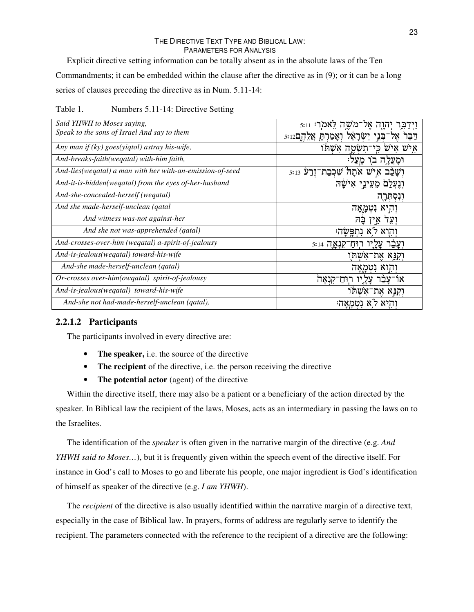Explicit directive setting information can be totally absent as in the absolute laws of the Ten Commandments; it can be embedded within the clause after the directive as in (9); or it can be a long series of clauses preceding the directive as in Num. 5.11-14:

Table 1. Numbers 5.11-14: Directive Setting

| Said YHWH to Moses saying,                                | ־מֹשַׁה לַאמֹרִי 5:11    |
|-----------------------------------------------------------|--------------------------|
| Speak to the sons of Israel And say to them               | בני ישראל ואמרת אלהם5:12 |
| Any man if $(ky)$ goes(yiqtol) astray his-wife,           | תשטה אשתו<br>כי          |
| And-breaks-faith(wegatal) with-him faith,                 |                          |
| And-lies(wegatal) a man with her with-an-emission-of-seed | אתה שכבת־זרע 5:13        |
| And-it-is-hidden(wegatal) from the eyes of-her-husband    |                          |
| And-she-concealed-herself (wegatal)                       |                          |
| And she made-herself-unclean (qatal                       | נטמאה                    |
| And witness was-not against-her                           | בה                       |
| And she not was-apprehended (qatal)                       | תפשו                     |
| And-crosses-over-him (wegatal) a-spirit-of-jealousy       | -5:14 TNJT<br>רוּח       |
| And-is-jealous(wegatal) toward-his-wife                   | את־אשתו                  |
| And-she made-herself-unclean (qatal)                      |                          |
| Or-crosses over-him(owqatal) spirit-of-jealousy           | קנאה                     |
| And-is-jealous(weqatal) toward-his-wife                   | וְקִנֵּא אֶת־אִשָּׁחוּ   |
| And-she not had-made-herself-unclean (qatal),             |                          |

# **2.2.1.2 Participants**

The participants involved in every directive are:

- **The speaker,** i.e. the source of the directive
- **The recipient** of the directive, i.e. the person receiving the directive
- **The potential actor** (agent) of the directive

Within the directive itself, there may also be a patient or a beneficiary of the action directed by the speaker. In Biblical law the recipient of the laws, Moses, acts as an intermediary in passing the laws on to the Israelites.

The identification of the *speaker* is often given in the narrative margin of the directive (e.g. *And YHWH said to Moses…*), but it is frequently given within the speech event of the directive itself. For instance in God's call to Moses to go and liberate his people, one major ingredient is God's identification of himself as speaker of the directive (e.g. *I am YHWH*).

The *recipient* of the directive is also usually identified within the narrative margin of a directive text, especially in the case of Biblical law. In prayers, forms of address are regularly serve to identify the recipient. The parameters connected with the reference to the recipient of a directive are the following: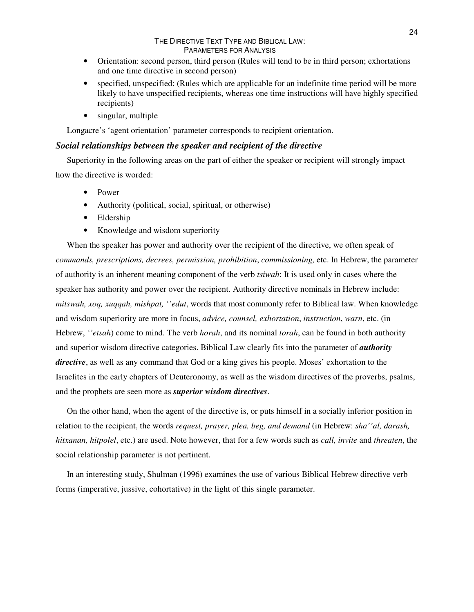- Orientation: second person, third person (Rules will tend to be in third person; exhortations and one time directive in second person)
- specified, unspecified: (Rules which are applicable for an indefinite time period will be more likely to have unspecified recipients, whereas one time instructions will have highly specified recipients)
- singular, multiple

Longacre's 'agent orientation' parameter corresponds to recipient orientation.

# *Social relationships between the speaker and recipient of the directive*

Superiority in the following areas on the part of either the speaker or recipient will strongly impact how the directive is worded:

- Power
- Authority (political, social, spiritual, or otherwise)
- Eldership
- Knowledge and wisdom superiority

When the speaker has power and authority over the recipient of the directive, we often speak of *commands, prescriptions, decrees, permission, prohibition*, *commissioning,* etc. In Hebrew, the parameter of authority is an inherent meaning component of the verb *tsiwah*: It is used only in cases where the speaker has authority and power over the recipient. Authority directive nominals in Hebrew include: *mitswah, xoq, xuqqah, mishpat, ''edut*, words that most commonly refer to Biblical law. When knowledge and wisdom superiority are more in focus, *advice, counsel, exhortation*, *instruction*, *warn*, etc. (in Hebrew, *''etsah*) come to mind. The verb *horah*, and its nominal *torah*, can be found in both authority and superior wisdom directive categories. Biblical Law clearly fits into the parameter of *authority directive*, as well as any command that God or a king gives his people. Moses' exhortation to the Israelites in the early chapters of Deuteronomy, as well as the wisdom directives of the proverbs, psalms, and the prophets are seen more as *superior wisdom directives*.

On the other hand, when the agent of the directive is, or puts himself in a socially inferior position in relation to the recipient, the words *request, prayer, plea, beg, and demand* (in Hebrew: *sha''al, darash, hitxanan, hitpolel*, etc.) are used. Note however, that for a few words such as *call, invite* and *threaten*, the social relationship parameter is not pertinent.

In an interesting study, Shulman (1996) examines the use of various Biblical Hebrew directive verb forms (imperative, jussive, cohortative) in the light of this single parameter.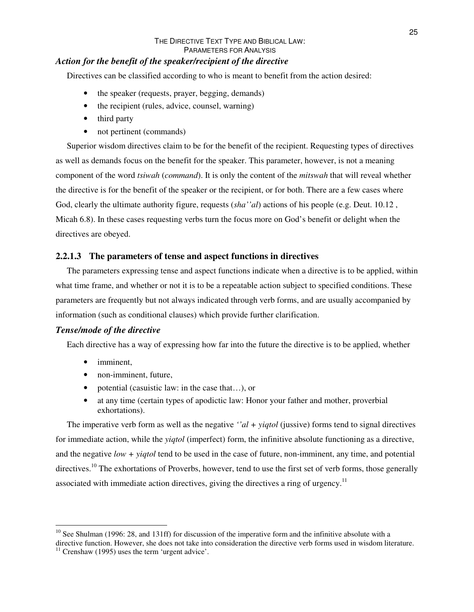# *Action for the benefit of the speaker/recipient of the directive*

Directives can be classified according to who is meant to benefit from the action desired:

- the speaker (requests, prayer, begging, demands)
- the recipient (rules, advice, counsel, warning)
- third party
- not pertinent (commands)

Superior wisdom directives claim to be for the benefit of the recipient. Requesting types of directives as well as demands focus on the benefit for the speaker. This parameter, however, is not a meaning component of the word *tsiwah* (*command*). It is only the content of the *mitswah* that will reveal whether the directive is for the benefit of the speaker or the recipient, or for both. There are a few cases where God, clearly the ultimate authority figure, requests (*sha''al*) actions of his people (e.g. Deut. 10.12 , Micah 6.8). In these cases requesting verbs turn the focus more on God's benefit or delight when the directives are obeyed.

# **2.2.1.3 The parameters of tense and aspect functions in directives**

The parameters expressing tense and aspect functions indicate when a directive is to be applied, within what time frame, and whether or not it is to be a repeatable action subject to specified conditions. These parameters are frequently but not always indicated through verb forms, and are usually accompanied by information (such as conditional clauses) which provide further clarification.

## *Tense/mode of the directive*

Each directive has a way of expressing how far into the future the directive is to be applied, whether

- imminent.
- non-imminent, future,
- potential (casuistic law: in the case that...), or
- at any time (certain types of apodictic law: Honor your father and mother, proverbial exhortations).

The imperative verb form as well as the negative *''al + yiqtol* (jussive) forms tend to signal directives for immediate action, while the *yiqtol* (imperfect) form, the infinitive absolute functioning as a directive, and the negative *low + yiqtol* tend to be used in the case of future, non-imminent, any time, and potential directives.<sup>10</sup> The exhortations of Proverbs, however, tend to use the first set of verb forms, those generally associated with immediate action directives, giving the directives a ring of urgency.<sup>11</sup>

<sup>&</sup>lt;sup>10</sup> See Shulman (1996: 28, and 131ff) for discussion of the imperative form and the infinitive absolute with a directive function. However, she does not take into consideration the directive verb forms used in wisdom literature.

 $11$  Crenshaw (1995) uses the term 'urgent advice'.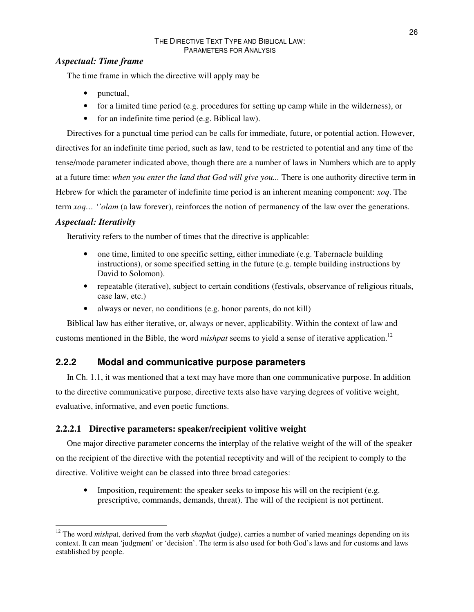# *Aspectual: Time frame*

The time frame in which the directive will apply may be

- punctual,
- for a limited time period (e.g. procedures for setting up camp while in the wilderness), or
- for an indefinite time period (e.g. Biblical law).

Directives for a punctual time period can be calls for immediate, future, or potential action. However, directives for an indefinite time period, such as law, tend to be restricted to potential and any time of the tense/mode parameter indicated above, though there are a number of laws in Numbers which are to apply at a future time: *when you enter the land that God will give you...* There is one authority directive term in Hebrew for which the parameter of indefinite time period is an inherent meaning component: *xoq*. The term *xoq… ''olam* (a law forever), reinforces the notion of permanency of the law over the generations.

# *Aspectual: Iterativity*

Iterativity refers to the number of times that the directive is applicable:

- one time, limited to one specific setting, either immediate (e.g. Tabernacle building instructions), or some specified setting in the future (e.g. temple building instructions by David to Solomon).
- repeatable (iterative), subject to certain conditions (festivals, observance of religious rituals, case law, etc.)
- always or never, no conditions (e.g. honor parents, do not kill)

Biblical law has either iterative, or, always or never, applicability. Within the context of law and customs mentioned in the Bible, the word *mishpat* seems to yield a sense of iterative application. 12

# **2.2.2 Modal and communicative purpose parameters**

In Ch. 1.1, it was mentioned that a text may have more than one communicative purpose. In addition to the directive communicative purpose, directive texts also have varying degrees of volitive weight, evaluative, informative, and even poetic functions.

# **2.2.2.1 Directive parameters: speaker/recipient volitive weight**

One major directive parameter concerns the interplay of the relative weight of the will of the speaker on the recipient of the directive with the potential receptivity and will of the recipient to comply to the directive. Volitive weight can be classed into three broad categories:

• Imposition, requirement: the speaker seeks to impose his will on the recipient (e.g. prescriptive, commands, demands, threat). The will of the recipient is not pertinent.

<sup>&</sup>lt;sup>12</sup> The word *mishpat*, derived from the verb *shaphat* (judge), carries a number of varied meanings depending on its context. It can mean 'judgment' or 'decision'. The term is also used for both God's laws and for customs and laws established by people.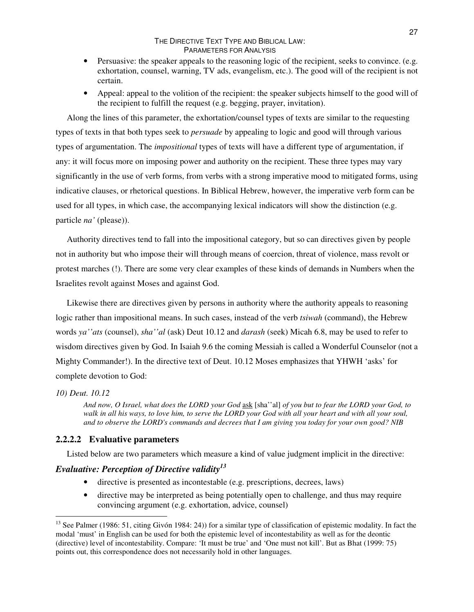- Persuasive: the speaker appeals to the reasoning logic of the recipient, seeks to convince. (e.g. exhortation, counsel, warning, TV ads, evangelism, etc.). The good will of the recipient is not certain.
- Appeal: appeal to the volition of the recipient: the speaker subjects himself to the good will of the recipient to fulfill the request (e.g. begging, prayer, invitation).

Along the lines of this parameter, the exhortation/counsel types of texts are similar to the requesting types of texts in that both types seek to *persuade* by appealing to logic and good will through various types of argumentation. The *impositional* types of texts will have a different type of argumentation, if any: it will focus more on imposing power and authority on the recipient. These three types may vary significantly in the use of verb forms, from verbs with a strong imperative mood to mitigated forms, using indicative clauses, or rhetorical questions. In Biblical Hebrew, however, the imperative verb form can be used for all types, in which case, the accompanying lexical indicators will show the distinction (e.g. particle *na'* (please)).

Authority directives tend to fall into the impositional category, but so can directives given by people not in authority but who impose their will through means of coercion, threat of violence, mass revolt or protest marches (!). There are some very clear examples of these kinds of demands in Numbers when the Israelites revolt against Moses and against God.

Likewise there are directives given by persons in authority where the authority appeals to reasoning logic rather than impositional means. In such cases, instead of the verb *tsiwah* (command), the Hebrew words *ya''ats* (counsel), *sha''al* (ask) Deut 10.12 and *darash* (seek) Micah 6.8, may be used to refer to wisdom directives given by God. In Isaiah 9.6 the coming Messiah is called a Wonderful Counselor (not a Mighty Commander!). In the directive text of Deut. 10.12 Moses emphasizes that YHWH 'asks' for complete devotion to God:

## *10) Deut. 10.12*

And now, O Israel, what does the LORD your God ask [sha''al] of you but to fear the LORD your God, to walk in all his ways, to love him, to serve the LORD your God with all your heart and with all your soul, and to observe the LORD's commands and decrees that I am giving you today for your own good? NIB

## **2.2.2.2 Evaluative parameters**

Listed below are two parameters which measure a kind of value judgment implicit in the directive:

# *Evaluative: Perception of Directive validity 13*

- directive is presented as incontestable (e.g. prescriptions, decrees, laws)
- directive may be interpreted as being potentially open to challenge, and thus may require convincing argument (e.g. exhortation, advice, counsel)

<sup>&</sup>lt;sup>13</sup> See Palmer (1986: 51, citing Givón 1984: 24)) for a similar type of classification of epistemic modality. In fact the modal 'must' in English can be used for both the epistemic level of incontestability as well as for the deontic (directive) level of incontestability. Compare: 'It must be true' and 'One must not kill'. But as Bhat (1999: 75) points out, this correspondence does not necessarily hold in other languages.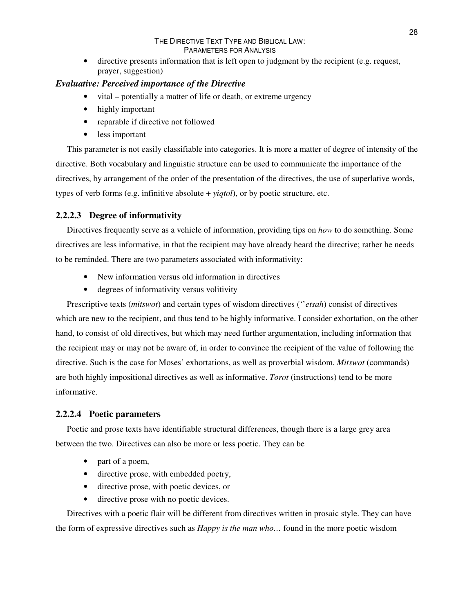• directive presents information that is left open to judgment by the recipient (e.g. request, prayer, suggestion)

## *Evaluative: Perceived importance of the Directive*

- vital potentially a matter of life or death, or extreme urgency
- highly important
- reparable if directive not followed
- less important

This parameter is not easily classifiable into categories. It is more a matter of degree of intensity of the directive. Both vocabulary and linguistic structure can be used to communicate the importance of the directives, by arrangement of the order of the presentation of the directives, the use of superlative words, types of verb forms (e.g. infinitive absolute + *yiqtol*), or by poetic structure, etc.

# **2.2.2.3 Degree of informativity**

Directives frequently serve as a vehicle of information, providing tips on *how* to do something. Some directives are less informative, in that the recipient may have already heard the directive; rather he needs to be reminded. There are two parameters associated with informativity:

- New information versus old information in directives
- degrees of informativity versus volitivity

Prescriptive texts (*mitswot*) and certain types of wisdom directives (''*etsah*) consist of directives which are new to the recipient, and thus tend to be highly informative. I consider exhortation, on the other hand, to consist of old directives, but which may need further argumentation, including information that the recipient may or may not be aware of, in order to convince the recipient of the value of following the directive. Such is the case for Moses' exhortations, as well as proverbial wisdom. *Mitswot* (commands) are both highly impositional directives as well as informative. *Torot* (instructions) tend to be more informative.

# **2.2.2.4 Poetic parameters**

Poetic and prose texts have identifiable structural differences, though there is a large grey area between the two. Directives can also be more or less poetic. They can be

- part of a poem,
- directive prose, with embedded poetry,
- directive prose, with poetic devices, or
- directive prose with no poetic devices.

Directives with a poetic flair will be different from directives written in prosaic style. They can have the form of expressive directives such as *Happy is the man who…* found in the more poetic wisdom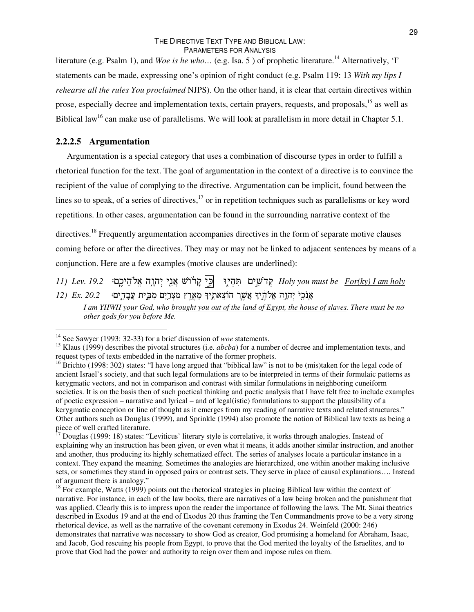literature (e.g. Psalm 1), and *Woe is he who*... (e.g. Isa. 5) of prophetic literature.<sup>14</sup> Alternatively, 'I' statements can be made, expressing one's opinion of right conduct (e.g. Psalm 119: 13 *With my lips I rehearse all the rules You proclaimed* NJPS). On the other hand, it is clear that certain directives within prose, especially decree and implementation texts, certain prayers, requests, and proposals,<sup>15</sup> as well as Biblical law<sup>16</sup> can make use of parallelisms. We will look at parallelism in more detail in Chapter 5.1.

#### **2.2.2.5 Argumentation**

Argumentation is a special category that uses a combination of discourse types in order to fulfill a rhetorical function for the text. The goal of argumentation in the context of a directive is to convince the recipient of the value of complying to the directive. Argumentation can be implicit, found between the lines so to speak, of a series of directives,<sup>17</sup> or in repetition techniques such as parallelisms or key word repetitions. In other cases, argumentation can be found in the surrounding narrative context of the

directives.<sup>18</sup> Frequently argumentation accompanies directives in the form of separate motive clauses coming before or after the directives. They may or may not be linked to adjacent sentences by means of a conjunction. Here are a few examples (motive clauses are underlined):

*11) Lev. 19.2* .&,=3R - ; 2 - 6
+ & 2 *Holy you must be For(ky) I am holy 12) Ex. 20.2* .&,; אָנֹכִי יְהָרֶה אֱלֹהֶיִךְ אֲשֶר הוֹצֵאתְיךָ מֵאֶרֶץ מִצְרַיֶם מִבְּי

I am YHWH your God, who brought you out of the land of Egypt, the house of slaves. There must be no *other gods for you before Me.*

<sup>&</sup>lt;sup>14</sup> See Sawyer (1993: 32-33) for a brief discussion of *woe* statements.

<sup>&</sup>lt;sup>15</sup> Klaus (1999) describes the pivotal structures (i.e. *abcba*) for a number of decree and implementation texts, and request types of texts embedded in the narrative of the former prophets.

<sup>&</sup>lt;sup>16</sup> Brichto (1998: 302) states: "I have long argued that "biblical law" is not to be (mis)taken for the legal code of ancient Israel's society, and that such legal formulations are to be interpreted in terms of their formulaic patterns as kerygmatic vectors, and not in comparison and contrast with similar formulations in neighboring cuneiform societies. It is on the basis then of such poetical thinking and poetic analysis that I have felt free to include examples of poetic expression – narrative and lyrical – and of legal(istic) formulations to support the plausibility of a kerygmatic conception or line of thought as it emerges from my reading of narrative texts and related structures." Other authors such as Douglas (1999), and Sprinkle (1994) also promote the notion of Biblical law texts as being a piece of well crafted literature.

<sup>&</sup>lt;sup>17</sup> Douglas (1999: 18) states: "Leviticus' literary style is correlative, it works through analogies. Instead of explaining why an instruction has been given, or even what it means, it adds another similar instruction, and another and another, thus producing its highly schematized effect. The series of analyses locate a particular instance in a context. They expand the meaning. Sometimes the analogies are hierarchized, one within another making inclusive sets, or sometimes they stand in opposed pairs or contrast sets. They serve in place of causal explanations…. Instead of argument there is analogy."

<sup>&</sup>lt;sup>18</sup> For example, Watts (1999) points out the rhetorical strategies in placing Biblical law within the context of narrative. For instance, in each of the law books, there are narratives of a law being broken and the punishment that was applied. Clearly this is to impress upon the reader the importance of following the laws. The Mt. Sinai theatrics described in Exodus 19 and at the end of Exodus 20 thus framing the Ten Commandments prove to be a very strong rhetorical device, as well as the narrative of the covenant ceremony in Exodus 24. Weinfeld (2000: 246) demonstrates that narrative was necessary to show God as creator, God promising a homeland for Abraham, Isaac, and Jacob, God rescuing his people from Egypt, to prove that the God merited the loyalty of the Israelites, and to prove that God had the power and authority to reign over them and impose rules on them.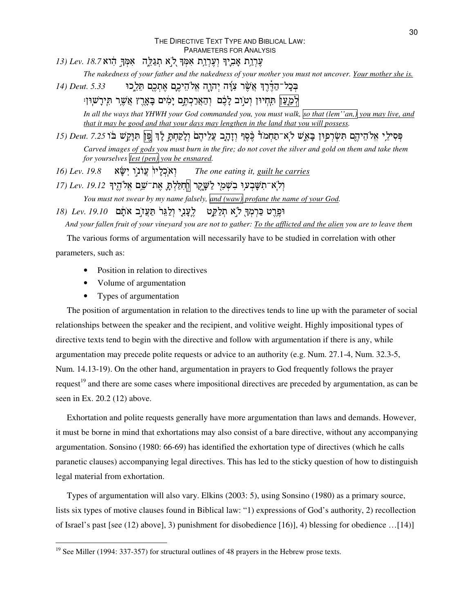- עָרְוַת אָבְיִךְ וְעֶרְוַת אִמְּךְ לְא חְגַלֵּה אִמְּךָ הִוא Lev. 18.7
	- The nakedness of your father and the nakedness of your mother you must not uncover. Your mother she is.
- *14) Deut.* 5.33 בְּכָל־הַדֶּרֶךְ אֲשֶׁר צִוָּה יְהוָה אֱלֹהֵיכֶם אֶ

לְמַעַן תִּחְיוּן וְטוַב לָכֶם וְהַצְרַכְתֶּם יְמִים בָּאָרֶץ צִשֶׁר תִּירָשׁוּן:

In all the ways that YHWH your God commanded you, you must walk, so that (lem''an,) you may live, and *that it may be good and that your days may lengthen in the land that you will possess.*

פְּסִילֵי אֱלֹהֵיהֶם תִּשְׂרְפִוּן בָּאֵשׁ לֹאִ־תַּחְמֹד כֶּסֶף וְזָהֶָב צְלֵיהֶם וְלָקַחְתָּ לְדָּ פֶּוֹן תִּנְקִשׁ בֹּוֹ 7.25 *Deut. 7.25* Carved images of gods you must burn in the fire; do not covet the silver and gold on them and take them *for yourselves lest (pen) you be ensnared.*

*16) Lev.* 19.8 יְאֹכְלַיוֹ עֲוֹנ *The one eating it, guilt he carries*

וְלְאדתִשָּׁבְעוִי בִשְׁמָי לַשָּׁיֻקֵר |חְחִלַּלְתָּ אֶת־שֵׁם אֱלֹהֶיךָ 19.12 .*vev.* 19 *You must not swear by my name falsely, and (waw) profane the name of your God.* וּפֶּרֶט בַּרְמְךָּ לֹאַ תְּלַקֵּט - לֶעֲנְיָ וְלַגֵּרֹ תַּעֲז*ָ*ב אֹתָם *Lev. 19.10* 

And your fallen fruit of your vineyard you are not to gather: To the afflicted and the alien you are to leave them

The various forms of argumentation will necessarily have to be studied in correlation with other parameters, such as:

- Position in relation to directives
- Volume of argumentation
- Types of argumentation

The position of argumentation in relation to the directives tends to line up with the parameter of social relationships between the speaker and the recipient, and volitive weight. Highly impositional types of directive texts tend to begin with the directive and follow with argumentation if there is any, while argumentation may precede polite requests or advice to an authority (e.g. Num. 27.1-4, Num. 32.3-5, Num. 14.13-19). On the other hand, argumentation in prayers to God frequently follows the prayer request<sup>19</sup> and there are some cases where impositional directives are preceded by argumentation, as can be seen in Ex. 20.2 (12) above.

Exhortation and polite requests generally have more argumentation than laws and demands. However, it must be borne in mind that exhortations may also consist of a bare directive, without any accompanying argumentation. Sonsino (1980: 66-69) has identified the exhortation type of directives (which he calls paranetic clauses) accompanying legal directives. This has led to the sticky question of how to distinguish legal material from exhortation.

Types of argumentation will also vary. Elkins (2003: 5), using Sonsino (1980) as a primary source, lists six types of motive clauses found in Biblical law: "1) expressions of God's authority, 2) recollection of Israel's past [see (12) above], 3) punishment for disobedience [16)], 4) blessing for obedience …[14)]

<sup>&</sup>lt;sup>19</sup> See Miller (1994: 337-357) for structural outlines of 48 prayers in the Hebrew prose texts.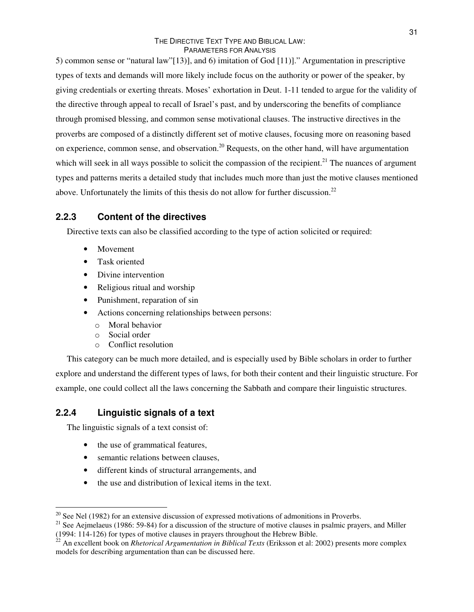5) common sense or "natural law"[13)], and 6) imitation of God [11)]." Argumentation in prescriptive types of texts and demands will more likely include focus on the authority or power of the speaker, by giving credentials or exerting threats. Moses' exhortation in Deut. 1-11 tended to argue for the validity of the directive through appeal to recall of Israel's past, and by underscoring the benefits of compliance through promised blessing, and common sense motivational clauses. The instructive directives in the proverbs are composed of a distinctly different set of motive clauses, focusing more on reasoning based on experience, common sense, and observation.<sup>20</sup> Requests, on the other hand, will have argumentation which will seek in all ways possible to solicit the compassion of the recipient.<sup>21</sup> The nuances of argument types and patterns merits a detailed study that includes much more than just the motive clauses mentioned above. Unfortunately the limits of this thesis do not allow for further discussion.<sup>22</sup>

# **2.2.3 Content of the directives**

Directive texts can also be classified according to the type of action solicited or required:

- Movement
- Task oriented
- Divine intervention
- Religious ritual and worship
- Punishment, reparation of sin
- Actions concerning relationships between persons:
	- o Moral behavior
	- o Social order
	- o Conflict resolution

This category can be much more detailed, and is especially used by Bible scholars in order to further explore and understand the different types of laws, for both their content and their linguistic structure. For example, one could collect all the laws concerning the Sabbath and compare their linguistic structures.

# **2.2.4 Linguistic signals of a text**

The linguistic signals of a text consist of:

- the use of grammatical features,
- semantic relations between clauses,
- different kinds of structural arrangements, and
- the use and distribution of lexical items in the text.

 $20$  See Nel (1982) for an extensive discussion of expressed motivations of admonitions in Proverbs.

<sup>&</sup>lt;sup>21</sup> See Aejmelaeus (1986: 59-84) for a discussion of the structure of motive clauses in psalmic prayers, and Miller (1994: 114-126) for types of motive clauses in prayers throughout the Hebrew Bible.

<sup>22</sup> An excellent book on *Rhetorical Argumentation in Biblical Texts* (Eriksson et al: 2002) presents more complex models for describing argumentation than can be discussed here.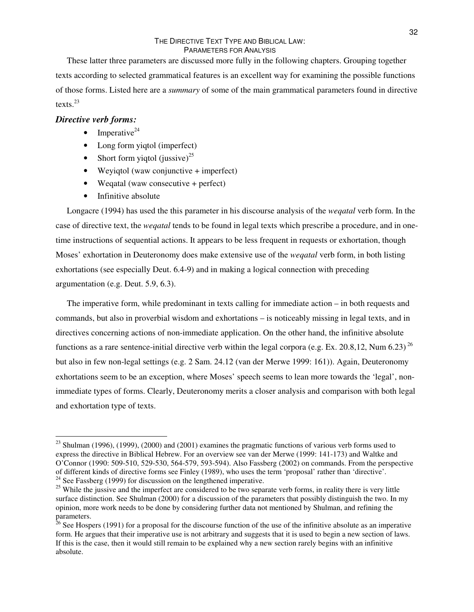These latter three parameters are discussed more fully in the following chapters. Grouping together texts according to selected grammatical features is an excellent way for examining the possible functions of those forms. Listed here are a *summary* of some of the main grammatical parameters found in directive texts. 23

#### *Directive verb forms:*

- $\bullet$  Imperative<sup>24</sup>
- Long form yiqtol (imperfect)
- Short form yiqtol (jussive)<sup>25</sup>
- Weyiqtol (waw conjunctive + imperfect)
- Wegatal (waw consecutive + perfect)
- Infinitive absolute

Longacre (1994) has used the this parameter in his discourse analysis of the *weqatal* verb form. In the case of directive text, the *weqatal* tends to be found in legal texts which prescribe a procedure, and in onetime instructions of sequential actions. It appears to be less frequent in requests or exhortation, though Moses' exhortation in Deuteronomy does make extensive use of the *weqatal* verb form, in both listing exhortations (see especially Deut. 6.4-9) and in making a logical connection with preceding argumentation (e.g. Deut. 5.9, 6.3).

The imperative form, while predominant in texts calling for immediate action – in both requests and commands, but also in proverbial wisdom and exhortations – is noticeably missing in legal texts, and in directives concerning actions of non-immediate application. On the other hand, the infinitive absolute functions as a rare sentence-initial directive verb within the legal corpora (e.g. Ex. 20.8,12, Num 6.23)<sup>26</sup> but also in few non-legal settings (e.g. 2 Sam. 24.12 (van der Merwe 1999: 161)). Again, Deuteronomy exhortations seem to be an exception, where Moses' speech seems to lean more towards the 'legal', nonimmediate types of forms. Clearly, Deuteronomy merits a closer analysis and comparison with both legal and exhortation type of texts.

 $2<sup>23</sup>$  Shulman (1996), (1999), (2000) and (2001) examines the pragmatic functions of various verb forms used to express the directive in Biblical Hebrew. For an overview see van der Merwe (1999: 141-173) and Waltke and O'Connor (1990: 509-510, 529-530, 564-579, 593-594). Also Fassberg (2002) on commands. From the perspective of different kinds of directive forms see Finley (1989), who uses the term 'proposal' rather than 'directive'.  $24$  See Fassberg (1999) for discussion on the lengthened imperative.

<sup>&</sup>lt;sup>25</sup> While the jussive and the imperfect are considered to be two separate verb forms, in reality there is very little surface distinction. See Shulman (2000) for a discussion of the parameters that possibly distinguish the two. In my opinion, more work needs to be done by considering further data not mentioned by Shulman, and refining the parameters.

<sup>&</sup>lt;sup>26</sup> See Hospers (1991) for a proposal for the discourse function of the use of the infinitive absolute as an imperative form. He argues that their imperative use is not arbitrary and suggests that it is used to begin a new section of laws. If this is the case, then it would still remain to be explained why a new section rarely begins with an infinitive absolute.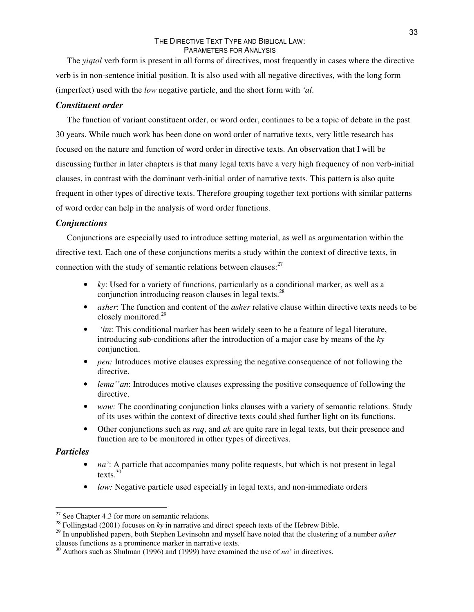The *yiqtol* verb form is present in all forms of directives, most frequently in cases where the directive verb is in non-sentence initial position. It is also used with all negative directives, with the long form (imperfect) used with the *low* negative particle, and the short form with *'al*.

#### *Constituent order*

The function of variant constituent order, or word order, continues to be a topic of debate in the past 30 years. While much work has been done on word order of narrative texts, very little research has focused on the nature and function of word order in directive texts. An observation that I will be discussing further in later chapters is that many legal texts have a very high frequency of non verb-initial clauses, in contrast with the dominant verb-initial order of narrative texts. This pattern is also quite frequent in other types of directive texts. Therefore grouping together text portions with similar patterns of word order can help in the analysis of word order functions.

#### *Conjunctions*

Conjunctions are especially used to introduce setting material, as well as argumentation within the directive text. Each one of these conjunctions merits a study within the context of directive texts, in connection with the study of semantic relations between clauses:<sup>27</sup>

- *ky*: Used for a variety of functions, particularly as a conditional marker, as well as a conjunction introducing reason clauses in legal texts.<sup>28</sup>
- *asher:* The function and content of the *asher* relative clause within directive texts needs to be closely monitored. 29
- *'im*: This conditional marker has been widely seen to be a feature of legal literature, introducing sub-conditions after the introduction of a major case by means of the *ky* conjunction.
- *pen:* Introduces motive clauses expressing the negative consequence of not following the directive.
- *lema''an*: Introduces motive clauses expressing the positive consequence of following the directive.
- *waw:* The coordinating conjunction links clauses with a variety of semantic relations. Study of its uses within the context of directive texts could shed further light on its functions.
- Other conjunctions such as *raq*, and *ak* are quite rare in legal texts, but their presence and function are to be monitored in other types of directives.

#### *Particles*

- *na'*: A particle that accompanies many polite requests, but which is not present in legal texts. 30
- *low:* Negative particle used especially in legal texts, and non-immediate orders

 $27$  See Chapter 4.3 for more on semantic relations.

<sup>&</sup>lt;sup>28</sup> Follingstad (2001) focuses on *ky* in narrative and direct speech texts of the Hebrew Bible.

<sup>29</sup> In unpublished papers, both Stephen Levinsohn and myself have noted that the clustering of a number *asher* clauses functions as a prominence marker in narrative texts.

<sup>30</sup> Authors such as Shulman (1996) and (1999) have examined the use of *na'* in directives.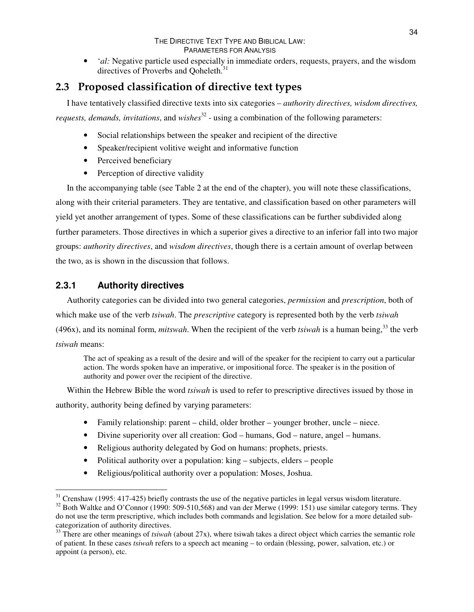• *'al:* Negative particle used especially in immediate orders, requests, prayers, and the wisdom directives of Proverbs and Qoheleth.<sup>31</sup>

# **2.3 Proposed classification of directive text types**

I have tentatively classified directive texts into six categories – *authority directives, wisdom directives, requests, demands, invitations*, and *wishes* 32 - using a combination of the following parameters:

- Social relationships between the speaker and recipient of the directive
- Speaker/recipient volitive weight and informative function
- Perceived beneficiary
- Perception of directive validity

In the accompanying table (see Table 2 at the end of the chapter), you will note these classifications, along with their criterial parameters. They are tentative, and classification based on other parameters will yield yet another arrangement of types. Some of these classifications can be further subdivided along further parameters. Those directives in which a superior gives a directive to an inferior fall into two major groups: *authority directives*, and *wisdom directives*, though there is a certain amount of overlap between the two, as is shown in the discussion that follows.

# **2.3.1 Authority directives**

Authority categories can be divided into two general categories, *permission* and *prescription*, both of which make use of the verb *tsiwah*. The *prescriptive* category is represented both by the verb *tsiwah* (496x), and its nominal form, *mitswah*. When the recipient of the verb *tsiwah* is a human being, 33 the verb *tsiwah* means:

The act of speaking as a result of the desire and will of the speaker for the recipient to carry out a particular action. The words spoken have an imperative, or impositional force. The speaker is in the position of authority and power over the recipient of the directive.

Within the Hebrew Bible the word *tsiwah* is used to refer to prescriptive directives issued by those in authority, authority being defined by varying parameters:

- Family relationship: parent child, older brother younger brother, uncle niece.
- Divine superiority over all creation: God humans, God nature, angel humans.
- Religious authority delegated by God on humans: prophets, priests.
- Political authority over a population: king subjects, elders people
- Religious/political authority over a population: Moses, Joshua.

 $31$  Crenshaw (1995: 417-425) briefly contrasts the use of the negative particles in legal versus wisdom literature.

 $32$  Both Waltke and O'Connor (1990: 509-510,568) and van der Merwe (1999: 151) use similar category terms. They do not use the term prescriptive, which includes both commands and legislation. See below for a more detailed subcategorization of authority directives.

<sup>&</sup>lt;sup>33</sup> There are other meanings of *tsiwah* (about 27x), where tsiwah takes a direct object which carries the semantic role of patient. In these cases *tsiwah* refers to a speech act meaning – to ordain (blessing, power, salvation, etc.) or appoint (a person), etc.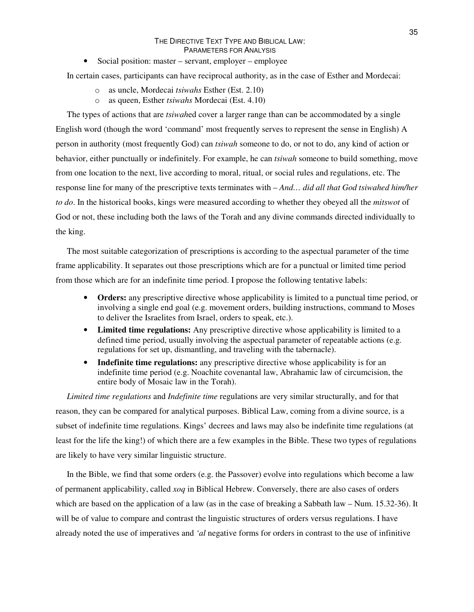• Social position: master – servant, employer – employee

In certain cases, participants can have reciprocal authority, as in the case of Esther and Mordecai:

- o as uncle, Mordecai *tsiwahs* Esther (Est. 2.10)
- o as queen, Esther *tsiwahs* Mordecai (Est. 4.10)

The types of actions that are *tsiwah*ed cover a larger range than can be accommodated by a single English word (though the word 'command' most frequently serves to represent the sense in English) A person in authority (most frequently God) can *tsiwah* someone to do, or not to do, any kind of action or behavior, either punctually or indefinitely. For example, he can *tsiwah* someone to build something, move from one location to the next, live according to moral, ritual, or social rules and regulations, etc. The response line for many of the prescriptive texts terminates with – *And… did all that God tsiwahed him/her to do*. In the historical books, kings were measured according to whether they obeyed all the *mitswot* of God or not, these including both the laws of the Torah and any divine commands directed individually to the king.

The most suitable categorization of prescriptions is according to the aspectual parameter of the time frame applicability. It separates out those prescriptions which are for a punctual or limited time period from those which are for an indefinite time period. I propose the following tentative labels:

- **Orders:** any prescriptive directive whose applicability is limited to a punctual time period, or involving a single end goal (e.g. movement orders, building instructions, command to Moses to deliver the Israelites from Israel, orders to speak, etc.).
- **Limited time regulations:** Any prescriptive directive whose applicability is limited to a defined time period, usually involving the aspectual parameter of repeatable actions (e.g. regulations for set up, dismantling, and traveling with the tabernacle).
- **Indefinite time regulations:** any prescriptive directive whose applicability is for an indefinite time period (e.g. Noachite covenantal law, Abrahamic law of circumcision, the entire body of Mosaic law in the Torah).

*Limited time regulations* and *Indefinite time* regulations are very similar structurally, and for that reason, they can be compared for analytical purposes. Biblical Law, coming from a divine source, is a subset of indefinite time regulations. Kings' decrees and laws may also be indefinite time regulations (at least for the life the king!) of which there are a few examples in the Bible. These two types of regulations are likely to have very similar linguistic structure.

In the Bible, we find that some orders (e.g. the Passover) evolve into regulations which become a law of permanent applicability, called *xoq* in Biblical Hebrew. Conversely, there are also cases of orders which are based on the application of a law (as in the case of breaking a Sabbath law – Num. 15.32-36). It will be of value to compare and contrast the linguistic structures of orders versus regulations. I have already noted the use of imperatives and *'al* negative forms for orders in contrast to the use of infinitive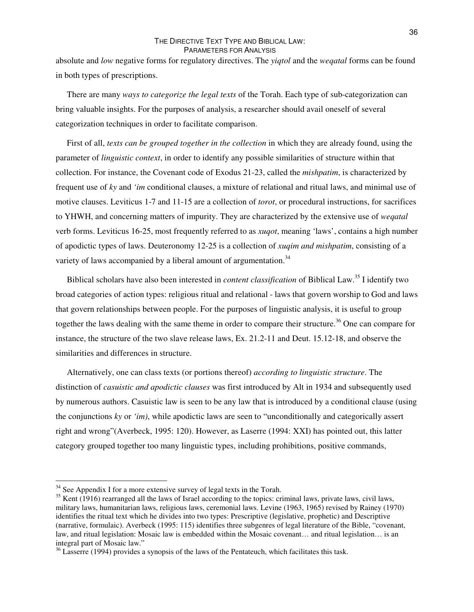absolute and *low* negative forms for regulatory directives. The *yiqtol* and the *weqatal* forms can be found in both types of prescriptions.

There are many *ways to categorize the legal texts* of the Torah. Each type of sub-categorization can bring valuable insights. For the purposes of analysis, a researcher should avail oneself of several categorization techniques in order to facilitate comparison.

First of all, *texts can be grouped together in the collection* in which they are already found, using the parameter of *linguistic context*, in order to identify any possible similarities of structure within that collection. For instance, the Covenant code of Exodus 21-23, called the *mishpatim*, is characterized by frequent use of *ky* and *'im* conditional clauses, a mixture of relational and ritual laws, and minimal use of motive clauses. Leviticus 1-7 and 11-15 are a collection of *torot*, or procedural instructions, for sacrifices to YHWH, and concerning matters of impurity. They are characterized by the extensive use of *weqatal* verb forms. Leviticus 16-25, most frequently referred to as *xuqot*, meaning 'laws', contains a high number of apodictic types of laws. Deuteronomy 12-25 is a collection of *xuqim and mishpatim*, consisting of a variety of laws accompanied by a liberal amount of argumentation.<sup>34</sup>

Biblical scholars have also been interested in *content classification* of Biblical Law. 35 I identify two broad categories of action types: religious ritual and relational - laws that govern worship to God and laws that govern relationships between people. For the purposes of linguistic analysis, it is useful to group together the laws dealing with the same theme in order to compare their structure.<sup>36</sup> One can compare for instance, the structure of the two slave release laws, Ex. 21.2-11 and Deut. 15.12-18, and observe the similarities and differences in structure.

Alternatively, one can class texts (or portions thereof) *according to linguistic structure*. The distinction of *casuistic and apodictic clauses* was first introduced by Alt in 1934 and subsequently used by numerous authors. Casuistic law is seen to be any law that is introduced by a conditional clause (using the conjunctions *ky* or *'im)*, while apodictic laws are seen to "unconditionally and categorically assert right and wrong"(Averbeck, 1995: 120). However, as Laserre (1994: XXI) has pointed out, this latter category grouped together too many linguistic types, including prohibitions, positive commands,

 $34$  See Appendix I for a more extensive survey of legal texts in the Torah.

<sup>&</sup>lt;sup>35</sup> Kent (1916) rearranged all the laws of Israel according to the topics: criminal laws, private laws, civil laws, military laws, humanitarian laws, religious laws, ceremonial laws. Levine (1963, 1965) revised by Rainey (1970) identifies the ritual text which he divides into two types: Prescriptive (legislative, prophetic) and Descriptive (narrative, formulaic). Averbeck (1995: 115) identifies three subgenres of legal literature of the Bible, "covenant, law, and ritual legislation: Mosaic law is embedded within the Mosaic covenant… and ritual legislation… is an integral part of Mosaic law."

<sup>&</sup>lt;sup>36</sup> Lasserre (1994) provides a synopsis of the laws of the Pentateuch, which facilitates this task.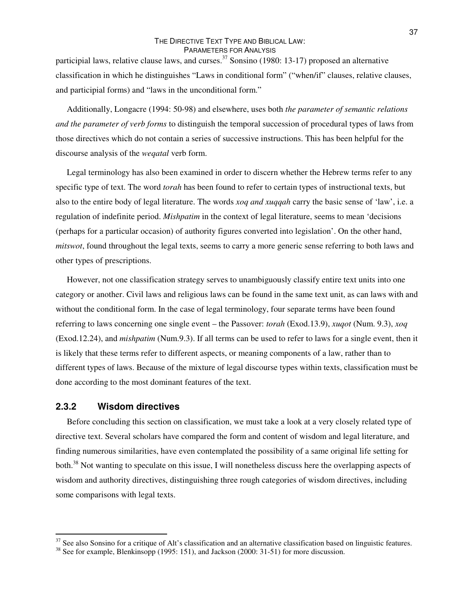participial laws, relative clause laws, and curses.<sup>37</sup> Sonsino (1980: 13-17) proposed an alternative classification in which he distinguishes "Laws in conditional form" ("when/if" clauses, relative clauses, and participial forms) and "laws in the unconditional form."

Additionally, Longacre (1994: 50-98) and elsewhere, uses both *the parameter of semantic relations and the parameter of verb forms* to distinguish the temporal succession of procedural types of laws from those directives which do not contain a series of successive instructions. This has been helpful for the discourse analysis of the *weqatal* verb form.

Legal terminology has also been examined in order to discern whether the Hebrew terms refer to any specific type of text. The word *torah* has been found to refer to certain types of instructional texts, but also to the entire body of legal literature. The words *xoq and xuqqah* carry the basic sense of 'law', i.e. a regulation of indefinite period. *Mishpatim* in the context of legal literature, seems to mean 'decisions (perhaps for a particular occasion) of authority figures converted into legislation'. On the other hand, *mitswot*, found throughout the legal texts, seems to carry a more generic sense referring to both laws and other types of prescriptions.

However, not one classification strategy serves to unambiguously classify entire text units into one category or another. Civil laws and religious laws can be found in the same text unit, as can laws with and without the conditional form. In the case of legal terminology, four separate terms have been found referring to laws concerning one single event – the Passover: *torah* (Exod.13.9), *xuqot* (Num. 9.3), *xoq* (Exod.12.24), and *mishpatim* (Num.9.3). If all terms can be used to refer to laws for a single event, then it is likely that these terms refer to different aspects, or meaning components of a law, rather than to different types of laws. Because of the mixture of legal discourse types within texts, classification must be done according to the most dominant features of the text.

#### **2.3.2 Wisdom directives**

Before concluding this section on classification, we must take a look at a very closely related type of directive text. Several scholars have compared the form and content of wisdom and legal literature, and finding numerous similarities, have even contemplated the possibility of a same original life setting for both.<sup>38</sup> Not wanting to speculate on this issue, I will nonetheless discuss here the overlapping aspects of wisdom and authority directives, distinguishing three rough categories of wisdom directives, including some comparisons with legal texts.

 $37$  See also Sonsino for a critique of Alt's classification and an alternative classification based on linguistic features.

<sup>&</sup>lt;sup>38</sup> See for example, Blenkinsopp (1995: 151), and Jackson (2000: 31-51) for more discussion.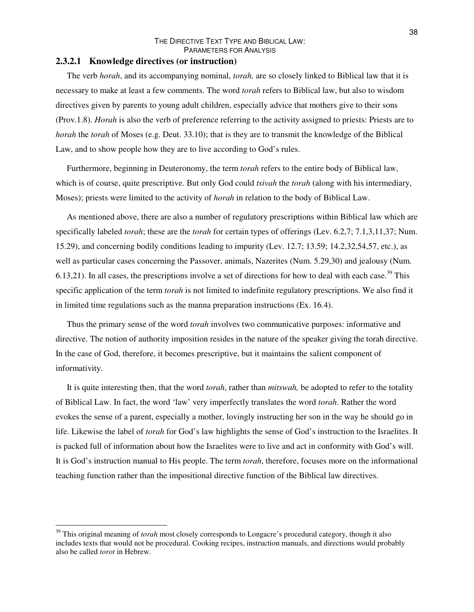#### **2.3.2.1 Knowledge directives (or instruction)**

The verb *horah*, and its accompanying nominal, *torah,* are so closely linked to Biblical law that it is necessary to make at least a few comments. The word *torah* refers to Biblical law, but also to wisdom directives given by parents to young adult children, especially advice that mothers give to their sons (Prov.1.8). *Horah* is also the verb of preference referring to the activity assigned to priests: Priests are to *horah* the *torah* of Moses (e.g. Deut. 33.10); that is they are to transmit the knowledge of the Biblical Law, and to show people how they are to live according to God's rules.

Furthermore, beginning in Deuteronomy, the term *torah* refers to the entire body of Biblical law, which is of course, quite prescriptive. But only God could *tsivah* the *torah* (along with his intermediary, Moses); priests were limited to the activity of *horah* in relation to the body of Biblical Law.

As mentioned above, there are also a number of regulatory prescriptions within Biblical law which are specifically labeled *torah*; these are the *torah* for certain types of offerings (Lev. 6.2,7; 7.1,3,11,37; Num. 15.29), and concerning bodily conditions leading to impurity (Lev. 12.7; 13.59; 14.2,32,54,57, etc.), as well as particular cases concerning the Passover, animals, Nazerites (Num. 5.29,30) and jealousy (Num. 6.13,21). In all cases, the prescriptions involve a set of directions for how to deal with each case.<sup>39</sup> This specific application of the term *torah* is not limited to indefinite regulatory prescriptions. We also find it in limited time regulations such as the manna preparation instructions (Ex. 16.4).

Thus the primary sense of the word *torah* involves two communicative purposes: informative and directive. The notion of authority imposition resides in the nature of the speaker giving the torah directive. In the case of God, therefore, it becomes prescriptive, but it maintains the salient component of informativity.

It is quite interesting then, that the word *torah*, rather than *mitswah,* be adopted to refer to the totality of Biblical Law. In fact, the word 'law' very imperfectly translates the word *torah*. Rather the word evokes the sense of a parent, especially a mother, lovingly instructing her son in the way he should go in life. Likewise the label of *torah* for God's law highlights the sense of God's instruction to the Israelites. It is packed full of information about how the Israelites were to live and act in conformity with God's will. It is God's instruction manual to His people. The term *torah*, therefore, focuses more on the informational teaching function rather than the impositional directive function of the Biblical law directives.

<sup>&</sup>lt;sup>39</sup> This original meaning of *torah* most closely corresponds to Longacre's procedural category, though it also includes texts that would not be procedural. Cooking recipes, instruction manuals, and directions would probably also be called *torot* in Hebrew.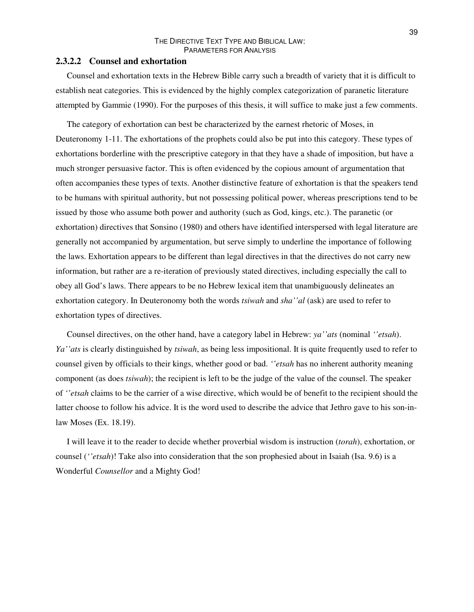#### **2.3.2.2 Counsel and exhortation**

Counsel and exhortation texts in the Hebrew Bible carry such a breadth of variety that it is difficult to establish neat categories. This is evidenced by the highly complex categorization of paranetic literature attempted by Gammie (1990). For the purposes of this thesis, it will suffice to make just a few comments.

The category of exhortation can best be characterized by the earnest rhetoric of Moses, in Deuteronomy 1-11. The exhortations of the prophets could also be put into this category. These types of exhortations borderline with the prescriptive category in that they have a shade of imposition, but have a much stronger persuasive factor. This is often evidenced by the copious amount of argumentation that often accompanies these types of texts. Another distinctive feature of exhortation is that the speakers tend to be humans with spiritual authority, but not possessing political power, whereas prescriptions tend to be issued by those who assume both power and authority (such as God, kings, etc.). The paranetic (or exhortation) directives that Sonsino (1980) and others have identified interspersed with legal literature are generally not accompanied by argumentation, but serve simply to underline the importance of following the laws. Exhortation appears to be different than legal directives in that the directives do not carry new information, but rather are a re-iteration of previously stated directives, including especially the call to obey all God's laws. There appears to be no Hebrew lexical item that unambiguously delineates an exhortation category. In Deuteronomy both the words *tsiwah* and *sha''al* (ask) are used to refer to exhortation types of directives.

Counsel directives, on the other hand, have a category label in Hebrew: *ya''ats* (nominal *''etsah*). *Ya''ats* is clearly distinguished by *tsiwah*, as being less impositional. It is quite frequently used to refer to counsel given by officials to their kings, whether good or bad. *''etsah* has no inherent authority meaning component (as does *tsiwah*); the recipient is left to be the judge of the value of the counsel. The speaker of *''etsah* claims to be the carrier of a wise directive, which would be of benefit to the recipient should the latter choose to follow his advice. It is the word used to describe the advice that Jethro gave to his son-inlaw Moses (Ex. 18.19).

I will leave it to the reader to decide whether proverbial wisdom is instruction (*torah*), exhortation, or counsel (*''etsah*)! Take also into consideration that the son prophesied about in Isaiah (Isa. 9.6) is a Wonderful *Counsellor* and a Mighty God!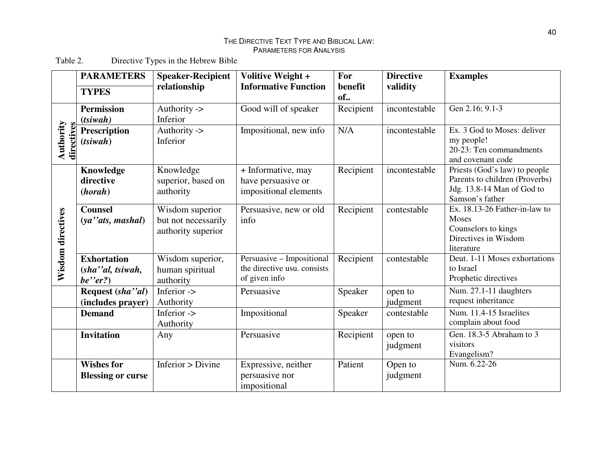Table 2. 2. Directive T y pes in the Hebrew Bible

|                         | <b>PARAMETERS</b>                                 | <b>Speaker-Recipient</b>                                     | Volitive Weight +                                                         | For           | <b>Directive</b>    | <b>Examples</b>                                                                                                  |
|-------------------------|---------------------------------------------------|--------------------------------------------------------------|---------------------------------------------------------------------------|---------------|---------------------|------------------------------------------------------------------------------------------------------------------|
|                         | <b>TYPES</b>                                      | relationship                                                 | <b>Informative Function</b>                                               | benefit<br>of | validity            |                                                                                                                  |
| Authority<br>directives | <b>Permission</b><br>$(t\sin\alpha h)$            | Authority -><br>Inferior                                     | Good will of speaker                                                      | Recipient     | incontestable       | Gen 2.16; 9.1-3                                                                                                  |
|                         | <b>Prescription</b><br>(t <sub>si</sub> wah)      | Authority -><br>Inferior                                     | Impositional, new info                                                    | N/A           | incontestable       | Ex. 3 God to Moses: deliver<br>my people!<br>20-23: Ten commandments<br>and covenant code                        |
|                         | Knowledge<br>directive<br>(horah)                 | Knowledge<br>superior, based on<br>authority                 | + Informative, may<br>have persuasive or<br>impositional elements         | Recipient     | incontestable       | Priests (God's law) to people<br>Parents to children (Proverbs)<br>Jdg. 13.8-14 Man of God to<br>Samson's father |
| Wisdom directives       | <b>Counsel</b><br>$(ya$ " ats, mashal)            | Wisdom superior<br>but not necessarily<br>authority superior | Persuasive, new or old<br>info                                            | Recipient     | contestable         | Ex. 18.13-26 Father-in-law to<br>Moses<br>Counselors to kings<br>Directives in Wisdom<br>literature              |
|                         | <b>Exhortation</b><br>(sha"al, tsiwah,<br>be''er? | Wisdom superior,<br>human spiritual<br>authority             | Persuasive - Impositional<br>the directive usu. consists<br>of given info | Recipient     | contestable         | Deut. 1-11 Moses exhortations<br>to Israel<br>Prophetic directives                                               |
|                         | Request (sha"al)<br>(includes prayer)             | Inferior -><br>Authority                                     | Persuasive                                                                | Speaker       | open to<br>judgment | Num. 27.1-11 daughters<br>request inheritance                                                                    |
|                         | <b>Demand</b>                                     | Inferior -><br>Authority                                     | Impositional                                                              | Speaker       | contestable         | Num. 11.4-15 Israelites<br>complain about food                                                                   |
|                         | <b>Invitation</b>                                 | Any                                                          | Persuasive                                                                | Recipient     | open to<br>judgment | Gen. 18.3-5 Abraham to 3<br>visitors<br>Evangelism?                                                              |
|                         | <b>Wishes for</b><br><b>Blessing or curse</b>     | Inferior > Divine                                            | Expressive, neither<br>persuasive nor<br>impositional                     | Patient       | Open to<br>judgment | Num. 6.22-26                                                                                                     |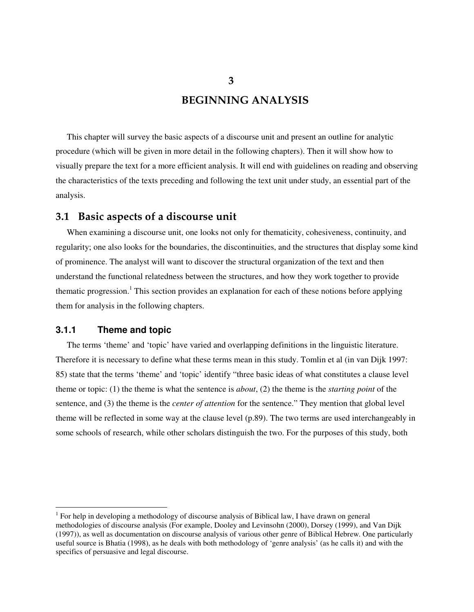**BEGINNING ANALYSIS**

This chapter will survey the basic aspects of a discourse unit and present an outline for analytic procedure (which will be given in more detail in the following chapters). Then it will show how to visually prepare the text for a more efficient analysis. It will end with guidelines on reading and observing the characteristics of the texts preceding and following the text unit under study, an essential part of the analysis.

# **3.1 Basic aspects of a discourse unit**

When examining a discourse unit, one looks not only for thematicity, cohesiveness, continuity, and regularity; one also looks for the boundaries, the discontinuities, and the structures that display some kind of prominence. The analyst will want to discover the structural organization of the text and then understand the functional relatedness between the structures, and how they work together to provide thematic progression. <sup>1</sup> This section provides an explanation for each of these notions before applying them for analysis in the following chapters.

## **3.1.1 Theme and topic**

The terms 'theme' and 'topic' have varied and overlapping definitions in the linguistic literature. Therefore it is necessary to define what these terms mean in this study. Tomlin et al (in van Dijk 1997: 85) state that the terms 'theme' and 'topic' identify "three basic ideas of what constitutes a clause level theme or topic: (1) the theme is what the sentence is *about*, (2) the theme is the *starting point* of the sentence, and (3) the theme is the *center of attention* for the sentence." They mention that global level theme will be reflected in some way at the clause level (p.89). The two terms are used interchangeably in some schools of research, while other scholars distinguish the two. For the purposes of this study, both

**3**

<sup>&</sup>lt;sup>1</sup> For help in developing a methodology of discourse analysis of Biblical law, I have drawn on general methodologies of discourse analysis (For example, Dooley and Levinsohn (2000), Dorsey (1999), and Van Dijk (1997)), as well as documentation on discourse analysis of various other genre of Biblical Hebrew. One particularly useful source is Bhatia (1998), as he deals with both methodology of 'genre analysis' (as he calls it) and with the specifics of persuasive and legal discourse.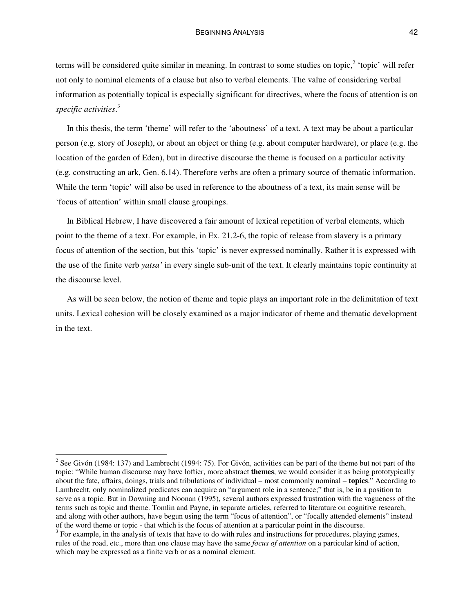terms will be considered quite similar in meaning. In contrast to some studies on topic,<sup>2</sup> 'topic' will refer not only to nominal elements of a clause but also to verbal elements. The value of considering verbal information as potentially topical is especially significant for directives, where the focus of attention is on *specific activities*. 3

In this thesis, the term 'theme' will refer to the 'aboutness' of a text. A text may be about a particular person (e.g. story of Joseph), or about an object or thing (e.g. about computer hardware), or place (e.g. the location of the garden of Eden), but in directive discourse the theme is focused on a particular activity (e.g. constructing an ark, Gen. 6.14). Therefore verbs are often a primary source of thematic information. While the term 'topic' will also be used in reference to the aboutness of a text, its main sense will be 'focus of attention' within small clause groupings.

In Biblical Hebrew, I have discovered a fair amount of lexical repetition of verbal elements, which point to the theme of a text. For example, in Ex. 21.2-6, the topic of release from slavery is a primary focus of attention of the section, but this 'topic' is never expressed nominally. Rather it is expressed with the use of the finite verb *yatsa'* in every single sub-unit of the text. It clearly maintains topic continuity at the discourse level.

As will be seen below, the notion of theme and topic plays an important role in the delimitation of text units. Lexical cohesion will be closely examined as a major indicator of theme and thematic development in the text.

<sup>&</sup>lt;sup>2</sup> See Givón (1984: 137) and Lambrecht (1994: 75). For Givón, activities can be part of the theme but not part of the topic: "While human discourse may have loftier, more abstract **themes**, we would consider it as being prototypically about the fate, affairs, doings, trials and tribulations of individual – most commonly nominal – **topics**." According to Lambrecht, only nominalized predicates can acquire an "argument role in a sentence;" that is, be in a position to serve as a topic. But in Downing and Noonan (1995), several authors expressed frustration with the vagueness of the terms such as topic and theme. Tomlin and Payne, in separate articles, referred to literature on cognitive research, and along with other authors, have begun using the term "focus of attention", or "focally attended elements" instead of the word theme or topic - that which is the focus of attention at a particular point in the discourse.

 $3$  For example, in the analysis of texts that have to do with rules and instructions for procedures, playing games, rules of the road, etc., more than one clause may have the same *focus of attention* on a particular kind of action, which may be expressed as a finite verb or as a nominal element.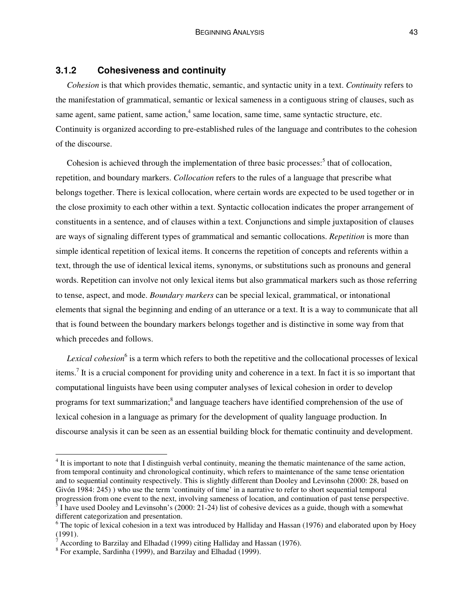#### **3.1.2 Cohesiveness and continuity**

*Cohesion* is that which provides thematic, semantic, and syntactic unity in a text. *Continuity* refers to the manifestation of grammatical, semantic or lexical sameness in a contiguous string of clauses, such as same agent, same patient, same action,<sup>4</sup> same location, same time, same syntactic structure, etc. Continuity is organized according to pre-established rules of the language and contributes to the cohesion of the discourse.

Cohesion is achieved through the implementation of three basic processes:<sup>5</sup> that of collocation, repetition, and boundary markers. *Collocation* refers to the rules of a language that prescribe what belongs together. There is lexical collocation, where certain words are expected to be used together or in the close proximity to each other within a text. Syntactic collocation indicates the proper arrangement of constituents in a sentence, and of clauses within a text. Conjunctions and simple juxtaposition of clauses are ways of signaling different types of grammatical and semantic collocations. *Repetition* is more than simple identical repetition of lexical items. It concerns the repetition of concepts and referents within a text, through the use of identical lexical items, synonyms, or substitutions such as pronouns and general words. Repetition can involve not only lexical items but also grammatical markers such as those referring to tense, aspect, and mode. *Boundary markers* can be special lexical, grammatical, or intonational elements that signal the beginning and ending of an utterance or a text. It is a way to communicate that all that is found between the boundary markers belongs together and is distinctive in some way from that which precedes and follows.

*Lexical cohesion* 6 is a term which refers to both the repetitive and the collocational processes of lexical items.<sup>7</sup> It is a crucial component for providing unity and coherence in a text. In fact it is so important that computational linguists have been using computer analyses of lexical cohesion in order to develop programs for text summarization;<sup>8</sup> and language teachers have identified comprehension of the use of lexical cohesion in a language as primary for the development of quality language production. In discourse analysis it can be seen as an essential building block for thematic continuity and development.

 $4$  It is important to note that I distinguish verbal continuity, meaning the thematic maintenance of the same action, from temporal continuity and chronological continuity, which refers to maintenance of the same tense orientation and to sequential continuity respectively. This is slightly different than Dooley and Levinsohn (2000: 28, based on Givón 1984: 245) ) who use the term 'continuity of time' in a narrative to refer to short sequential temporal

progression from one event to the next, involving sameness of location, and continuation of past tense perspective.  $\frac{5}{3}$  I have used Dooley and Levinsohn's (2000: 21-24) list of cohesive devices as a guide, though with a somewhat different categorization and presentation.

<sup>&</sup>lt;sup>6</sup> The topic of lexical cohesion in a text was introduced by Halliday and Hassan (1976) and elaborated upon by Hoey  $(1991).$ 

According to Barzilay and Elhadad (1999) citing Halliday and Hassan (1976).

<sup>8</sup> For example, Sardinha (1999), and Barzilay and Elhadad (1999).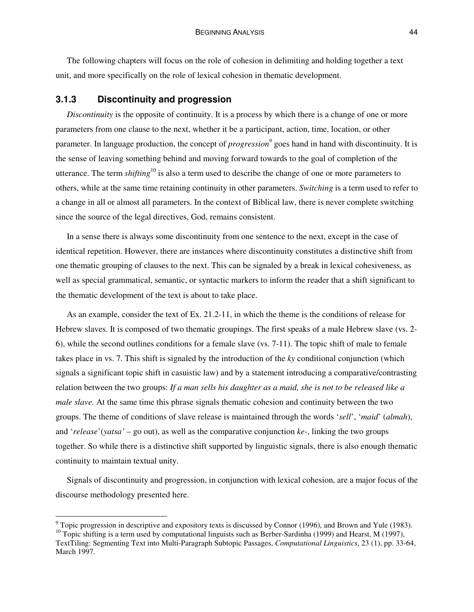The following chapters will focus on the role of cohesion in delimiting and holding together a text unit, and more specifically on the role of lexical cohesion in thematic development.

#### **3.1.3 Discontinuity and progression**

*Discontinuity* is the opposite of continuity. It is a process by which there is a change of one or more parameters from one clause to the next, whether it be a participant, action, time, location, or other parameter. In language production, the concept of *progression* 9 goes hand in hand with discontinuity. It is the sense of leaving something behind and moving forward towards to the goal of completion of the utterance. The term *shifting*<sup>10</sup> is also a term used to describe the change of one or more parameters to others, while at the same time retaining continuity in other parameters. *Switching* is a term used to refer to a change in all or almost all parameters. In the context of Biblical law, there is never complete switching since the source of the legal directives, God, remains consistent.

In a sense there is always some discontinuity from one sentence to the next, except in the case of identical repetition. However, there are instances where discontinuity constitutes a distinctive shift from one thematic grouping of clauses to the next. This can be signaled by a break in lexical cohesiveness, as well as special grammatical, semantic, or syntactic markers to inform the reader that a shift significant to the thematic development of the text is about to take place.

As an example, consider the text of Ex. 21.2-11, in which the theme is the conditions of release for Hebrew slaves. It is composed of two thematic groupings. The first speaks of a male Hebrew slave (vs. 2- 6), while the second outlines conditions for a female slave (vs. 7-11). The topic shift of male to female takes place in vs. 7. This shift is signaled by the introduction of the *ky* conditional conjunction (which signals a significant topic shift in casuistic law) and by a statement introducing a comparative/contrasting relation between the two groups: *If a man sells his daughter as a maid, she is not to be released like a male slave.* At the same time this phrase signals thematic cohesion and continuity between the two groups. The theme of conditions of slave release is maintained through the words '*sell*', '*maid*' (*almah*), and '*release*'(*yatsa'* – go out), as well as the comparative conjunction *ke-*, linking the two groups together. So while there is a distinctive shift supported by linguistic signals, there is also enough thematic continuity to maintain textual unity.

Signals of discontinuity and progression, in conjunction with lexical cohesion, are a major focus of the discourse methodology presented here.

 $9$  Topic progression in descriptive and expository texts is discussed by Connor (1996), and Brown and Yule (1983).

<sup>&</sup>lt;sup>10</sup> Topic shifting is a term used by computational linguists such as Berber-Sardinha (1999) and Hearst, M (1997), TextTiling: Segmenting Text into Multi-Paragraph Subtopic Passages, *Computational Linguistics*, 23 (1), pp. 33-64, March 1997.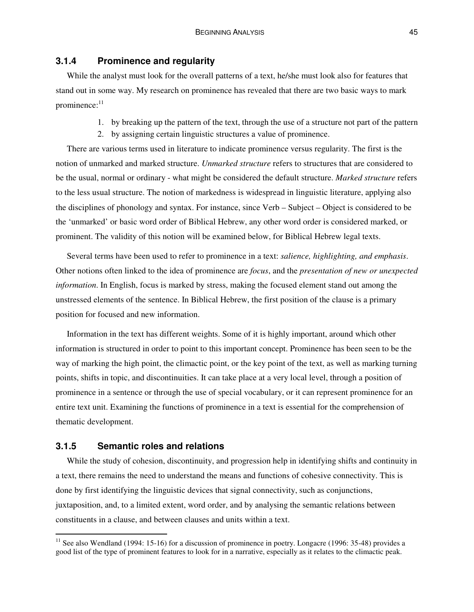#### **3.1.4 Prominence and regularity**

While the analyst must look for the overall patterns of a text, he/she must look also for features that stand out in some way. My research on prominence has revealed that there are two basic ways to mark prominence:<sup>11</sup>

- 1. by breaking up the pattern of the text, through the use of a structure not part of the pattern
- 2. by assigning certain linguistic structures a value of prominence.

There are various terms used in literature to indicate prominence versus regularity. The first is the notion of unmarked and marked structure. *Unmarked structure* refers to structures that are considered to be the usual, normal or ordinary - what might be considered the default structure. *Marked structure* refers to the less usual structure. The notion of markedness is widespread in linguistic literature, applying also the disciplines of phonology and syntax. For instance, since Verb – Subject – Object is considered to be the 'unmarked' or basic word order of Biblical Hebrew, any other word order is considered marked, or prominent. The validity of this notion will be examined below, for Biblical Hebrew legal texts.

Several terms have been used to refer to prominence in a text: *salience, highlighting, and emphasis*. Other notions often linked to the idea of prominence are *focus*, and the *presentation of new or unexpected information*. In English, focus is marked by stress, making the focused element stand out among the unstressed elements of the sentence. In Biblical Hebrew, the first position of the clause is a primary position for focused and new information.

Information in the text has different weights. Some of it is highly important, around which other information is structured in order to point to this important concept. Prominence has been seen to be the way of marking the high point, the climactic point, or the key point of the text, as well as marking turning points, shifts in topic, and discontinuities. It can take place at a very local level, through a position of prominence in a sentence or through the use of special vocabulary, or it can represent prominence for an entire text unit. Examining the functions of prominence in a text is essential for the comprehension of thematic development.

## **3.1.5 Semantic roles and relations**

While the study of cohesion, discontinuity, and progression help in identifying shifts and continuity in a text, there remains the need to understand the means and functions of cohesive connectivity. This is done by first identifying the linguistic devices that signal connectivity, such as conjunctions, juxtaposition, and, to a limited extent, word order, and by analysing the semantic relations between constituents in a clause, and between clauses and units within a text.

 $11$  See also Wendland (1994: 15-16) for a discussion of prominence in poetry. Longacre (1996: 35-48) provides a good list of the type of prominent features to look for in a narrative, especially as it relates to the climactic peak.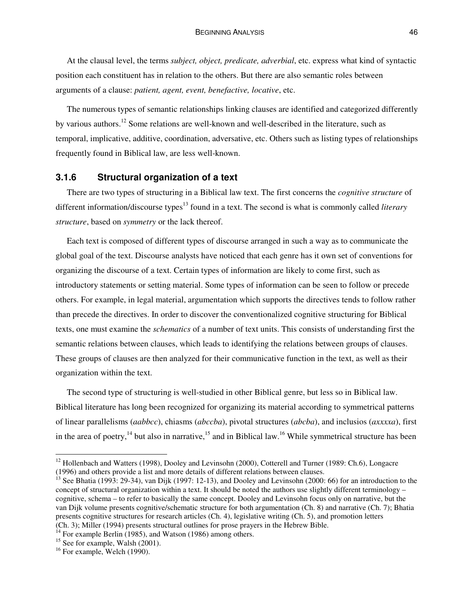At the clausal level, the terms *subject, object, predicate, adverbial*, etc. express what kind of syntactic position each constituent has in relation to the others. But there are also semantic roles between arguments of a clause: *patient, agent, event, benefactive, locative*, etc.

The numerous types of semantic relationships linking clauses are identified and categorized differently by various authors.<sup>12</sup> Some relations are well-known and well-described in the literature, such as temporal, implicative, additive, coordination, adversative, etc. Others such as listing types of relationships frequently found in Biblical law, are less well-known.

## **3.1.6 Structural organization of a text**

There are two types of structuring in a Biblical law text. The first concerns the *cognitive structure* of different information/discourse types 13 found in a text. The second is what is commonly called *literary structure*, based on *symmetry* or the lack thereof.

Each text is composed of different types of discourse arranged in such a way as to communicate the global goal of the text. Discourse analysts have noticed that each genre has it own set of conventions for organizing the discourse of a text. Certain types of information are likely to come first, such as introductory statements or setting material. Some types of information can be seen to follow or precede others. For example, in legal material, argumentation which supports the directives tends to follow rather than precede the directives. In order to discover the conventionalized cognitive structuring for Biblical texts, one must examine the *schematics* of a number of text units. This consists of understanding first the semantic relations between clauses, which leads to identifying the relations between groups of clauses. These groups of clauses are then analyzed for their communicative function in the text, as well as their organization within the text.

The second type of structuring is well-studied in other Biblical genre, but less so in Biblical law. Biblical literature has long been recognized for organizing its material according to symmetrical patterns of linear parallelisms (*aabbcc*), chiasms (*abccba*), pivotal structures (*abcba*), and inclusios (*axxxxa*), first in the area of poetry,<sup>14</sup> but also in narrative,<sup>15</sup> and in Biblical law.<sup>16</sup> While symmetrical structure has been

<sup>&</sup>lt;sup>12</sup> Hollenbach and Watters (1998), Dooley and Levinsohn (2000), Cotterell and Turner (1989: Ch.6), Longacre (1996) and others provide a list and more details of different relations between clauses.

<sup>&</sup>lt;sup>13</sup> See Bhatia (1993: 29-34), van Dijk (1997: 12-13), and Dooley and Levinsohn (2000: 66) for an introduction to the concept of structural organization within a text. It should be noted the authors use slightly different terminology – cognitive, schema – to refer to basically the same concept. Dooley and Levinsohn focus only on narrative, but the van Dijk volume presents cognitive/schematic structure for both argumentation (Ch. 8) and narrative (Ch. 7); Bhatia presents cognitive structures for research articles (Ch. 4), legislative writing (Ch. 5), and promotion letters (Ch. 3); Miller (1994) presents structural outlines for prose prayers in the Hebrew Bible.

<sup>&</sup>lt;sup>14</sup> For example Berlin (1985), and Watson (1986) among others.

<sup>&</sup>lt;sup>15</sup> See for example, Walsh (2001).

<sup>&</sup>lt;sup>16</sup> For example, Welch (1990).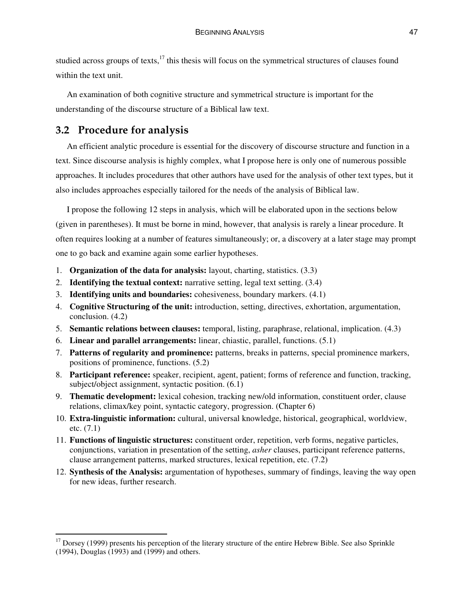studied across groups of texts,<sup>17</sup> this thesis will focus on the symmetrical structures of clauses found within the text unit.

An examination of both cognitive structure and symmetrical structure is important for the understanding of the discourse structure of a Biblical law text.

# **3.2 Procedure for analysis**

An efficient analytic procedure is essential for the discovery of discourse structure and function in a text. Since discourse analysis is highly complex, what I propose here is only one of numerous possible approaches. It includes procedures that other authors have used for the analysis of other text types, but it also includes approaches especially tailored for the needs of the analysis of Biblical law.

I propose the following 12 steps in analysis, which will be elaborated upon in the sections below (given in parentheses). It must be borne in mind, however, that analysis is rarely a linear procedure. It often requires looking at a number of features simultaneously; or, a discovery at a later stage may prompt one to go back and examine again some earlier hypotheses.

- 1. **Organization of the data for analysis:** layout, charting, statistics. (3.3)
- 2. **Identifying the textual context:** narrative setting, legal text setting. (3.4)
- 3. **Identifying units and boundaries:** cohesiveness, boundary markers. (4.1)
- 4. **Cognitive Structuring of the unit:** introduction, setting, directives, exhortation, argumentation, conclusion. (4.2)
- 5. **Semantic relations between clauses:** temporal, listing, paraphrase, relational, implication. (4.3)
- 6. **Linear and parallel arrangements:** linear, chiastic, parallel, functions. (5.1)
- 7. **Patterns of regularity and prominence:** patterns, breaks in patterns, special prominence markers, positions of prominence, functions. (5.2)
- 8. **Participant reference:** speaker, recipient, agent, patient; forms of reference and function, tracking, subject/object assignment, syntactic position. (6.1)
- 9. **Thematic development:** lexical cohesion, tracking new/old information, constituent order, clause relations, climax/key point, syntactic category, progression. (Chapter 6)
- 10. **Extra-linguistic information:** cultural, universal knowledge, historical, geographical, worldview, etc. (7.1)
- 11. **Functions of linguistic structures:** constituent order, repetition, verb forms, negative particles, conjunctions, variation in presentation of the setting, *asher* clauses, participant reference patterns, clause arrangement patterns, marked structures, lexical repetition, etc. (7.2)
- 12. **Synthesis of the Analysis:** argumentation of hypotheses, summary of findings, leaving the way open for new ideas, further research.

 $17$  Dorsey (1999) presents his perception of the literary structure of the entire Hebrew Bible. See also Sprinkle (1994), Douglas (1993) and (1999) and others.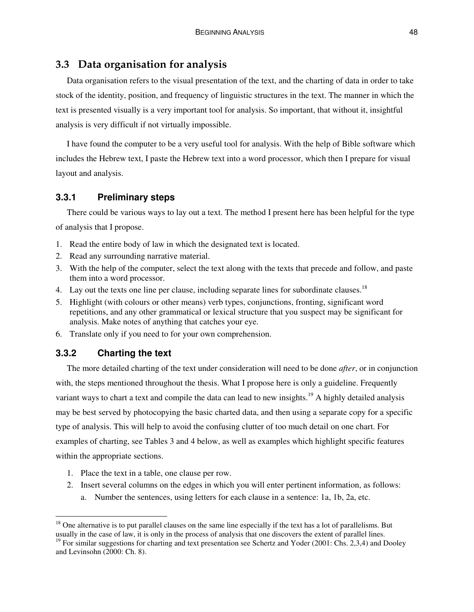# **3.3 Data organisation for analysis**

Data organisation refers to the visual presentation of the text, and the charting of data in order to take stock of the identity, position, and frequency of linguistic structures in the text. The manner in which the text is presented visually is a very important tool for analysis. So important, that without it, insightful analysis is very difficult if not virtually impossible.

I have found the computer to be a very useful tool for analysis. With the help of Bible software which includes the Hebrew text, I paste the Hebrew text into a word processor, which then I prepare for visual layout and analysis.

## **3.3.1 Preliminary steps**

There could be various ways to lay out a text. The method I present here has been helpful for the type of analysis that I propose.

- 1. Read the entire body of law in which the designated text is located.
- 2. Read any surrounding narrative material.
- 3. With the help of the computer, select the text along with the texts that precede and follow, and paste them into a word processor.
- 4. Lay out the texts one line per clause, including separate lines for subordinate clauses.<sup>18</sup>
- 5. Highlight (with colours or other means) verb types, conjunctions, fronting, significant word repetitions, and any other grammatical or lexical structure that you suspect may be significant for analysis. Make notes of anything that catches your eye.
- 6. Translate only if you need to for your own comprehension.

# **3.3.2 Charting the text**

The more detailed charting of the text under consideration will need to be done *after*, or in conjunction with, the steps mentioned throughout the thesis. What I propose here is only a guideline. Frequently variant ways to chart a text and compile the data can lead to new insights.<sup>19</sup> A highly detailed analysis may be best served by photocopying the basic charted data, and then using a separate copy for a specific type of analysis. This will help to avoid the confusing clutter of too much detail on one chart. For examples of charting, see Tables 3 and 4 below, as well as examples which highlight specific features within the appropriate sections.

- 1. Place the text in a table, one clause per row.
- 2. Insert several columns on the edges in which you will enter pertinent information, as follows:
	- a. Number the sentences, using letters for each clause in a sentence: 1a, 1b, 2a, etc.

 $18$  One alternative is to put parallel clauses on the same line especially if the text has a lot of parallelisms. But usually in the case of law, it is only in the process of analysis that one discovers the extent of parallel lines.

<sup>&</sup>lt;sup>19</sup> For similar suggestions for charting and text presentation see Schertz and Yoder (2001: Chs. 2,3,4) and Dooley and Levinsohn (2000: Ch. 8).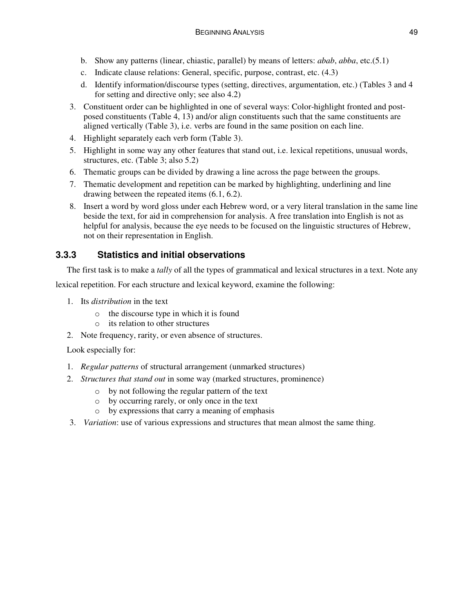- b. Show any patterns (linear, chiastic, parallel) by means of letters: *abab*, *abba*, etc.(5.1)
- c. Indicate clause relations: General, specific, purpose, contrast, etc. (4.3)
- d. Identify information/discourse types (setting, directives, argumentation, etc.) (Tables 3 and 4 for setting and directive only; see also 4.2)
- 3. Constituent order can be highlighted in one of several ways: Color-highlight fronted and postposed constituents (Table 4, 13) and/or align constituents such that the same constituents are aligned vertically (Table 3), i.e. verbs are found in the same position on each line.
- 4. Highlight separately each verb form (Table 3).
- 5. Highlight in some way any other features that stand out, i.e. lexical repetitions, unusual words, structures, etc. (Table 3; also 5.2)
- 6. Thematic groups can be divided by drawing a line across the page between the groups.
- 7. Thematic development and repetition can be marked by highlighting, underlining and line drawing between the repeated items (6.1, 6.2).
- 8. Insert a word by word gloss under each Hebrew word, or a very literal translation in the same line beside the text, for aid in comprehension for analysis. A free translation into English is not as helpful for analysis, because the eye needs to be focused on the linguistic structures of Hebrew, not on their representation in English.

# **3.3.3 Statistics and initial observations**

The first task is to make a *tally* of all the types of grammatical and lexical structures in a text. Note any

lexical repetition. For each structure and lexical keyword, examine the following:

- 1. Its *distribution* in the text
	- o the discourse type in which it is found
	- o its relation to other structures
- 2. Note frequency, rarity, or even absence of structures.

Look especially for:

- 1. *Regular patterns* of structural arrangement (unmarked structures)
- 2. *Structures that stand out* in some way (marked structures, prominence)
	- o by not following the regular pattern of the text
	- o by occurring rarely, or only once in the text
	- o by expressions that carry a meaning of emphasis
- 3. *Variation*: use of various expressions and structures that mean almost the same thing.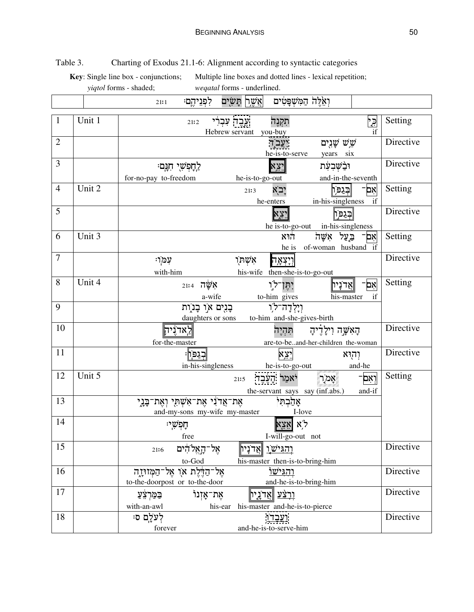Table 3. Charting of Exodus 21.1-6: Alignment according to syntactic categories

**Key**: Single line box - conjunctions; Multiple line boxes and dotted lines - lexical repetition; *yiqtol* forms - shaded; *weqatal* forms - underlined.

|                 |        | אֲשֶׁרִן תָּשָׂיִם<br>לִפְנֵיהֶם<br>21:1                                                      | וְאִלֶּהֹ הַמִּשְׁפָּטִים                                                                       |           |
|-----------------|--------|-----------------------------------------------------------------------------------------------|-------------------------------------------------------------------------------------------------|-----------|
| $\mathbf{1}$    | Unit 1 | ְעֱבֶד עִבְרִי<br>21:2<br>Hebrew servant you-buy                                              | תִּקְנֶה<br>٦.<br>م<br>if                                                                       | Setting   |
| $\overline{2}$  |        |                                                                                               | שֻׁ <i>ּנָיִים ש</i> ָׁנִים<br>יִעֲבֹד<br>he-is-to-serve<br>years six                           | Directive |
| 3               |        | לַחָפְשָׁי חִגָּם<br>he-is-to-go-out<br>for-no-pay to-freedom                                 | <b>x 3.7</b><br>וּבַ <i>ٰשְׁבִעָּת</i><br>and-in-the-seventh                                    | Directive |
| $\overline{4}$  | Unit 2 | 21:3<br>he-enters                                                                             | יָבֹא<br>ادذرا<br>אִם<br>in-his-singleness<br>if                                                | Setting   |
| 5               |        |                                                                                               | <u> בְּגַפְּיָ</u><br><b>x יצא</b><br>he is-to-go-out in-his-singleness                         | Directive |
| 6               | Unit 3 |                                                                                               | אִם <sup>_</sup> בַּעֲל אִשָּׁה<br>הוא<br>of-woman husband if<br>he is                          | Setting   |
| $\overline{7}$  |        | יִנְמֹן<br>אָשְׁחָיָ<br>with-him                                                              | וְיָצְאָה<br>his-wife then-she-is-to-go-out                                                     | Directive |
| 8               | Unit 4 | $21:4$ אֲשֱׁה<br>a-wife                                                                       | יִהֵן־לו<br>'nΧ<br><u> אֲדֹנָין</u><br>to-him_gives<br>his-master<br>if                         | Setting   |
| 9               |        | בְּנֻיִם אוַ בָּנוֶת<br>daughters or sons                                                     | וִיָלְדָה־לֹו<br>to-him and-she-gives-birth                                                     |           |
| 10              |        | לַאַדוֵיהַ<br>for-the-master                                                                  | הַאִשָּׁה וִילַדִיהַ<br>תהיה<br>are-to-beand-her-children the-woman                             | Directive |
| 11              |        | <u>ּ בְּגַפ</u> ּוֹן<br>in-his-singleness                                                     | <u>יצ</u> א<br>וְהוּא<br>and-he<br>he-is-to-go-out                                              | Directive |
| 12              | Unit 5 | 21:5                                                                                          | <mark>וְאִם</mark> ־<br>יֹאמַר הָעֶבֶד<br>ٞ؉ؚٟٟٚ؆؉<br>the-servant says say (inf.abs.)<br>and-if | Setting   |
| 13              |        | אֶת־אֲד <sup>ּי</sup> נִי אֶת־אִשְׁתָּי וְאֶת־בָּנֶי<br>and-my-sons my-wife my-master         | אָהַבְהִי<br>I-love                                                                             |           |
| 14              |        | ּחַפִשִׁי<br>free                                                                             | לא אצי<br>I-will-go-out not                                                                     |           |
| $\overline{15}$ |        | ╔<br>אָל־הָאֱלֹהִים<br>וְהַגִּיֹ <u>שׂו</u> ָ ∥אֲדֹנָיו∥<br>21:6<br>$\mbox{to-God}$           | his-master then-is-to-bring-him                                                                 | Directive |
| 16              |        | אָל־הַדֶּלֶת אֹן אֶל־הַמְּזוּיָזֶה<br>to-the-doorpost or to-the-door                          | והגישו<br>and-he-is-to-bring-him                                                                | Directive |
| 17              |        | אָת־אַזִנוֹ<br><u>וְרְצַׁע ∥אֲ</u> ד'נָיָין<br><u>בַּמַּ</u> רְצֵעַ<br>with-an-awl<br>his-ear | his-master and-he-is-to-pierce                                                                  | Directive |
| 18              |        | לְעֹלָם ס<br>forever<br>and-he-is-to-serve-him                                                | <u>ועָבְדוָ</u>                                                                                 | Directive |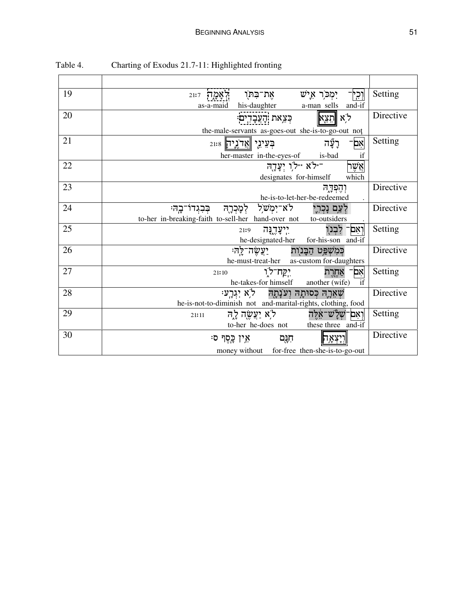| 19 | אֶת־בִּחוָ<br>יִמְכֹּרְ אִישׁ<br>וְכְי<br>21:7<br>his-daughter a-man sells<br>and-if<br>as-a-maid                                      | Setting   |
|----|----------------------------------------------------------------------------------------------------------------------------------------|-----------|
| 20 | ל,א ∥הַצֵא<br>ּכְּצִאת הָעֲבָדִים<br>the-male-servants as-goes-out she-is-to-go-out not                                                | Directive |
| 21 | רַעֲ֫ה<br>בְעֵינֵי ∥אֲדֹנֵיִיק¶<br>אם<br>her-master in-the-eyes-of is-bad                                                              | Setting   |
| 22 | ילא <i>יילו</i> יְעֲדָה -<br>אֲשֶׁר<br>which<br>designates for-himself                                                                 |           |
| 23 | יְהֶפְדֶה<br>he-is-to-let-her-be-redeemed                                                                                              | Directive |
| 24 | לְעַם נָכְרְיָ לֹא־יִמְשׁל לְמָכְרָהּ בְּבִגְדוֹ־בָה <del>ּ</del> :<br>to-her in-breaking-faith to-sell-her hand-over not to-outsiders | Directive |
| 25 | וְאִם־ לִבְנוֻ<br>יִיעֲדֶנָּה<br>21:9<br>he-designated-her for-his-son and-if                                                          | Setting   |
| 26 | <u>יַעֲשֶׂה־לֵה</u><br>כִּמְשָׁפֵּט הַבַּנוִת<br>he-must-treat-her as-custom for-daughters                                             | Directive |
| 27 | יִקֲח־לוִ<br>אָם<br>אַחָרֵת<br>21:10<br>he-takes-for himself another (wife)                                                            | Setting   |
| 28 | שְׁאֲרָה כִּסוּתָה וְעֹנָתָה   לֹא יְגִרָע<br>he-is-not-to-diminish not and-marital-rights, clothing, food                             | Directive |
| 29 | לְא יַצֲשֱה לָה<br>וְיִאִם־שָׁלָ <sup>י</sup> ש־אַלַה<br>21:11<br>to-her he-does not<br>these three and-if                             | Setting   |
| 30 | ּחִנָּם אֵין כֵפֶר ס<br>יִיִצְאָה<br>money without for-free then-she-is-to-go-out                                                      | Directive |

Table 4. Charting of Exodus 21.7-11: Highlighted fronting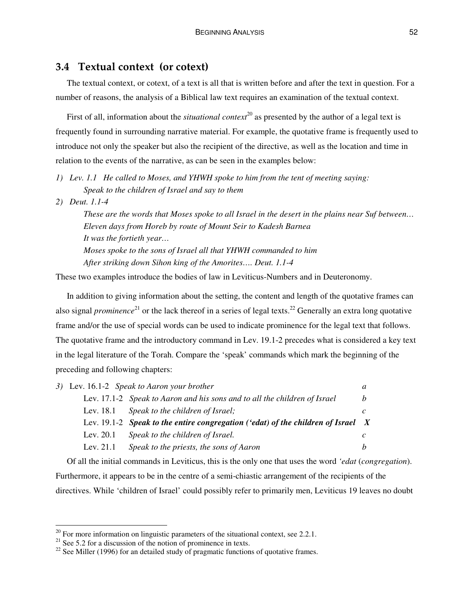# **3.4 Textual context (or cotext)**

The textual context, or cotext, of a text is all that is written before and after the text in question. For a number of reasons, the analysis of a Biblical law text requires an examination of the textual context.

First of all, information about the *situational context* 20 as presented by the author of a legal text is frequently found in surrounding narrative material. For example, the quotative frame is frequently used to introduce not only the speaker but also the recipient of the directive, as well as the location and time in relation to the events of the narrative, as can be seen in the examples below:

- *1) Lev. 1.1 He called to Moses, and YHWH spoke to him from the tent of meeting saying: Speak to the children of Israel and say to them*
- *2) Deut. 1.1-4*

These are the words that Moses spoke to all Israel in the desert in the plains near Suf between... *Eleven days from Horeb by route of Mount Seir to Kadesh Barnea It was the fortieth year… Moses spoke to the sons of Israel all that YHWH commanded to him After striking down Sihon king of the Amorites…. Deut. 1.1-4*

These two examples introduce the bodies of law in Leviticus-Numbers and in Deuteronomy.

In addition to giving information about the setting, the content and length of the quotative frames can also signal *prominence*<sup>21</sup> or the lack thereof in a series of legal texts.<sup>22</sup> Generally an extra long quotative frame and/or the use of special words can be used to indicate prominence for the legal text that follows. The quotative frame and the introductory command in Lev. 19.1-2 precedes what is considered a key text in the legal literature of the Torah. Compare the 'speak' commands which mark the beginning of the preceding and following chapters:

|             | 3) Lev. 16.1-2 Speak to Aaron your brother                                         |   |
|-------------|------------------------------------------------------------------------------------|---|
|             | Lev. 17.1-2 Speak to Aaron and his sons and to all the children of Israel          | h |
|             | Lev. 18.1 Speak to the children of Israel;                                         |   |
|             | Lev. 19.1-2 Speak to the entire congregation ('edat) of the children of Israel $X$ |   |
|             |                                                                                    |   |
| Lev. 20.1   | Speak to the children of Israel.                                                   |   |
| Lev. $21.1$ | Speak to the priests, the sons of Aaron                                            |   |

Of all the initial commands in Leviticus, this is the only one that uses the word *'edat* (*congregation*). Furthermore, it appears to be in the centre of a semi-chiastic arrangement of the recipients of the directives. While 'children of Israel' could possibly refer to primarily men, Leviticus 19 leaves no doubt

 $20$  For more information on linguistic parameters of the situational context, see 2.2.1.

 $21$  See 5.2 for a discussion of the notion of prominence in texts.

 $22$  See Miller (1996) for an detailed study of pragmatic functions of quotative frames.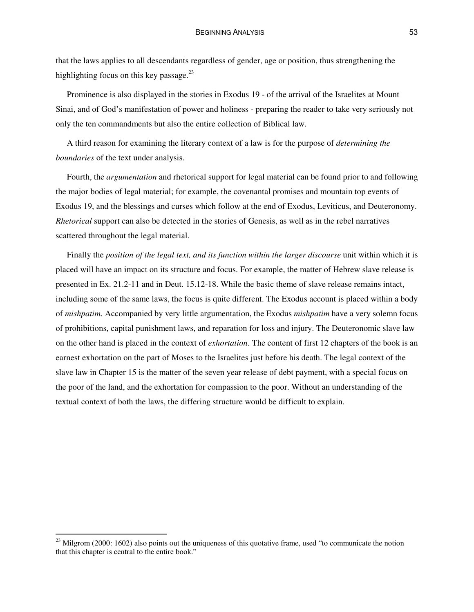that the laws applies to all descendants regardless of gender, age or position, thus strengthening the highlighting focus on this key passage.<sup>23</sup>

Prominence is also displayed in the stories in Exodus 19 - of the arrival of the Israelites at Mount Sinai, and of God's manifestation of power and holiness - preparing the reader to take very seriously not only the ten commandments but also the entire collection of Biblical law.

A third reason for examining the literary context of a law is for the purpose of *determining the boundaries* of the text under analysis.

Fourth, the *argumentation* and rhetorical support for legal material can be found prior to and following the major bodies of legal material; for example, the covenantal promises and mountain top events of Exodus 19, and the blessings and curses which follow at the end of Exodus, Leviticus, and Deuteronomy. *Rhetorical* support can also be detected in the stories of Genesis, as well as in the rebel narratives scattered throughout the legal material.

Finally the *position of the legal text, and its function within the larger discourse* unit within which it is placed will have an impact on its structure and focus. For example, the matter of Hebrew slave release is presented in Ex. 21.2-11 and in Deut. 15.12-18. While the basic theme of slave release remains intact, including some of the same laws, the focus is quite different. The Exodus account is placed within a body of *mishpatim*. Accompanied by very little argumentation, the Exodus *mishpatim* have a very solemn focus of prohibitions, capital punishment laws, and reparation for loss and injury. The Deuteronomic slave law on the other hand is placed in the context of *exhortation*. The content of first 12 chapters of the book is an earnest exhortation on the part of Moses to the Israelites just before his death. The legal context of the slave law in Chapter 15 is the matter of the seven year release of debt payment, with a special focus on the poor of the land, and the exhortation for compassion to the poor. Without an understanding of the textual context of both the laws, the differing structure would be difficult to explain.

 $23$  Milgrom (2000: 1602) also points out the uniqueness of this quotative frame, used "to communicate the notion that this chapter is central to the entire book."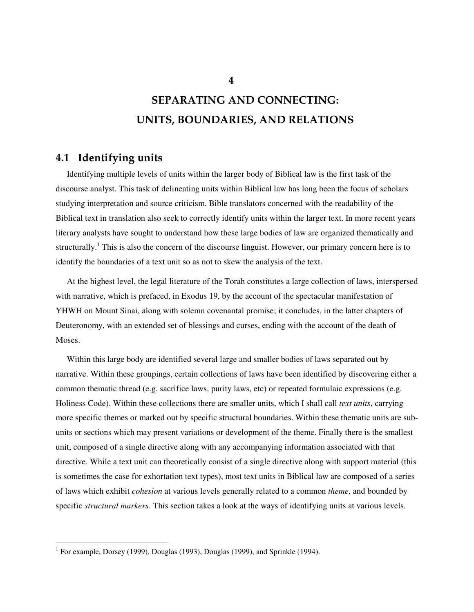# **SEPARATING AND CONNECTING: UNITS, BOUNDARIES, AND RELATIONS**

# **4.1 Identifying units**

Identifying multiple levels of units within the larger body of Biblical law is the first task of the discourse analyst. This task of delineating units within Biblical law has long been the focus of scholars studying interpretation and source criticism. Bible translators concerned with the readability of the Biblical text in translation also seek to correctly identify units within the larger text. In more recent years literary analysts have sought to understand how these large bodies of law are organized thematically and structurally.<sup>1</sup> This is also the concern of the discourse linguist. However, our primary concern here is to identify the boundaries of a text unit so as not to skew the analysis of the text.

At the highest level, the legal literature of the Torah constitutes a large collection of laws, interspersed with narrative, which is prefaced, in Exodus 19, by the account of the spectacular manifestation of YHWH on Mount Sinai, along with solemn covenantal promise; it concludes, in the latter chapters of Deuteronomy, with an extended set of blessings and curses, ending with the account of the death of Moses.

Within this large body are identified several large and smaller bodies of laws separated out by narrative. Within these groupings, certain collections of laws have been identified by discovering either a common thematic thread (e.g. sacrifice laws, purity laws, etc) or repeated formulaic expressions (e.g. Holiness Code). Within these collections there are smaller units, which I shall call *text units*, carrying more specific themes or marked out by specific structural boundaries. Within these thematic units are subunits or sections which may present variations or development of the theme. Finally there is the smallest unit, composed of a single directive along with any accompanying information associated with that directive. While a text unit can theoretically consist of a single directive along with support material (this is sometimes the case for exhortation text types), most text units in Biblical law are composed of a series of laws which exhibit *cohesion* at various levels generally related to a common *theme*, and bounded by specific *structural markers*. This section takes a look at the ways of identifying units at various levels.

<sup>&</sup>lt;sup>1</sup> For example, Dorsey (1999), Douglas (1993), Douglas (1999), and Sprinkle (1994).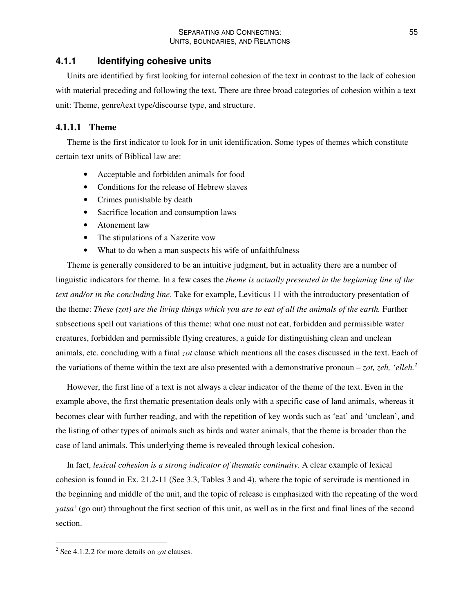## **4.1.1 Identifying cohesive units**

Units are identified by first looking for internal cohesion of the text in contrast to the lack of cohesion with material preceding and following the text. There are three broad categories of cohesion within a text unit: Theme, genre/text type/discourse type, and structure.

## **4.1.1.1 Theme**

Theme is the first indicator to look for in unit identification. Some types of themes which constitute certain text units of Biblical law are:

- Acceptable and forbidden animals for food
- Conditions for the release of Hebrew slaves
- Crimes punishable by death
- Sacrifice location and consumption laws
- Atonement law
- The stipulations of a Nazerite vow
- What to do when a man suspects his wife of unfaithfulness

Theme is generally considered to be an intuitive judgment, but in actuality there are a number of linguistic indicators for theme. In a few cases the *theme is actually presented in the beginning line of the text and/or in the concluding line*. Take for example, Leviticus 11 with the introductory presentation of the theme: These (zot) are the living things which you are to eat of all the animals of the earth. Further subsections spell out variations of this theme: what one must not eat, forbidden and permissible water creatures, forbidden and permissible flying creatures, a guide for distinguishing clean and unclean animals, etc. concluding with a final *zot* clause which mentions all the cases discussed in the text. Each of the variations of theme within the text are also presented with a demonstrative pronoun – *zot*, *zeh*, *'elleh.*<sup>2</sup>

However, the first line of a text is not always a clear indicator of the theme of the text. Even in the example above, the first thematic presentation deals only with a specific case of land animals, whereas it becomes clear with further reading, and with the repetition of key words such as 'eat' and 'unclean', and the listing of other types of animals such as birds and water animals, that the theme is broader than the case of land animals. This underlying theme is revealed through lexical cohesion.

In fact, *lexical cohesion is a strong indicator of thematic continuity*. A clear example of lexical cohesion is found in Ex. 21.2-11 (See 3.3, Tables 3 and 4), where the topic of servitude is mentioned in the beginning and middle of the unit, and the topic of release is emphasized with the repeating of the word *yatsa'* (go out) throughout the first section of this unit, as well as in the first and final lines of the second section.

<sup>2</sup> See 4.1.2.2 for more details on *zot* clauses.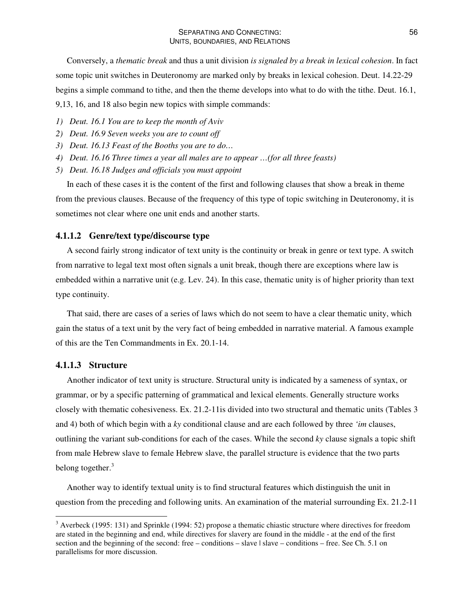Conversely, a *thematic break* and thus a unit division *is signaled by a break in lexical cohesion*. In fact some topic unit switches in Deuteronomy are marked only by breaks in lexical cohesion. Deut. 14.22-29 begins a simple command to tithe, and then the theme develops into what to do with the tithe. Deut. 16.1, 9,13, 16, and 18 also begin new topics with simple commands:

- *1) Deut. 16.1 You are to keep the month of Aviv*
- *2) Deut. 16.9 Seven weeks you are to count off*
- *3) Deut. 16.13 Feast of the Booths you are to do…*
- *4) Deut. 16.16 Three times a year all males are to appear …(for all three feasts)*
- *5) Deut. 16.18 Judges and officials you must appoint*

In each of these cases it is the content of the first and following clauses that show a break in theme from the previous clauses. Because of the frequency of this type of topic switching in Deuteronomy, it is sometimes not clear where one unit ends and another starts.

#### **4.1.1.2 Genre/text type/discourse type**

A second fairly strong indicator of text unity is the continuity or break in genre or text type. A switch from narrative to legal text most often signals a unit break, though there are exceptions where law is embedded within a narrative unit (e.g. Lev. 24). In this case, thematic unity is of higher priority than text type continuity.

That said, there are cases of a series of laws which do not seem to have a clear thematic unity, which gain the status of a text unit by the very fact of being embedded in narrative material. A famous example of this are the Ten Commandments in Ex. 20.1-14.

#### **4.1.1.3 Structure**

Another indicator of text unity is structure. Structural unity is indicated by a sameness of syntax, or grammar, or by a specific patterning of grammatical and lexical elements. Generally structure works closely with thematic cohesiveness. Ex. 21.2-11is divided into two structural and thematic units (Tables 3 and 4) both of which begin with a *ky* conditional clause and are each followed by three *'im* clauses, outlining the variant sub-conditions for each of the cases. While the second *ky* clause signals a topic shift from male Hebrew slave to female Hebrew slave, the parallel structure is evidence that the two parts belong together.<sup>3</sup>

Another way to identify textual unity is to find structural features which distinguish the unit in question from the preceding and following units. An examination of the material surrounding Ex. 21.2-11

 $3$  Averbeck (1995: 131) and Sprinkle (1994: 52) propose a thematic chiastic structure where directives for freedom are stated in the beginning and end, while directives for slavery are found in the middle - at the end of the first section and the beginning of the second: free – conditions – slave | slave – conditions – free. See Ch. 5.1 on parallelisms for more discussion.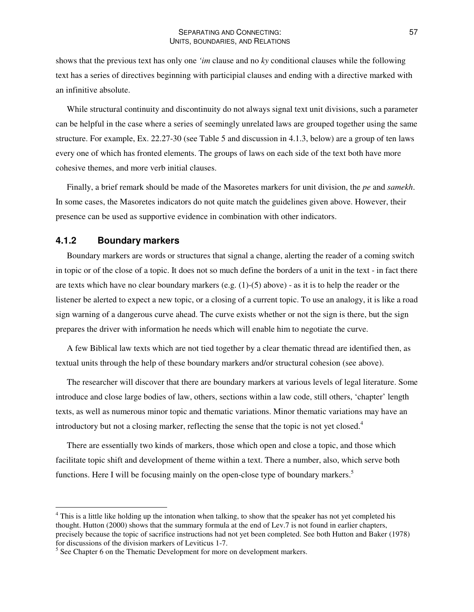shows that the previous text has only one *'im* clause and no *ky* conditional clauses while the following text has a series of directives beginning with participial clauses and ending with a directive marked with an infinitive absolute.

While structural continuity and discontinuity do not always signal text unit divisions, such a parameter can be helpful in the case where a series of seemingly unrelated laws are grouped together using the same structure. For example, Ex. 22.27-30 (see Table 5 and discussion in 4.1.3, below) are a group of ten laws every one of which has fronted elements. The groups of laws on each side of the text both have more cohesive themes, and more verb initial clauses.

Finally, a brief remark should be made of the Masoretes markers for unit division, the *pe* and *samekh*. In some cases, the Masoretes indicators do not quite match the guidelines given above. However, their presence can be used as supportive evidence in combination with other indicators.

## **4.1.2 Boundary markers**

Boundary markers are words or structures that signal a change, alerting the reader of a coming switch in topic or of the close of a topic. It does not so much define the borders of a unit in the text - in fact there are texts which have no clear boundary markers (e.g.  $(1)-(5)$  above) - as it is to help the reader or the listener be alerted to expect a new topic, or a closing of a current topic. To use an analogy, it is like a road sign warning of a dangerous curve ahead. The curve exists whether or not the sign is there, but the sign prepares the driver with information he needs which will enable him to negotiate the curve.

A few Biblical law texts which are not tied together by a clear thematic thread are identified then, as textual units through the help of these boundary markers and/or structural cohesion (see above).

The researcher will discover that there are boundary markers at various levels of legal literature. Some introduce and close large bodies of law, others, sections within a law code, still others, 'chapter' length texts, as well as numerous minor topic and thematic variations. Minor thematic variations may have an introductory but not a closing marker, reflecting the sense that the topic is not yet closed. 4

There are essentially two kinds of markers, those which open and close a topic, and those which facilitate topic shift and development of theme within a text. There a number, also, which serve both functions. Here I will be focusing mainly on the open-close type of boundary markers.<sup>5</sup>

<sup>&</sup>lt;sup>4</sup> This is a little like holding up the intonation when talking, to show that the speaker has not yet completed his thought. Hutton (2000) shows that the summary formula at the end of Lev.7 is not found in earlier chapters, precisely because the topic of sacrifice instructions had not yet been completed. See both Hutton and Baker (1978) for discussions of the division markers of Leviticus 1-7.

<sup>&</sup>lt;sup>5</sup> See Chapter 6 on the Thematic Development for more on development markers.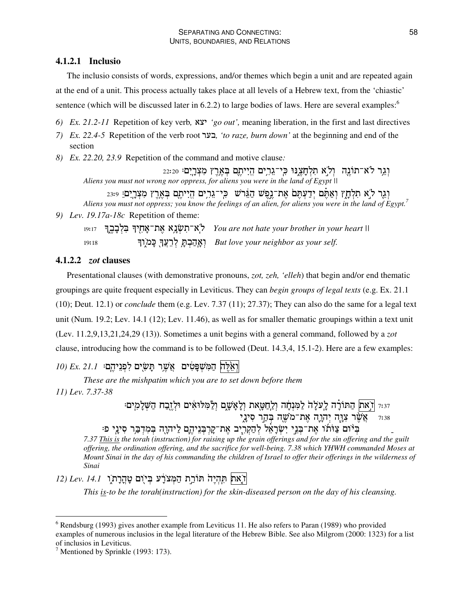## **4.1.2.1 Inclusio**

The inclusio consists of words, expressions, and/or themes which begin a unit and are repeated again at the end of a unit. This process actually takes place at all levels of a Hebrew text, from the 'chiastic' sentence (which will be discussed later in 6.2.2) to large bodies of laws. Here are several examples:<sup>6</sup>

*6) Ex. 21.2-11* Repetition of key verb*, 'go out',* meaning liberation, in the first and last directives

- *7) Ex. 22.4-5* Repetition of the verb root *, 'to raze, burn down'* at the beginning and end of the section
- *8) Ex. 22.20, 23.9* Repetition of the command and motive clause*:*

וְגֶר לֹא־תוֹנֶה ۚ וְלֹא תִלְחָצֶנּוּ כִּי־גֵרְיִם הֱיִיתֶם בְּאֶרֶץ מִצְרָיִם 22:20 *Aliens you must not wrong nor oppress, for aliens you were in the land of Egypt ||*

וְגֶר לֹא תִלְחָץ וְאַתֶּם יְדַעְתֶּם אֶת־נֶפֶשׁ הַגֵּרשׁ כִּי־גֵרִים הֱיִיתֶם בְּאֶרֶץ מִצְרָיֵם: 23:9 Aliens you must not oppress; you know the feelings of an alien, for aliens you were in the land of Egypt.<sup>7</sup> *9) Lev. 19.17a-18c* Repetition of theme:

GbFG^ S
3\$ SA% 
D %,3 *You are not hate your brother in your heart ||*  $19:18$ S;
3 +
",- *But love your neighbor as your self.*

# **4.1.2.2** *zot* **clauses**

Presentational clauses (with demonstrative pronouns, *zot, zeh, 'elleh*) that begin and/or end thematic groupings are quite frequent especially in Leviticus. They can *begin groups of legal texts* (e.g. Ex. 21.1 (10); Deut. 12.1) or *conclude* them (e.g. Lev. 7.37 (11); 27.37); They can also do the same for a legal text unit (Num. 19.2; Lev. 14.1 (12); Lev. 11.46), as well as for smaller thematic groupings within a text unit (Lev. 11.2,9,13,21,24,29 (13)). Sometimes a unit begins with a general command, followed by a *zot* clause, introducing how the command is to be followed (Deut. 14.3,4, 15.1-2). Here are a few examples:

# $\eta$ ן הַמְּשְׁפָּטִים אֲשֶׁר תָּשָׂים לִפְנֵיהֵם: 21.1 D) Fx. [1

*These are the mishpatim which you are to set down before them*

*11) Lev. 7.37-38*

וּ את| הַתּוֹרָה לַעֲלָה לַמְּנְחָה וְלַחֲטָאת וְלָאָשֶׁם וְלַמְּלוּאִים וּלְזֶבַח הַשְּׁלָמִים: -צִּטֵּר צְוָּה יְהָוֶה אֶת־מֹשֶׁה בְּהַר סִינָי?

ַ בִּיֹּוֹם צַוֹּתוֹ אֶת־בְּנֵי יִשְׂרָאֵל לְהַקְרָיָב אֶת־קָרְבְּנֵיהֶם לַיהוָה בְּמִדְבֵּר סִינֵי פ

7.37 This is the torah (instruction) for raising up the grain offerings and for the sin offering and the guilt *offering, the ordination offering, and the sacrifice for well-being. 7.38 which YHWH commanded Moses at* Mount Sinai in the day of his commanding the children of Israel to offer their offerings in the wilderness of *Sinai*

# וֹיָאת תְּהְיֶה תּוֹרֵת הַמְּצֹרָע בְּיוָם טָהֲרָת ו*'.14* / *Lev. 14.1*

*This is-to be the torah(instruction) for the skin-diseased person on the day of his cleansing.*

<sup>6</sup> Rendsburg (1993) gives another example from Leviticus 11. He also refers to Paran (1989) who provided examples of numerous inclusios in the legal literature of the Hebrew Bible. See also Milgrom (2000: 1323) for a list of inclusios in Leviticus.

 $<sup>7</sup>$  Mentioned by Sprinkle (1993: 173).</sup>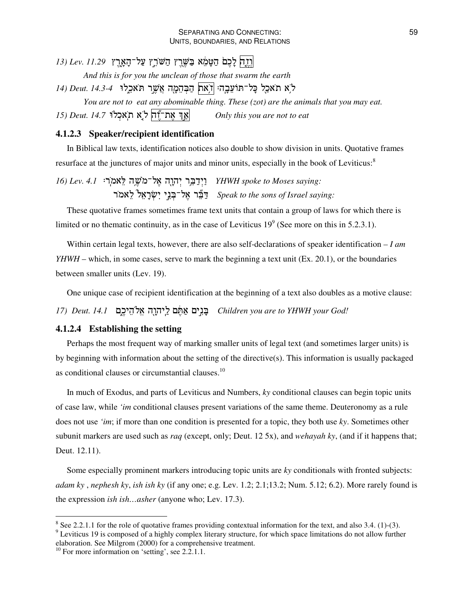# $\mu$ לְרֵק לְכֶם הַטָּמֶא בַּשֶּׁרֵץ הַשֹּׁרֵץ עַל־הָאָרֵץ 11.29 It<u>y</u>

*And this is for you the unclean of those that swarm the earth*

לא תאכל כָּל־תּוֹעֵבָה: |דְאת| הַבְּהֵמָה אֲשֶר תּאכֵלוּ *14.3-4 Deut. 14.3-4* 

*You are not to eat any abominable thing. These (zot) are the animals that you may eat.* ת־יֶֿה ל ָא תאכלו *14.7* Deut. ת V " *Only this you are not to eat*

#### **4.1.2.3 Speaker/recipient identification**

In Biblical law texts, identification notices also double to show division in units. Quotative frames resurface at the junctures of major units and minor units, especially in the book of Leviticus:<sup>8</sup>

*16) Lev. 4.1* .,9 2 %3 - \$"H- *YHWH spoke to Moses saying:* 3 M3
D 1 
\$%3 `\$"J *Speak to the sons of Israel saying:*

These quotative frames sometimes frame text units that contain a group of laws for which there is limited or no thematic continuity, as in the case of Leviticus  $19^9$  (See more on this in 5.2.3.1).

Within certain legal texts, however, there are also self-declarations of speaker identification *– I am YHWH* – which, in some cases, serve to mark the beginning a text unit (Ex. 20.1), or the boundaries between smaller units (Lev. 19).

One unique case of recipient identification at the beginning of a text also doubles as a motive clause:

*17) Deut. 14.1* &=3R -,"3 &+" & \$ *Children you are to YHWH your God!*

#### **4.1.2.4 Establishing the setting**

Perhaps the most frequent way of marking smaller units of legal text (and sometimes larger units) is by beginning with information about the setting of the directive(s). This information is usually packaged as conditional clauses or circumstantial clauses.<sup>10</sup>

In much of Exodus, and parts of Leviticus and Numbers, *ky* conditional clauses can begin topic units of case law, while *'im* conditional clauses present variations of the same theme. Deuteronomy as a rule does not use *'im*; if more than one condition is presented for a topic, they both use *ky*. Sometimes other subunit markers are used such as *raq* (except, only; Deut. 12 5x), and *wehayah ky*, (and if it happens that; Deut. 12.11).

Some especially prominent markers introducing topic units are *ky* conditionals with fronted subjects: *adam ky* , *nephesh ky*, *ish ish ky* (if any one; e.g. Lev. 1.2; 2.1;13.2; Num. 5.12; 6.2). More rarely found is the expression *ish ish…asher* (anyone who; Lev. 17.3).

 $8$  See 2.2.1.1 for the role of quotative frames providing contextual information for the text, and also 3.4. (1)-(3). <sup>9</sup> Leviticus 19 is composed of a highly complex literary structure, for which space limitations do not allow further

elaboration. See Milgrom (2000) for a comprehensive treatment.

<sup>&</sup>lt;sup>10</sup> For more information on 'setting', see 2.2.1.1.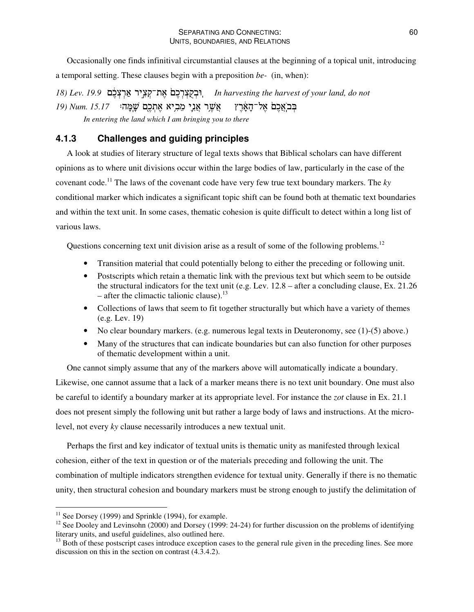Occasionally one finds infinitival circumstantial clauses at the beginning of a topical unit, introducing a temporal setting. These clauses begin with a preposition *be-* (in, when):

*18) Lev. 19.9* &=

" 
% &=

>
?6 *In harvesting the harvest of your land, do not* בְּבֹאֲכֶם אֶל־הָאָרֵץ ) אֲשֶר אֲנֶי מֶבְיא אֶתְכֶם שָׁמָּה: *15.17 Num. In entering the land which I am bringing you to there*

# **4.1.3 Challenges and guiding principles**

A look at studies of literary structure of legal texts shows that Biblical scholars can have different opinions as to where unit divisions occur within the large bodies of law, particularly in the case of the covenant code. <sup>11</sup> The laws of the covenant code have very few true text boundary markers. The *ky* conditional marker which indicates a significant topic shift can be found both at thematic text boundaries and within the text unit. In some cases, thematic cohesion is quite difficult to detect within a long list of various laws.

Questions concerning text unit division arise as a result of some of the following problems.<sup>12</sup>

- Transition material that could potentially belong to either the preceding or following unit.
- Postscripts which retain a thematic link with the previous text but which seem to be outside the structural indicators for the text unit (e.g. Lev. 12.8 – after a concluding clause, Ex. 21.26 – after the climactic talionic clause).<sup>13</sup>
- Collections of laws that seem to fit together structurally but which have a variety of themes (e.g. Lev. 19)
- No clear boundary markers. (e.g. numerous legal texts in Deuteronomy, see (1)-(5) above.)
- Many of the structures that can indicate boundaries but can also function for other purposes of thematic development within a unit.

One cannot simply assume that any of the markers above will automatically indicate a boundary. Likewise, one cannot assume that a lack of a marker means there is no text unit boundary. One must also be careful to identify a boundary marker at its appropriate level. For instance the *zot* clause in Ex. 21.1 does not present simply the following unit but rather a large body of laws and instructions. At the microlevel, not every *ky* clause necessarily introduces a new textual unit.

Perhaps the first and key indicator of textual units is thematic unity as manifested through lexical cohesion, either of the text in question or of the materials preceding and following the unit. The combination of multiple indicators strengthen evidence for textual unity. Generally if there is no thematic unity, then structural cohesion and boundary markers must be strong enough to justify the delimitation of

<sup>&</sup>lt;sup>11</sup> See Dorsey (1999) and Sprinkle (1994), for example.

 $12$  See Dooley and Levinsohn (2000) and Dorsey (1999: 24-24) for further discussion on the problems of identifying literary units, and useful guidelines, also outlined here.

<sup>&</sup>lt;sup>13</sup> Both of these postscript cases introduce exception cases to the general rule given in the preceding lines. See more discussion on this in the section on contrast (4.3.4.2).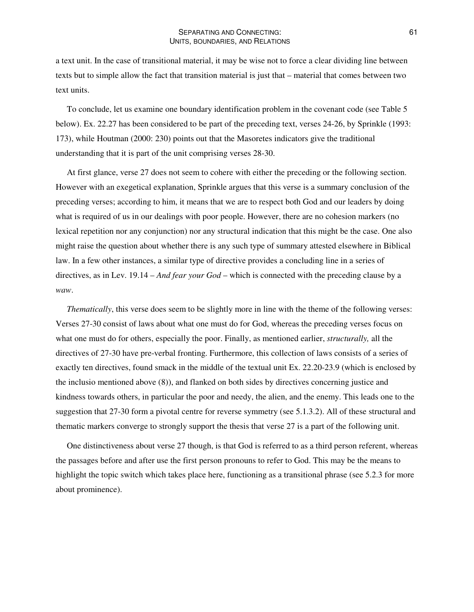a text unit. In the case of transitional material, it may be wise not to force a clear dividing line between texts but to simple allow the fact that transition material is just that – material that comes between two text units.

To conclude, let us examine one boundary identification problem in the covenant code (see Table 5 below). Ex. 22.27 has been considered to be part of the preceding text, verses 24-26, by Sprinkle (1993: 173), while Houtman (2000: 230) points out that the Masoretes indicators give the traditional understanding that it is part of the unit comprising verses 28-30.

At first glance, verse 27 does not seem to cohere with either the preceding or the following section. However with an exegetical explanation, Sprinkle argues that this verse is a summary conclusion of the preceding verses; according to him, it means that we are to respect both God and our leaders by doing what is required of us in our dealings with poor people. However, there are no cohesion markers (no lexical repetition nor any conjunction) nor any structural indication that this might be the case. One also might raise the question about whether there is any such type of summary attested elsewhere in Biblical law. In a few other instances, a similar type of directive provides a concluding line in a series of directives, as in Lev. 19.14 – *And fear your God* – which is connected with the preceding clause by a *waw*.

*Thematically*, this verse does seem to be slightly more in line with the theme of the following verses: Verses 27-30 consist of laws about what one must do for God, whereas the preceding verses focus on what one must do for others, especially the poor. Finally, as mentioned earlier, *structurally,* all the directives of 27-30 have pre-verbal fronting. Furthermore, this collection of laws consists of a series of exactly ten directives, found smack in the middle of the textual unit Ex. 22.20-23.9 (which is enclosed by the inclusio mentioned above (8)), and flanked on both sides by directives concerning justice and kindness towards others, in particular the poor and needy, the alien, and the enemy. This leads one to the suggestion that 27-30 form a pivotal centre for reverse symmetry (see 5.1.3.2). All of these structural and thematic markers converge to strongly support the thesis that verse 27 is a part of the following unit.

One distinctiveness about verse 27 though, is that God is referred to as a third person referent, whereas the passages before and after use the first person pronouns to refer to God. This may be the means to highlight the topic switch which takes place here, functioning as a transitional phrase (see 5.2.3 for more about prominence).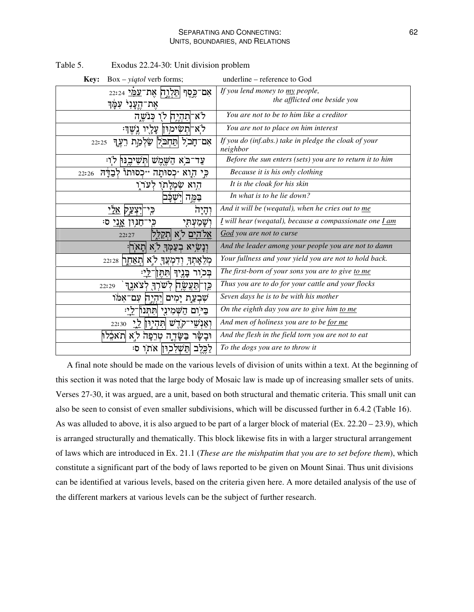| $Box - yield$ verb forms;<br>Key:                                          | underline – reference to God                                      |
|----------------------------------------------------------------------------|-------------------------------------------------------------------|
| אִם־כֶּסֶף הַלְיֶךָ <b>ק אֶת־<u>עַמַּי</u> 22:24</b><br>את־הֱעֲנִי עִמַּךְ | If you lend money to my people,<br>the afflicted one beside you   |
| לא־תהיה לו כנשה                                                            | You are not to be to him like a creditor                          |
| לֹא־תְשִׂימִוּן עֲלָיו<br>ּנשׁוּ                                           | You are not to place on him interest                              |
| תַּחְבֹּלֻ  שַׂלְמַת רֵעֶךָ<br>אם־חַבל<br>22:25                            | If you do (inf.abs.) take in pledge the cloak of your<br>neighbor |
| לוי<br>ֿב <i>ֶא</i> הַשֶּׁמֶשׁ  תִּשִׁיבֵנּוּ<br>עד־                       | Before the sun enters (sets) you are to return it to him          |
| כִּי הָוא ∗כְסוּתַה ∗יכְסוּתוֹ לִבְדַּה<br>22:26                           | Because it is his only clothing                                   |
| הוא שמלחו לערו                                                             | It is the cloak for his skin                                      |
| ישכב<br>בַּמֱה                                                             | In what is to he lie down?                                        |
| יִצְעֲק <u>אלי</u><br>וְהָיָה<br>כֵי                                       | And it will be (wegatal), when he cries out to me                 |
| וִשָּׁמַעְהָי<br>ּחַנִּוּן <u>אַני</u> סי                                  | I will hear (wegatal), because a compassionate one <i>Lam</i>     |
| אלהים לא<br>ותקלל<br>22:27                                                 | God you are not to curse                                          |
| ּוְנָשְׂיָא בְעַמְּךָ לֹא תֲאֹרן                                           | And the leader among your people you are not to damn              |
| מְלֵאָתְךְ וְדִמְעֲךָ לֹא תְאַחֶך 22:28                                    | Your fullness and your yield you are not to hold back.            |
| בִּכְוֹר בָּנֶיִךְ <mark>תִּתֶּן</mark>                                    | The first-born of your sons you are to give to me                 |
| לשרך לצאנד<br>כֵּן־חַעֲשֶׂה<br>22:29                                       | Thus you are to do for your cattle and your flocks                |
| שִׁבְעַת יָמִים וְיִהְיֵח עִם־אִמֹּו                                       | Seven days he is to be with his mother                            |
| ַּבַיּוֹם הַשָּׁמִינֵי  תִּתְּנוֹ                                          | On the eighth day you are to give him to me                       |
| ותֲהָיִוּן <u>ל</u> י<br>וִאַנִשֵי־ק <u>ְד</u> ִשׁ<br>22:30                | And men of holiness you are to be for me                          |
| ּוּבַשָּׂר<br>ּבַשָּׂדֶה טְרֵפָה לֹא  תאּבִלוּ                             | And the flesh in the field torn you are not to eat                |
| ּהַשִׁלְכִוּן אֹתו ס<br>לַכֶּלֶב                                           | To the dogs you are to throw it                                   |

Table 5. Exodus 22.24-30: Unit division problem

A final note should be made on the various levels of division of units within a text. At the beginning of this section it was noted that the large body of Mosaic law is made up of increasing smaller sets of units. Verses 27-30, it was argued, are a unit, based on both structural and thematic criteria. This small unit can also be seen to consist of even smaller subdivisions, which will be discussed further in 6.4.2 (Table 16). As was alluded to above, it is also argued to be part of a larger block of material (Ex. 22.20 – 23.9), which is arranged structurally and thematically. This block likewise fits in with a larger structural arrangement of laws which are introduced in Ex. 21.1 (*These are the mishpatim that you are to set before them*), which constitute a significant part of the body of laws reported to be given on Mount Sinai. Thus unit divisions can be identified at various levels, based on the criteria given here. A more detailed analysis of the use of the different markers at various levels can be the subject of further research.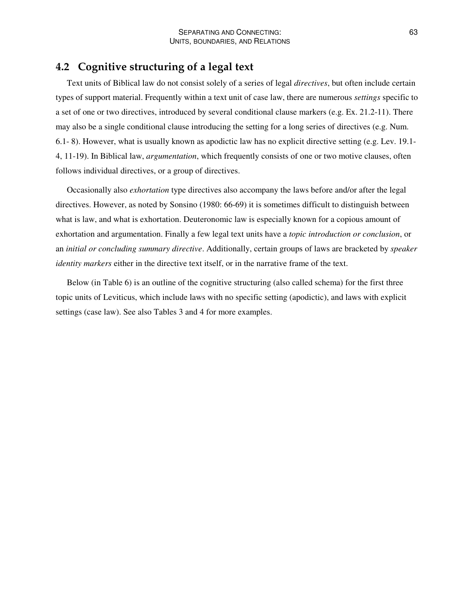# **4.2 Cognitive structuring of a legal text**

Text units of Biblical law do not consist solely of a series of legal *directives*, but often include certain types of support material. Frequently within a text unit of case law, there are numerous *settings* specific to a set of one or two directives, introduced by several conditional clause markers (e.g. Ex. 21.2-11). There may also be a single conditional clause introducing the setting for a long series of directives (e.g. Num. 6.1- 8). However, what is usually known as apodictic law has no explicit directive setting (e.g. Lev. 19.1- 4, 11-19). In Biblical law, *argumentation*, which frequently consists of one or two motive clauses, often follows individual directives, or a group of directives.

Occasionally also *exhortation* type directives also accompany the laws before and/or after the legal directives. However, as noted by Sonsino (1980: 66-69) it is sometimes difficult to distinguish between what is law, and what is exhortation. Deuteronomic law is especially known for a copious amount of exhortation and argumentation. Finally a few legal text units have a *topic introduction or conclusion*, or an *initial or concluding summary directive*. Additionally, certain groups of laws are bracketed by *speaker identity markers* either in the directive text itself, or in the narrative frame of the text.

Below (in Table 6) is an outline of the cognitive structuring (also called schema) for the first three topic units of Leviticus, which include laws with no specific setting (apodictic), and laws with explicit settings (case law). See also Tables 3 and 4 for more examples.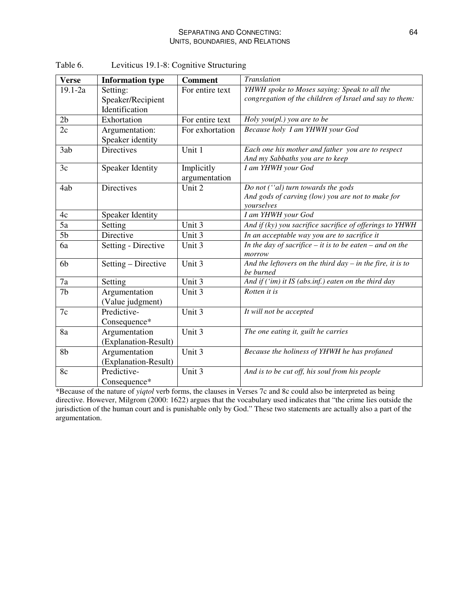| <b>Verse</b>   | <b>Information type</b>                         | <b>Comment</b>              | <b>Translation</b>                                                                                      |
|----------------|-------------------------------------------------|-----------------------------|---------------------------------------------------------------------------------------------------------|
| $19.1 - 2a$    | Setting:<br>Speaker/Recipient<br>Identification | For entire text             | YHWH spoke to Moses saying: Speak to all the<br>congregation of the children of Israel and say to them: |
| 2 <sub>b</sub> | Exhortation                                     | For entire text             | Holy you(pl.) you are to be                                                                             |
| 2c             | Argumentation:<br>Speaker identity              | For exhortation             | Because holy I am YHWH your God                                                                         |
| 3ab            | <b>Directives</b>                               | Unit 1                      | Each one his mother and father you are to respect<br>And my Sabbaths you are to keep                    |
| 3c             | <b>Speaker Identity</b>                         | Implicitly<br>argumentation | I am YHWH your God                                                                                      |
| 4ab            | Directives                                      | Unit 2                      | Do not ("al) turn towards the gods<br>And gods of carving (low) you are not to make for<br>vourselves   |
| 4c             | <b>Speaker Identity</b>                         |                             | I am YHWH your God                                                                                      |
| 5a             | Setting                                         | Unit 3                      | And if (ky) you sacrifice sacrifice of offerings to YHWH                                                |
| 5 <sub>b</sub> | Directive                                       | Unit 3                      | In an acceptable way you are to sacrifice it                                                            |
| 6a             | Setting - Directive                             | Unit 3                      | In the day of sacrifice $-$ it is to be eaten $-$ and on the<br>morrow                                  |
| 6b             | Setting - Directive                             | Unit 3                      | And the leftovers on the third day $-$ in the fire, it is to<br>be burned                               |
| 7a             | Setting                                         | Unit 3                      | And if $('im)$ it IS (abs.inf.) eaten on the third day                                                  |
| 7 <sub>b</sub> | Argumentation<br>(Value judgment)               | Unit 3                      | Rotten it is                                                                                            |
| 7c             | Predictive-<br>Consequence*                     | Unit 3                      | It will not be accepted                                                                                 |
| 8a             | Argumentation<br>(Explanation-Result)           | Unit 3                      | The one eating it, guilt he carries                                                                     |
| 8b             | Argumentation<br>(Explanation-Result)           | Unit 3                      | Because the holiness of YHWH he has profaned                                                            |
| 8c             | Predictive-<br>Consequence*                     | Unit 3                      | And is to be cut off, his soul from his people                                                          |

Table 6. Leviticus 19.1-8: Cognitive Structuring

\*Because of the nature of *yiqtol* verb forms, the clauses in Verses 7c and 8c could also be interpreted as being directive. However, Milgrom (2000: 1622) argues that the vocabulary used indicates that "the crime lies outside the jurisdiction of the human court and is punishable only by God." These two statements are actually also a part of the argumentation.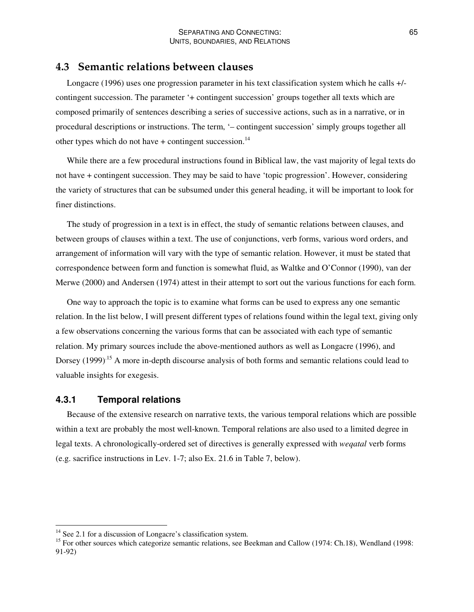# **4.3 Semantic relations between clauses**

Longacre (1996) uses one progression parameter in his text classification system which he calls +/ contingent succession. The parameter '+ contingent succession' groups together all texts which are composed primarily of sentences describing a series of successive actions, such as in a narrative, or in procedural descriptions or instructions. The term, '– contingent succession' simply groups together all other types which do not have  $+$  contingent succession.<sup>14</sup>

While there are a few procedural instructions found in Biblical law, the vast majority of legal texts do not have + contingent succession. They may be said to have 'topic progression'. However, considering the variety of structures that can be subsumed under this general heading, it will be important to look for finer distinctions.

The study of progression in a text is in effect, the study of semantic relations between clauses, and between groups of clauses within a text. The use of conjunctions, verb forms, various word orders, and arrangement of information will vary with the type of semantic relation. However, it must be stated that correspondence between form and function is somewhat fluid, as Waltke and O'Connor (1990), van der Merwe (2000) and Andersen (1974) attest in their attempt to sort out the various functions for each form.

One way to approach the topic is to examine what forms can be used to express any one semantic relation. In the list below, I will present different types of relations found within the legal text, giving only a few observations concerning the various forms that can be associated with each type of semantic relation. My primary sources include the above-mentioned authors as well as Longacre (1996), and Dorsey (1999)<sup>15</sup> A more in-depth discourse analysis of both forms and semantic relations could lead to valuable insights for exegesis.

# **4.3.1 Temporal relations**

Because of the extensive research on narrative texts, the various temporal relations which are possible within a text are probably the most well-known. Temporal relations are also used to a limited degree in legal texts. A chronologically-ordered set of directives is generally expressed with *weqatal* verb forms (e.g. sacrifice instructions in Lev. 1-7; also Ex. 21.6 in Table 7, below).

<sup>&</sup>lt;sup>14</sup> See 2.1 for a discussion of Longacre's classification system.

<sup>&</sup>lt;sup>15</sup> For other sources which categorize semantic relations, see Beekman and Callow (1974: Ch.18), Wendland (1998: 91-92)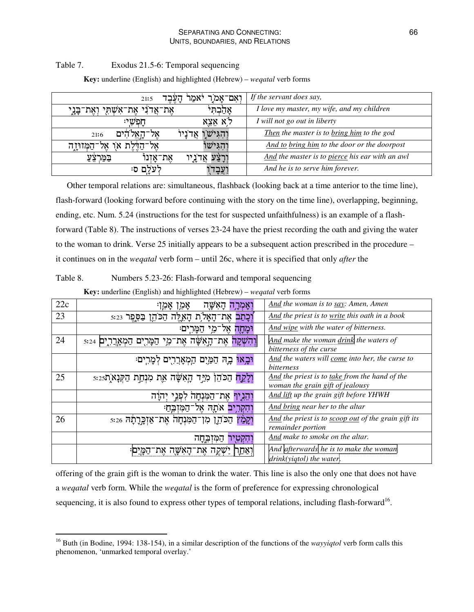#### SEPARATING AND CONNECTING: UNITS, BOUNDARIES, AND RELATIONS

#### Table 7. Exodus 21.5-6: Temporal sequencing

| ואם־אַמוַ<br>יאמר<br>העבד<br>21:5                  | If the servant does say,                        |
|----------------------------------------------------|-------------------------------------------------|
| אֵת־אֲדֹנִי אֶת־אִשְׁתָי וְאֶת־בָּנֶי<br>אָהַבְהִי | I love my master, my wife, and my children      |
| לא אַצֵא<br>חפשי:                                  | I will not go out in liberty                    |
| והגיש ו<br>אדניו<br>אל־<br>21:6                    | Then the master is to bring him to the god      |
| יהגיש<br>הדלת או<br>אל –<br>ֿהַמְּזוּיָדֶה         | And to bring him to the door or the doorpost    |
| את־אַזִנוֹ<br>במו                                  | And the master is to pierce his ear with an awl |
| לעלם ס:                                            | And he is to serve him forever.                 |

**Key:** underline (English) and highlighted (Hebrew) – *weqatal* verb forms

Other temporal relations are: simultaneous, flashback (looking back at a time anterior to the time line), flash-forward (looking forward before continuing with the story on the time line), overlapping, beginning, ending, etc. Num. 5.24 (instructions for the test for suspected unfaithfulness) is an example of a flashforward (Table 8). The instructions of verses 23-24 have the priest recording the oath and giving the water to the woman to drink. Verse 25 initially appears to be a subsequent action prescribed in the procedure – it continues on in the *weqatal* verb form – until 26c, where it is specified that only *after* the

| Table 8. | Numbers 5.23-26: Flash-forward and temporal sequencing |  |  |  |
|----------|--------------------------------------------------------|--|--|--|
|----------|--------------------------------------------------------|--|--|--|

|  |  | Key: underline (English) and highlighted (Hebrew) – weqatal verb forms |  |  |
|--|--|------------------------------------------------------------------------|--|--|
|--|--|------------------------------------------------------------------------|--|--|

| 22c | 'אמרה האשה<br>אמ'<br>אמוי                                                  | And the woman is to say: Amen, Amen                                                |
|-----|----------------------------------------------------------------------------|------------------------------------------------------------------------------------|
| 23  | וִכָּתַב אֶת־הָאָלֹת הָאִלֶּה הַכֹּהֶן בַּסֵפֶר s:23                       | And the priest is to write this oath in a book                                     |
|     | ומחה אל־מי                                                                 | And wipe with the water of bitterness.                                             |
| 24  | <mark>ַוְהִשְׁקָה אֲת־הָאַשָּׁה אֲת־מֵי הַמְּרִים הַמְאַרֲרָים</mark> 5:24 | And make the woman drink the waters of<br>bitterness of the curse                  |
|     | וּבְאוּ בָה הַמַּיִם הַמְאָרֲרָים לְמָרִים                                 | And the waters will come into her, the curse to<br>bitterness                      |
| 25  | וְלָקַח הַכֹּהֵן מְיַיַד הָאִשָּׂה אֶת מִנְחַת הַקְּנָא ָת                 | And the priest is to take from the hand of the<br>woman the grain gift of jealousy |
|     | וְהֶ <b>נְיִךְ</b> אֶת־הַמְּנִחָה לִפְנֵי יִהוַּה                          | And lift up the grain gift before YHWH                                             |
|     | וְהִקְרִיב אֹתָה אֵל־הַמּזִבּח:                                            | And bring near her to the altar                                                    |
| 26  | וְקָמַץ הַכֹּהֶן מְן־הַמִּנְחָה אֶת־אַזְכְּרָתָה 5:26                      | And the priest is to scoop out of the grain gift its<br>remainder portion          |
|     | וִהִקְטְיַר<br>ַהַמְּזְבֵּחָה                                              | And make to smoke on the altar.                                                    |
|     | יְאַתַח יַשְׁקֶה אֶת־הָאִשָּׁה אֶת־הַמְּיִם                                | And afterwards he is to make the woman<br>drink(yiqtol) the water.                 |

offering of the grain gift is the woman to drink the water. This line is also the only one that does not have a *weqatal* verb form. While the *weqatal* is the form of preference for expressing chronological sequencing, it is also found to express other types of temporal relations, including flash-forward<sup>16</sup>.

<sup>&</sup>lt;sup>16</sup> Buth (in Bodine, 1994: 138-154), in a similar description of the functions of the *wayyiqtol* verb form calls this phenomenon, 'unmarked temporal overlay.'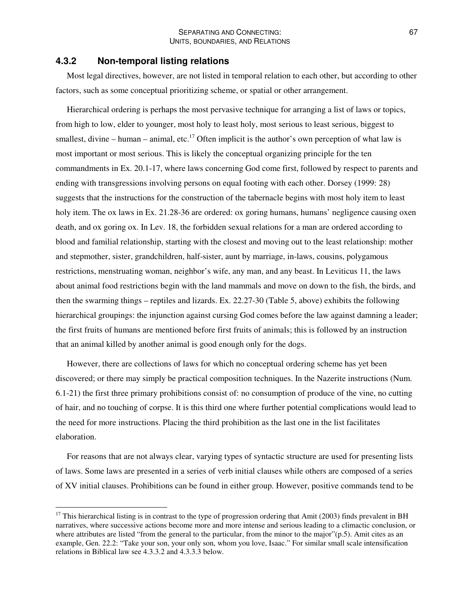#### **4.3.2 Non-temporal listing relations**

Most legal directives, however, are not listed in temporal relation to each other, but according to other factors, such as some conceptual prioritizing scheme, or spatial or other arrangement.

Hierarchical ordering is perhaps the most pervasive technique for arranging a list of laws or topics, from high to low, elder to younger, most holy to least holy, most serious to least serious, biggest to smallest, divine – human – animal, etc.<sup>17</sup> Often implicit is the author's own perception of what law is most important or most serious. This is likely the conceptual organizing principle for the ten commandments in Ex. 20.1-17, where laws concerning God come first, followed by respect to parents and ending with transgressions involving persons on equal footing with each other. Dorsey (1999: 28) suggests that the instructions for the construction of the tabernacle begins with most holy item to least holy item. The ox laws in Ex. 21.28-36 are ordered: ox goring humans, humans' negligence causing oxen death, and ox goring ox. In Lev. 18, the forbidden sexual relations for a man are ordered according to blood and familial relationship, starting with the closest and moving out to the least relationship: mother and stepmother, sister, grandchildren, half-sister, aunt by marriage, in-laws, cousins, polygamous restrictions, menstruating woman, neighbor's wife, any man, and any beast. In Leviticus 11, the laws about animal food restrictions begin with the land mammals and move on down to the fish, the birds, and then the swarming things – reptiles and lizards. Ex. 22.27-30 (Table 5, above) exhibits the following hierarchical groupings: the injunction against cursing God comes before the law against damning a leader; the first fruits of humans are mentioned before first fruits of animals; this is followed by an instruction that an animal killed by another animal is good enough only for the dogs.

However, there are collections of laws for which no conceptual ordering scheme has yet been discovered; or there may simply be practical composition techniques. In the Nazerite instructions (Num. 6.1-21) the first three primary prohibitions consist of: no consumption of produce of the vine, no cutting of hair, and no touching of corpse. It is this third one where further potential complications would lead to the need for more instructions. Placing the third prohibition as the last one in the list facilitates elaboration.

For reasons that are not always clear, varying types of syntactic structure are used for presenting lists of laws. Some laws are presented in a series of verb initial clauses while others are composed of a series of XV initial clauses. Prohibitions can be found in either group. However, positive commands tend to be

 $17$  This hierarchical listing is in contrast to the type of progression ordering that Amit (2003) finds prevalent in BH narratives, where successive actions become more and more intense and serious leading to a climactic conclusion, or where attributes are listed "from the general to the particular, from the minor to the major"(p.5). Amit cites as an example, Gen. 22.2: "Take your son, your only son, whom you love, Isaac." For similar small scale intensification relations in Biblical law see 4.3.3.2 and 4.3.3.3 below.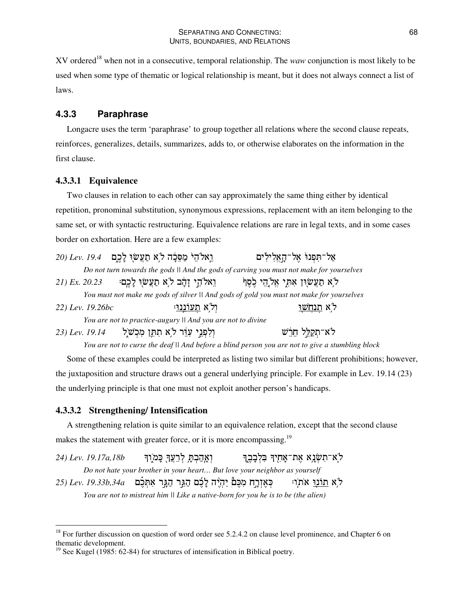XV ordered <sup>18</sup> when not in a consecutive, temporal relationship. The *waw* conjunction is most likely to be used when some type of thematic or logical relationship is meant, but it does not always connect a list of laws.

# **4.3.3 Paraphrase**

Longacre uses the term 'paraphrase' to group together all relations where the second clause repeats, reinforces, generalizes, details, summarizes, adds to, or otherwise elaborates on the information in the first clause.

#### **4.3.3.1 Equivalence**

Two clauses in relation to each other can say approximately the same thing either by identical repetition, pronominal substitution, synonymous expressions, replacement with an item belonging to the same set, or with syntactic restructuring. Equivalence relations are rare in legal texts, and in some cases border on exhortation. Here are a few examples:

|                   | וֵאלהֵי מַפֵּבָה לֹא תַעֲשׂוּ לָכֵם 19.4 (20 Lev.           | אַל־תִּפְנוֹ אֱל־הָאֱלִילִים                                                             |  |
|-------------------|-------------------------------------------------------------|------------------------------------------------------------------------------------------|--|
|                   |                                                             | Do not turn towards the gods II And the gods of carving you must not make for yourselves |  |
| $21)$ Ex. $20.23$ | וֵאלֹהֵי זָהָ֫ב לֹאָ תַעֲשׂוִ לָכֶם                         | ל א תַעֲשׂוּן אִתְּי אֱלֹהֵי כֵׂסֵן ּ                                                    |  |
|                   |                                                             | You must not make me gods of silver II And gods of gold you must not make for yourselves |  |
| 22) Lev. 19.26bc  | ול א <u>תעוננו</u> :                                        | <u>לא תנחשו</u>                                                                          |  |
|                   | You are not to practice-augury II And you are not to divine |                                                                                          |  |
|                   | וְלִפְגֵי עָרֵר לֹאָ תִתְּן מִכְשֹׁלֵ 19.14 (23) Lev. וְ    | לא־תְקַלֵּל חֵרֵשׁ                                                                       |  |

You are not to curse the deaf || And before a blind person you are not to give a stumbling block

Some of these examples could be interpreted as listing two similar but different prohibitions; however, the juxtaposition and structure draws out a general underlying principle. For example in Lev. 19.14 (23) the underlying principle is that one must not exploit another person's handicaps.

#### **4.3.3.2 Strengthening/ Intensification**

A strengthening relation is quite similar to an equivalence relation, except that the second clause makes the statement with greater force, or it is more encompassing.<sup>19</sup>

*24*) *Lev. 19.17a,18b* ואהבת לרעד כמוד לא־תִשְׂנָא אֶת־אָחָיִךּ בִּלְבָבֶךָ *Do not hate your brother in your heart… But love your neighbor as yourself*  $\mathcal{Z}$ כָּאֵזְרֵח מְכֵּם יְהִיֵּה לַבֶּם הַגֵּר הַגֵּר אִתְּבֶם *Lev. 19.33b,34a* לא <u>חונו</u> את

*You are not to mistreat him || Like a native-born for you he is to be (the alien)*

<sup>&</sup>lt;sup>18</sup> For further discussion on question of word order see 5.2.4.2 on clause level prominence, and Chapter 6 on thematic development.

<sup>&</sup>lt;sup>19</sup> See Kugel (1985: 62-84) for structures of intensification in Biblical poetry.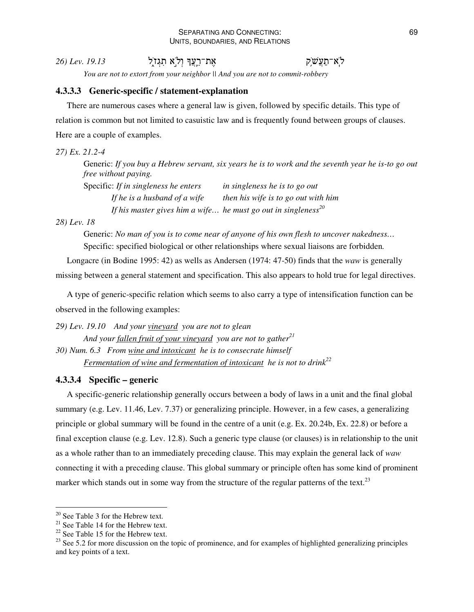#### SEPARATING AND CONNECTING: UNITS, BOUNDARIES, AND RELATIONS

26) *Lev.* 19.13 ת־רֵצֲךָ וְלִ`ַא ּלְא־תַעֲשֶׁׂק

*You are not to extort from your neighbor || And you are not to commit-robbery*

# **4.3.3.3 Generic-specific / statement-explanation**

There are numerous cases where a general law is given, followed by specific details. This type of relation is common but not limited to casuistic law and is frequently found between groups of clauses. Here are a couple of examples.

#### *27) Ex. 21.2-4*

Generic: If you buy a Hebrew servant, six years he is to work and the seventh year he is-to go out *free without paying.*

Specific: *If in singleness he enters in singleness he is to go out If he is a husband of a wife then his wife is to go out with him If his master gives him a wife… he must go out in singleness 20*

*28) Lev. 18*

Generic: *No man of you is to come near of anyone of his own flesh to uncover nakedness…* Specific: specified biological or other relationships where sexual liaisons are forbidden*.*

Longacre (in Bodine 1995: 42) as wells as Andersen (1974: 47-50) finds that the *waw* is generally missing between a general statement and specification. This also appears to hold true for legal directives.

A type of generic-specific relation which seems to also carry a type of intensification function can be observed in the following examples:

*29) Lev. 19.10 And your vineyard you are not to glean And your fallen fruit of your vineyard you are not to gather 21 30) Num. 6.3 From wine and intoxicant he is to consecrate himself Fermentation of wine and fermentation of intoxicant he is not to drink 22*

# **4.3.3.4 Specific – generic**

A specific-generic relationship generally occurs between a body of laws in a unit and the final global summary (e.g. Lev. 11.46, Lev. 7.37) or generalizing principle. However, in a few cases, a generalizing principle or global summary will be found in the centre of a unit (e.g. Ex. 20.24b, Ex. 22.8) or before a final exception clause (e.g. Lev. 12.8). Such a generic type clause (or clauses) is in relationship to the unit as a whole rather than to an immediately preceding clause. This may explain the general lack of *waw* connecting it with a preceding clause. This global summary or principle often has some kind of prominent marker which stands out in some way from the structure of the regular patterns of the text.<sup>23</sup>

 $20$  See Table 3 for the Hebrew text.

 $2<sup>1</sup>$  See Table 14 for the Hebrew text.

 $22$  See Table 15 for the Hebrew text.

 $^{23}$  See 5.2 for more discussion on the topic of prominence, and for examples of highlighted generalizing principles and key points of a text.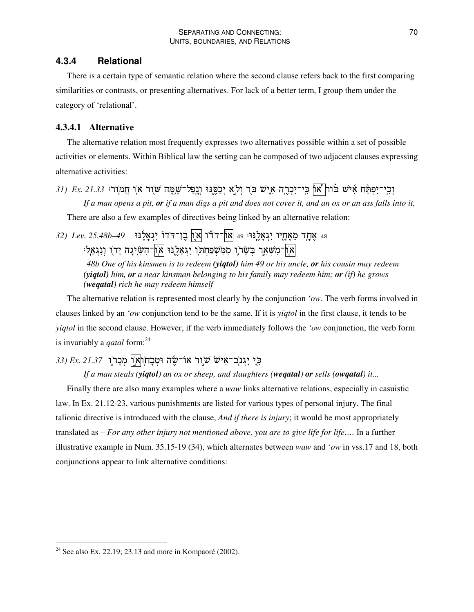# **4.3.4 Relational**

There is a certain type of semantic relation where the second clause refers back to the first comparing similarities or contrasts, or presenting alternatives. For lack of a better term, I group them under the category of 'relational'.

# **4.3.4.1 Alternative**

The alternative relation most frequently expresses two alternatives possible within a set of possible activities or elements. Within Biblical law the setting can be composed of two adjacent clauses expressing alternative activities:

וְכִי־יִפְתַּח אִישׁ בּוֹח| אוֹן כִּי־יִכְרֶה אִישׁ בֹּרְ וְלֹא יְכַסֶּנּוּ וְנְפַל־שָׁמֶה שֹׁוֹר אוִ חֲמוֹרוּ If a man opens a pit, or if a man digs a pit and does not cover it, and an  $\alpha x$  or an ass falls into it,

There are also a few examples of directives being linked by an alternative relation:

48 אֶתֶר מֵאֶחֶיו יִגְאָלֵנּוּ: 49 |אוֹן־דֹדוֹ |א ָוֹ בֵן־דֹדוֹ יִגְאָלֶנוּ *49–185.48b* .25 (32 אֹן־מִשְׁאֶר בְּשָׂרֹוָ מִמִּשְׁפַּחְתֹּו יִנְאָלֶנוּ אוֹן־הִשִּׂיְנָה יָדו וְנִגְאָל *48b One of his kinsmen is to redeem (yiqtol) him 49 or his uncle, or his cousin may redeem*

*(yiqtol) him, or a near kinsman belonging to his family may redeem him; or (if) he grows (weqatal) rich he may redeem himself*

The alternative relation is represented most clearly by the conjunction *'ow*. The verb forms involved in clauses linked by an *'ow* conjunction tend to be the same. If it is *yiqtol* in the first clause, it tends to be *yiqtol* in the second clause. However, if the verb immediately follows the *'ow* conjunction, the verb form is invariably a *qatal* form: 24

# 53) Ex. 21.37 - הָיָבְרֹאִישׁ שׁוֵר אוֹ־שֶׂה וּטְבָחוְאוֹן מְכָר*וֶר*

If a man steals (yigtol) an ox or sheep, and slaughters (wegatal) or sells (owgatal) it...

Finally there are also many examples where a *waw* links alternative relations, especially in casuistic law. In Ex. 21.12-23, various punishments are listed for various types of personal injury. The final talionic directive is introduced with the clause, *And if there is injury*; it would be most appropriately translated as – *For any other injury not mentioned above, you are to give life for life….* In a further illustrative example in Num. 35.15-19 (34), which alternates between *waw* and *'ow* in vss.17 and 18, both conjunctions appear to link alternative conditions:

<sup>&</sup>lt;sup>24</sup> See also Ex. 22.19; 23.13 and more in Kompaoré (2002).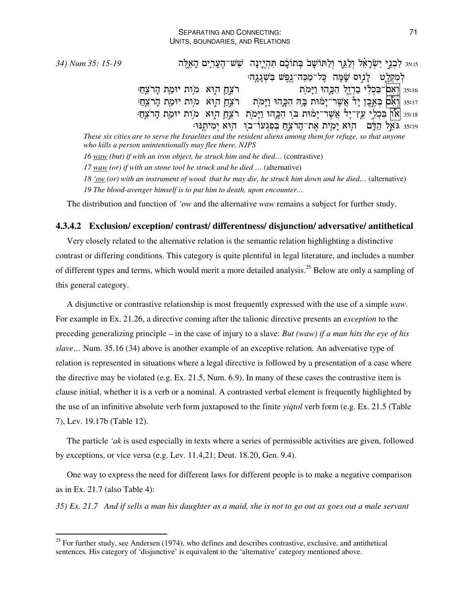35: 15-19 לִבְגֵי יִשְׂרָאֵל וְלַגֵּר וְלַחּוֹשָׁבֹ בְּתוֹבָם תִּהְיֶינָה שֵׁשׁ־הֶעָּרִים הָאֵלֶּה iss לִמְקִלַט לַנִוּס שַׂמַּה כַּל־מַכֵּה־נֵפֵשׁ בִּשְׁגַגֵה: ת איבן הוא מות יוּמַת הָרֹצֵהַ: 35:16 |וְאִם־בִּכְלִי בַרְזֶל הִכָּהוּ וַיָּמ ת – רֹצֵחַ הוָא -מִוֹת יוּמַת הָרֹצֵחַ: וְאִם בְּאֵבֶן יָרֹ אֲשֶׁר־יָמֹוּת בָּה הִכָּהוּ וַיָּמ  $35:17$ ss:18 |און בִּכְלִי עֵץ־יָרْ אֲשֶר־יָמוּת בֹּו הִכְּהוּ וַיָּמוֹת רֹצֵחַ הוָא -מוֹת יוּמַת הָרֹצֵחַי וּ55 גּאֵל הַדָּם – הוּא יָמִית אֶת־הָרֹצֵחַ בְּפִגְעוֹ־בֹוִ – הוּא יְמִיתֶנּוּ These six cities are to serve the Israelites and the resident aliens among them for refuge, so that anyone *who kills a person unintentionally may flee there. NJPS*

*16 waw (but) if with an iron object, he struck him and he died…* (contrastive)

*17 waw (or) if with an stone tool he struck and he died …* (alternative)

18 'ow (or) with an instrument of wood that he may die, he struck him down and he died... (alternative) *19 The blood-avenger himself is to put him to death, upon encounter…*

The distribution and function of *'ow* and the alternative *waw* remains a subject for further study.

#### **4.3.4.2 Exclusion/ exception/ contrast/ differentness/ disjunction/ adversative/ antithetical**

Very closely related to the alternative relation is the semantic relation highlighting a distinctive contrast or differing conditions. This category is quite plentiful in legal literature, and includes a number of different types and terms, which would merit a more detailed analysis.<sup>25</sup> Below are only a sampling of this general category.

A disjunctive or contrastive relationship is most frequently expressed with the use of a simple *waw*. For example in Ex. 21.26, a directive coming after the talionic directive presents an *exception* to the preceding generalizing principle – in the case of injury to a slave: *But (waw) if a man hits the eye of his slave…* Num. 35.16 (34) above is another example of an exceptive relation. An adversative type of relation is represented in situations where a legal directive is followed by a presentation of a case where the directive may be violated (e.g. Ex. 21.5, Num. 6.9). In many of these cases the contrastive item is clause initial, whether it is a verb or a nominal. A contrasted verbal element is frequently highlighted by the use of an infinitive absolute verb form juxtaposed to the finite *yiqtol* verb form (e.g. Ex. 21.5 (Table 7), Lev. 19.17b (Table 12).

The particle *'ak* is used especially in texts where a series of permissible activities are given, followed by exceptions, or vice versa (e.g. Lev. 11.4,21; Deut. 18.20, Gen. 9.4).

One way to express the need for different laws for different people is to make a negative comparison as in Ex. 21.7 (also Table 4):

35) Ex. 21.7 And if sells a man his daughter as a maid, she is not to go out as goes out a male servant

<sup>&</sup>lt;sup>25</sup> For further study, see Andersen (1974), who defines and describes contrastive, exclusive, and antithetical sentences. His category of 'disjunctive' is equivalent to the 'alternative' category mentioned above.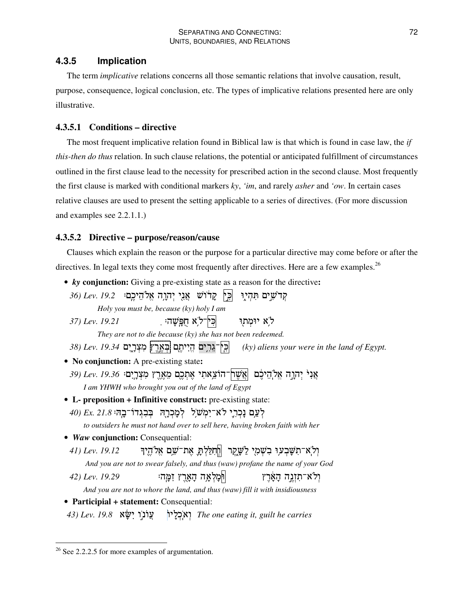# **4.3.5 Implication**

The term *implicative* relations concerns all those semantic relations that involve causation, result, purpose, consequence, logical conclusion, etc. The types of implicative relations presented here are only illustrative.

# **4.3.5.1 Conditions – directive**

The most frequent implicative relation found in Biblical law is that which is found in case law, the *if this-then do thus* relation. In such clause relations, the potential or anticipated fulfillment of circumstances outlined in the first clause lead to the necessity for prescribed action in the second clause. Most frequently the first clause is marked with conditional markers *ky*, *'im*, and rarely *asher* and *'ow*. In certain cases relative clauses are used to present the setting applicable to a series of directives. (For more discussion and examples see 2.2.1.1.)

# **4.3.5.2 Directive – purpose/reason/cause**

Clauses which explain the reason or the purpose for a particular directive may come before or after the directives. In legal texts they come most frequently after directives. Here are a few examples.<sup>26</sup>

```
• ky conjunction: Giving a pre-existing state as a reason for the directive:
 קּרֹשִים תִּהְיָן |כִּין קָרֹוֹשׁ אֲנִי יְהוָהָ אֱלֹהֵיכֶם: 29.2 .Do)
         Holy you must be, because (ky) holy I am
 37) Lev. 19.21 .2 ,!>A  3% 6
                                                     לא יומתו
          They are not to die because (ky) she has not been redeemed.
 38) Lev. 19.34 &1
 @	
$ &
                                                     1R & #%, (ky) aliens your were in the land of Egypt.
• No conjunction: A pre-existing state:
 אַנִ<sup>ּי</sup> יְהִרֶה אֱלֹהֵיכֶּם |אֲשֶׁרֹךְ־הוֹצֵאתִי אֶתְכֶם מֵאֶרֶץ מִצְרָיִם: 19.36 .ev. 79.36
      I am YHWH who brought you out of the land of Egypt
• L- preposition + Infinitive construct: pre-existing state:
 לְעֵם נַכְרֶי לֹא־יִמְשׁׂלִ לְמַכְרָהְ בְּבְגְדוֹ־בֵה<sup>ָ</sup> Ex. 21.8
     to outsiders he must not hand over to sell here, having broken faith with her
• Waw conjunction: Consequential:
 יְלְא־תִשָּׁבְעוִ בִשְׁמָי לַשָּׁקֵר |חְתִלַּלְתָּ אֶת־שֵׁם אֱלֹהֶיךָ        A1) Lev. 19.12
      And you are not to swear falsely, and thus (waw) profane the name of your God
 42) Lev. 19.29 .,)1- @  
36 @ 	-
                                                            ולא־תזנה הארץ
     And you are not to whore the land, and thus (waw) fill it with insidiousness
• Participial + statement: Consequential:
 וֹן אֲוֹנוֵ יִשָּׂא 19.8 Lev. I
                                3
=,-
 The one eating it, guilt he carries
```
 $2<sup>26</sup>$  See 2.2.2.5 for more examples of argumentation.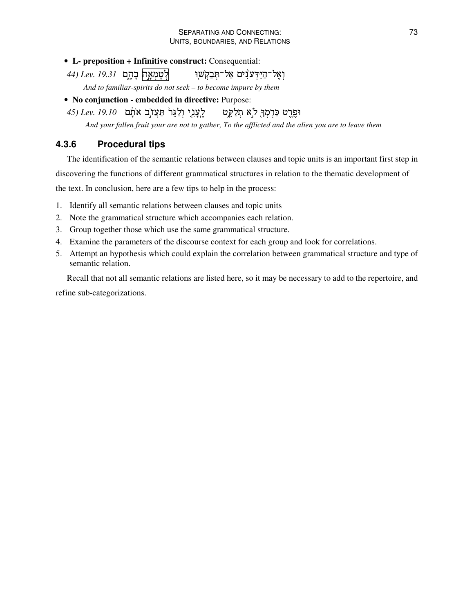- **L- preposition + Infinitive construct:** Consequential:
- **לְטַמְאֵה בַהְם Lev. 19.31** ואל־הידענים אל־תּבקשו
	- *And to familiar-spirits do not seek – to become impure by them*
- **No conjunction - embedded in directive:** Purpose:
- וְלַגֵּר<sub>ֹ</sub> תַּעֲזוֹ**ַב אֹתָם** *Lev. 19.10* וּפֶרֶט כַּרְמְךָ לֹא תְלַקֶט לֶעֲגִי And your fallen fruit your are not to gather, To the afflicted and the alien you are to leave them

# **4.3.6 Procedural tips**

The identification of the semantic relations between clauses and topic units is an important first step in discovering the functions of different grammatical structures in relation to the thematic development of the text. In conclusion, here are a few tips to help in the process:

- 1. Identify all semantic relations between clauses and topic units
- 2. Note the grammatical structure which accompanies each relation.
- 3. Group together those which use the same grammatical structure.
- 4. Examine the parameters of the discourse context for each group and look for correlations.
- 5. Attempt an hypothesis which could explain the correlation between grammatical structure and type of semantic relation.

Recall that not all semantic relations are listed here, so it may be necessary to add to the repertoire, and

refine sub-categorizations.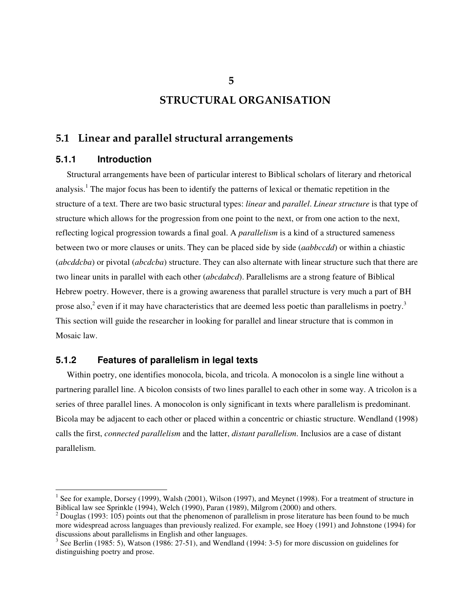# **STRUCTURAL ORGANISATION**

# **5.1 Linear and parallel structural arrangements**

# **5.1.1 Introduction**

Structural arrangements have been of particular interest to Biblical scholars of literary and rhetorical analysis. <sup>1</sup> The major focus has been to identify the patterns of lexical or thematic repetition in the structure of a text. There are two basic structural types: *linear* and *parallel*. *Linear structure* is that type of structure which allows for the progression from one point to the next, or from one action to the next, reflecting logical progression towards a final goal. A *parallelism* is a kind of a structured sameness between two or more clauses or units. They can be placed side by side (*aabbccdd*) or within a chiastic (*abcddcba*) or pivotal (*abcdcba*) structure. They can also alternate with linear structure such that there are two linear units in parallel with each other (*abcdabcd*). Parallelisms are a strong feature of Biblical Hebrew poetry. However, there is a growing awareness that parallel structure is very much a part of BH prose also,<sup>2</sup> even if it may have characteristics that are deemed less poetic than parallelisms in poetry.<sup>3</sup> This section will guide the researcher in looking for parallel and linear structure that is common in Mosaic law.

# **5.1.2 Features of parallelism in legal texts**

Within poetry, one identifies monocola, bicola, and tricola. A monocolon is a single line without a partnering parallel line. A bicolon consists of two lines parallel to each other in some way. A tricolon is a series of three parallel lines. A monocolon is only significant in texts where parallelism is predominant. Bicola may be adjacent to each other or placed within a concentric or chiastic structure. Wendland (1998) calls the first, *connected parallelism* and the latter, *distant parallelism*. Inclusios are a case of distant parallelism.

**5**

 $<sup>1</sup>$  See for example, Dorsey (1999), Walsh (2001), Wilson (1997), and Meynet (1998). For a treatment of structure in</sup> Biblical law see Sprinkle (1994), Welch (1990), Paran (1989), Milgrom (2000) and others.

 $2$  Douglas (1993: 105) points out that the phenomenon of parallelism in prose literature has been found to be much more widespread across languages than previously realized. For example, see Hoey (1991) and Johnstone (1994) for discussions about parallelisms in English and other languages.<br><sup>3</sup> See Berlin (1985: 5), Watson (1986: 27-51), and Wendland (1994: 3-5) for more discussion on guidelines for

distinguishing poetry and prose.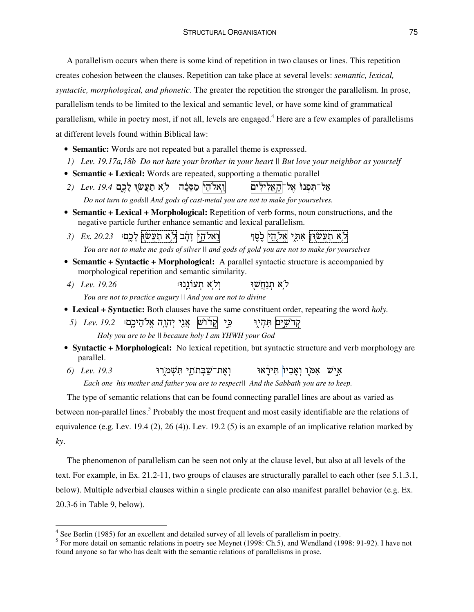A parallelism occurs when there is some kind of repetition in two clauses or lines. This repetition creates cohesion between the clauses. Repetition can take place at several levels: *semantic, lexical, syntactic, morphological, and phonetic*. The greater the repetition the stronger the parallelism. In prose, parallelism tends to be limited to the lexical and semantic level, or have some kind of grammatical parallelism, while in poetry most, if not all, levels are engaged. <sup>4</sup> Here are a few examples of parallelisms at different levels found within Biblical law:

- **Semantic:** Words are not repeated but a parallel theme is expressed.
- *1) Lev. 19.17a,18b Do not hate your brother in your heart || But love your neighbor as yourself*
- **Semantic + Lexical:** Words are repeated, supporting a thematic parallel
- *2) Lev. 19.4* &=3 6D ;" 3 =f" 3,-אל־תּפנוּ אל⊤האלילים *Do not turn to gods|| And gods of cast-metal you are not to make for yourselves.*
- **Semantic + Lexical + Morphological:** Repetition of verb forms, noun constructions, and the negative particle further enhance semantic and lexical parallelism.
- *3) Ex. 20.23* .&,=3 6D ;" 3 - 3\-



You are not to make me gods of silver II and gods of gold you are not to make for yourselves

- **Semantic + Syntactic + Morphological:** A parallel syntactic structure is accompanied by morphological repetition and semantic similarity.
- *4) Lev. 19.26* .6,\* ולא תעוננו: ל א תִנַּחֲשׁוּ

*You are not to practice augury || And you are not to divine*

- **Lexical + Syntactic:** Both clauses have the same constituent order, repeating the word *holy.*
- *ֿרֹש*ַן אֲנִי יְהְרֶה אֱלֹהֵיכֶם: *Lev. 19.2* קדשים תהיו *Holy you are to be || because holy I am YHWH your God*
- **Syntactic + Morphological:** No lexical repetition, but syntactic structure and verb morphology are parallel.
- 6) Lev. 19.3 ֿוְאֶת־שַׁבְּת אִישׁ אִמַּן וְאָבִיוֹ תִּירָאו

*Each one his mother and father you are to respect|| And the Sabbath you are to keep.*

The type of semantic relations that can be found connecting parallel lines are about as varied as between non-parallel lines.<sup>5</sup> Probably the most frequent and most easily identifiable are the relations of equivalence (e.g. Lev. 19.4 (2), 26 (4)). Lev. 19.2 (5) is an example of an implicative relation marked by *ky*.

The phenomenon of parallelism can be seen not only at the clause level, but also at all levels of the text. For example, in Ex. 21.2-11, two groups of clauses are structurally parallel to each other (see 5.1.3.1, below). Multiple adverbial clauses within a single predicate can also manifest parallel behavior (e.g. Ex. 20.3-6 in Table 9, below).

<sup>&</sup>lt;sup>4</sup> See Berlin (1985) for an excellent and detailed survey of all levels of parallelism in poetry.

 $<sup>5</sup>$  For more detail on semantic relations in poetry see Meynet (1998: Ch.5), and Wendland (1998: 91-92). I have not</sup> found anyone so far who has dealt with the semantic relations of parallelisms in prose.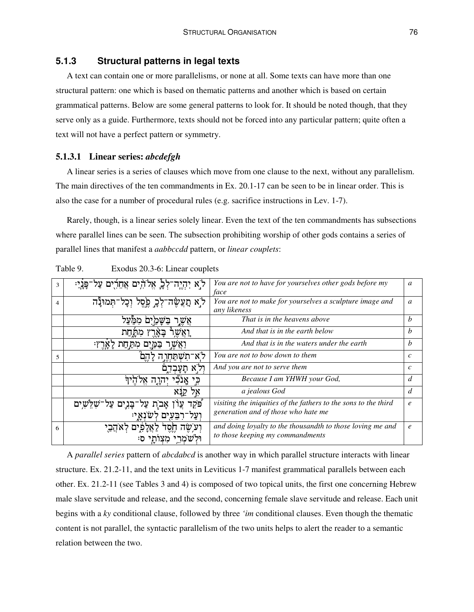# **5.1.3 Structural patterns in legal texts**

A text can contain one or more parallelisms, or none at all. Some texts can have more than one structural pattern: one which is based on thematic patterns and another which is based on certain grammatical patterns. Below are some general patterns to look for. It should be noted though, that they serve only as a guide. Furthermore, texts should not be forced into any particular pattern; quite often a text will not have a perfect pattern or symmetry.

#### **5.1.3.1 Linear series:** *abcdefgh*

A linear series is a series of clauses which move from one clause to the next, without any parallelism. The main directives of the ten commandments in Ex. 20.1-17 can be seen to be in linear order. This is also the case for a number of procedural rules (e.g. sacrifice instructions in Lev. 1-7).

Rarely, though, is a linear series solely linear. Even the text of the ten commandments has subsections where parallel lines can be seen. The subsection prohibiting worship of other gods contains a series of parallel lines that manifest a *aabbccdd* pattern, or *linear couplets*:

| 3              | ל[א יִהְיֶה־לְבָׂ אֱלֹהִים אֲחֵרִים עַל | You are not to have for yourselves other gods before my<br>face          | a                |
|----------------|-----------------------------------------|--------------------------------------------------------------------------|------------------|
| $\overline{4}$ | לֹא תַצֲשָׂה־לְכָ פֶּסֶל וְכָל<br>תמונה | You are not to make for yourselves a sculpture image and<br>any likeness | a                |
|                |                                         | That is in the heavens above                                             | b                |
|                | מתחת                                    | And that is in the earth below                                           | $\boldsymbol{b}$ |
|                | מת חת                                   | And that is in the waters under the earth                                | b                |
| 5              | ת <i>ש</i> החו                          | You are not to bow down to them                                          | c                |
|                |                                         | And you are not to serve them                                            | $\mathcal{C}$    |
|                |                                         | Because I am YHWH your God,                                              | d                |
|                | 78                                      | a jealous God                                                            | d                |
|                | פקד<br>שים                              | visiting the iniquities of the fathers to the sons to the third          | $\ell$           |
|                | רבעים לשנאי:                            | generation and of those who hate me                                      |                  |
| 6              |                                         | and doing loyalty to the thousandth to those loving me and               | $\boldsymbol{e}$ |
|                |                                         | to those keeping my commandments                                         |                  |

Table 9. Exodus 20.3-6: Linear couplets

A *parallel series* pattern of *abcdabcd* is another way in which parallel structure interacts with linear structure. Ex. 21.2-11, and the text units in Leviticus 1-7 manifest grammatical parallels between each other. Ex. 21.2-11 (see Tables 3 and 4) is composed of two topical units, the first one concerning Hebrew male slave servitude and release, and the second, concerning female slave servitude and release. Each unit begins with a *ky* conditional clause, followed by three *'im* conditional clauses. Even though the thematic content is not parallel, the syntactic parallelism of the two units helps to alert the reader to a semantic relation between the two.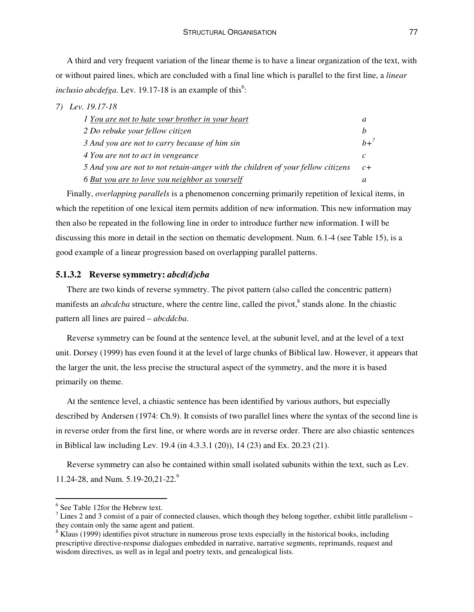A third and very frequent variation of the linear theme is to have a linear organization of the text, with or without paired lines, which are concluded with a final line which is parallel to the first line, a *linear inclusio abcdefga*. Lev. 19.17-18 is an example of this<sup>6</sup>:

#### *7) Lev. 19.17-18*

| <i>l</i> You are not to hate your brother in your heart                         | a             |
|---------------------------------------------------------------------------------|---------------|
| 2 Do rebuke your fellow citizen                                                 |               |
| 3 And you are not to carry because of him sin                                   | $h+^7$        |
| 4 You are not to act in vengeance                                               | $\mathcal{C}$ |
| 5 And you are not to not retain-anger with the children of your fellow citizens | $c+$          |
| 6 But you are to love you neighbor as yourself                                  |               |

Finally, *overlapping parallels* is a phenomenon concerning primarily repetition of lexical items, in which the repetition of one lexical item permits addition of new information. This new information may then also be repeated in the following line in order to introduce further new information. I will be discussing this more in detail in the section on thematic development. Num. 6.1-4 (see Table 15), is a good example of a linear progression based on overlapping parallel patterns.

#### **5.1.3.2 Reverse symmetry:** *abcd(d)cba*

There are two kinds of reverse symmetry. The pivot pattern (also called the concentric pattern) manifests an *abcdcba* structure, where the centre line, called the pivot,<sup>8</sup> stands alone. In the chiastic pattern all lines are paired – *abcddcba*.

Reverse symmetry can be found at the sentence level, at the subunit level, and at the level of a text unit. Dorsey (1999) has even found it at the level of large chunks of Biblical law. However, it appears that the larger the unit, the less precise the structural aspect of the symmetry, and the more it is based primarily on theme.

At the sentence level, a chiastic sentence has been identified by various authors, but especially described by Andersen (1974: Ch.9). It consists of two parallel lines where the syntax of the second line is in reverse order from the first line, or where words are in reverse order. There are also chiastic sentences in Biblical law including Lev. 19.4 (in 4.3.3.1 (20)), 14 (23) and Ex. 20.23 (21).

Reverse symmetry can also be contained within small isolated subunits within the text, such as Lev. 11.24-28, and Num. 5.19-20,21-22. 9

<sup>&</sup>lt;sup>6</sup> See Table 12for the Hebrew text.

 $<sup>7</sup>$  Lines 2 and 3 consist of a pair of connected clauses, which though they belong together, exhibit little parallelism –</sup> they contain only the same agent and patient.

<sup>&</sup>lt;sup>8</sup> Klaus (1999) identifies pivot structure in numerous prose texts especially in the historical books, including prescriptive directive-response dialogues embedded in narrative, narrative segments, reprimands, request and wisdom directives, as well as in legal and poetry texts, and genealogical lists.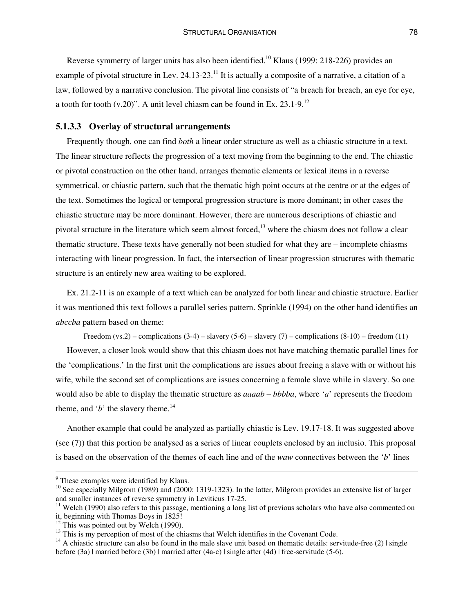Reverse symmetry of larger units has also been identified.<sup>10</sup> Klaus (1999: 218-226) provides an example of pivotal structure in Lev. 24.13-23.<sup>11</sup> It is actually a composite of a narrative, a citation of a law, followed by a narrative conclusion. The pivotal line consists of "a breach for breach, an eye for eye, a tooth for tooth  $(v.20)$ ". A unit level chiasm can be found in Ex. 23.1-9.<sup>12</sup>

#### **5.1.3.3 Overlay of structural arrangements**

Frequently though, one can find *both* a linear order structure as well as a chiastic structure in a text. The linear structure reflects the progression of a text moving from the beginning to the end. The chiastic or pivotal construction on the other hand, arranges thematic elements or lexical items in a reverse symmetrical, or chiastic pattern, such that the thematic high point occurs at the centre or at the edges of the text. Sometimes the logical or temporal progression structure is more dominant; in other cases the chiastic structure may be more dominant. However, there are numerous descriptions of chiastic and pivotal structure in the literature which seem almost forced,<sup>13</sup> where the chiasm does not follow a clear thematic structure. These texts have generally not been studied for what they are – incomplete chiasms interacting with linear progression. In fact, the intersection of linear progression structures with thematic structure is an entirely new area waiting to be explored.

Ex. 21.2-11 is an example of a text which can be analyzed for both linear and chiastic structure. Earlier it was mentioned this text follows a parallel series pattern. Sprinkle (1994) on the other hand identifies an *abccba* pattern based on theme:

Freedom (vs.2) – complications  $(3-4)$  – slavery  $(5-6)$  – slavery  $(7)$  – complications  $(8-10)$  – freedom  $(11)$ 

However, a closer look would show that this chiasm does not have matching thematic parallel lines for the 'complications.' In the first unit the complications are issues about freeing a slave with or without his wife, while the second set of complications are issues concerning a female slave while in slavery. So one would also be able to display the thematic structure as *aaaab – bbbba*, where '*a*' represents the freedom theme, and '*b*' the slavery theme.<sup>14</sup>

Another example that could be analyzed as partially chiastic is Lev. 19.17-18. It was suggested above (see (7)) that this portion be analysed as a series of linear couplets enclosed by an inclusio. This proposal is based on the observation of the themes of each line and of the *waw* connectives between the '*b*' lines

<sup>&</sup>lt;sup>9</sup> These examples were identified by Klaus.

<sup>&</sup>lt;sup>10</sup> See especially Milgrom (1989) and (2000: 1319-1323). In the latter, Milgrom provides an extensive list of larger and smaller instances of reverse symmetry in Leviticus 17-25.

 $11$  Welch (1990) also refers to this passage, mentioning a long list of previous scholars who have also commented on it, beginning with Thomas Boys in 1825!

 $12$  This was pointed out by Welch (1990).

<sup>&</sup>lt;sup>13</sup> This is my perception of most of the chiasms that Welch identifies in the Covenant Code.

 $14$  A chiastic structure can also be found in the male slave unit based on thematic details: servitude-free (2)  $\vert$  single before (3a) | married before (3b) | married after (4a-c) | single after (4d) | free-servitude (5-6).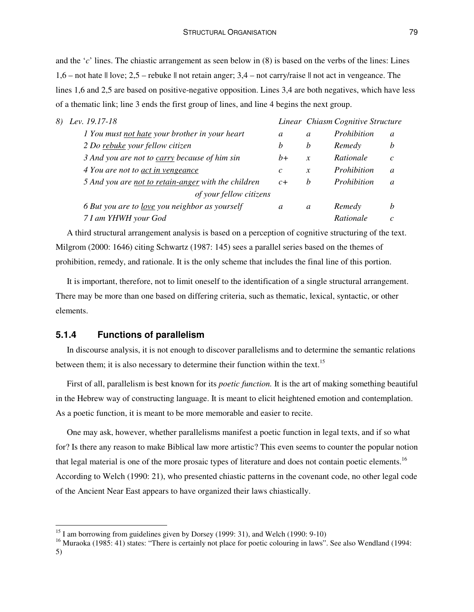and the '*c*' lines. The chiastic arrangement as seen below in (8) is based on the verbs of the lines: Lines 1,6 – not hate || love; 2,5 – rebuke || not retain anger; 3,4 – not carry/raise || not act in vengeance. The lines 1,6 and 2,5 are based on positive-negative opposition. Lines 3,4 are both negatives, which have less of a thematic link; line 3 ends the first group of lines, and line 4 begins the next group.

| 8) Lev. 19.17-18                                      |                       |               | Linear Chiasm Cognitive Structure |               |
|-------------------------------------------------------|-----------------------|---------------|-----------------------------------|---------------|
| 1 You must not hate your brother in your heart        | a                     | a             | Prohibition                       | a             |
| 2 Do rebuke your fellow citizen                       | b                     | b             | Remedy                            | b             |
| 3 And you are not to carry because of him sin         | $h+$                  | $\mathcal{X}$ | Rationale                         | $\mathcal{C}$ |
| 4 You are not to act in vengeance                     | $\mathcal{C}_{0}^{0}$ | $\mathcal{X}$ | Prohibition                       | a             |
| 5 And you are not to retain-anger with the children   | $c+$                  | h             | Prohibition                       | a             |
| of your fellow citizens                               |                       |               |                                   |               |
| 6 But you are to <u>love</u> you neighbor as yourself | a                     | a             | Remedy                            | b             |
| 7 I am YHWH your God                                  |                       |               | Rationale                         | $\mathcal{C}$ |

A third structural arrangement analysis is based on a perception of cognitive structuring of the text. Milgrom (2000: 1646) citing Schwartz (1987: 145) sees a parallel series based on the themes of prohibition, remedy, and rationale. It is the only scheme that includes the final line of this portion.

It is important, therefore, not to limit oneself to the identification of a single structural arrangement. There may be more than one based on differing criteria, such as thematic, lexical, syntactic, or other elements.

### **5.1.4 Functions of parallelism**

In discourse analysis, it is not enough to discover parallelisms and to determine the semantic relations between them; it is also necessary to determine their function within the text.<sup>15</sup>

First of all, parallelism is best known for its *poetic function.* It is the art of making something beautiful in the Hebrew way of constructing language. It is meant to elicit heightened emotion and contemplation. As a poetic function, it is meant to be more memorable and easier to recite.

One may ask, however, whether parallelisms manifest a poetic function in legal texts, and if so what for? Is there any reason to make Biblical law more artistic? This even seems to counter the popular notion that legal material is one of the more prosaic types of literature and does not contain poetic elements.<sup>16</sup> According to Welch (1990: 21), who presented chiastic patterns in the covenant code, no other legal code of the Ancient Near East appears to have organized their laws chiastically.

<sup>&</sup>lt;sup>15</sup> I am borrowing from guidelines given by Dorsey (1999: 31), and Welch (1990: 9-10)

<sup>&</sup>lt;sup>16</sup> Muraoka (1985: 41) states: "There is certainly not place for poetic colouring in laws". See also Wendland (1994: 5)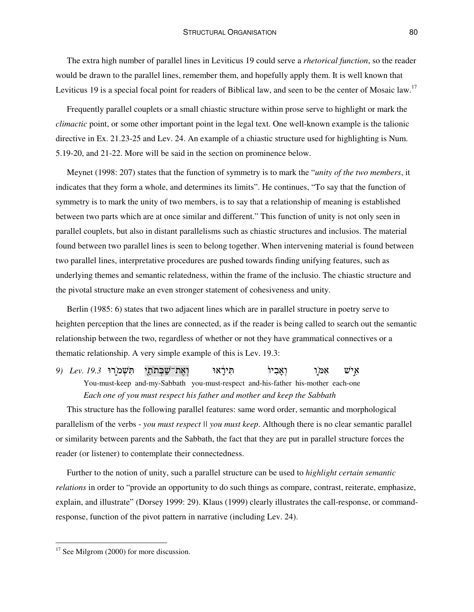The extra high number of parallel lines in Leviticus 19 could serve a *rhetorical function*, so the reader would be drawn to the parallel lines, remember them, and hopefully apply them. It is well known that Leviticus 19 is a special focal point for readers of Biblical law, and seen to be the center of Mosaic law.<sup>17</sup>

Frequently parallel couplets or a small chiastic structure within prose serve to highlight or mark the *climactic* point, or some other important point in the legal text. One well-known example is the talionic directive in Ex. 21.23-25 and Lev. 24. An example of a chiastic structure used for highlighting is Num. 5.19-20, and 21-22. More will be said in the section on prominence below.

Meynet (1998: 207) states that the function of symmetry is to mark the "*unity of the two members*, it indicates that they form a whole, and determines its limits". He continues, "To say that the function of symmetry is to mark the unity of two members, is to say that a relationship of meaning is established between two parts which are at once similar and different." This function of unity is not only seen in parallel couplets, but also in distant parallelisms such as chiastic structures and inclusios. The material found between two parallel lines is seen to belong together. When intervening material is found between two parallel lines, interpretative procedures are pushed towards finding unifying features, such as underlying themes and semantic relatedness, within the frame of the inclusio. The chiastic structure and the pivotal structure make an even stronger statement of cohesiveness and unity.

Berlin (1985: 6) states that two adjacent lines which are in parallel structure in poetry serve to heighten perception that the lines are connected, as if the reader is being called to search out the semantic relationship between the two, regardless of whether or not they have grammatical connectives or a thematic relationship. A very simple example of this is Lev. 19.3:

9) Lev. 19.3 **ה**שמרו וְאֶת־שַׁבְּת היראו ואביו  $\mathbf{r}$ איש אמו You-must-keep and-my-Sabbath you-must-respect and-his-father his-mother each-one

*Each one of you must respect his father and mother and keep the Sabbath*

This structure has the following parallel features: same word order, semantic and morphological parallelism of the verbs - *you must respect || you must keep*. Although there is no clear semantic parallel or similarity between parents and the Sabbath, the fact that they are put in parallel structure forces the reader (or listener) to contemplate their connectedness.

Further to the notion of unity, such a parallel structure can be used to *highlight certain semantic relations* in order to "provide an opportunity to do such things as compare, contrast, reiterate, emphasize, explain, and illustrate" (Dorsey 1999: 29). Klaus (1999) clearly illustrates the call-response, or commandresponse, function of the pivot pattern in narrative (including Lev. 24).

<sup>&</sup>lt;sup>17</sup> See Milgrom (2000) for more discussion.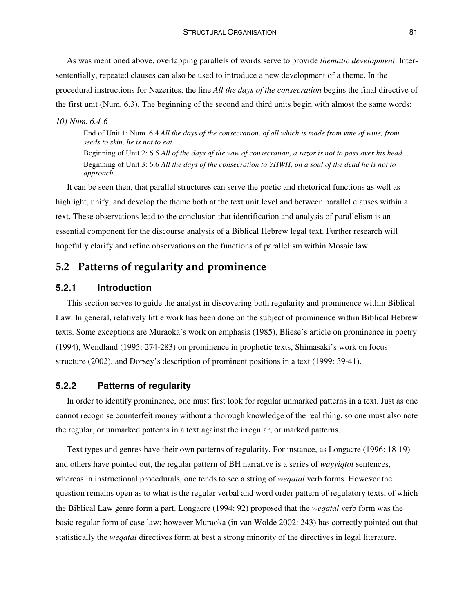As was mentioned above, overlapping parallels of words serve to provide *thematic development*. Intersententially, repeated clauses can also be used to introduce a new development of a theme. In the procedural instructions for Nazerites, the line *All the days of the consecration* begins the final directive of the first unit (Num. 6.3). The beginning of the second and third units begin with almost the same words:

#### *10) Num. 6.4-6*

End of Unit 1: Num. 6.4 *All the days of the consecration, of all which is made from vine of wine, from seeds to skin, he is not to eat*

Beginning of Unit 2: 6.5 All of the days of the vow of consecration, a razor is not to pass over his head... Beginning of Unit 3: 6.6 All the days of the consecration to YHWH, on a soul of the dead he is not to *approach…*

It can be seen then, that parallel structures can serve the poetic and rhetorical functions as well as highlight, unify, and develop the theme both at the text unit level and between parallel clauses within a text. These observations lead to the conclusion that identification and analysis of parallelism is an essential component for the discourse analysis of a Biblical Hebrew legal text. Further research will hopefully clarify and refine observations on the functions of parallelism within Mosaic law.

# **5.2 Patterns of regularity and prominence**

# **5.2.1 Introduction**

This section serves to guide the analyst in discovering both regularity and prominence within Biblical Law. In general, relatively little work has been done on the subject of prominence within Biblical Hebrew texts. Some exceptions are Muraoka's work on emphasis (1985), Bliese's article on prominence in poetry (1994), Wendland (1995: 274-283) on prominence in prophetic texts, Shimasaki's work on focus structure (2002), and Dorsey's description of prominent positions in a text (1999: 39-41).

## **5.2.2 Patterns of regularity**

In order to identify prominence, one must first look for regular unmarked patterns in a text. Just as one cannot recognise counterfeit money without a thorough knowledge of the real thing, so one must also note the regular, or unmarked patterns in a text against the irregular, or marked patterns.

Text types and genres have their own patterns of regularity. For instance, as Longacre (1996: 18-19) and others have pointed out, the regular pattern of BH narrative is a series of *wayyiqtol* sentences, whereas in instructional procedurals, one tends to see a string of *weqatal* verb forms. However the question remains open as to what is the regular verbal and word order pattern of regulatory texts, of which the Biblical Law genre form a part. Longacre (1994: 92) proposed that the *weqatal* verb form was the basic regular form of case law; however Muraoka (in van Wolde 2002: 243) has correctly pointed out that statistically the *weqatal* directives form at best a strong minority of the directives in legal literature.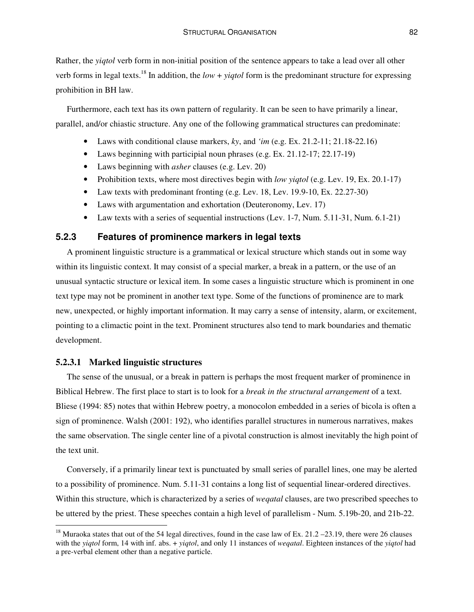Rather, the *yiqtol* verb form in non-initial position of the sentence appears to take a lead over all other verb forms in legal texts. 18 In addition, the *low* + *yiqtol* form is the predominant structure for expressing prohibition in BH law.

Furthermore, each text has its own pattern of regularity. It can be seen to have primarily a linear, parallel, and/or chiastic structure. Any one of the following grammatical structures can predominate:

- Laws with conditional clause markers, *ky*, and *'im* (e.g. Ex. 21.2-11; 21.18-22.16)
- Laws beginning with participial noun phrases (e.g. Ex. 21.12-17; 22.17-19)
- Laws beginning with *asher* clauses (e.g. Lev. 20)
- Prohibition texts, where most directives begin with *low yiqtol* (e.g. Lev. 19, Ex. 20.1-17)
- Law texts with predominant fronting (e.g. Lev. 18, Lev. 19.9-10, Ex. 22.27-30)
- Laws with argumentation and exhortation (Deuteronomy, Lev. 17)
- Law texts with a series of sequential instructions (Lev. 1-7, Num. 5.11-31, Num. 6.1-21)

# **5.2.3 Features of prominence markers in legal texts**

A prominent linguistic structure is a grammatical or lexical structure which stands out in some way within its linguistic context. It may consist of a special marker, a break in a pattern, or the use of an unusual syntactic structure or lexical item. In some cases a linguistic structure which is prominent in one text type may not be prominent in another text type. Some of the functions of prominence are to mark new, unexpected, or highly important information. It may carry a sense of intensity, alarm, or excitement, pointing to a climactic point in the text. Prominent structures also tend to mark boundaries and thematic development.

#### **5.2.3.1 Marked linguistic structures**

The sense of the unusual, or a break in pattern is perhaps the most frequent marker of prominence in Biblical Hebrew. The first place to start is to look for a *break in the structural arrangement* of a text. Bliese (1994: 85) notes that within Hebrew poetry, a monocolon embedded in a series of bicola is often a sign of prominence. Walsh (2001: 192), who identifies parallel structures in numerous narratives, makes the same observation. The single center line of a pivotal construction is almost inevitably the high point of the text unit.

Conversely, if a primarily linear text is punctuated by small series of parallel lines, one may be alerted to a possibility of prominence. Num. 5.11-31 contains a long list of sequential linear-ordered directives. Within this structure, which is characterized by a series of *weqatal* clauses, are two prescribed speeches to be uttered by the priest. These speeches contain a high level of parallelism - Num. 5.19b-20, and 21b-22.

<sup>&</sup>lt;sup>18</sup> Muraoka states that out of the 54 legal directives, found in the case law of Ex. 21.2 – 23.19, there were 26 clauses with the *yiqtol* form, 14 with inf. abs. + *yiqtol*, and only 11 instances of *weqatal*. Eighteen instances of the *yiqtol* had a pre-verbal element other than a negative particle.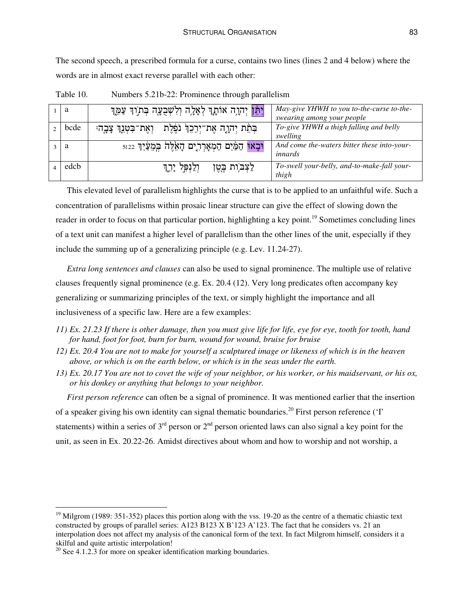The second speech, a prescribed formula for a curse, contains two lines (lines 2 and 4 below) where the words are in almost exact reverse parallel with each other:

| a    | <mark>וַיִּמֵן</mark> יְהוָה אוֹתָךְ לְאָלָה וְלִשְׁבֻעָּה בְּתוֹךְ עַמֶּךְ | May-give YHWH to you to-the-curse to-the-<br>swearing among your people |
|------|-----------------------------------------------------------------------------|-------------------------------------------------------------------------|
| bcde | בְּתֵׂת יְהִוָה אֶת־יְרֵכֵךְ נֹפֶּלֶת - וְאֶת־בִּטְנֵךְ צָבֶה:              | To-give YHWH a thigh falling and belly<br>swelling                      |
| a    | וּבָאוּ הַמַּ֫יִם הַמְאָרְרִים הָאֵׂלֶּה בְּמֵעַּ֫יִךְ $\,$ $\,$ $\,$       | And come the-waters bitter these into-your-<br>innards                  |
| edcb | וִלַנִּפְּל יָרֶךְ<br>לַצְבֹּוֹת בֶטֶן                                      | To-swell your-belly, and-to-make-fall your-<br>thigh                    |

Table 10. Numbers 5.21b-22: Prominence through parallelism

This elevated level of parallelism highlights the curse that is to be applied to an unfaithful wife. Such a concentration of parallelisms within prosaic linear structure can give the effect of slowing down the reader in order to focus on that particular portion, highlighting a key point.<sup>19</sup> Sometimes concluding lines of a text unit can manifest a higher level of parallelism than the other lines of the unit, especially if they include the summing up of a generalizing principle (e.g. Lev. 11.24-27).

*Extra long sentences and clauses* can also be used to signal prominence. The multiple use of relative clauses frequently signal prominence (e.g. Ex. 20.4 (12). Very long predicates often accompany key generalizing or summarizing principles of the text, or simply highlight the importance and all inclusiveness of a specific law. Here are a few examples:

- 11) Ex. 21.23 If there is other damage, then you must give life for life, eye for eye, tooth for tooth, hand *for hand, foot for foot, burn for burn, wound for wound, bruise for bruise*
- 12) Ex. 20.4 You are not to make for yourself a sculptured image or likeness of which is in the heaven *above, or which is on the earth below, or which is in the seas under the earth.*
- 13) Ex. 20.17 You are not to covet the wife of your neighbor, or his worker, or his maidservant, or his ox, *or his donkey or anything that belongs to your neighbor.*

*First person reference* can often be a signal of prominence. It was mentioned earlier that the insertion of a speaker giving his own identity can signal thematic boundaries.<sup>20</sup> First person reference ('I' statements) within a series of  $3<sup>rd</sup>$  person or  $2<sup>nd</sup>$  person oriented laws can also signal a key point for the unit, as seen in Ex. 20.22-26. Amidst directives about whom and how to worship and not worship, a

 $19$  Milgrom (1989: 351-352) places this portion along with the vss. 19-20 as the centre of a thematic chiastic text constructed by groups of parallel series: A123 B123 X B'123 A'123. The fact that he considers vs. 21 an interpolation does not affect my analysis of the canonical form of the text. In fact Milgrom himself, considers it a skilful and quite artistic interpolation!

 $20$  See 4.1.2.3 for more on speaker identification marking boundaries.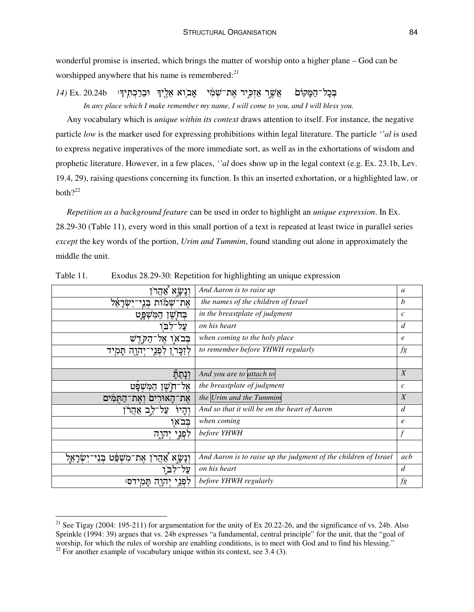wonderful promise is inserted, which brings the matter of worship onto a higher plane – God can be worshipped anywhere that his name is remembered:<sup>21</sup>

בְּכָל־הַמָּקוֹם אֲשֵר אַזִכְּיר אֶת־שָׁמִי אָב ִוא אֵלֵיךְ וּבֵרַכְתְּיךְ<del>ּ</del>: 20.24b Ex. כְּ *In any place which I make remember my name, I will come to you, and I will bless you.*

Any vocabulary which is *unique within its context* draws attention to itself. For instance, the negative particle *low* is the marker used for expressing prohibitions within legal literature. The particle *''al* is used to express negative imperatives of the more immediate sort, as well as in the exhortations of wisdom and prophetic literature. However, in a few places, *''al* does show up in the legal context (e.g. Ex. 23.1b, Lev. 19.4, 29), raising questions concerning its function. Is this an inserted exhortation, or a highlighted law, or both $?^{22}$ 

*Repetition as a background feature* can be used in order to highlight an *unique expression*. In Ex. 28.29-30 (Table 11), every word in this small portion of a text is repeated at least twice in parallel series *except* the key words of the portion, *Urim and Tummim*, found standing out alone in approximately the middle the unit.

| <u>וְנְשָׂא</u><br>אהר                                        | And Aaron is to raise up                                        | $\mathfrak{a}$    |
|---------------------------------------------------------------|-----------------------------------------------------------------|-------------------|
| אֶת־שָׁמֹות בְּנֵי־יִשְׂרָאֵל                                 | the names of the children of Israel                             | b                 |
| המשפט                                                         | in the breastplate of judgment                                  | $\mathcal{C}_{0}$ |
| <b>ּבְחָ</b> יֶשֶׁן<br>על־<br>٦.                              | on his heart                                                    | $\overline{d}$    |
|                                                               |                                                                 |                   |
| בִּבֹאו אָל־הַקְרֶשׁ                                          | when coming to the holy place                                   | $\epsilon$        |
| לְזִכָּר וְלִפְגֵי־יְהֹוָה תָּמִיד                            | to remember before YHWH regularly                               | fg                |
|                                                               |                                                                 |                   |
| ונתה                                                          | And you are to attach to                                        | $\boldsymbol{X}$  |
| אֵל־חִשֶׁן<br>המשפט                                           | the breastplate of judgment                                     | $\mathcal{C}$     |
| את־האורים ואת־הַתּמִים                                        | the Urim and the Tummim                                         | $\boldsymbol{X}$  |
| ֿעַל־לֵב אַהֲרֹ<br>יְהָיוֹ                                    | And so that it will be on the heart of Aaron                    | $\overline{d}$    |
| בבאו                                                          | when coming                                                     | $\ell$            |
| לפני יהוה                                                     | before YHWH                                                     | $\int$            |
|                                                               |                                                                 |                   |
| וְנָשָׂא אַהֲרֹן אֶת־מִשְׁפַּט בְּנֵי־יִשְׂרָא <del>ָ</del> ל | And Aaron is to raise up the judgment of the children of Israel | acb               |
|                                                               | on his heart                                                    | $\overline{d}$    |
| תמידס:<br>לפני<br>יהוה                                        | before YHWH regularly                                           | fg                |

| Table 11. | Exodus 28.29-30: Repetition for highlighting an unique expression |  |  |
|-----------|-------------------------------------------------------------------|--|--|
|           |                                                                   |  |  |

<sup>&</sup>lt;sup>21</sup> See Tigay (2004: 195-211) for argumentation for the unity of Ex 20.22-26, and the significance of vs. 24b. Also Sprinkle (1994: 39) argues that vs. 24b expresses "a fundamental, central principle" for the unit, that the "goal of worship, for which the rules of worship are enabling conditions, is to meet with God and to find his blessing."

 $^{22}$  For another example of vocabulary unique within its context, see 3.4 (3).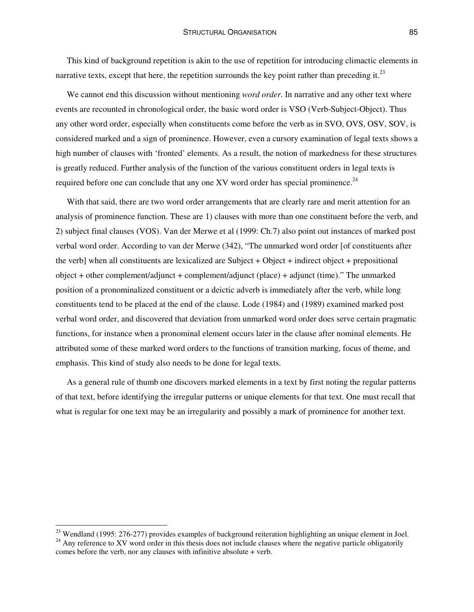This kind of background repetition is akin to the use of repetition for introducing climactic elements in narrative texts, except that here, the repetition surrounds the key point rather than preceding it.<sup>23</sup>

We cannot end this discussion without mentioning *word order*. In narrative and any other text where events are recounted in chronological order, the basic word order is VSO (Verb-Subject-Object). Thus any other word order, especially when constituents come before the verb as in SVO, OVS, OSV, SOV, is considered marked and a sign of prominence. However, even a cursory examination of legal texts shows a high number of clauses with 'fronted' elements. As a result, the notion of markedness for these structures is greatly reduced. Further analysis of the function of the various constituent orders in legal texts is required before one can conclude that any one XV word order has special prominence.<sup>24</sup>

With that said, there are two word order arrangements that are clearly rare and merit attention for an analysis of prominence function. These are 1) clauses with more than one constituent before the verb, and 2) subject final clauses (VOS). Van der Merwe et al (1999: Ch.7) also point out instances of marked post verbal word order. According to van der Merwe (342), "The unmarked word order [of constituents after the verb] when all constituents are lexicalized are Subject + Object + indirect object + prepositional object + other complement/adjunct + complement/adjunct (place) + adjunct (time)." The unmarked position of a pronominalized constituent or a deictic adverb is immediately after the verb, while long constituents tend to be placed at the end of the clause. Lode (1984) and (1989) examined marked post verbal word order, and discovered that deviation from unmarked word order does serve certain pragmatic functions, for instance when a pronominal element occurs later in the clause after nominal elements. He attributed some of these marked word orders to the functions of transition marking, focus of theme, and emphasis. This kind of study also needs to be done for legal texts.

As a general rule of thumb one discovers marked elements in a text by first noting the regular patterns of that text, before identifying the irregular patterns or unique elements for that text. One must recall that what is regular for one text may be an irregularity and possibly a mark of prominence for another text.

<sup>&</sup>lt;sup>23</sup> Wendland (1995: 276-277) provides examples of background reiteration highlighting an unique element in Joel.  $24$  Anv reference to XV word order in this thesis does not include clauses where the negative particle obligatorily

comes before the verb, nor any clauses with infinitive absolute + verb.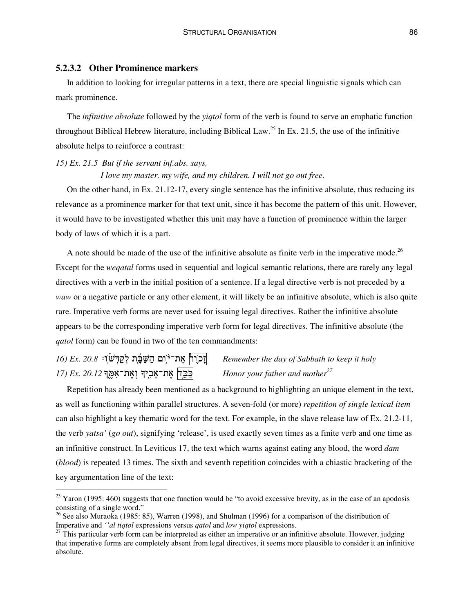# **5.2.3.2 Other Prominence markers**

In addition to looking for irregular patterns in a text, there are special linguistic signals which can mark prominence.

The *infinitive absolute* followed by the *yiqtol* form of the verb is found to serve an emphatic function throughout Biblical Hebrew literature, including Biblical Law. 25 In Ex. 21.5, the use of the infinitive absolute helps to reinforce a contrast:

# *15) Ex. 21.5 But if the servant inf.abs. says,*

#### *I love my master, my wife, and my children. I will not go out free.*

On the other hand, in Ex. 21.12-17, every single sentence has the infinitive absolute, thus reducing its relevance as a prominence marker for that text unit, since it has become the pattern of this unit. However, it would have to be investigated whether this unit may have a function of prominence within the larger body of laws of which it is a part.

A note should be made of the use of the infinitive absolute as finite verb in the imperative mode.<sup>26</sup> Except for the *weqatal* forms used in sequential and logical semantic relations, there are rarely any legal directives with a verb in the initial position of a sentence. If a legal directive verb is not preceded by a *waw* or a negative particle or any other element, it will likely be an infinitive absolute, which is also quite rare. Imperative verb forms are never used for issuing legal directives. Rather the infinitive absolute appears to be the corresponding imperative verb form for legal directives. The infinitive absolute (the *qatol* form) can be found in two of the ten commandments:

# *16) Ex. 20.8* .-,<2 J"
3 U\$"4 " &- :% X-7=- *Remember the day of Sabbath to keep it holy 17) Ex. 20.12* S)% - S% \$" *Honor your father and mother 27*

Repetition has already been mentioned as a background to highlighting an unique element in the text, as well as functioning within parallel structures. A seven-fold (or more) *repetition of single lexical item* can also highlight a key thematic word for the text. For example, in the slave release law of Ex. 21.2-11, the verb *yatsa'* (*go out*), signifying 'release', is used exactly seven times as a finite verb and one time as an infinitive construct. In Leviticus 17, the text which warns against eating any blood, the word *dam* (*blood*) is repeated 13 times. The sixth and seventh repetition coincides with a chiastic bracketing of the key argumentation line of the text:

 $25$  Yaron (1995: 460) suggests that one function would be "to avoid excessive brevity, as in the case of an apodosis consisting of a single word."

<sup>&</sup>lt;sup>26</sup> See also Muraoka (1985: 85), Warren (1998), and Shulman (1996) for a comparison of the distribution of Imperative and *''al tiqtol* expressions versus *qatol* and *low yiqtol* expressions.

 $27$  This particular verb form can be interpreted as either an imperative or an infinitive absolute. However, judging that imperative forms are completely absent from legal directives, it seems more plausible to consider it an infinitive absolute.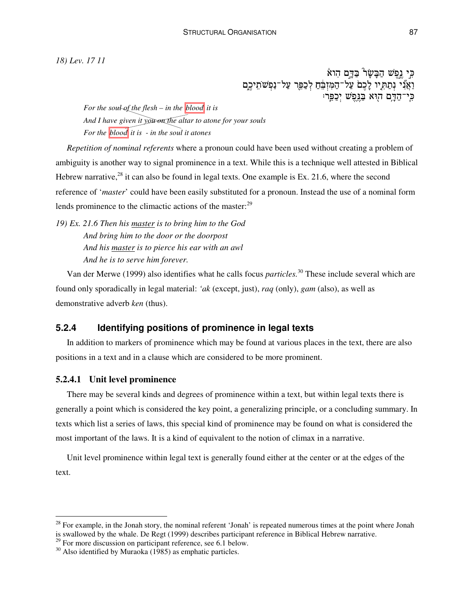*18) Lev. 17 11*

כִּי נֶפֶשׁ הַבָּשָׂר בַּדְם הִוא וַאֲנִי נְתַתְּיו לָכֶם עַל־הַמִּזְבֵּחַ לְכַפֵּר עַל־נַפְשֹׁתִיכֶם כי־הדם הוא בנפש יכפר:

*For the soul of the flesh – in the blood it is And I have given it you on the altar to atone for your souls For the blood it is - in the soul it atones*

*Repetition of nominal referents* where a pronoun could have been used without creating a problem of ambiguity is another way to signal prominence in a text. While this is a technique well attested in Biblical Hebrew narrative,  $28$  it can also be found in legal texts. One example is Ex. 21.6, where the second reference of '*master*' could have been easily substituted for a pronoun. Instead the use of a nominal form lends prominence to the climactic actions of the master:<sup>29</sup>

*19) Ex. 21.6 Then his master is to bring him to the God And bring him to the door or the doorpost And his master is to pierce his ear with an awl And he is to serve him forever.*

Van der Merwe (1999) also identifies what he calls focus *particles.* <sup>30</sup> These include several which are found only sporadically in legal material: *'ak* (except, just), *raq* (only), *gam* (also), as well as demonstrative adverb *ken* (thus).

# **5.2.4 Identifying positions of prominence in legal texts**

In addition to markers of prominence which may be found at various places in the text, there are also positions in a text and in a clause which are considered to be more prominent.

#### **5.2.4.1 Unit level prominence**

There may be several kinds and degrees of prominence within a text, but within legal texts there is generally a point which is considered the key point, a generalizing principle, or a concluding summary. In texts which list a series of laws, this special kind of prominence may be found on what is considered the most important of the laws. It is a kind of equivalent to the notion of climax in a narrative.

Unit level prominence within legal text is generally found either at the center or at the edges of the text.

<sup>&</sup>lt;sup>28</sup> For example, in the Jonah story, the nominal referent 'Jonah' is repeated numerous times at the point where Jonah is swallowed by the whale. De Regt (1999) describes participant reference in Biblical Hebrew narrative. 29 For more discussion on participant reference, see 6.1 below.

 $30$  Also identified by Muraoka (1985) as emphatic particles.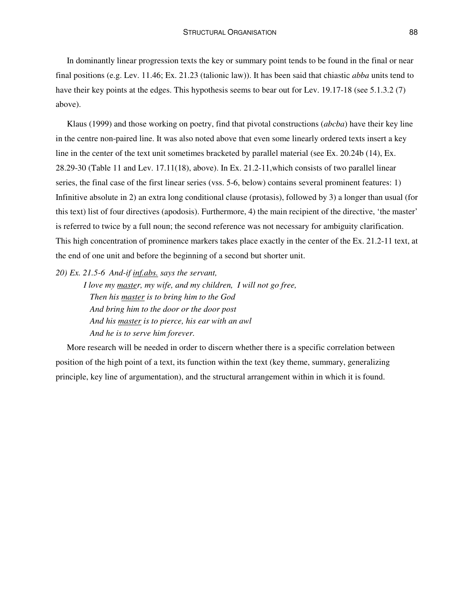In dominantly linear progression texts the key or summary point tends to be found in the final or near final positions (e.g. Lev. 11.46; Ex. 21.23 (talionic law)). It has been said that chiastic *abba* units tend to have their key points at the edges. This hypothesis seems to bear out for Lev. 19.17-18 (see 5.1.3.2 (7) above).

Klaus (1999) and those working on poetry, find that pivotal constructions (*abcba*) have their key line in the centre non-paired line. It was also noted above that even some linearly ordered texts insert a key line in the center of the text unit sometimes bracketed by parallel material (see Ex. 20.24b (14), Ex. 28.29-30 (Table 11 and Lev. 17.11(18), above). In Ex. 21.2-11,which consists of two parallel linear series, the final case of the first linear series (vss. 5-6, below) contains several prominent features: 1) Infinitive absolute in 2) an extra long conditional clause (protasis), followed by 3) a longer than usual (for this text) list of four directives (apodosis). Furthermore, 4) the main recipient of the directive, 'the master' is referred to twice by a full noun; the second reference was not necessary for ambiguity clarification. This high concentration of prominence markers takes place exactly in the center of the Ex. 21.2-11 text, at the end of one unit and before the beginning of a second but shorter unit.

*20) Ex. 21.5-6 And-if inf.abs. says the servant,*

*I love my master, my wife, and my children, I will not go free, Then his master is to bring him to the God And bring him to the door or the door post And his master is to pierce, his ear with an awl And he is to serve him forever.*

More research will be needed in order to discern whether there is a specific correlation between position of the high point of a text, its function within the text (key theme, summary, generalizing principle, key line of argumentation), and the structural arrangement within in which it is found.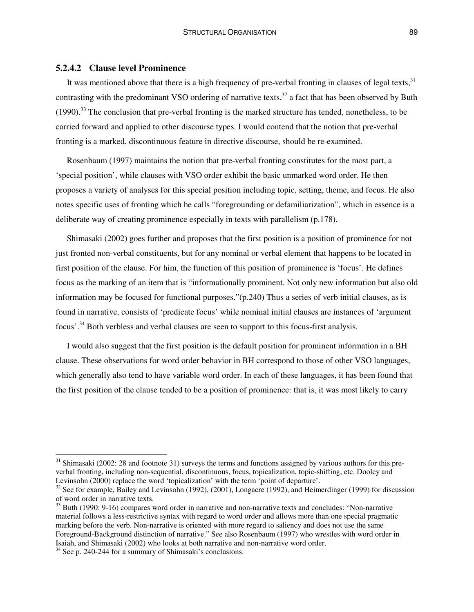# **5.2.4.2 Clause level Prominence**

It was mentioned above that there is a high frequency of pre-verbal fronting in clauses of legal texts,<sup>31</sup> contrasting with the predominant VSO ordering of narrative texts,<sup>32</sup> a fact that has been observed by Buth (1990).<sup>33</sup> The conclusion that pre-verbal fronting is the marked structure has tended, nonetheless, to be carried forward and applied to other discourse types. I would contend that the notion that pre-verbal fronting is a marked, discontinuous feature in directive discourse, should be re-examined.

Rosenbaum (1997) maintains the notion that pre-verbal fronting constitutes for the most part, a 'special position', while clauses with VSO order exhibit the basic unmarked word order. He then proposes a variety of analyses for this special position including topic, setting, theme, and focus. He also notes specific uses of fronting which he calls "foregrounding or defamiliarization", which in essence is a deliberate way of creating prominence especially in texts with parallelism (p.178).

Shimasaki (2002) goes further and proposes that the first position is a position of prominence for not just fronted non-verbal constituents, but for any nominal or verbal element that happens to be located in first position of the clause. For him, the function of this position of prominence is 'focus'. He defines focus as the marking of an item that is "informationally prominent. Not only new information but also old information may be focused for functional purposes."(p.240) Thus a series of verb initial clauses, as is found in narrative, consists of 'predicate focus' while nominal initial clauses are instances of 'argument focus'.<sup>34</sup> Both verbless and verbal clauses are seen to support to this focus-first analysis.

I would also suggest that the first position is the default position for prominent information in a BH clause. These observations for word order behavior in BH correspond to those of other VSO languages, which generally also tend to have variable word order. In each of these languages, it has been found that the first position of the clause tended to be a position of prominence: that is, it was most likely to carry

 $31$  Shimasaki (2002: 28 and footnote 31) surveys the terms and functions assigned by various authors for this preverbal fronting, including non-sequential, discontinuous, focus, topicalization, topic-shifting, etc. Dooley and Levinsohn (2000) replace the word 'topicalization' with the term 'point of departure'.

 $32$  See for example, Bailey and Levinsohn (1992), (2001), Longacre (1992), and Heimerdinger (1999) for discussion of word order in narrative texts.

<sup>&</sup>lt;sup>33</sup> Buth (1990: 9-16) compares word order in narrative and non-narrative texts and concludes: "Non-narrative material follows a less-restrictive syntax with regard to word order and allows more than one special pragmatic marking before the verb. Non-narrative is oriented with more regard to saliency and does not use the same Foreground-Background distinction of narrative." See also Rosenbaum (1997) who wrestles with word order in Isaiah, and Shimasaki (2002) who looks at both narrative and non-narrative word order.

<sup>&</sup>lt;sup>34</sup> See p. 240-244 for a summary of Shimasaki's conclusions.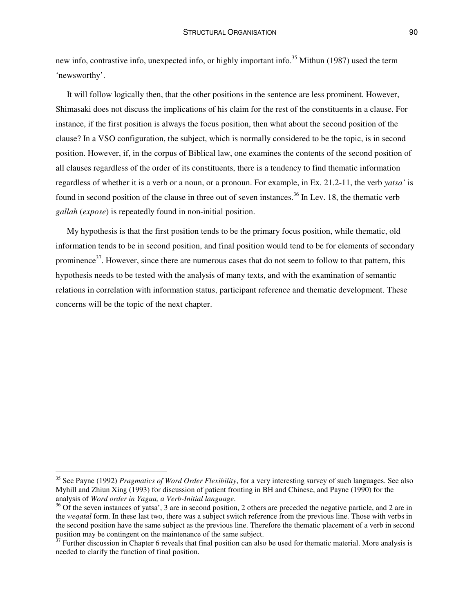new info, contrastive info, unexpected info, or highly important info.<sup>35</sup> Mithun (1987) used the term 'newsworthy'.

It will follow logically then, that the other positions in the sentence are less prominent. However, Shimasaki does not discuss the implications of his claim for the rest of the constituents in a clause. For instance, if the first position is always the focus position, then what about the second position of the clause? In a VSO configuration, the subject, which is normally considered to be the topic, is in second position. However, if, in the corpus of Biblical law, one examines the contents of the second position of all clauses regardless of the order of its constituents, there is a tendency to find thematic information regardless of whether it is a verb or a noun, or a pronoun. For example, in Ex. 21.2-11, the verb *yatsa'* is found in second position of the clause in three out of seven instances.<sup>36</sup> In Lev. 18, the thematic verb *gallah* (*expose*) is repeatedly found in non-initial position.

My hypothesis is that the first position tends to be the primary focus position, while thematic, old information tends to be in second position, and final position would tend to be for elements of secondary prominence<sup>37</sup>. However, since there are numerous cases that do not seem to follow to that pattern, this hypothesis needs to be tested with the analysis of many texts, and with the examination of semantic relations in correlation with information status, participant reference and thematic development. These concerns will be the topic of the next chapter.

<sup>35</sup> See Payne (1992) *Pragmatics of Word Order Flexibility*, for a very interesting survey of such languages. See also Myhill and Zhiun Xing (1993) for discussion of patient fronting in BH and Chinese, and Payne (1990) for the analysis of *Word order in Yagua, a Verb-Initial language*.

 $36$  Of the seven instances of yatsa', 3 are in second position, 2 others are preceded the negative particle, and 2 are in the *weqatal* form. In these last two, there was a subject switch reference from the previous line. Those with verbs in the second position have the same subject as the previous line. Therefore the thematic placement of a verb in second position may be contingent on the maintenance of the same subject.<br><sup>37</sup> Further discussion in Chapter 6 reveals that final position can also be used for thematic material. More analysis is

needed to clarify the function of final position.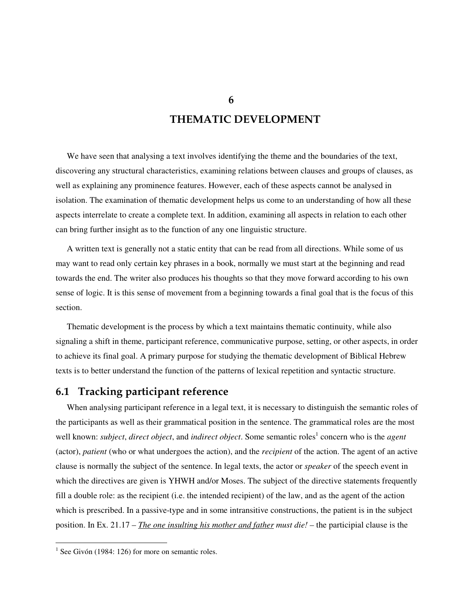# **THEMATIC DEVELOPMENT**

We have seen that analysing a text involves identifying the theme and the boundaries of the text, discovering any structural characteristics, examining relations between clauses and groups of clauses, as well as explaining any prominence features. However, each of these aspects cannot be analysed in isolation. The examination of thematic development helps us come to an understanding of how all these aspects interrelate to create a complete text. In addition, examining all aspects in relation to each other can bring further insight as to the function of any one linguistic structure.

A written text is generally not a static entity that can be read from all directions. While some of us may want to read only certain key phrases in a book, normally we must start at the beginning and read towards the end. The writer also produces his thoughts so that they move forward according to his own sense of logic. It is this sense of movement from a beginning towards a final goal that is the focus of this section.

Thematic development is the process by which a text maintains thematic continuity, while also signaling a shift in theme, participant reference, communicative purpose, setting, or other aspects, in order to achieve its final goal. A primary purpose for studying the thematic development of Biblical Hebrew texts is to better understand the function of the patterns of lexical repetition and syntactic structure.

# **6.1 Tracking participant reference**

When analysing participant reference in a legal text, it is necessary to distinguish the semantic roles of the participants as well as their grammatical position in the sentence. The grammatical roles are the most well known: *subject*, *direct object*, and *indirect object*. Some semantic roles 1 concern who is the *agent* (actor), *patient* (who or what undergoes the action), and the *recipient* of the action. The agent of an active clause is normally the subject of the sentence. In legal texts, the actor or *speaker* of the speech event in which the directives are given is YHWH and/or Moses. The subject of the directive statements frequently fill a double role: as the recipient (i.e. the intended recipient) of the law, and as the agent of the action which is prescribed. In a passive-type and in some intransitive constructions, the patient is in the subject position. In Ex. 21.17 – *The one insulting his mother and father must die! –* the participial clause is the

**6**

 $<sup>1</sup>$  See Givón (1984: 126) for more on semantic roles.</sup>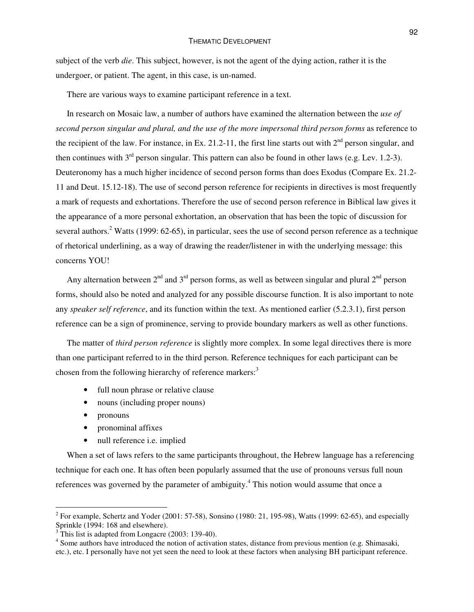subject of the verb *die*. This subject, however, is not the agent of the dying action, rather it is the undergoer, or patient. The agent, in this case, is un-named.

There are various ways to examine participant reference in a text.

In research on Mosaic law, a number of authors have examined the alternation between the *use of second person singular and plural, and the use of the more impersonal third person forms* as reference to the recipient of the law. For instance, in Ex. 21.2-11, the first line starts out with  $2<sup>nd</sup>$  person singular, and then continues with  $3<sup>rd</sup>$  person singular. This pattern can also be found in other laws (e.g. Lev. 1.2-3). Deuteronomy has a much higher incidence of second person forms than does Exodus (Compare Ex. 21.2- 11 and Deut. 15.12-18). The use of second person reference for recipients in directives is most frequently a mark of requests and exhortations. Therefore the use of second person reference in Biblical law gives it the appearance of a more personal exhortation, an observation that has been the topic of discussion for several authors.<sup>2</sup> Watts (1999: 62-65), in particular, sees the use of second person reference as a technique of rhetorical underlining, as a way of drawing the reader/listener in with the underlying message: this concerns YOU!

Any alternation between  $2<sup>nd</sup>$  and  $3<sup>rd</sup>$  person forms, as well as between singular and plural  $2<sup>nd</sup>$  person forms, should also be noted and analyzed for any possible discourse function. It is also important to note any *speaker self reference*, and its function within the text. As mentioned earlier (5.2.3.1), first person reference can be a sign of prominence, serving to provide boundary markers as well as other functions.

The matter of *third person reference* is slightly more complex. In some legal directives there is more than one participant referred to in the third person. Reference techniques for each participant can be chosen from the following hierarchy of reference markers:<sup>3</sup>

- full noun phrase or relative clause
- nouns (including proper nouns)
- pronouns
- pronominal affixes
- null reference *i.e.* implied

When a set of laws refers to the same participants throughout, the Hebrew language has a referencing technique for each one. It has often been popularly assumed that the use of pronouns versus full noun references was governed by the parameter of ambiguity.<sup>4</sup> This notion would assume that once a

<sup>&</sup>lt;sup>2</sup> For example, Schertz and Yoder (2001: 57-58), Sonsino (1980: 21, 195-98), Watts (1999: 62-65), and especially Sprinkle (1994: 168 and elsewhere).

 $3$  This list is adapted from Longacre (2003: 139-40).

<sup>&</sup>lt;sup>4</sup> Some authors have introduced the notion of activation states, distance from previous mention (e.g. Shimasaki, etc.), etc. I personally have not yet seen the need to look at these factors when analysing BH participant reference.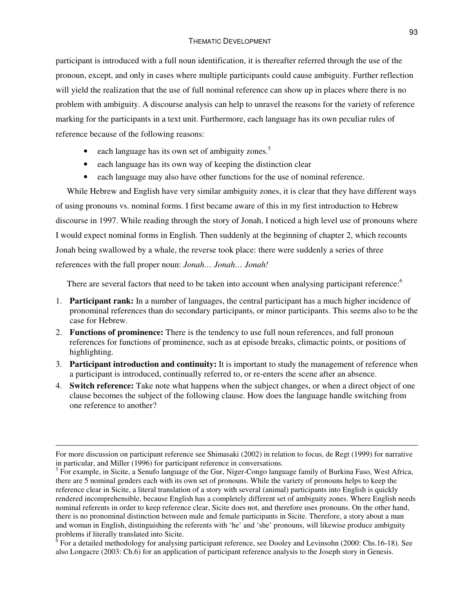#### THEMATIC DEVELOPMENT

participant is introduced with a full noun identification, it is thereafter referred through the use of the pronoun, except, and only in cases where multiple participants could cause ambiguity. Further reflection will yield the realization that the use of full nominal reference can show up in places where there is no problem with ambiguity. A discourse analysis can help to unravel the reasons for the variety of reference marking for the participants in a text unit. Furthermore, each language has its own peculiar rules of reference because of the following reasons:

- each language has its own set of ambiguity zones.<sup>5</sup>
- each language has its own way of keeping the distinction clear
- each language may also have other functions for the use of nominal reference.

While Hebrew and English have very similar ambiguity zones, it is clear that they have different ways of using pronouns vs. nominal forms. I first became aware of this in my first introduction to Hebrew discourse in 1997. While reading through the story of Jonah, I noticed a high level use of pronouns where I would expect nominal forms in English. Then suddenly at the beginning of chapter 2, which recounts Jonah being swallowed by a whale, the reverse took place: there were suddenly a series of three references with the full proper noun: *Jonah… Jonah… Jonah!*

There are several factors that need to be taken into account when analysing participant reference:<sup>6</sup>

- 1. **Participant rank:** In a number of languages, the central participant has a much higher incidence of pronominal references than do secondary participants, or minor participants. This seems also to be the case for Hebrew.
- 2. **Functions of prominence:** There is the tendency to use full noun references, and full pronoun references for functions of prominence, such as at episode breaks, climactic points, or positions of highlighting.
- 3. **Participant introduction and continuity:** It is important to study the management of reference when a participant is introduced, continually referred to, or re-enters the scene after an absence.
- 4. **Switch reference:** Take note what happens when the subject changes, or when a direct object of one clause becomes the subject of the following clause. How does the language handle switching from one reference to another?

For more discussion on participant reference see Shimasaki (2002) in relation to focus, de Regt (1999) for narrative in particular, and Miller (1996) for participant reference in conversations.

<sup>&</sup>lt;sup>5</sup> For example, in Sicite, a Senufo language of the Gur, Niger-Congo language family of Burkina Faso, West Africa, there are 5 nominal genders each with its own set of pronouns. While the variety of pronouns helps to keep the reference clear in Sicite, a literal translation of a story with several (animal) participants into English is quickly rendered incomprehensible, because English has a completely different set of ambiguity zones. Where English needs nominal referents in order to keep reference clear, Sicite does not, and therefore uses pronouns. On the other hand, there is no pronominal distinction between male and female participants in Sicite. Therefore, a story about a man and woman in English, distinguishing the referents with 'he' and 'she' pronouns, will likewise produce ambiguity problems if literally translated into Sicite.<br><sup>6</sup> For a detailed methodology for analysing participant reference, see Dooley and Levinsohn (2000: Chs.16-18). See

also Longacre (2003: Ch.6) for an application of participant reference analysis to the Joseph story in Genesis.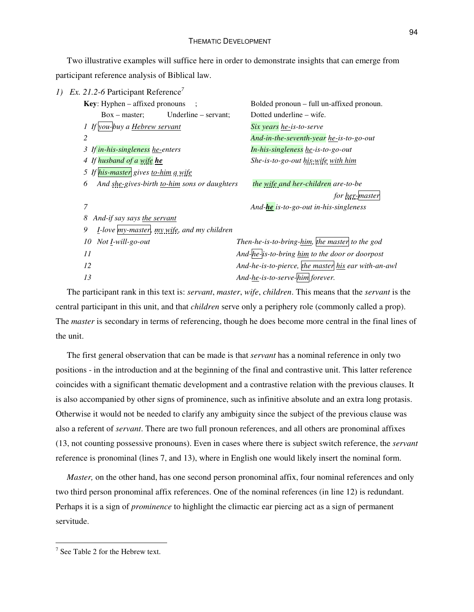#### THEMATIC DEVELOPMENT

Two illustrative examples will suffice here in order to demonstrate insights that can emerge from participant reference analysis of Biblical law.

| 1) | Ex. 21.2-6 Participant Reference                        |                                                     |
|----|---------------------------------------------------------|-----------------------------------------------------|
|    | <b>Key:</b> Hyphen $-$ affixed pronouns<br>$\cdot$ :    | Bolded pronoun – full un-affixed pronoun.           |
|    | Underline - servant;<br>$Box - master$ ;                | Dotted underline – wife.                            |
|    | 1 If you-buy a <b>Hebrew servant</b>                    | Six years he-is-to-serve                            |
|    | 2                                                       | And-in-the-seventh-year he-is-to-go-out             |
|    | 3 If in-his-singleness he-enters                        | In-his-singleness he-is-to-go-out                   |
|    | 4 If husband of a wife he                               | She-is-to-go-out his-wife with him                  |
|    | 5 If his-master gives to-him a wife                     |                                                     |
|    | 6<br>And she-gives-birth to-him sons or daughters       | the wife and her-children are-to-be                 |
|    |                                                         | for her-master                                      |
|    | 7                                                       | And- <b>he</b> is-to-go-out in-his-singleness       |
|    | 8<br>And-if say says the servant                        |                                                     |
|    | 9<br><i>I</i> -love my-master, my wife, and my children |                                                     |
|    | Not <i>I</i> -will-go-out<br>10                         | Then-he-is-to-bring-him, the master to the god      |
|    | 11                                                      | And-he-is-to-bring him to the door or doorpost      |
|    | 12                                                      | And-he-is-to-pierce, the master his ear with-an-awl |
|    | 13                                                      | And-he-is-to-serve-him forever.                     |
|    |                                                         |                                                     |

The participant rank in this text is: *servant*, *master*, *wife*, *children*. This means that the *servant* is the central participant in this unit, and that *children* serve only a periphery role (commonly called a prop). The *master* is secondary in terms of referencing, though he does become more central in the final lines of the unit.

The first general observation that can be made is that *servant* has a nominal reference in only two positions - in the introduction and at the beginning of the final and contrastive unit. This latter reference coincides with a significant thematic development and a contrastive relation with the previous clauses. It is also accompanied by other signs of prominence, such as infinitive absolute and an extra long protasis. Otherwise it would not be needed to clarify any ambiguity since the subject of the previous clause was also a referent of *servant*. There are two full pronoun references, and all others are pronominal affixes (13, not counting possessive pronouns). Even in cases where there is subject switch reference, the *servant* reference is pronominal (lines 7, and 13), where in English one would likely insert the nominal form.

*Master*, on the other hand, has one second person pronominal affix, four nominal references and only two third person pronominal affix references. One of the nominal references (in line 12) is redundant. Perhaps it is a sign of *prominence* to highlight the climactic ear piercing act as a sign of permanent servitude.

 $7$  See Table 2 for the Hebrew text.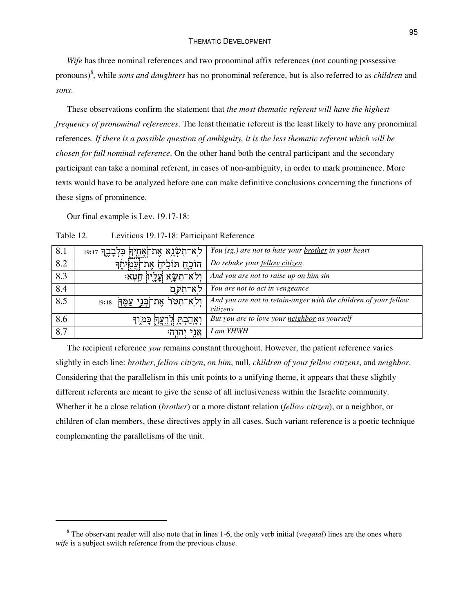*Wife* has three nominal references and two pronominal affix references (not counting possessive pronouns) 8 , while *sons and daughters* has no pronominal reference, but is also referred to as *children* and *sons*.

These observations confirm the statement that *the most thematic referent will have the highest frequency of pronominal references*. The least thematic referent is the least likely to have any pronominal references. *If there is a possible question of ambiguity, it is the less thematic referent which will be chosen for full nominal reference*. On the other hand both the central participant and the secondary participant can take a nominal referent, in cases of non-ambiguity, in order to mark prominence. More texts would have to be analyzed before one can make definitive conclusions concerning the functions of these signs of prominence.

Our final example is Lev. 19.17-18:

Table 12. Leviticus 19.17-18: Participant Reference

| 8.1 | ַלְא־תִשְּׂנָא אֶת־אֲחֻיַךְ בִּלְּבָבֶךְ 19:17 | You (sg.) are not to hate your brother in your heart                         |
|-----|------------------------------------------------|------------------------------------------------------------------------------|
| 8.2 | ּהוֹכֵחַ חוֹלִיהַ אֶת־יְעֲמִיתֶך               | Do rebuke your fellow citizen                                                |
| 8.3 | ולא־תשׂא עליו חטא:                             | And you are not to raise up on him sin                                       |
| 8.4 | לא־תקם                                         | You are not to act in vengeance                                              |
| 8.5 | ולֹא־תִטּרֹ אֶת־בְּנֵי עַמֶּךְ<br>19:18        | And you are not to retain-anger with the children of your fellow<br>citizens |
| 8.6 | ואֲהַבְהַ<br>כַּמֹוִך                          | But you are to love your neighbor as yourself                                |
| 8.7 | אני יהוה:                                      | I am YHWH                                                                    |

The recipient reference *you* remains constant throughout. However, the patient reference varies slightly in each line: *brother*, *fellow citizen*, *on him*, null, *children of your fellow citizens*, and *neighbor*. Considering that the parallelism in this unit points to a unifying theme, it appears that these slightly different referents are meant to give the sense of all inclusiveness within the Israelite community. Whether it be a close relation (*brother*) or a more distant relation (*fellow citizen*), or a neighbor, or children of clan members, these directives apply in all cases. Such variant reference is a poetic technique complementing the parallelisms of the unit.

<sup>8</sup> The observant reader will also note that in lines 1-6, the only verb initial (*weqatal*) lines are the ones where *wife* is a subject switch reference from the previous clause.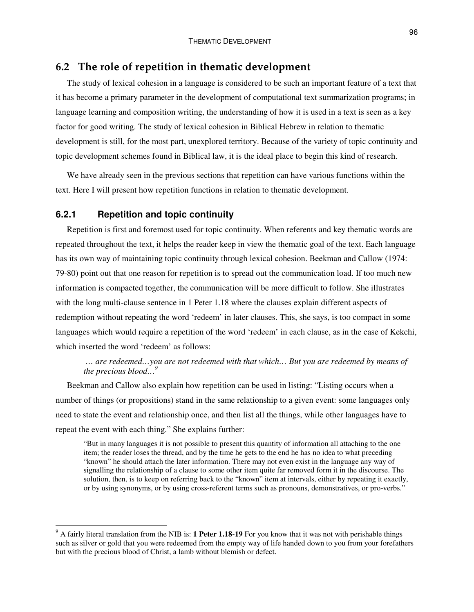# **6.2 The role of repetition in thematic development**

The study of lexical cohesion in a language is considered to be such an important feature of a text that it has become a primary parameter in the development of computational text summarization programs; in language learning and composition writing, the understanding of how it is used in a text is seen as a key factor for good writing. The study of lexical cohesion in Biblical Hebrew in relation to thematic development is still, for the most part, unexplored territory. Because of the variety of topic continuity and topic development schemes found in Biblical law, it is the ideal place to begin this kind of research.

We have already seen in the previous sections that repetition can have various functions within the text. Here I will present how repetition functions in relation to thematic development.

#### **6.2.1 Repetition and topic continuity**

Repetition is first and foremost used for topic continuity. When referents and key thematic words are repeated throughout the text, it helps the reader keep in view the thematic goal of the text. Each language has its own way of maintaining topic continuity through lexical cohesion. Beekman and Callow (1974: 79-80) point out that one reason for repetition is to spread out the communication load. If too much new information is compacted together, the communication will be more difficult to follow. She illustrates with the long multi-clause sentence in 1 Peter 1.18 where the clauses explain different aspects of redemption without repeating the word 'redeem' in later clauses. This, she says, is too compact in some languages which would require a repetition of the word 'redeem' in each clause, as in the case of Kekchi, which inserted the word 'redeem' as follows:

*… are redeemed…you are not redeemed with that which… But you are redeemed by means of the precious blood… 9*

Beekman and Callow also explain how repetition can be used in listing: "Listing occurs when a number of things (or propositions) stand in the same relationship to a given event: some languages only need to state the event and relationship once, and then list all the things, while other languages have to repeat the event with each thing." She explains further:

"But in many languages it is not possible to present this quantity of information all attaching to the one item; the reader loses the thread, and by the time he gets to the end he has no idea to what preceding "known" he should attach the later information. There may not even exist in the language any way of signalling the relationship of a clause to some other item quite far removed form it in the discourse. The solution, then, is to keep on referring back to the "known" item at intervals, either by repeating it exactly, or by using synonyms, or by using cross-referent terms such as pronouns, demonstratives, or pro-verbs."

<sup>9</sup> A fairly literal translation from the NIB is: **1 Peter 1.18-19** For you know that it was not with perishable things such as silver or gold that you were redeemed from the empty way of life handed down to you from your forefathers but with the precious blood of Christ, a lamb without blemish or defect.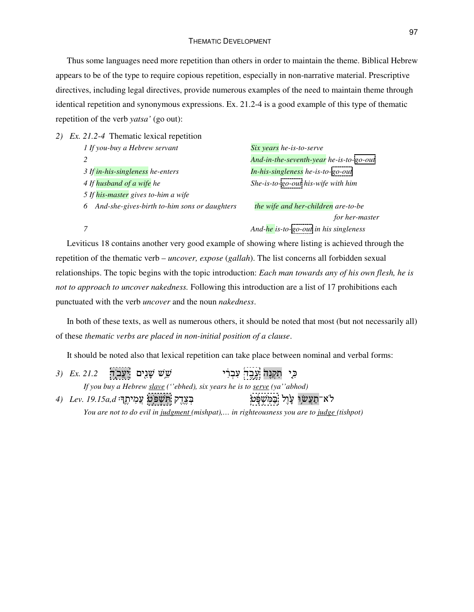#### THEMATIC DEVELOPMENT

Thus some languages need more repetition than others in order to maintain the theme. Biblical Hebrew appears to be of the type to require copious repetition, especially in non-narrative material. Prescriptive directives, including legal directives, provide numerous examples of the need to maintain theme through identical repetition and synonymous expressions. Ex. 21.2-4 is a good example of this type of thematic repetition of the verb *yatsa'* (go out):

*2) Ex. 21.2-4* Thematic lexical repetition *If you-buy a Hebrew servant Six years he-is-to-serve And-in-the-seventh-year he-is-to-go-out If in-his-singleness he-enters In-his-singleness he-is-to-go-out If husband of a wife he She-is-to-go-out his-wife with him If his-master gives to-him a wife And-she-gives-birth to-him sons or daughters the wife and her-children are-to-be for her-master And-he is-to-go-out in his singleness*

Leviticus 18 contains another very good example of showing where listing is achieved through the repetition of the thematic verb – *uncover, expose* (*gallah*). The list concerns all forbidden sexual relationships. The topic begins with the topic introduction: *Each man towards any of his own flesh, he is not to approach to uncover nakedness.* Following this introduction are a list of 17 prohibitions each punctuated with the verb *uncover* and the noun *nakedness*.

In both of these texts, as well as numerous others, it should be noted that most (but not necessarily all) of these *thematic verbs are placed in non-initial position of a clause*.

It should be noted also that lexical repetition can take place between nominal and verbal forms:

*3) Ex. 21.2* ;H &2 2 2 כִּי תִקְנֵה עֵבֵד עִבְרִי *If you buy a Hebrew slave (''ebhed), six years he is to serve (ya''abhod)* 4) *Lev. 19.15a,d* **יִצְהִיהָן וֹחַשְׁפֹּטַ נְצְהָי** לֹא־תַעֲשׂוָ עָׂוֶל בַּמִּשְׁפָּט — בְּצֶדֶק תִּשְׁפֹּט עֲמִי *You are not to do evil in judgment (mishpat),… in righteousness you are to judge (tishpot)*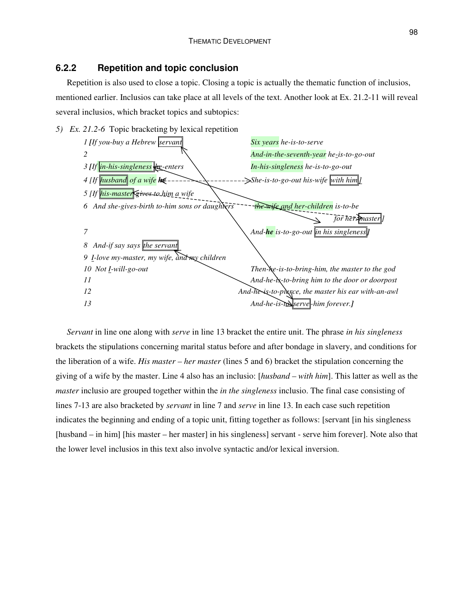# **6.2.2 Repetition and topic conclusion**

Repetition is also used to close a topic. Closing a topic is actually the thematic function of inclusios, mentioned earlier. Inclusios can take place at all levels of the text. Another look at Ex. 21.2-11 will reveal several inclusios, which bracket topics and subtopics:



*Servant* in line one along with *serve* in line 13 bracket the entire unit. The phrase *in his singleness* brackets the stipulations concerning marital status before and after bondage in slavery, and conditions for the liberation of a wife. *His master – her master* (lines 5 and 6) bracket the stipulation concerning the giving of a wife by the master. Line 4 also has an inclusio: [*husband – with him*]. This latter as well as the *master* inclusio are grouped together within the *in the singleness* inclusio. The final case consisting of lines 7-13 are also bracketed by *servant* in line 7 and *serve* in line 13. In each case such repetition indicates the beginning and ending of a topic unit, fitting together as follows: [servant [in his singleness [husband – in him] [his master – her master] in his singleness] servant - serve him forever]. Note also that the lower level inclusios in this text also involve syntactic and/or lexical inversion.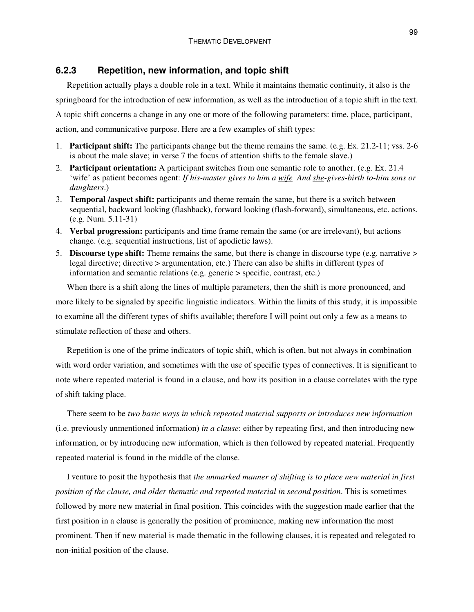# **6.2.3 Repetition, new information, and topic shift**

Repetition actually plays a double role in a text. While it maintains thematic continuity, it also is the springboard for the introduction of new information, as well as the introduction of a topic shift in the text. A topic shift concerns a change in any one or more of the following parameters: time, place, participant, action, and communicative purpose. Here are a few examples of shift types:

- 1. **Participant shift:** The participants change but the theme remains the same. (e.g. Ex. 21.2-11; vss. 2-6 is about the male slave; in verse 7 the focus of attention shifts to the female slave.)
- 2. **Participant orientation:** A participant switches from one semantic role to another. (e.g. Ex. 21.4 'wife' as patient becomes agent: *If his-master gives to him a wife And she-gives-birth to-him sons or daughters*.)
- 3. **Temporal /aspect shift:** participants and theme remain the same, but there is a switch between sequential, backward looking (flashback), forward looking (flash-forward), simultaneous, etc. actions. (e.g. Num. 5.11-31)
- 4. **Verbal progression:** participants and time frame remain the same (or are irrelevant), but actions change. (e.g. sequential instructions, list of apodictic laws).
- 5. **Discourse type shift:** Theme remains the same, but there is change in discourse type (e.g. narrative > legal directive; directive > argumentation, etc.) There can also be shifts in different types of information and semantic relations (e.g. generic > specific, contrast, etc.)

When there is a shift along the lines of multiple parameters, then the shift is more pronounced, and more likely to be signaled by specific linguistic indicators. Within the limits of this study, it is impossible to examine all the different types of shifts available; therefore I will point out only a few as a means to stimulate reflection of these and others.

Repetition is one of the prime indicators of topic shift, which is often, but not always in combination with word order variation, and sometimes with the use of specific types of connectives. It is significant to note where repeated material is found in a clause, and how its position in a clause correlates with the type of shift taking place.

There seem to be *two basic ways in which repeated material supports or introduces new information* (i.e. previously unmentioned information) *in a clause*: either by repeating first, and then introducing new information, or by introducing new information, which is then followed by repeated material. Frequently repeated material is found in the middle of the clause.

I venture to posit the hypothesis that *the unmarked manner of shifting is to place new material in first position of the clause, and older thematic and repeated material in second position*. This is sometimes followed by more new material in final position. This coincides with the suggestion made earlier that the first position in a clause is generally the position of prominence, making new information the most prominent. Then if new material is made thematic in the following clauses, it is repeated and relegated to non-initial position of the clause.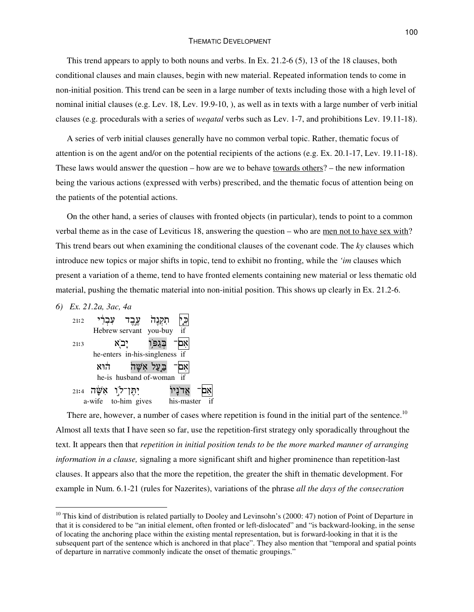#### THEMATIC DEVELOPMENT

This trend appears to apply to both nouns and verbs. In Ex. 21.2-6 (5), 13 of the 18 clauses, both conditional clauses and main clauses, begin with new material. Repeated information tends to come in non-initial position. This trend can be seen in a large number of texts including those with a high level of nominal initial clauses (e.g. Lev. 18, Lev. 19.9-10, ), as well as in texts with a large number of verb initial clauses (e.g. procedurals with a series of *weqatal* verbs such as Lev. 1-7, and prohibitions Lev. 19.11-18).

A series of verb initial clauses generally have no common verbal topic. Rather, thematic focus of attention is on the agent and/or on the potential recipients of the actions (e.g. Ex. 20.1-17, Lev. 19.11-18). These laws would answer the question – how are we to behave towards others? – the new information being the various actions (expressed with verbs) prescribed, and the thematic focus of attention being on the patients of the potential actions.

On the other hand, a series of clauses with fronted objects (in particular), tends to point to a common verbal theme as in the case of Leviticus 18, answering the question – who are men not to have sex with? This trend bears out when examining the conditional clauses of the covenant code. The *ky* clauses which introduce new topics or major shifts in topic, tend to exhibit no fronting, while the *'im* clauses which present a variation of a theme, tend to have fronted elements containing new material or less thematic old material, pushing the thematic material into non-initial position. This shows up clearly in Ex. 21.2-6.

*6) Ex. 21.2a, 3ac, 4a*



There are, however, a number of cases where repetition is found in the initial part of the sentence.<sup>10</sup> Almost all texts that I have seen so far, use the repetition-first strategy only sporadically throughout the text. It appears then that *repetition in initial position tends to be the more marked manner of arranging information in a clause,* signaling a more significant shift and higher prominence than repetition-last clauses. It appears also that the more the repetition, the greater the shift in thematic development. For example in Num. 6.1-21 (rules for Nazerites), variations of the phrase *all the days of the consecration*

 $10$  This kind of distribution is related partially to Dooley and Levinsohn's (2000: 47) notion of Point of Departure in that it is considered to be "an initial element, often fronted or left-dislocated" and "is backward-looking, in the sense of locating the anchoring place within the existing mental representation, but is forward-looking in that it is the subsequent part of the sentence which is anchored in that place". They also mention that "temporal and spatial points of departure in narrative commonly indicate the onset of thematic groupings."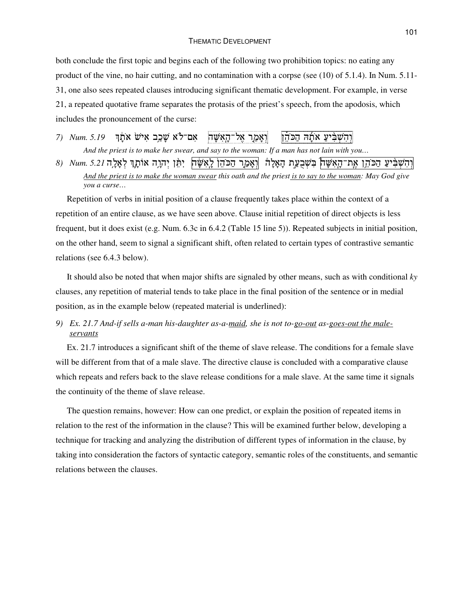#### THEMATIC DEVELOPMENT

both conclude the first topic and begins each of the following two prohibition topics: no eating any product of the vine, no hair cutting, and no contamination with a corpse (see (10) of 5.1.4). In Num. 5.11- 31, one also sees repeated clauses introducing significant thematic development. For example, in verse 21, a repeated quotative frame separates the protasis of the priest's speech, from the apodosis, which includes the pronouncement of the curse:

*7*) *Num.* 5.19 וַאַמַר אַל־הַאִשַּׁה | אַם־לֹא שַׁכֵּב אִישׂ אֹתַן |ׁוְהִשְׁבִּיעַ אֹתָה הַכֹּהֵן And the priest is to make her swear, and say to the woman: If a man has not lain with you...

וְהִשְׁבִּ֫יעַ הַכּהֵן אֶת־הָאִשָּׁח| בִּשְׁבֻעַּת הָאָלָה |וְאָמַר הַכּהֵן לָאִשָּׁח| יִתְּן יִהְוֶה אוֹתָךְ לְאָלֶה 5.21 .wm (8 And the priest is to make the woman swear this oath and the priest is to say to the woman: May God give *you a curse…*

Repetition of verbs in initial position of a clause frequently takes place within the context of a repetition of an entire clause, as we have seen above. Clause initial repetition of direct objects is less frequent, but it does exist (e.g. Num. 6.3c in 6.4.2 (Table 15 line 5)). Repeated subjects in initial position, on the other hand, seem to signal a significant shift, often related to certain types of contrastive semantic relations (see 6.4.3 below).

It should also be noted that when major shifts are signaled by other means, such as with conditional *ky* clauses, any repetition of material tends to take place in the final position of the sentence or in medial position, as in the example below (repeated material is underlined):

*9) Ex. 21.7 And-if sells a-man his-daughter as-a-maid, she is not to-go-out as-goes-out the maleservants*

Ex. 21.7 introduces a significant shift of the theme of slave release. The conditions for a female slave will be different from that of a male slave. The directive clause is concluded with a comparative clause which repeats and refers back to the slave release conditions for a male slave. At the same time it signals the continuity of the theme of slave release.

The question remains, however: How can one predict, or explain the position of repeated items in relation to the rest of the information in the clause? This will be examined further below, developing a technique for tracking and analyzing the distribution of different types of information in the clause, by taking into consideration the factors of syntactic category, semantic roles of the constituents, and semantic relations between the clauses.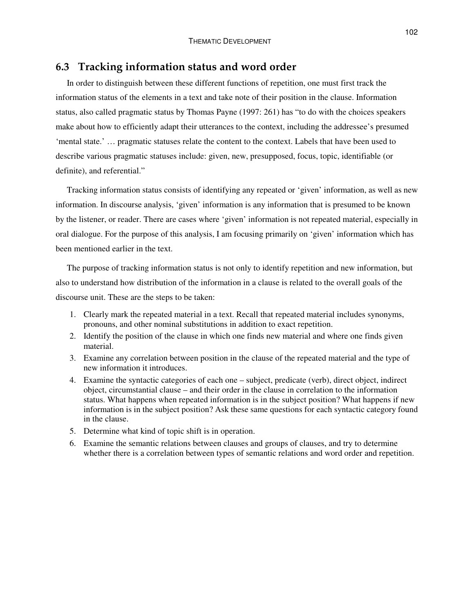### **6.3 Tracking information status and word order**

In order to distinguish between these different functions of repetition, one must first track the information status of the elements in a text and take note of their position in the clause. Information status, also called pragmatic status by Thomas Payne (1997: 261) has "to do with the choices speakers make about how to efficiently adapt their utterances to the context, including the addressee's presumed 'mental state.' … pragmatic statuses relate the content to the context. Labels that have been used to describe various pragmatic statuses include: given, new, presupposed, focus, topic, identifiable (or definite), and referential."

Tracking information status consists of identifying any repeated or 'given' information, as well as new information. In discourse analysis, 'given' information is any information that is presumed to be known by the listener, or reader. There are cases where 'given' information is not repeated material, especially in oral dialogue. For the purpose of this analysis, I am focusing primarily on 'given' information which has been mentioned earlier in the text.

The purpose of tracking information status is not only to identify repetition and new information, but also to understand how distribution of the information in a clause is related to the overall goals of the discourse unit. These are the steps to be taken:

- 1. Clearly mark the repeated material in a text. Recall that repeated material includes synonyms, pronouns, and other nominal substitutions in addition to exact repetition.
- 2. Identify the position of the clause in which one finds new material and where one finds given material.
- 3. Examine any correlation between position in the clause of the repeated material and the type of new information it introduces.
- 4. Examine the syntactic categories of each one subject, predicate (verb), direct object, indirect object, circumstantial clause – and their order in the clause in correlation to the information status. What happens when repeated information is in the subject position? What happens if new information is in the subject position? Ask these same questions for each syntactic category found in the clause.
- 5. Determine what kind of topic shift is in operation.
- 6. Examine the semantic relations between clauses and groups of clauses, and try to determine whether there is a correlation between types of semantic relations and word order and repetition.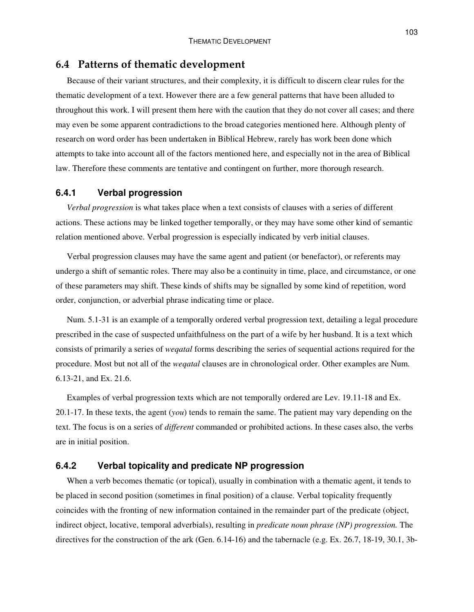## **6.4 Patterns of thematic development**

Because of their variant structures, and their complexity, it is difficult to discern clear rules for the thematic development of a text. However there are a few general patterns that have been alluded to throughout this work. I will present them here with the caution that they do not cover all cases; and there may even be some apparent contradictions to the broad categories mentioned here. Although plenty of research on word order has been undertaken in Biblical Hebrew, rarely has work been done which attempts to take into account all of the factors mentioned here, and especially not in the area of Biblical law. Therefore these comments are tentative and contingent on further, more thorough research.

### **6.4.1 Verbal progression**

*Verbal progression* is what takes place when a text consists of clauses with a series of different actions. These actions may be linked together temporally, or they may have some other kind of semantic relation mentioned above. Verbal progression is especially indicated by verb initial clauses.

Verbal progression clauses may have the same agent and patient (or benefactor), or referents may undergo a shift of semantic roles. There may also be a continuity in time, place, and circumstance, or one of these parameters may shift. These kinds of shifts may be signalled by some kind of repetition, word order, conjunction, or adverbial phrase indicating time or place.

Num. 5.1-31 is an example of a temporally ordered verbal progression text, detailing a legal procedure prescribed in the case of suspected unfaithfulness on the part of a wife by her husband. It is a text which consists of primarily a series of *weqatal* forms describing the series of sequential actions required for the procedure. Most but not all of the *weqatal* clauses are in chronological order. Other examples are Num. 6.13-21, and Ex. 21.6.

Examples of verbal progression texts which are not temporally ordered are Lev. 19.11-18 and Ex. 20.1-17. In these texts, the agent (*you*) tends to remain the same. The patient may vary depending on the text. The focus is on a series of *different* commanded or prohibited actions. In these cases also, the verbs are in initial position.

### **6.4.2 Verbal topicality and predicate NP progression**

When a verb becomes thematic (or topical), usually in combination with a thematic agent, it tends to be placed in second position (sometimes in final position) of a clause. Verbal topicality frequently coincides with the fronting of new information contained in the remainder part of the predicate (object, indirect object, locative, temporal adverbials), resulting in *predicate noun phrase (NP) progression.* The directives for the construction of the ark (Gen. 6.14-16) and the tabernacle (e.g. Ex. 26.7, 18-19, 30.1, 3b-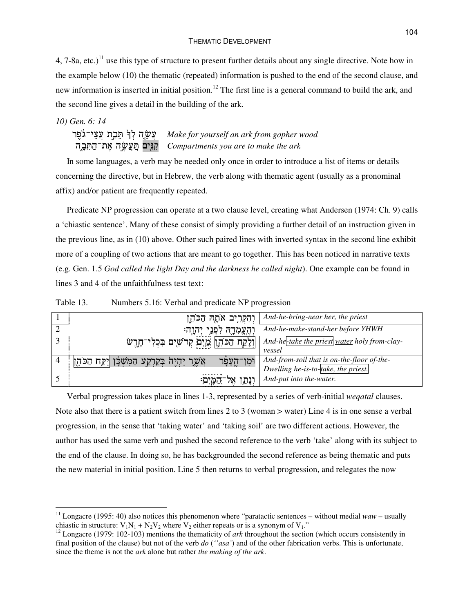4, 7-8a, etc.)<sup>11</sup> use this type of structure to present further details about any single directive. Note how in the example below (10) the thematic (repeated) information is pushed to the end of the second clause, and new information is inserted in initial position.<sup>12</sup> The first line is a general command to build the ark, and the second line gives a detail in the building of the ark.

#### *10) Gen. 6: 14*

## Y#%; "+ S
3 D ; *Make for yourself an ark from gopher wood* +"% D ;?"+ &5 *Compartments you are to make the ark*

In some languages, a verb may be needed only once in order to introduce a list of items or details concerning the directive, but in Hebrew, the verb along with thematic agent (usually as a pronominal affix) and/or patient are frequently repeated.

Predicate NP progression can operate at a two clause level, creating what Andersen (1974: Ch. 9) calls a 'chiastic sentence'. Many of these consist of simply providing a further detail of an instruction given in the previous line, as in (10) above. Other such paired lines with inverted syntax in the second line exhibit more of a coupling of two actions that are meant to go together. This has been noticed in narrative texts (e.g. Gen. 1.5 *God called the light Day and the darkness he called night*). One example can be found in lines 3 and 4 of the unfaithfulness test text:

| Table 13. | Numbers 5.16: Verbal and predicate NP progression |  |  |  |
|-----------|---------------------------------------------------|--|--|--|
|-----------|---------------------------------------------------|--|--|--|

|   | וְהִקְרִיב אֹתָה הַכֹּהֶן                                               | And-he-bring-near her, the priest            |
|---|-------------------------------------------------------------------------|----------------------------------------------|
|   | וְהֶעֱמְדָהּ לִ <b>פְּגֵי יְהִוְה</b> ּ                                 | And-he-make-stand-her before YHWH            |
| 3 | וְלָקָח הַכֹּהֶ  מַיִם קְדֹשִים בִּבְלִי־חָרֶשׂ                         | And-he-take the priest water holy from-clay- |
|   |                                                                         | vessel                                       |
|   | ַאֲשֶר יִהְיֶה בְּקַרְקַע הַמִּשְׁבָּן  יִקַח הַכֹּהֶן<br>וּמְן־הֶעֲפָר | And-from-soil that is on-the-floor of-the-   |
|   |                                                                         | Dwelling he-is-to-take, the priest.          |
|   | וִנְתַּן<br>$\Delta \vec{V}$                                            | And-put into the-water.                      |

Verbal progression takes place in lines 1-3, represented by a series of verb-initial *weqatal* clauses. Note also that there is a patient switch from lines 2 to 3 (woman > water) Line 4 is in one sense a verbal progression, in the sense that 'taking water' and 'taking soil' are two different actions. However, the author has used the same verb and pushed the second reference to the verb 'take' along with its subject to the end of the clause. In doing so, he has backgrounded the second reference as being thematic and puts the new material in initial position. Line 5 then returns to verbal progression, and relegates the now

<sup>&</sup>lt;sup>11</sup> Longacre (1995: 40) also notices this phenomenon where "paratactic sentences – without medial *waw* – usually chiastic in structure:  $V_1N_1 + N_2V_2$  where  $V_2$  either repeats or is a synonym of  $V_1$ ."

<sup>&</sup>lt;sup>12</sup> Longacre (1979: 102-103) mentions the thematicity of *ark* throughout the section (which occurs consistently in final position of the clause) but not of the verb *do* (*''asa'*) and of the other fabrication verbs. This is unfortunate, since the theme is not the *ark* alone but rather *the making of the ark*.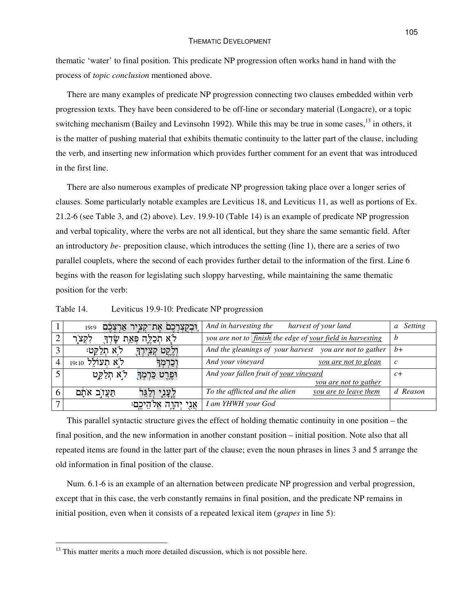thematic 'water' to final position. This predicate NP progression often works hand in hand with the process of *topic conclusion* mentioned above.

There are many examples of predicate NP progression connecting two clauses embedded within verb progression texts. They have been considered to be off-line or secondary material (Longacre), or a topic switching mechanism (Bailey and Levinsohn 1992). While this may be true in some cases,<sup>13</sup> in others, it is the matter of pushing material that exhibits thematic continuity to the latter part of the clause, including the verb, and inserting new information which provides further comment for an event that was introduced in the first line.

There are also numerous examples of predicate NP progression taking place over a longer series of clauses. Some particularly notable examples are Leviticus 18, and Leviticus 11, as well as portions of Ex. 21.2-6 (see Table 3, and (2) above). Lev. 19.9-10 (Table 14) is an example of predicate NP progression and verbal topicality, where the verbs are not all identical, but they share the same semantic field. After an introductory *be-* preposition clause, which introduces the setting (line 1), there are a series of two parallel couplets, where the second of each provides further detail to the information of the first. Line 6 begins with the reason for legislating such sloppy harvesting, while maintaining the same thematic position for the verb:

|                   | וִּבְקַצְרְכֶם אֶת־קִצְיר אַרְצְבֶם<br>19:9 | And in harvesting the<br>harvest of your land              | Setting<br>$\mathfrak{a}$ |
|-------------------|---------------------------------------------|------------------------------------------------------------|---------------------------|
|                   | לֹאָ תְכַלֶּה פְּאַת שָׂדְךָ<br>לִקְצ       | you are not to finish the edge of your field in harvesting |                           |
| $\mathbf{\Omega}$ | ּלֹא חִלַקֵּט<br>וְלֶקֶט<br>ַקְצִירְךָ      | And the gleanings of your harvest you are not to gather    | $h+$                      |
|                   | לא תעולל 19:10<br>וְכַרְמְךָ                | And your vineyard<br>you are not to glean                  | C                         |
|                   | לא חלקט<br>וּפֶרֶט כַּרְמְךָ                | And your fallen fruit of your vineyard                     | $c+$                      |
|                   |                                             | <u>you are not to gather</u>                               |                           |
| 6                 | הַעֲזֹֽב אֹתָם<br>לֶעֲנְי                   | To the afflicted and the alien<br>you are to leave them    | d Reason                  |
|                   | אֲנִי יְהְוָה אֱלֹהֵיכֶם                    | I am YHWH your God                                         |                           |

Table 14. Leviticus 19.9-10: Predicate NP progression

This parallel syntactic structure gives the effect of holding thematic continuity in one position – the final position, and the new information in another constant position – initial position. Note also that all repeated items are found in the latter part of the clause; even the noun phrases in lines 3 and 5 arrange the old information in final position of the clause.

Num. 6.1-6 is an example of an alternation between predicate NP progression and verbal progression, except that in this case, the verb constantly remains in final position, and the predicate NP remains in initial position, even when it consists of a repeated lexical item (*grapes* in line 5):

 $13$  This matter merits a much more detailed discussion, which is not possible here.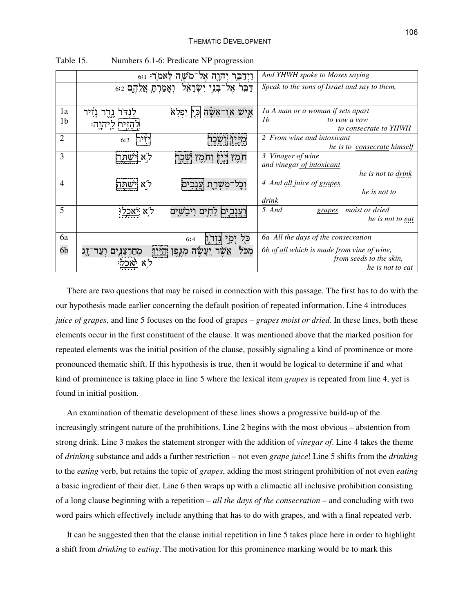|                | $_{6:1}:$ יהוה אל־מֹשה לאמר                | And YHWH spoke to Moses saying               |
|----------------|--------------------------------------------|----------------------------------------------|
|                | בני ישראל<br>וְאָמַרְהָ אֲלֵהֶם ε:ז<br>דבו | Speak to the sons of Israel and say to them, |
|                |                                            |                                              |
| 1a             | איש או־אַשָה<br>ּוּכְיִ יַפְלְא            | la A man or a woman if sets apart            |
| 1 <sub>b</sub> | הַזִּיה לַיהוַה:                           | 1 <sub>b</sub><br>to vow a vow               |
|                |                                            | to consecrate to YHWH                        |
| $\overline{2}$ | ּמִיְּיָן וְשֶׁבָר<br>6:3                  | 2 From wine and intoxicant                   |
|                |                                            | he is to consecrate himself                  |
| $\overline{3}$ | תִמֶץ יֵיֶיִן וְתִמֶץ שֵׁבָר<br>שתה        | 3 Vinager of wine                            |
|                |                                            | and vinegar of intoxicant                    |
|                |                                            | he is not to drink                           |
| $\overline{4}$ | ל א<br>וכל־משרת וענבים                     | 4 And all juice of grapes                    |
|                |                                            | he is not to                                 |
|                |                                            | drink                                        |
| 5              | ענבים לחים ויבשים                          | 5 And<br><i>moist or dried</i><br>grapes     |
|                |                                            | he is not to eat                             |
| 6a             | כל                                         | 6a All the days of the consecration          |
|                | 6:4                                        |                                              |
| 6b             | 걗<br>ۻۑٞۊٳ                                 | 6b of all which is made from vine of wine,   |
|                |                                            | from seeds to the skin,                      |
|                |                                            | he is not to eat                             |

Table 15. Numbers 6.1-6: Predicate NP progression

There are two questions that may be raised in connection with this passage. The first has to do with the our hypothesis made earlier concerning the default position of repeated information. Line 4 introduces *juice of grapes*, and line 5 focuses on the food of grapes – *grapes moist or dried*. In these lines, both these elements occur in the first constituent of the clause. It was mentioned above that the marked position for repeated elements was the initial position of the clause, possibly signaling a kind of prominence or more pronounced thematic shift. If this hypothesis is true, then it would be logical to determine if and what kind of prominence is taking place in line 5 where the lexical item *grapes* is repeated from line 4, yet is found in initial position.

An examination of thematic development of these lines shows a progressive build-up of the increasingly stringent nature of the prohibitions. Line 2 begins with the most obvious – abstention from strong drink. Line 3 makes the statement stronger with the addition of *vinegar of*. Line 4 takes the theme of *drinking* substance and adds a further restriction – not even *grape juice*! Line 5 shifts from the *drinking* to the *eating* verb, but retains the topic of *grapes*, adding the most stringent prohibition of not even *eating* a basic ingredient of their diet. Line 6 then wraps up with a climactic all inclusive prohibition consisting of a long clause beginning with a repetition – *all the days of the consecration* – and concluding with two word pairs which effectively include anything that has to do with grapes, and with a final repeated verb.

It can be suggested then that the clause initial repetition in line 5 takes place here in order to highlight a shift from *drinking* to *eating*. The motivation for this prominence marking would be to mark this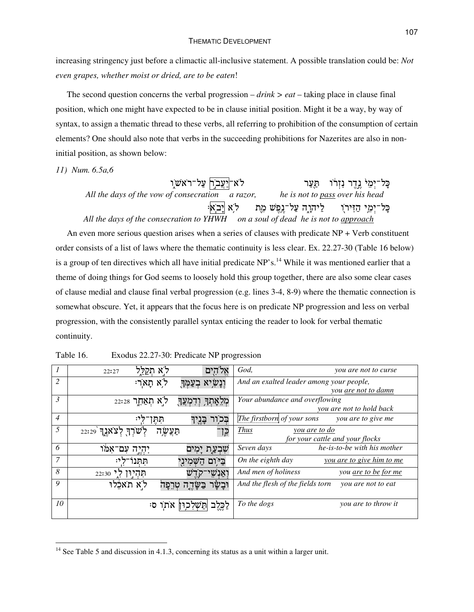increasing stringency just before a climactic all-inclusive statement. A possible translation could be: *Not even grapes, whether moist or dried, are to be eaten*!

The second question concerns the verbal progression – *drink > eat* – taking place in clause final position, which one might have expected to be in clause initial position. Might it be a way, by way of syntax, to assign a thematic thread to these verbs, all referring to prohibition of the consumption of certain elements? One should also note that verbs in the succeeding prohibitions for Nazerites are also in noninitial position, as shown below:

*11) Num. 6.5a,6*

| לֹא־ <u>יַעֲב</u> וְ עַל־רֹאשוִ                                                  | ַכָּל־יְמֵל נֱדֶר נִזְרוֹ הַעֲר                           |
|----------------------------------------------------------------------------------|-----------------------------------------------------------|
| All the days of the vow of consecration a razor,                                 | he is not to pass over his head                           |
|                                                                                  | ּבָּל־יְמֵי הַזִּיר)ִד לַיהוָה עַל־גֵפֵשׁ מֵת   לֹא לְבָא |
| All the days of the consecration to YHWH on a soul of dead he is not to approach |                                                           |

An even more serious question arises when a series of clauses with predicate NP + Verb constituent order consists of a list of laws where the thematic continuity is less clear. Ex. 22.27-30 (Table 16 below) is a group of ten directives which all have initial predicate NP's.<sup>14</sup> While it was mentioned earlier that a theme of doing things for God seems to loosely hold this group together, there are also some clear cases of clause medial and clause final verbal progression (e.g. lines 3-4, 8-9) where the thematic connection is somewhat obscure. Yet, it appears that the focus here is on predicate NP progression and less on verbal progression, with the consistently parallel syntax enticing the reader to look for verbal thematic continuity.

| $\begin{array}{\begin{array}{\small \begin{array}{\small \end{array}}}}\end{array}$ | ל א הקלל<br>אל הים<br>22:27                            | God,<br>you are not to curse                           |
|-------------------------------------------------------------------------------------|--------------------------------------------------------|--------------------------------------------------------|
| 2                                                                                   | לא תאר:<br>ָוְנָ <i>שָׂיָ</i> א בְעַמְּךָ              | And an exalted leader among your people,               |
|                                                                                     |                                                        | you <u>are not to damn</u>                             |
| 3                                                                                   | לֹא תְאַחֶר 22:28<br>ּמְלֵאָתְךָ וְדִמְעֲךָ            | Your abundance and overflowing                         |
|                                                                                     |                                                        | you are not to hold back                               |
| $\overline{4}$                                                                      | לי:<br>בִּכְוֹד<br>הְהֶן<br>ְבְיָך <del>ָ</del>        | The firstborn of your sons<br>you are to give me       |
| 5                                                                                   | ישׁרְךָ לְצֹאוֶן 22:29<br>הַצֲשֶ <i>ׂיָ</i> ה<br>כֵּן־ | <b>Thus</b><br>you are to do                           |
|                                                                                     |                                                        | for your cattle and your flocks                        |
| 6                                                                                   | יִהְיֶה עִם־אִמֹו<br>שִׁבְעַת יָמִים                   | Seven days<br>he-is-to-be with his mother              |
| $\overline{7}$                                                                      | ביום השמיני<br>ההנו<br>לי:                             | On the eighth day<br>you are to give him to me         |
| 8                                                                                   | $22:30$ לי<br>תהיון<br>אנש'                            | And men of holiness<br>you <u>are to be for me</u>     |
| 9                                                                                   | לא תאכלו<br>וּבַשַּׂר<br>ּבַשַּׂדֶה טְרֶפַּה           | And the flesh of the fields torn<br>you are not to eat |
| 10                                                                                  | הַשַׁלכוּז אֹתוֹ<br>לכלב<br>ס:                         | To the dogs<br>you are to throw it                     |

Table 16. Exodus 22.27-30: Predicate NP progression

<sup>&</sup>lt;sup>14</sup> See Table 5 and discussion in 4.1.3, concerning its status as a unit within a larger unit.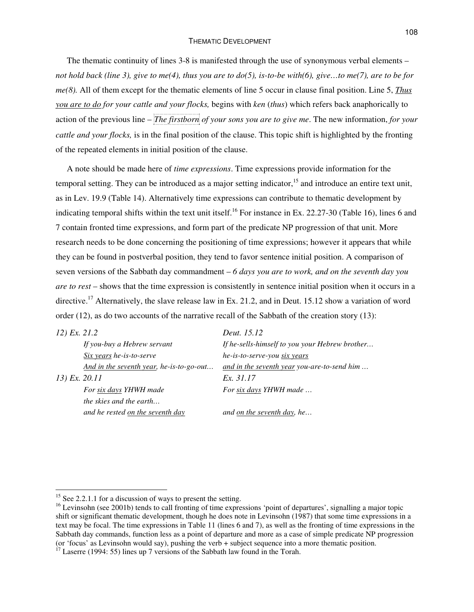#### THEMATIC DEVELOPMENT

The thematic continuity of lines 3-8 is manifested through the use of synonymous verbal elements – not hold back (line 3), give to me(4), thus you are to  $d\rho(5)$ , is-to-be with(6), give...to me(7), are to be for *me(8).* All of them except for the thematic elements of line 5 occur in clause final position. Line 5, *Thus you are to do for your cattle and your flocks,* begins with *ken* (*thus*) which refers back anaphorically to action of the previous line – *The firstborn of your sons you are to give me*. The new information, *for your cattle and your flocks,* is in the final position of the clause. This topic shift is highlighted by the fronting of the repeated elements in initial position of the clause.

A note should be made here of *time expressions*. Time expressions provide information for the temporal setting. They can be introduced as a major setting indicator,<sup>15</sup> and introduce an entire text unit, as in Lev. 19.9 (Table 14). Alternatively time expressions can contribute to thematic development by indicating temporal shifts within the text unit itself.<sup>16</sup> For instance in Ex. 22.27-30 (Table 16), lines 6 and 7 contain fronted time expressions, and form part of the predicate NP progression of that unit. More research needs to be done concerning the positioning of time expressions; however it appears that while they can be found in postverbal position, they tend to favor sentence initial position. A comparison of seven versions of the Sabbath day commandment – *6 days you are to work, and on the seventh day you are to rest* – shows that the time expression is consistently in sentence initial position when it occurs in a directive.<sup>17</sup> Alternatively, the slave release law in Ex. 21.2, and in Deut. 15.12 show a variation of word order (12), as do two accounts of the narrative recall of the Sabbath of the creation story (13):

| 12) Ex. 21.2  |                                          | Deut. 15.12                                    |
|---------------|------------------------------------------|------------------------------------------------|
|               | If you-buy a Hebrew servant              | If he-sells-himself to you your Hebrew brother |
|               | Six years he-is-to-serve                 | he-is-to-serve-you six years                   |
|               | And in the seventh year, he-is-to-go-out | and in the seventh year you-are-to-send him    |
| 13) Ex. 20.11 |                                          | Ex. 31.17                                      |
|               | For six days YHWH made                   | For six days YHWH made                         |
|               | <i>the skies and the earth</i>           |                                                |
|               | and he rested on the seventh day         | and on the seventh day, he                     |

<sup>&</sup>lt;sup>15</sup> See 2.2.1.1 for a discussion of ways to present the setting.

<sup>&</sup>lt;sup>16</sup> Levinsohn (see 2001b) tends to call fronting of time expressions 'point of departures', signalling a major topic shift or significant thematic development, though he does note in Levinsohn (1987) that some time expressions in a text may be focal. The time expressions in Table 11 (lines 6 and 7), as well as the fronting of time expressions in the Sabbath day commands, function less as a point of departure and more as a case of simple predicate NP progression (or 'focus' as Levinsohn would say), pushing the verb + subject sequence into a more thematic position.

 $17$  Laserre (1994: 55) lines up 7 versions of the Sabbath law found in the Torah.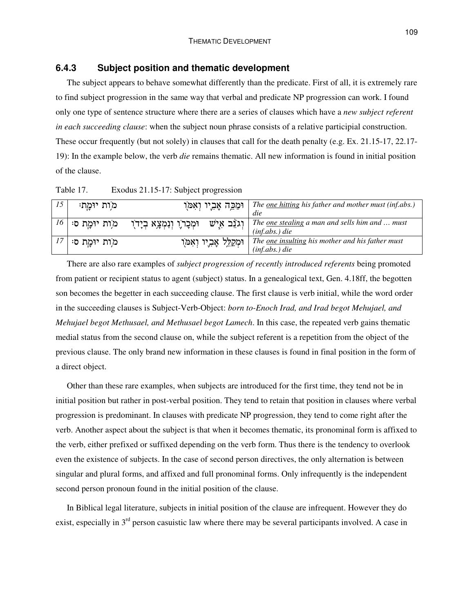### **6.4.3 Subject position and thematic development**

The subject appears to behave somewhat differently than the predicate. First of all, it is extremely rare to find subject progression in the same way that verbal and predicate NP progression can work. I found only one type of sentence structure where there are a series of clauses which have a *new subject referent in each succeeding clause*: when the subject noun phrase consists of a relative participial construction. These occur frequently (but not solely) in clauses that call for the death penalty (e.g. Ex. 21.15-17, 22.17- 19): In the example below, the verb *die* remains thematic. All new information is found in initial position of the clause.

Table 17. Exodus 21.15-17: Subject progression

| 15              | מות יומח:   | וּמַכֵּה אֲבִיו וְאִמֹּו                      | The <u>one hitting</u> his father and mother must (inf.abs.)<br>die       |
|-----------------|-------------|-----------------------------------------------|---------------------------------------------------------------------------|
| 16 <sup>1</sup> | מות יומת ס  | וְגוֵֹב אָישׁ<br>וּמְכָרֹוָ וְנִמְצָא בְיָדֹו | The <u>one stealing</u> a man and sells him and  must<br>$(inf.abs.)$ die |
|                 | מות יומַת ס | וּמְקַלֵּל אֲבִיו וְאִמֹן                     | The one insulting his mother and his father must<br>$(int.abs.)$ die      |

There are also rare examples of *subject progression of recently introduced referents* being promoted from patient or recipient status to agent (subject) status. In a genealogical text, Gen. 4.18ff, the begotten son becomes the begetter in each succeeding clause. The first clause is verb initial, while the word order in the succeeding clauses is Subject-Verb-Object: *born to-Enoch Irad, and Irad begot Mehujael, and Mehujael begot Methusael, and Methusael begot Lamech*. In this case, the repeated verb gains thematic medial status from the second clause on, while the subject referent is a repetition from the object of the previous clause. The only brand new information in these clauses is found in final position in the form of a direct object.

Other than these rare examples, when subjects are introduced for the first time, they tend not be in initial position but rather in post-verbal position. They tend to retain that position in clauses where verbal progression is predominant. In clauses with predicate NP progression, they tend to come right after the verb. Another aspect about the subject is that when it becomes thematic, its pronominal form is affixed to the verb, either prefixed or suffixed depending on the verb form. Thus there is the tendency to overlook even the existence of subjects. In the case of second person directives, the only alternation is between singular and plural forms, and affixed and full pronominal forms. Only infrequently is the independent second person pronoun found in the initial position of the clause.

In Biblical legal literature, subjects in initial position of the clause are infrequent. However they do exist, especially in  $3<sup>rd</sup>$  person casuistic law where there may be several participants involved. A case in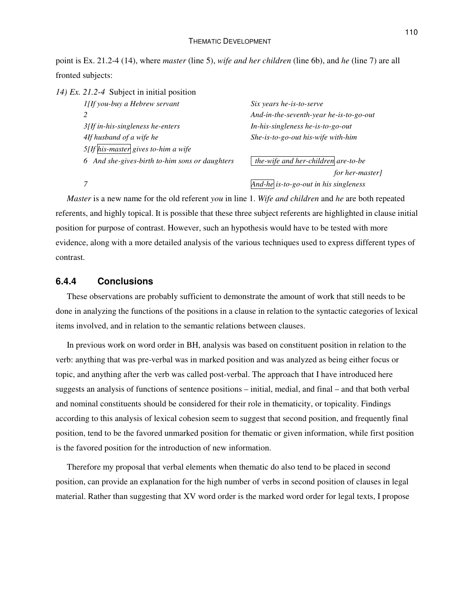point is Ex. 21.2-4 (14), where *master* (line 5), *wife and her children* (line 6b), and *he* (line 7) are all fronted subjects:

*14) Ex. 21.2-4* Subject in initial position

| 1[If you-buy a Hebrew servant                  | Six years he-is-to-serve                |
|------------------------------------------------|-----------------------------------------|
|                                                | And-in-the-seventh-year he-is-to-go-out |
| $3$ [If in-his-singleness he-enters]           | In-his-singleness he-is-to-go-out       |
| 4If husband of a wife he                       | She-is-to-go-out his-wife with-him      |
| $5[$ If his-master gives to-him a wife         |                                         |
| 6 And she-gives-birth to-him sons or daughters | the-wife and her-children are-to-be     |
|                                                | for her master                          |

*for her-master]*

*7 And-he is-to-go-out in his singleness*

*Master* is a new name for the old referent *you* in line 1. *Wife and children* and *he* are both repeated referents, and highly topical. It is possible that these three subject referents are highlighted in clause initial position for purpose of contrast. However, such an hypothesis would have to be tested with more evidence, along with a more detailed analysis of the various techniques used to express different types of contrast.

### **6.4.4 Conclusions**

These observations are probably sufficient to demonstrate the amount of work that still needs to be done in analyzing the functions of the positions in a clause in relation to the syntactic categories of lexical items involved, and in relation to the semantic relations between clauses.

In previous work on word order in BH, analysis was based on constituent position in relation to the verb: anything that was pre-verbal was in marked position and was analyzed as being either focus or topic, and anything after the verb was called post-verbal. The approach that I have introduced here suggests an analysis of functions of sentence positions – initial, medial, and final – and that both verbal and nominal constituents should be considered for their role in thematicity, or topicality. Findings according to this analysis of lexical cohesion seem to suggest that second position, and frequently final position, tend to be the favored unmarked position for thematic or given information, while first position is the favored position for the introduction of new information.

Therefore my proposal that verbal elements when thematic do also tend to be placed in second position, can provide an explanation for the high number of verbs in second position of clauses in legal material. Rather than suggesting that XV word order is the marked word order for legal texts, I propose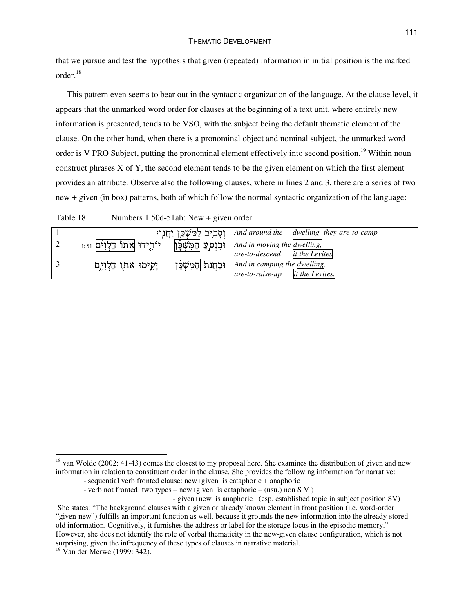that we pursue and test the hypothesis that given (repeated) information in initial position is the marked order. 18

This pattern even seems to bear out in the syntactic organization of the language. At the clause level, it appears that the unmarked word order for clauses at the beginning of a text unit, where entirely new information is presented, tends to be VSO, with the subject being the default thematic element of the clause. On the other hand, when there is a pronominal object and nominal subject, the unmarked word order is V PRO Subject, putting the pronominal element effectively into second position.<sup>19</sup> Within noun construct phrases X of Y, the second element tends to be the given element on which the first element provides an attribute. Observe also the following clauses, where in lines 2 and 3, there are a series of two new + given (in box) patterns, both of which follow the normal syntactic organization of the language:

Table 18. Numbers 1.50d-51ab: New + given order

| ן וְסָבְיִב לַמְּשְׁכָּן יַחֲנְוּ <del>ּ</del>                            | $\int$ And around the dwelling they-are-to-camp                           |
|---------------------------------------------------------------------------|---------------------------------------------------------------------------|
| יוֹרְידוּ  אֹתוֹ הַלְוִיּם 1:51<br>וּבִנְס <sup>י</sup> ַעַ  הַמְּשְׁכָּן | And in moving the dwelling,<br><i>it the Levites</i><br>are-to-descend    |
| וּבַחֲנֹת  הַמִּשְׁבָ <sub>ּ</sub> ן<br>יְקִימוּ  אֹתוֻו הַלְוִיּתַן      | And in camping the dwelling.<br><i>it the Levites.</i><br>are-to-raise-up |

 $^{18}$  van Wolde (2002: 41-43) comes the closest to my proposal here. She examines the distribution of given and new information in relation to constituent order in the clause. She provides the following information for narrative:

<sup>-</sup> sequential verb fronted clause: new+given is cataphoric + anaphoric

<sup>-</sup> verb not fronted: two types – new+given is cataphoric – (usu.) non S V )

<sup>-</sup> given+new is anaphoric (esp. established topic in subject position SV) She states: "The background clauses with a given or already known element in front position (i.e. word-order "given-new") fulfills an important function as well, because it grounds the new information into the already-stored old information. Cognitively, it furnishes the address or label for the storage locus in the episodic memory." However, she does not identify the role of verbal thematicity in the new-given clause configuration, which is not surprising, given the infrequency of these types of clauses in narrative material.

<sup>&</sup>lt;sup>19</sup> Van der Merwe (1999: 342).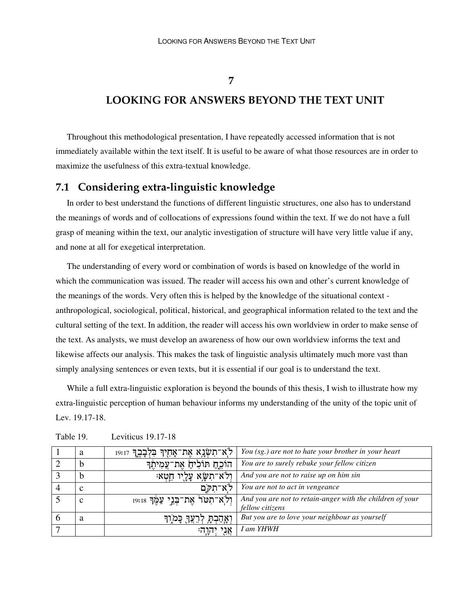**7**

## **LOOKING FOR ANSWERS BEYOND THE TEXT UNIT**

Throughout this methodological presentation, I have repeatedly accessed information that is not immediately available within the text itself. It is useful to be aware of what those resources are in order to maximize the usefulness of this extra-textual knowledge.

## **7.1 Considering extra-linguistic knowledge**

In order to best understand the functions of different linguistic structures, one also has to understand the meanings of words and of collocations of expressions found within the text. If we do not have a full grasp of meaning within the text, our analytic investigation of structure will have very little value if any, and none at all for exegetical interpretation.

The understanding of every word or combination of words is based on knowledge of the world in which the communication was issued. The reader will access his own and other's current knowledge of the meanings of the words. Very often this is helped by the knowledge of the situational context anthropological, sociological, political, historical, and geographical information related to the text and the cultural setting of the text. In addition, the reader will access his own worldview in order to make sense of the text. As analysts, we must develop an awareness of how our own worldview informs the text and likewise affects our analysis. This makes the task of linguistic analysis ultimately much more vast than simply analysing sentences or even texts, but it is essential if our goal is to understand the text.

While a full extra-linguistic exploration is beyond the bounds of this thesis, I wish to illustrate how my extra-linguistic perception of human behaviour informs my understanding of the unity of the topic unit of Lev. 19.17-18.

|   | a | לְא־תִשְׂנָא אֶת־אָחָיִךְ בִּלְבָבֶךְ 19:17 | You (sg.) are not to hate your brother in your heart                         |
|---|---|---------------------------------------------|------------------------------------------------------------------------------|
|   | D | הוֹכֵחַ תּוֹלִיהַ אֶת־עֲמִיתֶך              | You are to surely rebuke your fellow citizen                                 |
|   | b | ּרִלֹא־תְשָׂא עָלֻיו חֵטְא                  | And you are not to raise up on him sin                                       |
|   | ⌒ | לא־תקם                                      | You are not to act in vengeance                                              |
|   | c | ּוְלֹא־תִטּרֹ אֶת־בְּנֵי עַמֶּךְ 19:18      | And you are not to retain-anger with the children of your<br>fellow citizens |
| O | a | וְאֲהַבְתָּ לְרֵצְךָ כָּמֹוָךָ              | But you are to love your neighbour as yourself                               |
|   |   | אני יהוה:                                   | I am YHWH                                                                    |

Table 19. Leviticus 19.17-18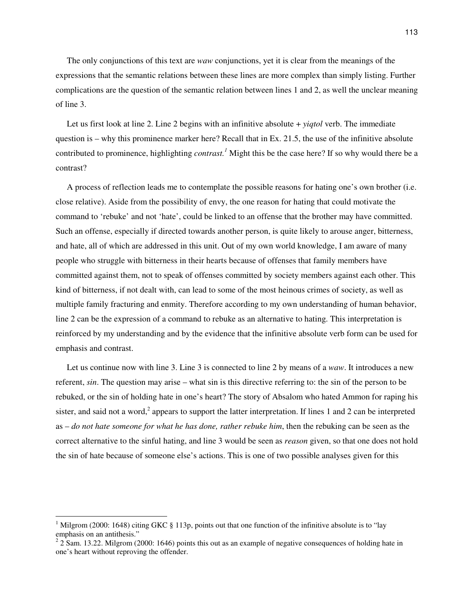The only conjunctions of this text are *waw* conjunctions, yet it is clear from the meanings of the expressions that the semantic relations between these lines are more complex than simply listing. Further complications are the question of the semantic relation between lines 1 and 2, as well the unclear meaning of line 3.

Let us first look at line 2. Line 2 begins with an infinitive absolute + *yiqtol* verb. The immediate question is – why this prominence marker here? Recall that in Ex. 21.5, the use of the infinitive absolute contributed to prominence, highlighting *contrast. <sup>1</sup>* Might this be the case here? If so why would there be a contrast?

A process of reflection leads me to contemplate the possible reasons for hating one's own brother (i.e. close relative). Aside from the possibility of envy, the one reason for hating that could motivate the command to 'rebuke' and not 'hate', could be linked to an offense that the brother may have committed. Such an offense, especially if directed towards another person, is quite likely to arouse anger, bitterness, and hate, all of which are addressed in this unit. Out of my own world knowledge, I am aware of many people who struggle with bitterness in their hearts because of offenses that family members have committed against them, not to speak of offenses committed by society members against each other. This kind of bitterness, if not dealt with, can lead to some of the most heinous crimes of society, as well as multiple family fracturing and enmity. Therefore according to my own understanding of human behavior, line 2 can be the expression of a command to rebuke as an alternative to hating. This interpretation is reinforced by my understanding and by the evidence that the infinitive absolute verb form can be used for emphasis and contrast.

Let us continue now with line 3. Line 3 is connected to line 2 by means of a *waw*. It introduces a new referent, *sin*. The question may arise – what sin is this directive referring to: the sin of the person to be rebuked, or the sin of holding hate in one's heart? The story of Absalom who hated Ammon for raping his sister, and said not a word,<sup>2</sup> appears to support the latter interpretation. If lines 1 and 2 can be interpreted as – *do not hate someone for what he has done, rather rebuke him*, then the rebuking can be seen as the correct alternative to the sinful hating, and line 3 would be seen as *reason* given, so that one does not hold the sin of hate because of someone else's actions. This is one of two possible analyses given for this

<sup>&</sup>lt;sup>1</sup> Milgrom (2000: 1648) citing GKC § 113p, points out that one function of the infinitive absolute is to "lay emphasis on an antithesis."<br><sup>2</sup> 2 Sam. 13.22. Milgrom (2000: 1646) points this out as an example of negative consequences of holding hate in

one's heart without reproving the offender.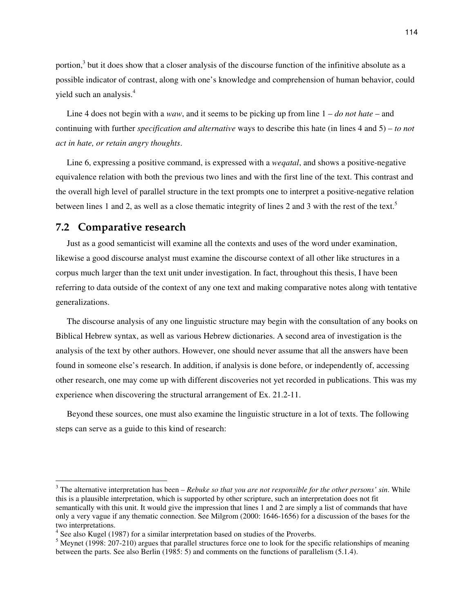portion,<sup>3</sup> but it does show that a closer analysis of the discourse function of the infinitive absolute as a possible indicator of contrast, along with one's knowledge and comprehension of human behavior, could yield such an analysis. 4

Line 4 does not begin with a *waw*, and it seems to be picking up from line 1 – *do not hate* – and continuing with further *specification and alternative* ways to describe this hate (in lines 4 and 5) – *to not act in hate, or retain angry thoughts*.

Line 6, expressing a positive command, is expressed with a *weqatal*, and shows a positive-negative equivalence relation with both the previous two lines and with the first line of the text. This contrast and the overall high level of parallel structure in the text prompts one to interpret a positive-negative relation between lines 1 and 2, as well as a close thematic integrity of lines 2 and 3 with the rest of the text.<sup>5</sup>

### **7.2 Comparative research**

Just as a good semanticist will examine all the contexts and uses of the word under examination, likewise a good discourse analyst must examine the discourse context of all other like structures in a corpus much larger than the text unit under investigation. In fact, throughout this thesis, I have been referring to data outside of the context of any one text and making comparative notes along with tentative generalizations.

The discourse analysis of any one linguistic structure may begin with the consultation of any books on Biblical Hebrew syntax, as well as various Hebrew dictionaries. A second area of investigation is the analysis of the text by other authors. However, one should never assume that all the answers have been found in someone else's research. In addition, if analysis is done before, or independently of, accessing other research, one may come up with different discoveries not yet recorded in publications. This was my experience when discovering the structural arrangement of Ex. 21.2-11.

Beyond these sources, one must also examine the linguistic structure in a lot of texts. The following steps can serve as a guide to this kind of research:

<sup>3</sup> The alternative interpretation has been *– Rebuke so that you are not responsible for the other persons' sin*. While this is a plausible interpretation, which is supported by other scripture, such an interpretation does not fit semantically with this unit. It would give the impression that lines 1 and 2 are simply a list of commands that have only a very vague if any thematic connection. See Milgrom (2000: 1646-1656) for a discussion of the bases for the two interpretations.

<sup>&</sup>lt;sup>4</sup> See also Kugel (1987) for a similar interpretation based on studies of the Proverbs.

<sup>&</sup>lt;sup>5</sup> Meynet (1998: 207-210) argues that parallel structures force one to look for the specific relationships of meaning between the parts. See also Berlin (1985: 5) and comments on the functions of parallelism (5.1.4).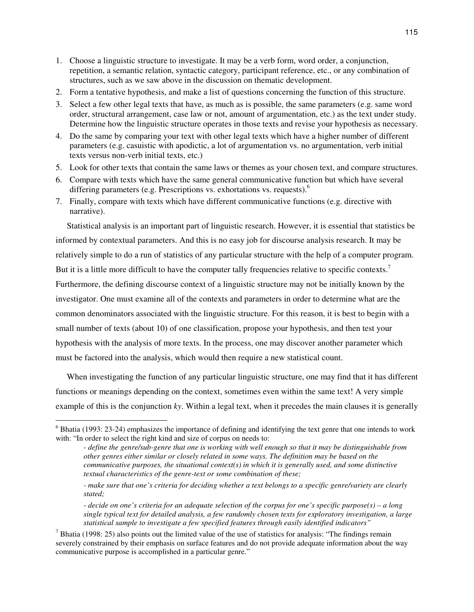- 1. Choose a linguistic structure to investigate. It may be a verb form, word order, a conjunction, repetition, a semantic relation, syntactic category, participant reference, etc., or any combination of structures, such as we saw above in the discussion on thematic development.
- 2. Form a tentative hypothesis, and make a list of questions concerning the function of this structure.
- 3. Select a few other legal texts that have, as much as is possible, the same parameters (e.g. same word order, structural arrangement, case law or not, amount of argumentation, etc.) as the text under study. Determine how the linguistic structure operates in those texts and revise your hypothesis as necessary.
- 4. Do the same by comparing your text with other legal texts which have a higher number of different parameters (e.g. casuistic with apodictic, a lot of argumentation vs. no argumentation, verb initial texts versus non-verb initial texts, etc.)
- 5. Look for other texts that contain the same laws or themes as your chosen text, and compare structures.
- 6. Compare with texts which have the same general communicative function but which have several differing parameters (e.g. Prescriptions vs. exhortations vs. requests).<sup>6</sup>
- 7. Finally, compare with texts which have different communicative functions (e.g. directive with narrative).

Statistical analysis is an important part of linguistic research. However, it is essential that statistics be informed by contextual parameters. And this is no easy job for discourse analysis research. It may be relatively simple to do a run of statistics of any particular structure with the help of a computer program. But it is a little more difficult to have the computer tally frequencies relative to specific contexts.<sup>7</sup> Furthermore, the defining discourse context of a linguistic structure may not be initially known by the investigator. One must examine all of the contexts and parameters in order to determine what are the common denominators associated with the linguistic structure. For this reason, it is best to begin with a small number of texts (about 10) of one classification, propose your hypothesis, and then test your hypothesis with the analysis of more texts. In the process, one may discover another parameter which must be factored into the analysis, which would then require a new statistical count.

When investigating the function of any particular linguistic structure, one may find that it has different functions or meanings depending on the context, sometimes even within the same text! A very simple example of this is the conjunction *ky*. Within a legal text, when it precedes the main clauses it is generally

 $6$  Bhatia (1993: 23-24) emphasizes the importance of defining and identifying the text genre that one intends to work with: "In order to select the right kind and size of corpus on needs to:

<sup>-</sup> define the genre/sub-genre that one is working with well enough so that it may be distinguishable from *other genres either similar or closely related in some ways. The definition may be based on the communicative purposes, the situational context(s) in which it is generally used, and some distinctive textual characteristics of the genre-text or some combination of these;*

<sup>-</sup> make sure that one's criteria for deciding whether a text belongs to a specific genre/variety are clearly *stated;*

<sup>-</sup> decide on one's criteria for an adequate selection of the corpus for one's specific purpose(s) – a long *single typical text for detailed analysis, a few randomly chosen texts for exploratory investigation, a large statistical sample to investigate a few specified features through easily identified indicators"*

 $<sup>7</sup>$  Bhatia (1998: 25) also points out the limited value of the use of statistics for analysis: "The findings remain</sup> severely constrained by their emphasis on surface features and do not provide adequate information about the way communicative purpose is accomplished in a particular genre."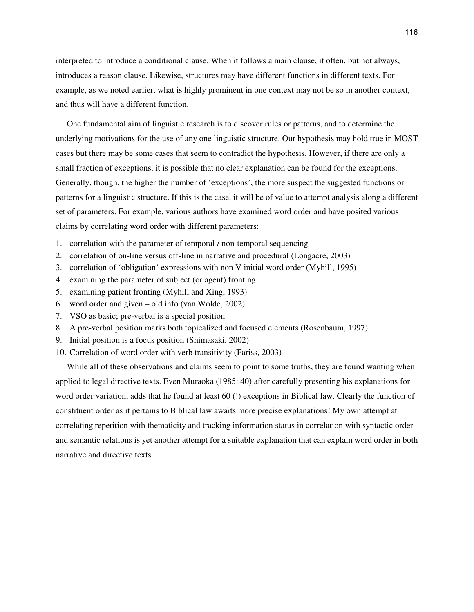interpreted to introduce a conditional clause. When it follows a main clause, it often, but not always, introduces a reason clause. Likewise, structures may have different functions in different texts. For example, as we noted earlier, what is highly prominent in one context may not be so in another context, and thus will have a different function.

One fundamental aim of linguistic research is to discover rules or patterns, and to determine the underlying motivations for the use of any one linguistic structure. Our hypothesis may hold true in MOST cases but there may be some cases that seem to contradict the hypothesis. However, if there are only a small fraction of exceptions, it is possible that no clear explanation can be found for the exceptions. Generally, though, the higher the number of 'exceptions', the more suspect the suggested functions or patterns for a linguistic structure. If this is the case, it will be of value to attempt analysis along a different set of parameters. For example, various authors have examined word order and have posited various claims by correlating word order with different parameters:

- 1. correlation with the parameter of temporal / non-temporal sequencing
- 2. correlation of on-line versus off-line in narrative and procedural (Longacre, 2003)
- 3. correlation of 'obligation' expressions with non V initial word order (Myhill, 1995)
- 4. examining the parameter of subject (or agent) fronting
- 5. examining patient fronting (Myhill and Xing, 1993)
- 6. word order and given old info (van Wolde, 2002)
- 7. VSO as basic; pre-verbal is a special position
- 8. A pre-verbal position marks both topicalized and focused elements (Rosenbaum, 1997)
- 9. Initial position is a focus position (Shimasaki, 2002)
- 10. Correlation of word order with verb transitivity (Fariss, 2003)

While all of these observations and claims seem to point to some truths, they are found wanting when applied to legal directive texts. Even Muraoka (1985: 40) after carefully presenting his explanations for word order variation, adds that he found at least 60 (!) exceptions in Biblical law. Clearly the function of constituent order as it pertains to Biblical law awaits more precise explanations! My own attempt at correlating repetition with thematicity and tracking information status in correlation with syntactic order and semantic relations is yet another attempt for a suitable explanation that can explain word order in both narrative and directive texts.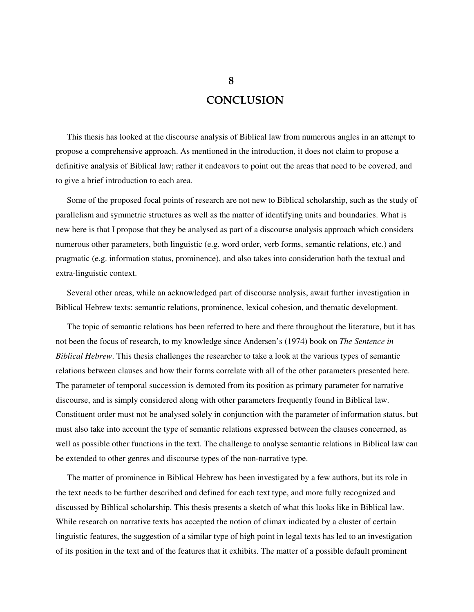# **CONCLUSION**

This thesis has looked at the discourse analysis of Biblical law from numerous angles in an attempt to propose a comprehensive approach. As mentioned in the introduction, it does not claim to propose a definitive analysis of Biblical law; rather it endeavors to point out the areas that need to be covered, and to give a brief introduction to each area.

Some of the proposed focal points of research are not new to Biblical scholarship, such as the study of parallelism and symmetric structures as well as the matter of identifying units and boundaries. What is new here is that I propose that they be analysed as part of a discourse analysis approach which considers numerous other parameters, both linguistic (e.g. word order, verb forms, semantic relations, etc.) and pragmatic (e.g. information status, prominence), and also takes into consideration both the textual and extra-linguistic context.

Several other areas, while an acknowledged part of discourse analysis, await further investigation in Biblical Hebrew texts: semantic relations, prominence, lexical cohesion, and thematic development.

The topic of semantic relations has been referred to here and there throughout the literature, but it has not been the focus of research, to my knowledge since Andersen's (1974) book on *The Sentence in Biblical Hebrew*. This thesis challenges the researcher to take a look at the various types of semantic relations between clauses and how their forms correlate with all of the other parameters presented here. The parameter of temporal succession is demoted from its position as primary parameter for narrative discourse, and is simply considered along with other parameters frequently found in Biblical law. Constituent order must not be analysed solely in conjunction with the parameter of information status, but must also take into account the type of semantic relations expressed between the clauses concerned, as well as possible other functions in the text. The challenge to analyse semantic relations in Biblical law can be extended to other genres and discourse types of the non-narrative type.

The matter of prominence in Biblical Hebrew has been investigated by a few authors, but its role in the text needs to be further described and defined for each text type, and more fully recognized and discussed by Biblical scholarship. This thesis presents a sketch of what this looks like in Biblical law. While research on narrative texts has accepted the notion of climax indicated by a cluster of certain linguistic features, the suggestion of a similar type of high point in legal texts has led to an investigation of its position in the text and of the features that it exhibits. The matter of a possible default prominent

**8**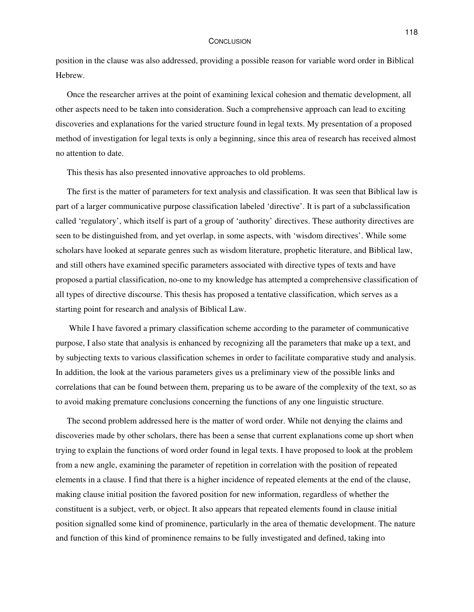#### **CONCLUSION**

position in the clause was also addressed, providing a possible reason for variable word order in Biblical Hebrew.

Once the researcher arrives at the point of examining lexical cohesion and thematic development, all other aspects need to be taken into consideration. Such a comprehensive approach can lead to exciting discoveries and explanations for the varied structure found in legal texts. My presentation of a proposed method of investigation for legal texts is only a beginning, since this area of research has received almost no attention to date.

This thesis has also presented innovative approaches to old problems.

The first is the matter of parameters for text analysis and classification. It was seen that Biblical law is part of a larger communicative purpose classification labeled 'directive'. It is part of a subclassification called 'regulatory', which itself is part of a group of 'authority' directives. These authority directives are seen to be distinguished from, and yet overlap, in some aspects, with 'wisdom directives'. While some scholars have looked at separate genres such as wisdom literature, prophetic literature, and Biblical law, and still others have examined specific parameters associated with directive types of texts and have proposed a partial classification, no-one to my knowledge has attempted a comprehensive classification of all types of directive discourse. This thesis has proposed a tentative classification, which serves as a starting point for research and analysis of Biblical Law.

While I have favored a primary classification scheme according to the parameter of communicative purpose, I also state that analysis is enhanced by recognizing all the parameters that make up a text, and by subjecting texts to various classification schemes in order to facilitate comparative study and analysis. In addition, the look at the various parameters gives us a preliminary view of the possible links and correlations that can be found between them, preparing us to be aware of the complexity of the text, so as to avoid making premature conclusions concerning the functions of any one linguistic structure.

The second problem addressed here is the matter of word order. While not denying the claims and discoveries made by other scholars, there has been a sense that current explanations come up short when trying to explain the functions of word order found in legal texts. I have proposed to look at the problem from a new angle, examining the parameter of repetition in correlation with the position of repeated elements in a clause. I find that there is a higher incidence of repeated elements at the end of the clause, making clause initial position the favored position for new information, regardless of whether the constituent is a subject, verb, or object. It also appears that repeated elements found in clause initial position signalled some kind of prominence, particularly in the area of thematic development. The nature and function of this kind of prominence remains to be fully investigated and defined, taking into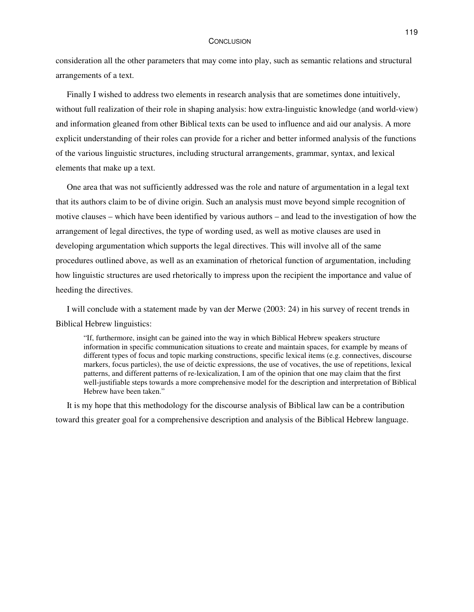#### **CONCLUSION**

consideration all the other parameters that may come into play, such as semantic relations and structural arrangements of a text.

Finally I wished to address two elements in research analysis that are sometimes done intuitively, without full realization of their role in shaping analysis: how extra-linguistic knowledge (and world-view) and information gleaned from other Biblical texts can be used to influence and aid our analysis. A more explicit understanding of their roles can provide for a richer and better informed analysis of the functions of the various linguistic structures, including structural arrangements, grammar, syntax, and lexical elements that make up a text.

One area that was not sufficiently addressed was the role and nature of argumentation in a legal text that its authors claim to be of divine origin. Such an analysis must move beyond simple recognition of motive clauses – which have been identified by various authors – and lead to the investigation of how the arrangement of legal directives, the type of wording used, as well as motive clauses are used in developing argumentation which supports the legal directives. This will involve all of the same procedures outlined above, as well as an examination of rhetorical function of argumentation, including how linguistic structures are used rhetorically to impress upon the recipient the importance and value of heeding the directives.

I will conclude with a statement made by van der Merwe (2003: 24) in his survey of recent trends in Biblical Hebrew linguistics:

"If, furthermore, insight can be gained into the way in which Biblical Hebrew speakers structure information in specific communication situations to create and maintain spaces, for example by means of different types of focus and topic marking constructions, specific lexical items (e.g. connectives, discourse markers, focus particles), the use of deictic expressions, the use of vocatives, the use of repetitions, lexical patterns, and different patterns of re-lexicalization, I am of the opinion that one may claim that the first well-justifiable steps towards a more comprehensive model for the description and interpretation of Biblical Hebrew have been taken."

It is my hope that this methodology for the discourse analysis of Biblical law can be a contribution toward this greater goal for a comprehensive description and analysis of the Biblical Hebrew language.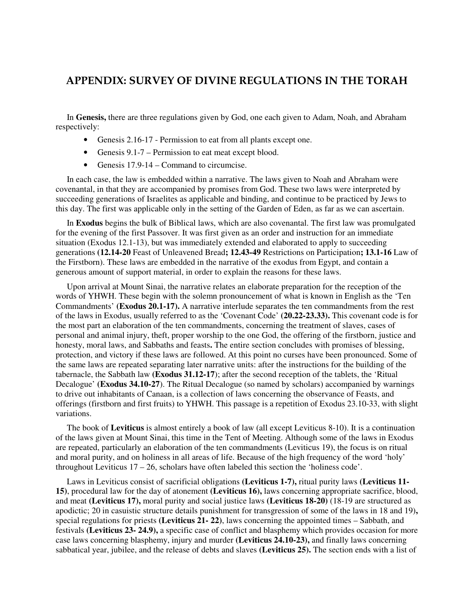## **APPENDIX: SURVEY OF DIVINE REGULATIONS IN THE TORAH**

In **Genesis,** there are three regulations given by God, one each given to Adam, Noah, and Abraham respectively:

- Genesis 2.16-17 Permission to eat from all plants except one.
- Genesis 9.1-7 Permission to eat meat except blood.
- Genesis 17.9-14 Command to circumcise.

In each case, the law is embedded within a narrative. The laws given to Noah and Abraham were covenantal, in that they are accompanied by promises from God. These two laws were interpreted by succeeding generations of Israelites as applicable and binding, and continue to be practiced by Jews to this day. The first was applicable only in the setting of the Garden of Eden, as far as we can ascertain.

In **Exodus** begins the bulk of Biblical laws, which are also covenantal. The first law was promulgated for the evening of the first Passover. It was first given as an order and instruction for an immediate situation (Exodus 12.1-13), but was immediately extended and elaborated to apply to succeeding generations **(12.14-20** Feast of Unleavened Bread**; 12.43-49** Restrictions on Participation**; 13.1-16** Law of the Firstborn). These laws are embedded in the narrative of the exodus from Egypt, and contain a generous amount of support material, in order to explain the reasons for these laws.

Upon arrival at Mount Sinai, the narrative relates an elaborate preparation for the reception of the words of YHWH. These begin with the solemn pronouncement of what is known in English as the 'Ten Commandments' **(Exodus 20.1-17).** A narrative interlude separates the ten commandments from the rest of the laws in Exodus, usually referred to as the 'Covenant Code' **(20.22-23.33).** This covenant code is for the most part an elaboration of the ten commandments, concerning the treatment of slaves, cases of personal and animal injury, theft, proper worship to the one God, the offering of the firstborn, justice and honesty, moral laws, and Sabbaths and feasts**.** The entire section concludes with promises of blessing, protection, and victory if these laws are followed. At this point no curses have been pronounced. Some of the same laws are repeated separating later narrative units: after the instructions for the building of the tabernacle, the Sabbath law **(Exodus 31.12-17**); after the second reception of the tablets, the 'Ritual Decalogue' **(Exodus 34.10-27**). The Ritual Decalogue (so named by scholars) accompanied by warnings to drive out inhabitants of Canaan, is a collection of laws concerning the observance of Feasts, and offerings (firstborn and first fruits) to YHWH. This passage is a repetition of Exodus 23.10-33, with slight variations.

The book of **Leviticus** is almost entirely a book of law (all except Leviticus 8-10). It is a continuation of the laws given at Mount Sinai, this time in the Tent of Meeting. Although some of the laws in Exodus are repeated, particularly an elaboration of the ten commandments (Leviticus 19), the focus is on ritual and moral purity, and on holiness in all areas of life. Because of the high frequency of the word 'holy' throughout Leviticus 17 – 26, scholars have often labeled this section the 'holiness code'.

Laws in Leviticus consist of sacrificial obligations **(Leviticus 1-7),** ritual purity laws **(Leviticus 11- 15)**, procedural law for the day of atonement **(Leviticus 16),** laws concerning appropriate sacrifice, blood, and meat **(Leviticus 17),** moral purity and social justice laws **(Leviticus 18-20)** (18-19 are structured as apodictic; 20 in casuistic structure details punishment for transgression of some of the laws in 18 and 19)**,** special regulations for priests **(Leviticus 21- 22)**, laws concerning the appointed times – Sabbath, and festivals **(Leviticus 23- 24.9),** a specific case of conflict and blasphemy which provides occasion for more case laws concerning blasphemy, injury and murder **(Leviticus 24.10-23),** and finally laws concerning sabbatical year, jubilee, and the release of debts and slaves **(Leviticus 25).** The section ends with a list of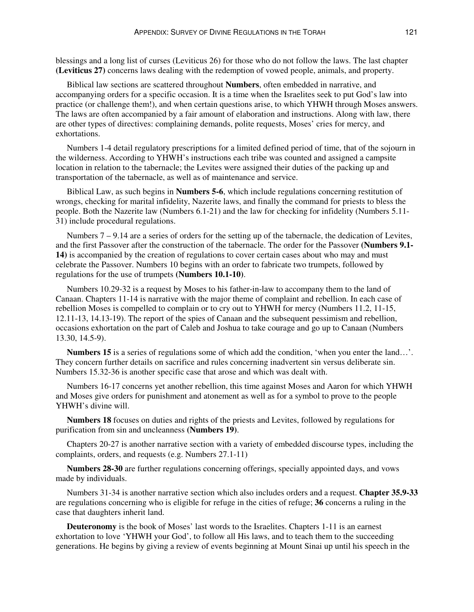blessings and a long list of curses (Leviticus 26) for those who do not follow the laws. The last chapter **(Leviticus 27)** concerns laws dealing with the redemption of vowed people, animals, and property.

Biblical law sections are scattered throughout **Numbers**, often embedded in narrative, and accompanying orders for a specific occasion. It is a time when the Israelites seek to put God's law into practice (or challenge them!), and when certain questions arise, to which YHWH through Moses answers. The laws are often accompanied by a fair amount of elaboration and instructions. Along with law, there are other types of directives: complaining demands, polite requests, Moses' cries for mercy, and exhortations.

Numbers 1-4 detail regulatory prescriptions for a limited defined period of time, that of the sojourn in the wilderness. According to YHWH's instructions each tribe was counted and assigned a campsite location in relation to the tabernacle; the Levites were assigned their duties of the packing up and transportation of the tabernacle, as well as of maintenance and service.

Biblical Law, as such begins in **Numbers 5-6**, which include regulations concerning restitution of wrongs, checking for marital infidelity, Nazerite laws, and finally the command for priests to bless the people. Both the Nazerite law (Numbers 6.1-21) and the law for checking for infidelity (Numbers 5.11- 31) include procedural regulations.

Numbers  $7 - 9.14$  are a series of orders for the setting up of the tabernacle, the dedication of Levites, and the first Passover after the construction of the tabernacle. The order for the Passover **(Numbers 9.1- 14)** is accompanied by the creation of regulations to cover certain cases about who may and must celebrate the Passover. Numbers 10 begins with an order to fabricate two trumpets, followed by regulations for the use of trumpets **(Numbers 10.1-10)**.

Numbers 10.29-32 is a request by Moses to his father-in-law to accompany them to the land of Canaan. Chapters 11-14 is narrative with the major theme of complaint and rebellion. In each case of rebellion Moses is compelled to complain or to cry out to YHWH for mercy (Numbers 11.2, 11-15, 12.11-13, 14.13-19). The report of the spies of Canaan and the subsequent pessimism and rebellion, occasions exhortation on the part of Caleb and Joshua to take courage and go up to Canaan (Numbers 13.30, 14.5-9).

**Numbers 15** is a series of regulations some of which add the condition, 'when you enter the land…'. They concern further details on sacrifice and rules concerning inadvertent sin versus deliberate sin. Numbers 15.32-36 is another specific case that arose and which was dealt with.

Numbers 16-17 concerns yet another rebellion, this time against Moses and Aaron for which YHWH and Moses give orders for punishment and atonement as well as for a symbol to prove to the people YHWH's divine will.

**Numbers 18** focuses on duties and rights of the priests and Levites, followed by regulations for purification from sin and uncleanness **(Numbers 19)**.

Chapters 20-27 is another narrative section with a variety of embedded discourse types, including the complaints, orders, and requests (e.g. Numbers 27.1-11)

**Numbers 28-30** are further regulations concerning offerings, specially appointed days, and vows made by individuals.

Numbers 31-34 is another narrative section which also includes orders and a request. **Chapter 35.9-33** are regulations concerning who is eligible for refuge in the cities of refuge; **36** concerns a ruling in the case that daughters inherit land.

**Deuteronomy** is the book of Moses' last words to the Israelites. Chapters 1-11 is an earnest exhortation to love 'YHWH your God', to follow all His laws, and to teach them to the succeeding generations. He begins by giving a review of events beginning at Mount Sinai up until his speech in the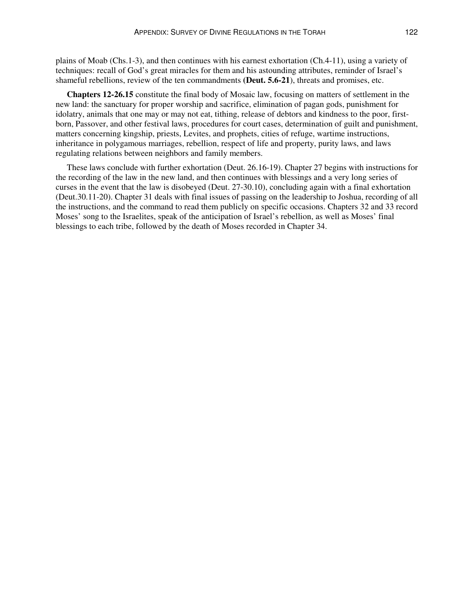plains of Moab (Chs.1-3), and then continues with his earnest exhortation (Ch.4-11), using a variety of techniques: recall of God's great miracles for them and his astounding attributes, reminder of Israel's shameful rebellions, review of the ten commandments **(Deut. 5.6-21**), threats and promises, etc.

**Chapters 12-26.15** constitute the final body of Mosaic law, focusing on matters of settlement in the new land: the sanctuary for proper worship and sacrifice, elimination of pagan gods, punishment for idolatry, animals that one may or may not eat, tithing, release of debtors and kindness to the poor, firstborn, Passover, and other festival laws, procedures for court cases, determination of guilt and punishment, matters concerning kingship, priests, Levites, and prophets, cities of refuge, wartime instructions, inheritance in polygamous marriages, rebellion, respect of life and property, purity laws, and laws regulating relations between neighbors and family members.

These laws conclude with further exhortation (Deut. 26.16-19). Chapter 27 begins with instructions for the recording of the law in the new land, and then continues with blessings and a very long series of curses in the event that the law is disobeyed (Deut. 27-30.10), concluding again with a final exhortation (Deut.30.11-20). Chapter 31 deals with final issues of passing on the leadership to Joshua, recording of all the instructions, and the command to read them publicly on specific occasions. Chapters 32 and 33 record Moses' song to the Israelites, speak of the anticipation of Israel's rebellion, as well as Moses' final blessings to each tribe, followed by the death of Moses recorded in Chapter 34.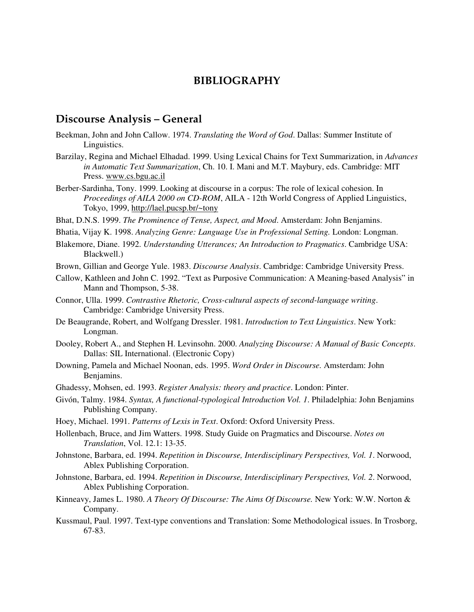## **BIBLIOGRAPHY**

### **Discourse Analysis – General**

- Beekman, John and John Callow. 1974. *Translating the Word of God*. Dallas: Summer Institute of Linguistics.
- Barzilay, Regina and Michael Elhadad. 1999. Using Lexical Chains for Text Summarization, in *Advances in Automatic Text Summarization*, Ch. 10. I. Mani and M.T. Maybury, eds. Cambridge: MIT Press. www.cs.bgu.ac.il
- Berber-Sardinha, Tony. 1999. Looking at discourse in a corpus: The role of lexical cohesion. In *Proceedings of AILA 2000 on CD-ROM*, AILA - 12th World Congress of Applied Linguistics, Tokyo, 1999, http://lael.pucsp.br/~tony
- Bhat, D.N.S. 1999. *The Prominence of Tense, Aspect, and Mood*. Amsterdam: John Benjamins.
- Bhatia, Vijay K. 1998. *Analyzing Genre: Language Use in Professional Setting.* London: Longman.
- Blakemore, Diane. 1992. *Understanding Utterances; An Introduction to Pragmatics*. Cambridge USA: Blackwell.)
- Brown, Gillian and George Yule. 1983. *Discourse Analysis*. Cambridge: Cambridge University Press.
- Callow, Kathleen and John C. 1992. "Text as Purposive Communication: A Meaning-based Analysis" in Mann and Thompson, 5-38.
- Connor, Ulla. 1999. *Contrastive Rhetoric, Cross-cultural aspects of second-language writing*. Cambridge: Cambridge University Press.
- De Beaugrande, Robert, and Wolfgang Dressler. 1981. *Introduction to Text Linguistics*. New York: Longman.
- Dooley, Robert A., and Stephen H. Levinsohn. 2000. *Analyzing Discourse: A Manual of Basic Concepts*. Dallas: SIL International. (Electronic Copy)
- Downing, Pamela and Michael Noonan, eds. 1995. *Word Order in Discourse.* Amsterdam: John Benjamins.
- Ghadessy, Mohsen, ed. 1993. *Register Analysis: theory and practice*. London: Pinter.
- Givón, Talmy. 1984. *Syntax, A functional-typological Introduction Vol. 1*. Philadelphia: John Benjamins Publishing Company.
- Hoey, Michael. 1991. *Patterns of Lexis in Text*. Oxford: Oxford University Press.
- Hollenbach, Bruce, and Jim Watters. 1998. Study Guide on Pragmatics and Discourse. *Notes on Translation*, Vol. 12.1: 13-35.
- Johnstone, Barbara, ed. 1994. *Repetition in Discourse, Interdisciplinary Perspectives, Vol. 1*. Norwood, Ablex Publishing Corporation.
- Johnstone, Barbara, ed. 1994. *Repetition in Discourse, Interdisciplinary Perspectives, Vol. 2*. Norwood, Ablex Publishing Corporation.
- Kinneavy, James L. 1980. *A Theory Of Discourse: The Aims Of Discourse.* New York: W.W. Norton & Company.
- Kussmaul, Paul. 1997. Text-type conventions and Translation: Some Methodological issues. In Trosborg, 67-83.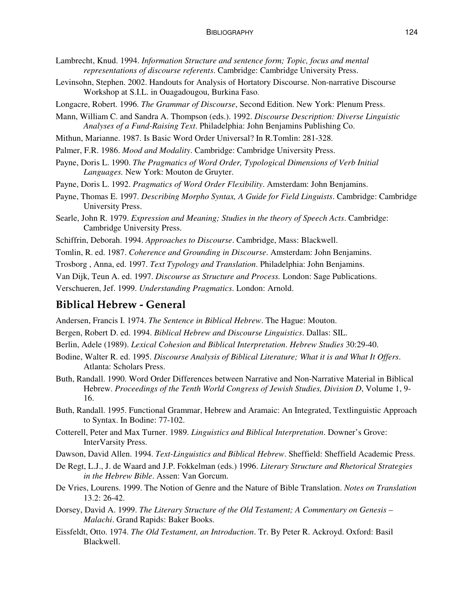- Lambrecht, Knud. 1994. *Information Structure and sentence form; Topic, focus and mental representations of discourse referents*. Cambridge: Cambridge University Press.
- Levinsohn, Stephen. 2002. Handouts for Analysis of Hortatory Discourse. Non-narrative Discourse Workshop at S.I.L. in Ouagadougou, Burkina Faso.
- Longacre, Robert. 1996. *The Grammar of Discourse*, Second Edition. New York: Plenum Press.
- Mann, William C. and Sandra A. Thompson (eds.). 1992. *Discourse Description: Diverse Linguistic Analyses of a Fund-Raising Text*. Philadelphia: John Benjamins Publishing Co.
- Mithun, Marianne. 1987. Is Basic Word Order Universal? In R.Tomlin: 281-328.
- Palmer, F.R. 1986. *Mood and Modality*. Cambridge: Cambridge University Press.
- Payne, Doris L. 1990. *The Pragmatics of Word Order, Typological Dimensions of Verb Initial Languages.* New York: Mouton de Gruyter.
- Payne, Doris L. 1992. *Pragmatics of Word Order Flexibility*. Amsterdam: John Benjamins.
- Payne, Thomas E. 1997. *Describing Morpho Syntax, A Guide for Field Linguists*. Cambridge: Cambridge University Press.
- Searle, John R. 1979. *Expression and Meaning; Studies in the theory of Speech Acts*. Cambridge: Cambridge University Press.
- Schiffrin, Deborah. 1994. *Approaches to Discourse*. Cambridge, Mass: Blackwell.
- Tomlin, R. ed. 1987. *Coherence and Grounding in Discourse*. Amsterdam: John Benjamins.
- Trosborg , Anna, ed. 1997. *Text Typology and Translation*. Philadelphia: John Benjamins.
- Van Dijk, Teun A. ed. 1997. *Discourse as Structure and Process.* London: Sage Publications.

Verschueren, Jef. 1999. *Understanding Pragmatics*. London: Arnold.

## **Biblical Hebrew - General**

Andersen, Francis I. 1974. *The Sentence in Biblical Hebrew*. The Hague: Mouton.

- Bergen, Robert D. ed. 1994. *Biblical Hebrew and Discourse Linguistics*. Dallas: SIL.
- Berlin, Adele (1989). *Lexical Cohesion and Biblical Interpretation*. *Hebrew Studies* 30:29-40.
- Bodine, Walter R. ed. 1995. *Discourse Analysis of Biblical Literature; What it is and What It Offers*. Atlanta: Scholars Press.
- Buth, Randall. 1990. Word Order Differences between Narrative and Non-Narrative Material in Biblical Hebrew. *Proceedings of the Tenth World Congress of Jewish Studies, Division D*, Volume 1, 9- 16.
- Buth, Randall. 1995. Functional Grammar, Hebrew and Aramaic: An Integrated, Textlinguistic Approach to Syntax. In Bodine: 77-102.
- Cotterell, Peter and Max Turner. 1989. *Linguistics and Biblical Interpretation*. Downer's Grove: InterVarsity Press.
- Dawson, David Allen. 1994. *Text-Linguistics and Biblical Hebrew*. Sheffield: Sheffield Academic Press.
- De Regt, L.J., J. de Waard and J.P. Fokkelman (eds.) 1996. *Literary Structure and Rhetorical Strategies in the Hebrew Bible*. Assen: Van Gorcum.
- De Vries, Lourens. 1999. The Notion of Genre and the Nature of Bible Translation. *Notes on Translation* 13.2: 26-42.
- Dorsey, David A. 1999. *The Literary Structure of the Old Testament; A Commentary on Genesis – Malachi*. Grand Rapids: Baker Books.
- Eissfeldt, Otto. 1974. *The Old Testament, an Introduction*. Tr. By Peter R. Ackroyd. Oxford: Basil Blackwell.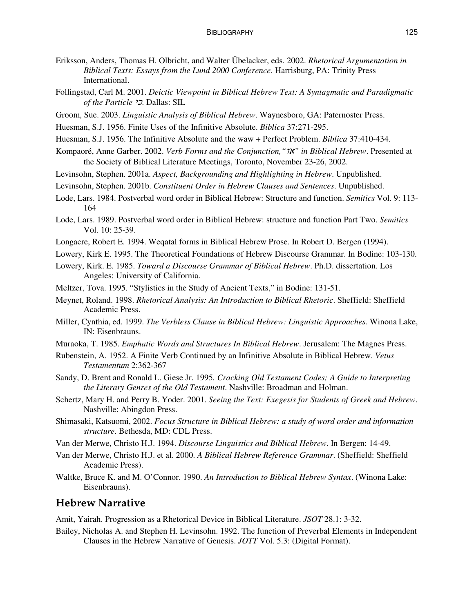- Eriksson, Anders, Thomas H. Olbricht, and Walter Übelacker, eds. 2002. *Rhetorical Argumentation in Biblical Texts: Essays from the Lund 2000 Conference*. Harrisburg, PA: Trinity Press International.
- Follingstad, Carl M. 2001. *Deictic Viewpoint in Biblical Hebrew Text: A Syntagmatic and Paradigmatic of the Particle* =. Dallas: SIL
- Groom, Sue. 2003. *Linguistic Analysis of Biblical Hebrew*. Waynesboro, GA: Paternoster Press.
- Huesman, S.J. 1956. Finite Uses of the Infinitive Absolute. *Biblica* 37:271-295.
- Huesman, S.J. 1956. The Infinitive Absolute and the waw + Perfect Problem. *Biblica* 37:410-434.
- Kompaoré, Anne Garber. 2002. *Verb Forms and the Conjunction,"*-*" in Biblical Hebrew*. Presented at the Society of Biblical Literature Meetings, Toronto, November 23-26, 2002.
- Levinsohn, Stephen. 2001a. *Aspect, Backgrounding and Highlighting in Hebrew*. Unpublished.
- Levinsohn, Stephen. 2001b. *Constituent Order in Hebrew Clauses and Sentences*. Unpublished.
- Lode, Lars. 1984. Postverbal word order in Biblical Hebrew: Structure and function. *Semitics* Vol. 9: 113- 164
- Lode, Lars. 1989. Postverbal word order in Biblical Hebrew: structure and function Part Two. *Semitics* Vol. 10: 25-39.
- Longacre, Robert E. 1994. Weqatal forms in Biblical Hebrew Prose. In Robert D. Bergen (1994).
- Lowery, Kirk E. 1995. The Theoretical Foundations of Hebrew Discourse Grammar. In Bodine: 103-130.
- Lowery, Kirk. E. 1985. *Toward a Discourse Grammar of Biblical Hebrew*. Ph.D. dissertation. Los Angeles: University of California.
- Meltzer, Tova. 1995. "Stylistics in the Study of Ancient Texts," in Bodine: 131-51.
- Meynet, Roland. 1998. *Rhetorical Analysis: An Introduction to Biblical Rhetoric*. Sheffield: Sheffield Academic Press.
- Miller, Cynthia, ed. 1999. *The Verbless Clause in Biblical Hebrew: Linguistic Approaches*. Winona Lake, IN: Eisenbrauns.
- Muraoka, T. 1985. *Emphatic Words and Structures In Biblical Hebrew*. Jerusalem: The Magnes Press.
- Rubenstein, A. 1952. A Finite Verb Continued by an Infinitive Absolute in Biblical Hebrew. *Vetus Testamentum* 2:362-367
- Sandy, D. Brent and Ronald L. Giese Jr. 1995*. Cracking Old Testament Codes; A Guide to Interpreting the Literary Genres of the Old Testament*. Nashville: Broadman and Holman.
- Schertz, Mary H. and Perry B. Yoder. 2001. *Seeing the Text: Exegesis for Students of Greek and Hebrew*. Nashville: Abingdon Press.
- Shimasaki, Katsuomi, 2002. *Focus Structure in Biblical Hebrew: a study of word order and information structure*. Bethesda, MD: CDL Press.
- Van der Merwe, Christo H.J. 1994. *Discourse Linguistics and Biblical Hebrew*. In Bergen: 14-49.
- Van der Merwe, Christo H.J. et al. 2000. *A Biblical Hebrew Reference Grammar*. (Sheffield: Sheffield Academic Press).
- Waltke, Bruce K. and M. O'Connor. 1990. *An Introduction to Biblical Hebrew Syntax*. (Winona Lake: Eisenbrauns).

## **Hebrew Narrative**

Amit, Yairah. Progression as a Rhetorical Device in Biblical Literature. *JSOT* 28.1: 3-32.

Bailey, Nicholas A. and Stephen H. Levinsohn. 1992. The function of Preverbal Elements in Independent Clauses in the Hebrew Narrative of Genesis. *JOTT* Vol. 5.3: (Digital Format).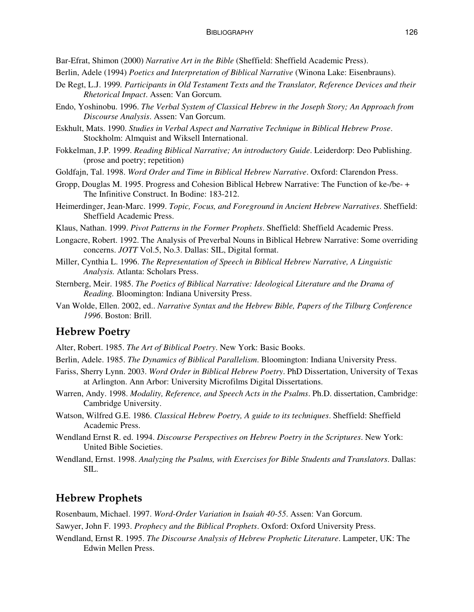Bar-Efrat, Shimon (2000) *Narrative Art in the Bible* (Sheffield: Sheffield Academic Press).

- Berlin, Adele (1994) *Poetics and Interpretation of Biblical Narrative* (Winona Lake: Eisenbrauns).
- De Regt, L.J. 1999*. Participants in Old Testament Texts and the Translator, Reference Devices and their Rhetorical Impact*. Assen: Van Gorcum.
- Endo, Yoshinobu. 1996. *The Verbal System of Classical Hebrew in the Joseph Story; An Approach from Discourse Analysis*. Assen: Van Gorcum.
- Eskhult, Mats. 1990. *Studies in Verbal Aspect and Narrative Technique in Biblical Hebrew Prose*. Stockholm: Almquist and Wiksell International.
- Fokkelman, J.P. 1999. *Reading Biblical Narrative; An introductory Guide*. Leiderdorp: Deo Publishing. (prose and poetry; repetition)
- Goldfajn, Tal. 1998. *Word Order and Time in Biblical Hebrew Narrative*. Oxford: Clarendon Press.
- Gropp, Douglas M. 1995. Progress and Cohesion Biblical Hebrew Narrative: The Function of ke-/be- + The Infinitive Construct. In Bodine: 183-212.
- Heimerdinger, Jean-Marc. 1999. *Topic, Focus, and Foreground in Ancient Hebrew Narratives*. Sheffield: Sheffield Academic Press.
- Klaus, Nathan. 1999. *Pivot Patterns in the Former Prophets*. Sheffield: Sheffield Academic Press.
- Longacre, Robert. 1992. The Analysis of Preverbal Nouns in Biblical Hebrew Narrative: Some overriding concerns. *JOTT* Vol.5, No.3. Dallas: SIL, Digital format.
- Miller, Cynthia L. 1996. *The Representation of Speech in Biblical Hebrew Narrative, A Linguistic Analysis.* Atlanta: Scholars Press.
- Sternberg, Meir. 1985. *The Poetics of Biblical Narrative: Ideological Literature and the Drama of Reading.* Bloomington: Indiana University Press.
- Van Wolde, Ellen. 2002, ed.. *Narrative Syntax and the Hebrew Bible, Papers of the Tilburg Conference 1996*. Boston: Brill.

## **Hebrew Poetry**

- Alter, Robert. 1985. *The Art of Biblical Poetry*. New York: Basic Books.
- Berlin, Adele. 1985. *The Dynamics of Biblical Parallelism*. Bloomington: Indiana University Press.
- Fariss, Sherry Lynn. 2003. *Word Order in Biblical Hebrew Poetry*. PhD Dissertation, University of Texas at Arlington. Ann Arbor: University Microfilms Digital Dissertations.
- Warren, Andy. 1998. *Modality, Reference, and Speech Acts in the Psalms*. Ph.D. dissertation, Cambridge: Cambridge University.
- Watson, Wilfred G.E. 1986. *Classical Hebrew Poetry, A guide to its techniques*. Sheffield: Sheffield Academic Press.
- Wendland Ernst R. ed. 1994. *Discourse Perspectives on Hebrew Poetry in the Scriptures*. New York: United Bible Societies.
- Wendland, Ernst. 1998. *Analyzing the Psalms, with Exercises for Bible Students and Translators*. Dallas: SIL.

## **Hebrew Prophets**

Rosenbaum, Michael. 1997. *Word-Order Variation in Isaiah 40-55*. Assen: Van Gorcum.

Sawyer, John F. 1993. *Prophecy and the Biblical Prophets*. Oxford: Oxford University Press.

Wendland, Ernst R. 1995. *The Discourse Analysis of Hebrew Prophetic Literature*. Lampeter, UK: The Edwin Mellen Press.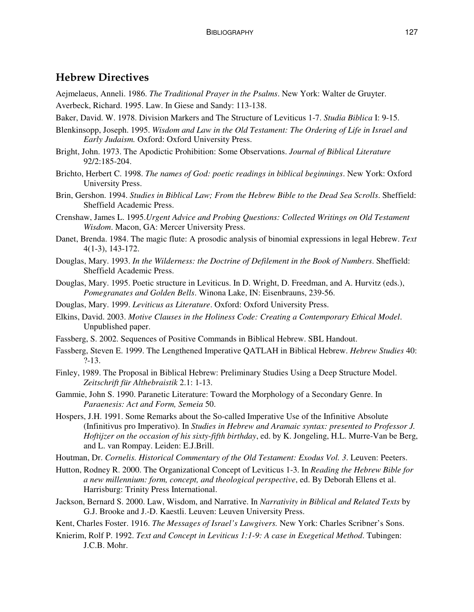## **Hebrew Directives**

Aejmelaeus, Anneli. 1986. *The Traditional Prayer in the Psalms*. New York: Walter de Gruyter. Averbeck, Richard. 1995. Law. In Giese and Sandy: 113-138.

- Baker, David. W. 1978. Division Markers and The Structure of Leviticus 1-7. *Studia Biblica* I: 9-15.
- Blenkinsopp, Joseph. 1995. *Wisdom and Law in the Old Testament: The Ordering of Life in Israel and Early Judaism.* Oxford: Oxford University Press.
- Bright, John. 1973. The Apodictic Prohibition: Some Observations. *Journal of Biblical Literature* 92/2:185-204.
- Brichto, Herbert C. 1998. *The names of God: poetic readings in biblical beginnings*. New York: Oxford University Press.
- Brin, Gershon. 1994. *Studies in Biblical Law; From the Hebrew Bible to the Dead Sea Scrolls*. Sheffield: Sheffield Academic Press.
- Crenshaw, James L. 1995.*Urgent Advice and Probing Questions: Collected Writings on Old Testament Wisdom*. Macon, GA: Mercer University Press.
- Danet, Brenda. 1984. The magic flute: A prosodic analysis of binomial expressions in legal Hebrew. *Text* 4(1-3), 143-172.
- Douglas, Mary. 1993. *In the Wilderness: the Doctrine of Defilement in the Book of Numbers*. Sheffield: Sheffield Academic Press.
- Douglas, Mary. 1995. Poetic structure in Leviticus. In D. Wright, D. Freedman, and A. Hurvitz (eds.), *Pomegranates and Golden Bells*. Winona Lake, IN: Eisenbrauns, 239-56.
- Douglas, Mary. 1999. *Leviticus as Literature*. Oxford: Oxford University Press.
- Elkins, David. 2003. *Motive Clauses in the Holiness Code: Creating a Contemporary Ethical Model*. Unpublished paper.
- Fassberg, S. 2002. Sequences of Positive Commands in Biblical Hebrew. SBL Handout.
- Fassberg, Steven E. 1999. The Lengthened Imperative QATLAH in Biblical Hebrew. *Hebrew Studies* 40: ?-13.
- Finley, 1989. The Proposal in Biblical Hebrew: Preliminary Studies Using a Deep Structure Model. *Zeitschrift für Althebraistik* 2.1: 1-13.
- Gammie, John S. 1990. Paranetic Literature: Toward the Morphology of a Secondary Genre. In *Paraenesis: Act and Form, Semeia* 50.
- Hospers, J.H. 1991. Some Remarks about the So-called Imperative Use of the Infinitive Absolute (Infinitivus pro Imperativo). In *Studies in Hebrew and Aramaic syntax: presented to Professor J. Hoftijzer on the occasion of his sixty-fifth birthday*, ed. by K. Jongeling, H.L. Murre-Van be Berg, and L. van Rompay. Leiden: E.J.Brill.
- Houtman, Dr. *Cornelis. Historical Commentary of the Old Testament: Exodus Vol. 3*. Leuven: Peeters.
- Hutton, Rodney R. 2000. The Organizational Concept of Leviticus 1-3. In *Reading the Hebrew Bible for a new millennium: form, concept, and theological perspective*, ed. By Deborah Ellens et al. Harrisburg: Trinity Press International.
- Jackson, Bernard S. 2000. Law, Wisdom, and Narrative. In *Narrativity in Biblical and Related Texts* by G.J. Brooke and J.-D. Kaestli. Leuven: Leuven University Press.
- Kent, Charles Foster. 1916. *The Messages of Israel's Lawgivers.* New York: Charles Scribner's Sons.
- Knierim, Rolf P. 1992. *Text and Concept in Leviticus 1:1-9: A case in Exegetical Method*. Tubingen: J.C.B. Mohr.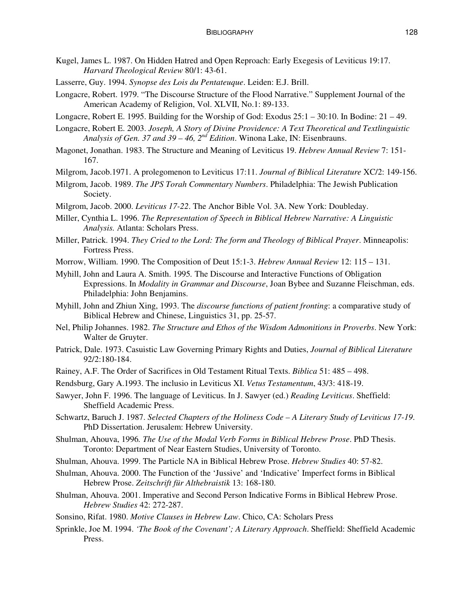- Kugel, James L. 1987. On Hidden Hatred and Open Reproach: Early Exegesis of Leviticus 19:17. *Harvard Theological Review* 80/1: 43-61.
- Lasserre, Guy. 1994. *Synopse des Lois du Pentateuque*. Leiden: E.J. Brill.
- Longacre, Robert. 1979. "The Discourse Structure of the Flood Narrative." Supplement Journal of the American Academy of Religion, Vol. XLVII, No.1: 89-133.
- Longacre, Robert E. 1995. Building for the Worship of God: Exodus 25:1 30:10. In Bodine: 21 49.
- Longacre, Robert E. 2003. *Joseph, A Story of Divine Providence: A Text Theoretical and Textlinguistic Analysis of Gen. 37 and 39 – 46, 2 nd Edition*. Winona Lake, IN: Eisenbrauns.
- Magonet, Jonathan. 1983. The Structure and Meaning of Leviticus 19. *Hebrew Annual Review* 7: 151- 167.
- Milgrom, Jacob.1971. A prolegomenon to Leviticus 17:11. *Journal of Biblical Literature* XC/2: 149-156.
- Milgrom, Jacob. 1989. *The JPS Torah Commentary Numbers*. Philadelphia: The Jewish Publication Society.
- Milgrom, Jacob. 2000. *Leviticus 17-22*. The Anchor Bible Vol. 3A. New York: Doubleday.
- Miller, Cynthia L. 1996. *The Representation of Speech in Biblical Hebrew Narrative: A Linguistic Analysis.* Atlanta: Scholars Press.
- Miller, Patrick. 1994. *They Cried to the Lord: The form and Theology of Biblical Prayer*. Minneapolis: Fortress Press.
- Morrow, William. 1990. The Composition of Deut 15:1-3. *Hebrew Annual Review* 12: 115 131.
- Myhill, John and Laura A. Smith. 1995*.* The Discourse and Interactive Functions of Obligation Expressions. In *Modality in Grammar and Discourse*, Joan Bybee and Suzanne Fleischman, eds. Philadelphia: John Benjamins.
- Myhill, John and Zhiun Xing, 1993. The *discourse functions of patient fronting*: a comparative study of Biblical Hebrew and Chinese, Linguistics 31, pp. 25-57.
- Nel, Philip Johannes. 1982. *The Structure and Ethos of the Wisdom Admonitions in Proverbs*. New York: Walter de Gruyter.
- Patrick, Dale. 1973. Casuistic Law Governing Primary Rights and Duties, *Journal of Biblical Literature* 92/2:180-184.
- Rainey, A.F. The Order of Sacrifices in Old Testament Ritual Texts. *Biblica* 51: 485 498.
- Rendsburg, Gary A.1993. The inclusio in Leviticus XI. *Vetus Testamentum*, 43/3: 418-19.
- Sawyer, John F. 1996. The language of Leviticus. In J. Sawyer (ed.) *Reading Leviticus*. Sheffield: Sheffield Academic Press.
- Schwartz, Baruch J. 1987. *Selected Chapters of the Holiness Code – A Literary Study of Leviticus 17-19*. PhD Dissertation. Jerusalem: Hebrew University.
- Shulman, Ahouva, 1996*. The Use of the Modal Verb Forms in Biblical Hebrew Prose*. PhD Thesis. Toronto: Department of Near Eastern Studies, University of Toronto.
- Shulman, Ahouva. 1999. The Particle NA in Biblical Hebrew Prose. *Hebrew Studies* 40: 57-82.
- Shulman, Ahouva. 2000. The Function of the 'Jussive' and 'Indicative' Imperfect forms in Biblical Hebrew Prose. *Zeitschrift für Althebraistik* 13: 168-180.
- Shulman, Ahouva. 2001. Imperative and Second Person Indicative Forms in Biblical Hebrew Prose. *Hebrew Studies* 42: 272-287.
- Sonsino, Rifat. 1980. *Motive Clauses in Hebrew Law*. Chico, CA: Scholars Press
- Sprinkle, Joe M. 1994. *'The Book of the Covenant'; A Literary Approach*. Sheffield: Sheffield Academic Press.